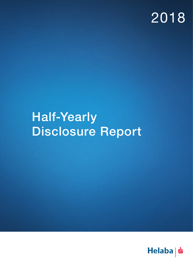# 2018

# Half-Yearly Disclosure Report

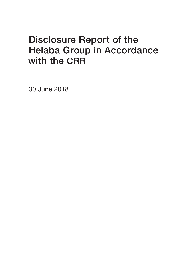### Disclosure Report of the Helaba Group in Accordance with the CRR

30 June 2018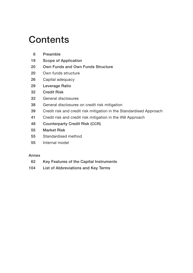### **Contents**

- [19 S](#page-18-0)cope of Application
- [20 O](#page-19-0)wn Funds and Own Funds Structure
- [20](#page-19-0) Own funds structure
- [26](#page-25-0) Capital adequacy
- [29 L](#page-28-0)everage Ratio
- [32 C](#page-31-0)redit Risk
- 32 [G](#page-31-0)eneral disclosures
- 38 [G](#page-37-0)eneral disclosures on credit risk mitigation
- 39 [C](#page-38-0)redit risk and credit risk mitigation in the Standardised Approach
- 41 [C](#page-40-0)redit risk and credit risk mitigation in the IRB Approach
- [48 C](#page-47-0)ounterparty Credit Risk (CCR)
- [55 M](#page-54-0)arket Risk
- 55 [S](#page-54-0)tandardised method
- 55 [I](#page-54-0)nternal model

#### Annex

- [62 K](#page-61-0)ey Features of the Capital Instruments
- [104 L](#page-103-0)ist of Abbreviations and Key Terms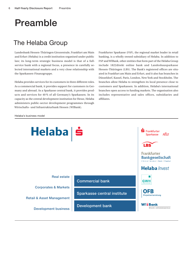### <span id="page-5-0"></span>Preamble

### The Helaba Group

Landesbank Hessen-Thüringen Girozentrale, Frankfurt am Main and Erfurt (Helaba) is a credit institution organised under public law; its long-term strategic business model is that of a fullservice bank with a regional focus, a presence in carefully selected international markets and a very close relationship with the Sparkassen-Finanzgruppe.

Helaba provides services for its customers in three different roles. As a commercial bank, it provides support for customers in Germany and abroad. As a Sparkasse central bank, it provides products and services for 40 % of all Germany's Sparkassen. In its capacity as the central development institution for Hesse, Helaba administers public-sector development programmes through Wirtschafts- und Infrastrukturbank Hessen (WIBank).

Frankfurter Sparkasse (FSP), the regional market leader in retail banking, is a wholly owned subsidiary of Helaba. In addition to FSP and WIBank, other entities that form part of the Helaba Group include 1822direkt online bank and Landesbausparkasse Hessen-Thüringen (LBS). The Bank's registered offices are situated in Frankfurt am Main and Erfurt, and it also has branches in Düsseldorf, Kassel, Paris, London, New York and Stockholm. The branches allow Helaba to strengthen its local presence close to customers and Sparkassen. In addition, Helaba's international branches open access to funding markets. The organisation also includes representative and sales offices, subsidiaries and affiliates.

Helaba's business model

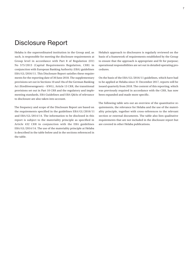### Disclosure Report

Helaba is the superordinated institution in the Group and, as such, is responsible for meeting the disclosure requirements at Group level in accordance with Part 8 of Regulation (EU) No 575/2013 (Capital Requirements Regulation, CRR) in conjunction with European Banking Authority (EBA) guidelines EBA/GL/2016/11. This Disclosure Report satisfies these requirements for the reporting date of 30 June 2018. The supplementary provisions set out in Sections 10 and 10a of the German Banking Act (Kreditwesengesetz – KWG), Article 13 CRR, the transitional provisions set out in Part 10 CRR and the regulatory and implementing standards, EBA Guidelines and EBA Q&As of relevance to disclosure are also taken into account.

The frequency and scope of the Disclosure Report are based on the requirements specified in the guidelines EBA/GL/2016/11 and EBA/GL/2014/14. The information to be disclosed in this report is subject to the materiality principle as specified in Article 432 CRR in conjunction with the EBA guidelines EBA/GL/2014/14. The use of the materiality principle at Helaba is described in the table below and in the sections referenced in the table.

Helaba's approach to disclosures is regularly reviewed on the basis of a framework of requirements established by the Group to ensure that the approach is appropriate and fit for purpose; operational responsibilities are set out in detailed operating procedures.

On the basis of the EBA/GL/2016/11 guidelines, which have had to be applied at Helaba since 31 December 2017, reports will be issued quarterly from 2018. The content of this reporting, which was previously required in accordance with the CRR, has now been expanded and made more specific.

The following table sets out an overview of the quantitative requirements, the relevance for Helaba and the use of the materiality principle, together with cross-references to the relevant section or external documents. The table also lists qualitative requirements that are not included in the disclosure report but are covered in other Helaba publications.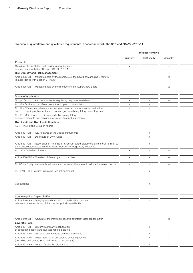|                                                                                                                                                                            |                          | Disclosure interval      |                                 |  |  |  |  |  |
|----------------------------------------------------------------------------------------------------------------------------------------------------------------------------|--------------------------|--------------------------|---------------------------------|--|--|--|--|--|
|                                                                                                                                                                            | Quarterly                | Half-yearly              | Annually                        |  |  |  |  |  |
| Preamble                                                                                                                                                                   |                          |                          |                                 |  |  |  |  |  |
| Overview of quantitative and qualitative requirements<br>in accordance with the CRR and EBA/GL/2016/11                                                                     | $\times$                 | $\overline{\phantom{0}}$ |                                 |  |  |  |  |  |
| <b>Risk Strategy and Risk Management</b>                                                                                                                                   |                          |                          |                                 |  |  |  |  |  |
| Article 435 CRR - Mandates held by the members of the Board of Managing Directors<br>(in accordance with Section 24 KWG)                                                   |                          |                          | $\mathsf{x}$                    |  |  |  |  |  |
| Article 435 CRR - Mandates held by the members of the Supervisory Board                                                                                                    |                          |                          | $\times$                        |  |  |  |  |  |
| Scope of Application                                                                                                                                                       |                          |                          |                                 |  |  |  |  |  |
| Group of consolidated companies for regulatory purposes (overview)                                                                                                         | $\times$                 | $\overline{\phantom{a}}$ |                                 |  |  |  |  |  |
| EU LI3 - Outline of the differences in the scopes of consolidation                                                                                                         | $\overline{\phantom{0}}$ | $\overline{\phantom{a}}$ | $\times$                        |  |  |  |  |  |
| EU LI1 - Differences between accounting and regulatory scopes of consolidation<br>and the mapping of financial statement categories with regulatory risk categories        |                          |                          | $\mathsf{x}$                    |  |  |  |  |  |
| EU LI2 - Main sources of differences between regulatory<br>exposure amounts and carrying amounts in financial statements                                                   | $\overline{\phantom{a}}$ | $\overline{\phantom{0}}$ | $\times$                        |  |  |  |  |  |
| Own Funds and Own Funds Structure                                                                                                                                          |                          |                          |                                 |  |  |  |  |  |
| KM1 - The Helaba Group in figures                                                                                                                                          | $\times$                 | $\overline{\phantom{m}}$ |                                 |  |  |  |  |  |
| Article 437 CRR - Key Features of the Capital Instruments                                                                                                                  | $\overline{\phantom{m}}$ | $\times$                 | $\overline{\phantom{a}}$        |  |  |  |  |  |
| Article 437 CRR - Disclosure of Own Funds                                                                                                                                  |                          | $\times$                 |                                 |  |  |  |  |  |
| Article 437 CRR - Reconciliation from the IFRS Consolidated Statement of Financial Position to<br>the Consolidated Statement of Financial Position for Regulatory Purposes |                          | $\times$                 |                                 |  |  |  |  |  |
| EU OV1 - Overview of RWAs                                                                                                                                                  | $\times$                 | $\overline{\phantom{0}}$ |                                 |  |  |  |  |  |
| Article 438 CRR - Overview of RWAs by exposure class                                                                                                                       | $\times$                 | $\overline{\phantom{0}}$ | $\overline{\phantom{a}}$        |  |  |  |  |  |
| EU INS1 - Equity investments in insurance companies that are not deducted from own funds                                                                                   | $\overline{\phantom{0}}$ | $\times$                 |                                 |  |  |  |  |  |
| EU CR10 - IRB: Equities (simple risk weight approach)                                                                                                                      |                          | $\times$                 |                                 |  |  |  |  |  |
| Capital ratios                                                                                                                                                             |                          | $\times$                 |                                 |  |  |  |  |  |
| <b>Countercyclical Capital Buffer</b>                                                                                                                                      |                          |                          |                                 |  |  |  |  |  |
| Article 440 CRR - Geographical distribution of credit risk exposures                                                                                                       |                          |                          |                                 |  |  |  |  |  |
| relevant to the calculation of the countercyclical capital buffer                                                                                                          |                          |                          | $\times$                        |  |  |  |  |  |
| Article 440 CRR - Amount of the institution-specific countercyclical capital buffer                                                                                        |                          |                          | $\times$                        |  |  |  |  |  |
| Leverage Ratio                                                                                                                                                             |                          |                          |                                 |  |  |  |  |  |
| Article 451 CRR - LRSum: Summary reconciliation<br>of accounting assets and leverage ratio exposures                                                                       |                          |                          |                                 |  |  |  |  |  |
| Article 451 CRR - LRCom: Leverage ratio common disclosure                                                                                                                  | $\overline{\phantom{a}}$ | $\times$                 | $\hspace{0.1mm}-\hspace{0.1mm}$ |  |  |  |  |  |
| Article 451 CRR - LRSpl: Split-up of on-balance sheet exposures<br>(excluding derivatives, SFTs and exempted exposures)                                                    |                          | $\times$                 |                                 |  |  |  |  |  |

Article 451 CRR – LRQua: Qualitative disclosures – and the section of the section of the section of the section of the section of the section of the section of the section of the section of the section of the section of th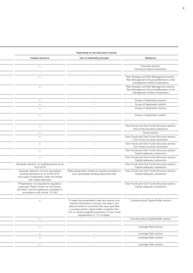| Depending on the disclosure interval                                                                                                                               |                                                                                                                                                                                                                                                                                             |                                                                                                                         |  |  |
|--------------------------------------------------------------------------------------------------------------------------------------------------------------------|---------------------------------------------------------------------------------------------------------------------------------------------------------------------------------------------------------------------------------------------------------------------------------------------|-------------------------------------------------------------------------------------------------------------------------|--|--|
| Helaba relevance                                                                                                                                                   | Use of materiality principle                                                                                                                                                                                                                                                                | Reference                                                                                                               |  |  |
| $\times$                                                                                                                                                           | $\overline{\phantom{a}}$                                                                                                                                                                                                                                                                    | Preamble section,<br>Disclosure Report subsection                                                                       |  |  |
| $\times$                                                                                                                                                           |                                                                                                                                                                                                                                                                                             | Risk Strategy and Risk Management section,<br>Risk Management Structure/Members of the<br>management bodies subsections |  |  |
| $\times$                                                                                                                                                           |                                                                                                                                                                                                                                                                                             | Risk Strategy and Risk Management section,<br>Risk Management Structure/Members of the<br>management bodies subsections |  |  |
|                                                                                                                                                                    |                                                                                                                                                                                                                                                                                             |                                                                                                                         |  |  |
| $\times$                                                                                                                                                           | $\overline{\phantom{0}}$                                                                                                                                                                                                                                                                    | Scope of Application section                                                                                            |  |  |
| $\times$                                                                                                                                                           | $\overline{\phantom{a}}$                                                                                                                                                                                                                                                                    | Scope of Application section                                                                                            |  |  |
| $\times$                                                                                                                                                           | $\overline{\phantom{a}}$                                                                                                                                                                                                                                                                    | Scope of Application section                                                                                            |  |  |
| $\times$                                                                                                                                                           |                                                                                                                                                                                                                                                                                             | Scope of Application section                                                                                            |  |  |
| $\times$                                                                                                                                                           |                                                                                                                                                                                                                                                                                             | Own Funds and Own Funds Structure section,<br>Own funds structure subsection                                            |  |  |
| $\times$                                                                                                                                                           |                                                                                                                                                                                                                                                                                             | Annex section                                                                                                           |  |  |
| $\times$                                                                                                                                                           |                                                                                                                                                                                                                                                                                             | Own Funds and Own Funds Structure section,<br>Own funds structure subsection                                            |  |  |
| $\times$                                                                                                                                                           | $\overline{\phantom{0}}$                                                                                                                                                                                                                                                                    | Own Funds and Own Funds Structure section,<br>Own funds structure subsection                                            |  |  |
| $\times$                                                                                                                                                           | $\overline{\phantom{0}}$                                                                                                                                                                                                                                                                    | Own Funds and Own Funds Structure section,<br>Capital adequacy subsection                                               |  |  |
| $\times$                                                                                                                                                           |                                                                                                                                                                                                                                                                                             | Own Funds and Own Funds Structure section,<br>Capital adequacy subsection                                               |  |  |
| Generally relevant, no qualifying items as at<br>30.6.2018                                                                                                         |                                                                                                                                                                                                                                                                                             | Own Funds and Own Funds Structure section,<br>Capital adequacy subsection                                               |  |  |
| Generally relevant; no such specialised<br>lending exposures as at 30.06.2018,<br>only equity investments under the simple<br>risk weight approach                 | Table presentation limited to equities provided no<br>such specialised lending exposures held                                                                                                                                                                                               | Own Funds and Own Funds Structure section,<br>Capital adequacy subsection                                               |  |  |
| Presentation not required for regulatory<br>purposes. Ratios shown for the Group,<br>the Bank, and the significant subsidiary in<br>accordance with Article 13 CRR |                                                                                                                                                                                                                                                                                             | Own Funds and Own Funds Structure section,<br>Capital adequacy subsection                                               |  |  |
| $\times$                                                                                                                                                           | To keep the presentation clear and ensure only<br>relevant information is shown, the data in the<br>table is limited to countries that have specified<br>a countercyclical capital buffer of greater than<br>0% or whose weighted proportion of own funds<br>requirements is 1 % or higher. | Countercyclical Capital Buffer section                                                                                  |  |  |
| $\times$                                                                                                                                                           | $\overline{\phantom{a}}$                                                                                                                                                                                                                                                                    | Countercyclical Capital Buffer section                                                                                  |  |  |
|                                                                                                                                                                    |                                                                                                                                                                                                                                                                                             |                                                                                                                         |  |  |
| $\times$                                                                                                                                                           | $\overline{\phantom{a}}$                                                                                                                                                                                                                                                                    | Leverage Ratio section                                                                                                  |  |  |
| $\times$                                                                                                                                                           | $\overline{\phantom{a}}$                                                                                                                                                                                                                                                                    | Leverage Ratio section                                                                                                  |  |  |
| $\times$                                                                                                                                                           | $\overline{\phantom{a}}$                                                                                                                                                                                                                                                                    | Leverage Ratio section                                                                                                  |  |  |
| $\times$                                                                                                                                                           | $\overline{\phantom{a}}$                                                                                                                                                                                                                                                                    | Leverage Ratio section                                                                                                  |  |  |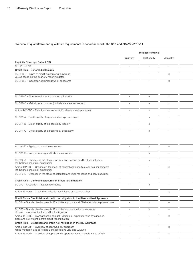|                                                                                                                                          | Disclosure interval             |                          |                          |  |  |  |  |  |
|------------------------------------------------------------------------------------------------------------------------------------------|---------------------------------|--------------------------|--------------------------|--|--|--|--|--|
|                                                                                                                                          | Quarterly                       | Half-yearly              | Annually                 |  |  |  |  |  |
| Liquidity Coverage Ratio (LCR)                                                                                                           |                                 |                          |                          |  |  |  |  |  |
| EU LIQ1 - LCR                                                                                                                            | $\hspace{0.1mm}-\hspace{0.1mm}$ | $\overline{\phantom{a}}$ | $\times$                 |  |  |  |  |  |
| Credit Risk - General disclosures                                                                                                        |                                 |                          |                          |  |  |  |  |  |
| EU CRB-B - Types of credit exposure with average<br>values based on the quarterly reporting dates                                        |                                 |                          | X                        |  |  |  |  |  |
| EU CRB-C - Geographical breakdown of exposures                                                                                           | $\overline{\phantom{0}}$        |                          | $\times$                 |  |  |  |  |  |
| EU CRB-D - Concentration of exposures by industry                                                                                        | $\overline{\phantom{0}}$        |                          | $\times$                 |  |  |  |  |  |
| EU CRB-E - Maturity of exposures (on-balance sheet exposures)                                                                            |                                 |                          | X                        |  |  |  |  |  |
| Article 442 CRR - Maturity of exposures (off-balance sheet exposures)                                                                    |                                 |                          | $\times$                 |  |  |  |  |  |
| EU CR1-A - Credit quality of exposures by exposure class                                                                                 |                                 | $\times$                 | $\overline{\phantom{0}}$ |  |  |  |  |  |
| EU CR1-B - Credit quality of exposures by industry                                                                                       |                                 | $\times$                 |                          |  |  |  |  |  |
| EU CR1-C - Credit quality of exposures by geography                                                                                      | $\overline{\phantom{m}}$        | $\times$                 | $\overline{\phantom{0}}$ |  |  |  |  |  |
|                                                                                                                                          |                                 |                          |                          |  |  |  |  |  |
| EU CR1-D - Ageing of past-due exposures                                                                                                  | $\overline{\phantom{a}}$        | $\times$                 | $\overline{\phantom{m}}$ |  |  |  |  |  |
| EU CR1-E - Non-performing and forborne exposures                                                                                         | $\overline{\phantom{m}}$        | $\times$                 | $\overline{\phantom{0}}$ |  |  |  |  |  |
| EU CR2-A - Changes in the stock of general and specific credit risk adjustments<br>(on-balance sheet risk exposures)                     | $\overline{\phantom{a}}$        | $\times$                 | $\overline{\phantom{m}}$ |  |  |  |  |  |
| Article 442 CRR - Changes in the stock of general and specific credit risk adjustments<br>(off-balance sheet risk exposures)             | $\overline{\phantom{m}}$        |                          | $\times$                 |  |  |  |  |  |
| EU CR2-B - Changes in the stock of defaulted and impaired loans and debt securities                                                      | $\overline{\phantom{0}}$        | $\times$                 | $\overline{\phantom{a}}$ |  |  |  |  |  |
| Credit Risk - General disclosures on credit risk mitigation                                                                              |                                 |                          |                          |  |  |  |  |  |
| EU CR3 - Credit risk mitigation techniques                                                                                               |                                 | $\times$                 | $\overline{\phantom{m}}$ |  |  |  |  |  |
| Article 453 CRR - Credit risk mitigation techniques by exposure class                                                                    |                                 |                          | $\times$                 |  |  |  |  |  |
| Credit Risk - Credit risk and credit risk mitigation in the Standardised Approach                                                        |                                 |                          |                          |  |  |  |  |  |
| EU CR4 - Standardised approach: Credit risk exposure and CRM effects by exposure class                                                   |                                 |                          |                          |  |  |  |  |  |
| EU CR5 - Standardised approach: Credit risk exposure value by exposure<br>class and risk weight (after credit risk mitigation)           | $\overline{\phantom{m}}$        | $\times$                 | $\overline{\phantom{0}}$ |  |  |  |  |  |
| Article 444 CRR - Standardised approach: Credit risk exposure value by exposure<br>class and risk weight (before credit risk mitigation) |                                 |                          | $\times$                 |  |  |  |  |  |
| Credit Risk - Credit risk and credit risk mitigation in the IRB Approach                                                                 |                                 |                          |                          |  |  |  |  |  |
| Article 452 CRR - Overview of approved IRB approach<br>rating models in use at Helaba Bank (excluding LBS and WIBank)                    |                                 |                          | $\times$                 |  |  |  |  |  |
| Article 452 CRR - Overview of approved IRB approach rating models in use at FSP                                                          |                                 |                          | X                        |  |  |  |  |  |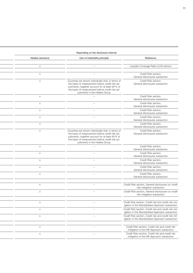|                  | Depending on the disclosure interval                                                                                                                                                                                                         |                                                                                                          |  |
|------------------|----------------------------------------------------------------------------------------------------------------------------------------------------------------------------------------------------------------------------------------------|----------------------------------------------------------------------------------------------------------|--|
| Helaba relevance | Use of materiality principle                                                                                                                                                                                                                 | Reference                                                                                                |  |
|                  |                                                                                                                                                                                                                                              |                                                                                                          |  |
| $\times$         |                                                                                                                                                                                                                                              | Liquidity Coverage Ratio (LCR) section                                                                   |  |
| $\times$         |                                                                                                                                                                                                                                              | Credit Risk section,<br>General disclosures subsection                                                   |  |
| $\times$         | Countries are shown individually that, in terms of<br>the basis of measurement before credit risk ad-<br>justments, together account for at least 95% of<br>the basis of measurement before credit risk ad-<br>justments in the Helaba Group | Credit Risk section,<br>General disclosures subsection                                                   |  |
| $\times$         |                                                                                                                                                                                                                                              | Credit Risk section,<br>General disclosures subsection                                                   |  |
| $\times$         |                                                                                                                                                                                                                                              | Credit Risk section,<br>General disclosures subsection                                                   |  |
| $\times$         |                                                                                                                                                                                                                                              | Credit Risk section,<br>General disclosures subsection                                                   |  |
| $\times$         |                                                                                                                                                                                                                                              | Credit Risk section,<br>General disclosures subsection                                                   |  |
| $\times$         |                                                                                                                                                                                                                                              | Credit Risk section,<br>General disclosures subsection                                                   |  |
| $\times$         | Countries are shown individually that, in terms of<br>the basis of measurement before credit risk ad-<br>justments, together account for at least 95% of<br>the basis of measurement before credit risk ad-<br>justments in the Helaba Group | Credit Risk section,<br>General disclosures subsection                                                   |  |
| $\times$         |                                                                                                                                                                                                                                              | Credit Risk section,<br>General disclosures subsection                                                   |  |
| $\times$         |                                                                                                                                                                                                                                              | Credit Risk section,<br>General disclosures subsection                                                   |  |
| $\times$         | $\overline{\phantom{0}}$                                                                                                                                                                                                                     | Credit Risk section,<br>General disclosures subsection                                                   |  |
| $\times$         |                                                                                                                                                                                                                                              | Credit Risk section,<br>General disclosures subsection                                                   |  |
| $\times$         |                                                                                                                                                                                                                                              | Credit Risk section,<br>General disclosures subsection                                                   |  |
| $\times$         |                                                                                                                                                                                                                                              | Credit Risk section, General disclosures on credit<br>risk mitigation subsection                         |  |
| $\times$         |                                                                                                                                                                                                                                              | Credit Risk section, General disclosures on credit<br>risk mitigation subsection                         |  |
| $\times$         |                                                                                                                                                                                                                                              | Credit Risk section, Credit risk and credit risk mit<br>igation in the Standardised Approach subsection  |  |
| $\times$         |                                                                                                                                                                                                                                              | Credit Risk section, Credit risk and credit risk mit-<br>igation in the Standardised Approach subsection |  |
| $\times$         |                                                                                                                                                                                                                                              | Credit Risk section, Credit risk and credit risk mit<br>igation in the Standardised Approach subsection  |  |
| $\times$         |                                                                                                                                                                                                                                              | Credit Risk section, Credit risk and credit risk<br>mitigation in the IRB Approach subsection            |  |
| $\times$         |                                                                                                                                                                                                                                              | Credit Risk section, Credit risk and credit risk<br>mitigation in the IRB Approach subsection            |  |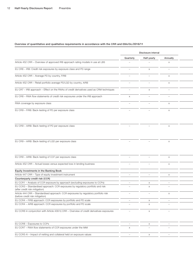|                                                                                                                        |                          | Disclosure interval       |                                 |  |
|------------------------------------------------------------------------------------------------------------------------|--------------------------|---------------------------|---------------------------------|--|
|                                                                                                                        | Quarterly                | Half-yearly               | Annually                        |  |
| Article 452 CRR - Overview of approved IRB approach rating models in use at LBS                                        |                          |                           | $\mathsf{X}$                    |  |
| EU CR6 - IRB: Credit risk exposures by exposure class and PD range                                                     | $\overline{\phantom{0}}$ | $\times$                  | $\overline{\phantom{a}}$        |  |
| Article 452 CRR - Average PD by country, FIRB                                                                          | $\overline{\phantom{m}}$ | $\overline{\phantom{0}}$  | $\times$                        |  |
| Article 452 CRR - Retail portfolio average PD/LGD by country, AIRB                                                     |                          |                           | $\times$                        |  |
| EU CR7 - IRB approach - Effect on the RWAs of credit derivatives used as CRM techniques                                | $\overline{\phantom{m}}$ | $\times$                  | $\hspace{0.1mm}-\hspace{0.1mm}$ |  |
| EU CR8 - RWA flow statements of credit risk exposures under the IRB approach                                           | $\times$                 | $\overline{\phantom{a}}$  |                                 |  |
| RWA coverage by exposure class                                                                                         |                          | $\overline{\phantom{0}}$  | $\times$                        |  |
| EU CR9 - FIRB: Back-testing of PD per exposure class                                                                   |                          |                           | $\times$                        |  |
| EU CR9 - AIRB: Back-testing of PD per exposure class                                                                   |                          |                           | $\times$                        |  |
| EU CR9 - AIRB: Back-testing of LGD per exposure class                                                                  |                          |                           | $\times$                        |  |
|                                                                                                                        |                          |                           |                                 |  |
| EU CR9 - AIRB: Back-testing of CCF per exposure class                                                                  |                          |                           | $\times$                        |  |
| Article 452 CRR - Actual losses versus expected loss in lending business                                               |                          |                           | $\times$                        |  |
| Equity Investments in the Banking Book                                                                                 |                          |                           |                                 |  |
| Article 447 CRR - Type of equity investment instrument                                                                 | $\overline{\phantom{0}}$ | $\overline{\phantom{a}}$  | $\mathsf{X}$                    |  |
| Counterparty credit risk (CCR)                                                                                         |                          |                           |                                 |  |
| EU CCR1 - Analysis of CCR exposure by approach (excluding exposures to CCPs)                                           | $\equiv$                 | $\times$                  | $\overline{\phantom{0}}$        |  |
| EU CCR3 - Standardised approach: CCR exposures by regulatory portfolio and risk<br>(after credit risk mitigation)      | $\overline{\phantom{a}}$ | $\times$                  | $\overline{\phantom{0}}$        |  |
| Article 444 CRR - Standardised approach: CCR exposures by regulatory portfolio risk<br>(before credit risk mitigation) | $\overline{\phantom{a}}$ | $\overline{\phantom{0}}$  | $\times$                        |  |
| EU CCR4 - FIRB approach: CCR exposures by portfolio and PD scale                                                       | $\overline{\phantom{a}}$ | $\times$                  | $\hspace{0.1mm}-\hspace{0.1mm}$ |  |
| EU CCR4 - AIRB approach: CCR exposures by portfolio and PD scale                                                       | $\overline{\phantom{m}}$ | $\boldsymbol{\mathsf{X}}$ | $\overline{\phantom{a}}$        |  |
| EU CCR6 in conjunction with Article 439 h) CRR - Overview of credit derivatives exposures                              | $\overline{\phantom{m}}$ | $\times$                  | $\overline{\phantom{a}}$        |  |
| EU CCR8 - Exposures to CCPs                                                                                            | $\equiv$                 | $\times$                  | $\hspace{0.1mm}-\hspace{0.1mm}$ |  |
| EU CCR7 - RWA flow statements of CCR exposures under the IMM                                                           | $\times$                 | $\overline{\phantom{m}}$  |                                 |  |
| EU CCR5-A - Impact of netting and collateral held on exposure values                                                   | $-$                      | X                         |                                 |  |
|                                                                                                                        |                          |                           |                                 |  |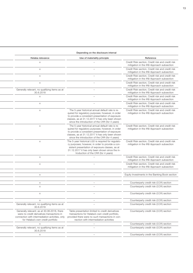#### Depending on the disclosure interval

| Helaba relevance                                                                                                                                                                  | Use of materiality principle                                                                                                                                                                                                                                     | Reference                                                                                     |
|-----------------------------------------------------------------------------------------------------------------------------------------------------------------------------------|------------------------------------------------------------------------------------------------------------------------------------------------------------------------------------------------------------------------------------------------------------------|-----------------------------------------------------------------------------------------------|
| $\times$                                                                                                                                                                          |                                                                                                                                                                                                                                                                  | Credit Risk section, Credit risk and credit risk<br>mitigation in the IRB Approach subsection |
| $\times$                                                                                                                                                                          |                                                                                                                                                                                                                                                                  | Credit Risk section, Credit risk and credit risk<br>mitigation in the IRB Approach subsection |
| $\times$                                                                                                                                                                          |                                                                                                                                                                                                                                                                  | Credit Risk section, Credit risk and credit risk<br>mitigation in the IRB Approach subsection |
| $\times$                                                                                                                                                                          | $\overline{\phantom{m}}$                                                                                                                                                                                                                                         | Credit Risk section, Credit risk and credit risk<br>mitigation in the IRB Approach subsection |
| Generally relevant, no qualifying items as at<br>30.6.2018                                                                                                                        |                                                                                                                                                                                                                                                                  | Credit Risk section, Credit risk and credit risk<br>mitigation in the IRB Approach subsection |
| $\times$                                                                                                                                                                          |                                                                                                                                                                                                                                                                  | Credit Risk section, Credit risk and credit risk<br>mitigation in the IRB Approach subsection |
| $\times$                                                                                                                                                                          |                                                                                                                                                                                                                                                                  | Credit Risk section, Credit risk and credit risk<br>mitigation in the IRB Approach subsection |
| $\times$                                                                                                                                                                          | The 5-year historical annual default rate is re-<br>quired for regulatory purposes; however, in order<br>to provide a consistent presentation of exposure<br>classes, as at 31.12.2017 it has only been shown<br>since the introduction of the CRR (for 4 years) | Credit Risk section, Credit risk and credit risk<br>mitigation in the IRB Approach subsection |
| $\times$                                                                                                                                                                          | The 5-year historical annual default rate is re-<br>quired for regulatory purposes; however, in order<br>to provide a consistent presentation of exposure<br>classes, as at 31.12.2017 it has only been shown<br>since the introduction of the CRR (for 4 years) | Credit Risk section, Credit risk and credit risk<br>mitigation in the IRB Approach subsection |
| $\times$                                                                                                                                                                          | The 5-year historical LGD is required for regulato-<br>ry purposes; however, in order to provide a con-<br>sistent presentation of exposure classes, as at<br>31.12.2017 it has only been shown since the in-<br>troduction of the CRR (for 4 years)             | Credit Risk section, Credit risk and credit risk<br>mitigation in the IRB Approach subsection |
| $\times$                                                                                                                                                                          |                                                                                                                                                                                                                                                                  | Credit Risk section, Credit risk and credit risk<br>mitigation in the IRB Approach subsection |
| $\times$                                                                                                                                                                          |                                                                                                                                                                                                                                                                  | Credit Risk section, Credit risk and credit risk<br>mitigation in the IRB Approach subsection |
| $\times$                                                                                                                                                                          |                                                                                                                                                                                                                                                                  | Equity Investments in the Banking Book section                                                |
| $\times$                                                                                                                                                                          |                                                                                                                                                                                                                                                                  | Counterparty credit risk (CCR) section                                                        |
| $\times$                                                                                                                                                                          |                                                                                                                                                                                                                                                                  | Counterparty credit risk (CCR) section                                                        |
| $\times$                                                                                                                                                                          |                                                                                                                                                                                                                                                                  | Counterparty credit risk (CCR) section                                                        |
| $\mathsf{x}$                                                                                                                                                                      |                                                                                                                                                                                                                                                                  | Counterparty credit risk (CCR) section                                                        |
| Generally relevant, no qualifying items as at<br>30.6.2018                                                                                                                        |                                                                                                                                                                                                                                                                  | Counterparty credit risk (CCR) section                                                        |
| Generally relevant; as at 30.06.2018, there<br>were no credit derivatives transactions in<br>connection with intermediation activities, only<br>for Helaba's own credit portfolio | Table presentation limited to credit derivatives<br>transactions for Helaba's own credit portfolio,<br>provided there were no such transactions in con-<br>nection with intermediation activities                                                                | Counterparty credit risk (CCR) section                                                        |
|                                                                                                                                                                                   |                                                                                                                                                                                                                                                                  | Counterparty credit risk (CCR) section                                                        |
| Generally relevant, no qualifying items as at<br>30.6.2018                                                                                                                        |                                                                                                                                                                                                                                                                  | Counterparty credit risk (CCR) section                                                        |
| $\times$                                                                                                                                                                          | $\overline{\phantom{m}}$                                                                                                                                                                                                                                         | Counterparty credit risk (CCR) section                                                        |
|                                                                                                                                                                                   |                                                                                                                                                                                                                                                                  |                                                                                               |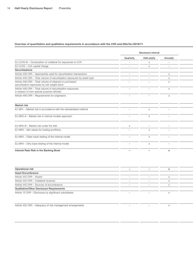|                                                                                                          |                                 | Disclosure interval      |                          |  |
|----------------------------------------------------------------------------------------------------------|---------------------------------|--------------------------|--------------------------|--|
|                                                                                                          | Quarterly                       | Half-yearly              | Annually                 |  |
| EU CCR5-B - Composition of collateral for exposures to CCR                                               | $\overline{\phantom{a}}$        |                          | $\overline{\phantom{0}}$ |  |
| EU CCR2 - CVA capital charge                                                                             |                                 |                          |                          |  |
| Securitisations                                                                                          |                                 |                          |                          |  |
| Article 449 CRR - Approaches used for securitisation transactions                                        | $\overline{\phantom{0}}$        |                          |                          |  |
| Article 449 CRR - Total volume of securitisation exposures by asset type                                 | $\overline{\phantom{a}}$        |                          |                          |  |
| Article 449 CRR - Total volume of retained or purchased<br>securitisation exposures by risk weight band  |                                 |                          |                          |  |
| Article 449 CRR - Total volume of securitisation exposures<br>in respect of own special purpose vehicles | $\overline{\phantom{0}}$        |                          | $\mathsf{x}$             |  |
| Article 449 CRR - Requirements for originators                                                           |                                 |                          |                          |  |
|                                                                                                          |                                 |                          |                          |  |
| <b>Market risk</b>                                                                                       |                                 |                          |                          |  |
| EU MR1 - Market risk in accordance with the standardised method                                          |                                 |                          |                          |  |
| EU MR2-A - Market risk in internal models approach                                                       | $\overline{\phantom{0}}$        | $\mathsf{x}$             | $\overline{\phantom{a}}$ |  |
|                                                                                                          |                                 |                          |                          |  |
| EU MR2-B - Market risk under the IMA                                                                     | $\times$                        | $\overline{\phantom{0}}$ |                          |  |
| EU MR3 - IMA values for trading portfolios                                                               | $\overline{\phantom{a}}$        | $\mathbf{v}$             | $\overline{\phantom{0}}$ |  |
| EU MR4 - Clean back-testing of the internal model                                                        | $\overline{\phantom{a}}$        |                          |                          |  |
|                                                                                                          |                                 |                          |                          |  |
| EU MR4 - Dirty back-testing of the internal model                                                        | $\hspace{0.1mm}-\hspace{0.1mm}$ |                          | $\overline{\phantom{0}}$ |  |
| Interest Rate Risk in the Banking Book                                                                   | $\overline{\phantom{0}}$        | $\overline{\phantom{0}}$ |                          |  |

| Operational risk                                        |                          |  |
|---------------------------------------------------------|--------------------------|--|
| <b>Asset Encumbrance</b>                                |                          |  |
| Article 443 CRR - Assets                                | $\overline{\phantom{m}}$ |  |
| Article 443 CRR - Collateral received                   |                          |  |
| Article 443 CRR - Sources of encumbrance                |                          |  |
| Qualitative/Other Disclosure Requirements               |                          |  |
| Article 13 CRR - Disclosure by significant subsidiaries |                          |  |
|                                                         |                          |  |

Article 435 CRR – Adequacy of risk management arrangements – – x x Please refer to the "Risk report" section in con-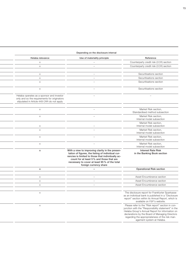#### Depending on the disclosure interval

| $\overline{\phantom{a}}$ | Helaba relevance<br>Use of materiality principle                                                                                                                                                                                                                                                 | Reference                                                                                                                                                                                                      |
|--------------------------|--------------------------------------------------------------------------------------------------------------------------------------------------------------------------------------------------------------------------------------------------------------------------------------------------|----------------------------------------------------------------------------------------------------------------------------------------------------------------------------------------------------------------|
|                          |                                                                                                                                                                                                                                                                                                  |                                                                                                                                                                                                                |
|                          | $\times$                                                                                                                                                                                                                                                                                         | Counterparty credit risk (CCR) section                                                                                                                                                                         |
| $\overline{\phantom{a}}$ | $\times$                                                                                                                                                                                                                                                                                         | Counterparty credit risk (CCR) section                                                                                                                                                                         |
|                          |                                                                                                                                                                                                                                                                                                  |                                                                                                                                                                                                                |
|                          | $\times$                                                                                                                                                                                                                                                                                         | Securitisations section                                                                                                                                                                                        |
| $\equiv$                 | $\times$                                                                                                                                                                                                                                                                                         | Securitisations section                                                                                                                                                                                        |
| $\overline{\phantom{a}}$ | $\times$                                                                                                                                                                                                                                                                                         | Securitisations section                                                                                                                                                                                        |
| $\sim$                   | $\times$                                                                                                                                                                                                                                                                                         | Securitisations section                                                                                                                                                                                        |
| $\overline{\phantom{a}}$ | Helaba operates as a sponsor and investor<br>only and so the requirements for originators<br>stipulated in Article 449 CRR do not apply                                                                                                                                                          | $\overline{\phantom{m}}$                                                                                                                                                                                       |
| $\overline{\phantom{a}}$ | $\times$                                                                                                                                                                                                                                                                                         | Market Risk section,<br>Standardised method subsection                                                                                                                                                         |
| $\overline{\phantom{a}}$ | $\times$                                                                                                                                                                                                                                                                                         | Market Risk section,<br>Internal model subsection                                                                                                                                                              |
|                          | $\times$                                                                                                                                                                                                                                                                                         | Market Risk section,<br>Internal model subsection                                                                                                                                                              |
|                          | $\times$                                                                                                                                                                                                                                                                                         | Market Risk section,<br>Internal model subsection                                                                                                                                                              |
| $\equiv$                 | $\times$                                                                                                                                                                                                                                                                                         | Market Risk section,                                                                                                                                                                                           |
|                          |                                                                                                                                                                                                                                                                                                  | Internal model subsection                                                                                                                                                                                      |
| $\overline{\phantom{a}}$ | $\times$                                                                                                                                                                                                                                                                                         | Market Risk section,<br>Internal model subsection                                                                                                                                                              |
|                          | With a view to improving clarity in the presen-<br>$\mathsf{x}$<br>tation of figures, the listing of individual cur-<br>rencies is limited to those that individually ac-<br>count for at least 5% and those that are<br>necessary to cover at least 95 % of the total<br>foreign currency share | <b>Interest Rate Risk</b><br>in the Banking Book section                                                                                                                                                       |
|                          | $\mathsf{x}$                                                                                                                                                                                                                                                                                     | <b>Operational Risk section</b>                                                                                                                                                                                |
|                          |                                                                                                                                                                                                                                                                                                  |                                                                                                                                                                                                                |
| $\overline{a}$           | $\times$                                                                                                                                                                                                                                                                                         | Asset Encumbrance section                                                                                                                                                                                      |
| $\overline{\phantom{a}}$ | $\times$                                                                                                                                                                                                                                                                                         | Asset Encumbrance section                                                                                                                                                                                      |
| $\overline{a}$           | $\times$                                                                                                                                                                                                                                                                                         | Asset Encumbrance section                                                                                                                                                                                      |
|                          |                                                                                                                                                                                                                                                                                                  |                                                                                                                                                                                                                |
|                          | $\times$                                                                                                                                                                                                                                                                                         | The disclosure report for Frankfurter Sparkasse<br>as an individual bank is published in a "Disclosure<br>report" section within its Annual Report, which is<br>available on FSP's website.                    |
|                          | $\times$                                                                                                                                                                                                                                                                                         | Please refer to the "Risk report" section in con-<br>junction with the "Responsibility statement" in the<br>Helaba Group's Annual Report for information on<br>declarations by the Board of Managing Directors |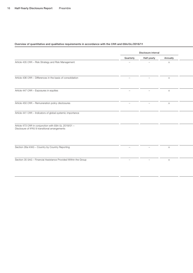|                                                                                                        | Disclosure interval      |                          |             |  |
|--------------------------------------------------------------------------------------------------------|--------------------------|--------------------------|-------------|--|
|                                                                                                        | Quarterly                | Half-yearly              | Annually    |  |
| Article 435 CRR - Risk Strategy and Risk Management                                                    | $\overline{\phantom{0}}$ | $\overline{\phantom{a}}$ | $\times$    |  |
| Article 436 CRR - Differences in the basis of consolidation                                            |                          |                          | $\times$    |  |
| Article 447 CRR - Exposures in equities                                                                |                          |                          |             |  |
| Article 450 CRR - Remuneration policy disclosures                                                      | $\overline{\phantom{0}}$ | $\overline{\phantom{m}}$ | $\mathsf X$ |  |
| Article 441 CRR - Indicators of global systemic importance                                             |                          |                          |             |  |
| Article 473 CRR in conjunction with EBA GL 2018/01 -<br>Disclosure of IFRS 9 transitional arrangements |                          |                          |             |  |
| Section 26a KWG - Country by Country Reporting                                                         |                          |                          | $\times$    |  |
| Section 35 SAG - Financial Assistance Provided Within the Group                                        |                          |                          | $\times$    |  |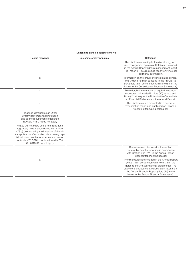|                                                                                                                                                                                                                                                                                                                           | Depending on the disclosure interval |                                                                                                                                                                                                                                                                                                             |
|---------------------------------------------------------------------------------------------------------------------------------------------------------------------------------------------------------------------------------------------------------------------------------------------------------------------------|--------------------------------------|-------------------------------------------------------------------------------------------------------------------------------------------------------------------------------------------------------------------------------------------------------------------------------------------------------------|
| Helaba relevance                                                                                                                                                                                                                                                                                                          | Use of materiality principle         | Reference                                                                                                                                                                                                                                                                                                   |
| $\mathbf{x}$                                                                                                                                                                                                                                                                                                              |                                      | The disclosures relating to the risk strategy and<br>risk management system at Helaba are included<br>in the Annual Report (Group management report<br>(Risk report)). This disclosure report only includes<br>additional information.                                                                      |
| $\times$                                                                                                                                                                                                                                                                                                                  |                                      | Information on the group of consolidated compa-<br>nies under IFRS may be found in the Annual Re-<br>port (Note (3) in conjunction with Note (88) in the<br>Notes to the Consolidated Financial Statements)                                                                                                 |
| $\times$                                                                                                                                                                                                                                                                                                                  |                                      | More detailed information on equity investment<br>exposures, is included in Note (30) et seq. and<br>Note (42) et seq. of the Notes to the Consolidat-<br>ed Financial Statements in the Annual Report.                                                                                                     |
| $\times$                                                                                                                                                                                                                                                                                                                  |                                      | The disclosures are presented in a separate<br>remuneration report and published on Helaba's<br>website (offenlegung.helaba.de)                                                                                                                                                                             |
| Helaba is identified as an Other<br>Systemically Important Institution<br>and so the requirements stipulated<br>in Article 441 CRR do not apply                                                                                                                                                                           |                                      |                                                                                                                                                                                                                                                                                                             |
| Helaba will not make use of the transitional<br>regulatory rules in accordance with Article<br>473 a) CRR covering the inclusion of the ini-<br>tial application effects when determining cap-<br>ital ratios and so the requirements stipulated<br>in Article 473 CRR in conjunction with EBA<br>GL 2018/01 do not apply |                                      |                                                                                                                                                                                                                                                                                                             |
| $\times$                                                                                                                                                                                                                                                                                                                  |                                      | Disclosures can be found in the section<br>Country-by-country reporting in accordance<br>with Section 26a KWG in the Annual Report<br>(geschaeftsbericht.helaba.de)                                                                                                                                         |
| $\times$                                                                                                                                                                                                                                                                                                                  |                                      | The disclosures are included in the Annual Report<br>(Note (74) in conjunction with Note (75) in the<br>Notes to the Annual Financial Statements). The<br>equivalent disclosures at Helaba Bank level are in<br>the Annual Financial Report (Note (44) in the<br>Notes to the Annual Financial Statements). |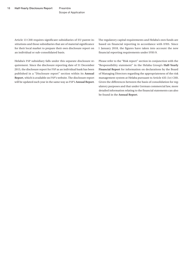Scope of Application

Article 13 CRR requires significant subsidiaries of EU parent institutions and those subsidiaries that are of material significance for their local market to prepare their own disclosure report on an individual or sub-consolidated basis.

Helaba's FSP subsidiary falls under this separate disclosure requirement. Since the disclosure reporting date of 31 December 2015, the disclosure report for FSP as an individual bank has been published in a "Disclosure report" section within its **[Annual](https://www.frankfurter-sparkasse.de/de/home/ihre-sparkasse/unternehmen.html?n=true&stref=hnav)  [Report](https://www.frankfurter-sparkasse.de/de/home/ihre-sparkasse/unternehmen.html?n=true&stref=hnav)**, which is available on FSP's website. The disclosure report will be updated each year in the same way as FSP's **[Annual Report](https://www.frankfurter-sparkasse.de/de/home/ihre-sparkasse/unternehmen.html?n=true&stref=hnav)**.

The regulatory capital requirements and Helaba's own funds are based on financial reporting in accordance with IFRS. Since 1 January 2018, the figures have taken into account the new financial reporting requirements under IFRS 9.

Please refer to the "Risk report" section in conjunction with the "Responsibility statement" in the Helaba Group's **Half-Yearly [Financial Report](http://geschaeftsbericht.helaba.de/)** for information on declarations by the Board of Managing Directors regarding the appropriateness of the risk management system at Helaba pursuant to Article 435 (1e) CRR. Given the differences between the basis of consolidation for regulatory purposes and that under German commercial law, more detailed information relating to the financial statements can also be found in the **[Annual Report](http://geschaeftsbericht.helaba.de/)**.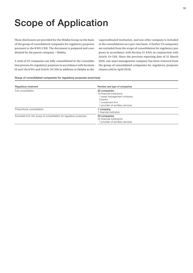## <span id="page-18-0"></span>Scope of Application

These disclosures are provided for the Helaba Group on the basis of the group of consolidated companies for regulatory purposes pursuant to the KWG/CRR. The document is prepared and coordinated by the parent company – Helaba.

A total of 22 companies are fully consolidated in the consolidation process for regulatory purposes in accordance with Sections 10 and 10a KWG and Article 18 CRR in addition to Helaba as the

superordinated institution, and one other company is included in the consolidation on a pro-rata basis. A further 23 companies are excluded from the scope of consolidation for regulatory purposes in accordance with Section 31 KWG in conjunction with Article 19 CRR. Since the previous reporting date of 31 March 2018, one asset management company has been removed from the group of consolidated companies for regulatory purposes (shares sold in April 2018).

#### Group of consolidated companies for regulatory purposes (overview)

| <b>Regulatory treatment</b>                                      | Number and type of companies                                                                                                                |
|------------------------------------------------------------------|---------------------------------------------------------------------------------------------------------------------------------------------|
| Full consolidation                                               | 22 companies<br>16 financial institutions<br>l asset management company<br>3 banks<br>1 investment firm<br>1 provider of ancillary services |
| Proportional consolidation                                       | company<br>1 financial institution                                                                                                          |
| Excluded from the scope of consolidation for regulatory purposes | 23 companies<br>22 financial institutions<br>provider of ancillary services                                                                 |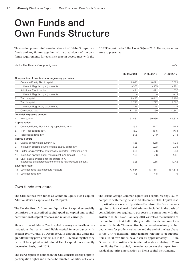### <span id="page-19-0"></span>Own Funds and Own Funds Structure

This section presents information about the Helaba Group's own funds and key figures together with a breakdown of the own funds requirements for each risk type in accordance with the COREP report under Pillar I as at 30 June 2018. The capital ratios are also presented.

#### KM1 – The Helaba Group in figures in  $\varepsilon$  m

|     |                                                                                                                  | 30.06.2018 | 31.03.2018 | 31.12.2017 |
|-----|------------------------------------------------------------------------------------------------------------------|------------|------------|------------|
|     | Composition of own funds for regulatory purposes                                                                 |            |            |            |
| 1.  | Common Equity Tier 1 capital                                                                                     | 8,023      | 8,021      | 7,673      |
|     | thereof: Regulatory adjustments                                                                                  | $-370$     | $-365$     | $-281$     |
|     | Additional Tier 1 capital                                                                                        | 421        | 421        | 507        |
|     | thereof: Regulatory adjustments                                                                                  |            |            | $-19$      |
| 2.  | Tier 1 capital                                                                                                   | 8,445      | 8,442      | 8,180      |
|     | Tier 2 capital                                                                                                   | 2.720      | 2,727      | 2,667      |
|     | thereof: Regulatory adjustments                                                                                  | $-14$      | $-14$      | $-19$      |
| 3.  | Own funds, total                                                                                                 | 11,165     | 11,169     | 10,847     |
|     | Total risk exposure amount                                                                                       |            |            |            |
| 4.  | RWAs, total                                                                                                      | 51,881     | 50,966     | 49,822     |
|     | Capital ratios                                                                                                   |            |            |            |
| 5.  | Common Equity Tier 1 (CET1) capital ratio in %                                                                   | 15.5       | 15.7       | 15.4       |
| 6.  | Tier 1 capital ratio in %                                                                                        | 16.3       | 16.6       | 16.4       |
| 7.  | Total capital ratio in %                                                                                         | 21.5       | 21.9       | 21.8       |
|     | Capital buffers                                                                                                  |            |            |            |
| 8.  | Capital conservation buffer in %                                                                                 | 1.88       | 1.88       | 1.25       |
| 9.  | Institution-specific countercyclical capital buffer in %                                                         | 0.06       | 0.03       | 0.03       |
| 10. | Buffer for global/other systemically important institutions in %                                                 | 0.66       | 0.66       | 0.33       |
| 11. | Institution-specific buffer requirement in % (lines $8 + 9 + 10$ )                                               | 2.59       | 2.56       | 1.61       |
|     | 12. CET1 capital available for the buffers in %<br>(expressed as a percentage of the total risk exposure amount) | 10.28      | 10.56      | 10.42      |
|     | Leverage Ratio                                                                                                   |            |            |            |
|     | 13. Leverage ratio total exposure measure                                                                        | 177,664    | 177.314    | 167,618    |
|     | 14. Leverage ratio in %                                                                                          | 4.8        | 4.8        | 4.9        |

#### Own funds structure

The CRR defines own funds as Common Equity Tier 1 capital, Additional Tier 1 capital and Tier 2 capital.

The Helaba Group's Common Equity Tier 1 capital essentially comprises the subscribed capital (paid-up capital and capital contributions), capital reserves and retained earnings.

Shown in the Additional Tier 1 capital category are the silent participations that constituted liable capital in accordance with Section 10 KWG until 31 December 2013 and that fall under the grandfathering provisions set out in the CRR, meaning that they can still be applied as Additional Tier 1 capital, on a steadily decreasing basis, until 2021.

The Tier 2 capital as defined in the CRR consists largely of profit participation rights and other subordinated liabilities of Helaba. The Helaba Group's Common Equity Tier 1 capital rose by € 350 m compared with the figure as at 31 December 2017. Capital rose in particular as a result of positive effects from the first-time recognition at fair value of subsidiaries not included in the basis of consolidation for regulatory purposes in connection with the switch to IFRS-9 as at 1 January 2018, as well as the inclusion of income for the first half of the year after the deduction of expected dividends. This was offset by increased regulatory capital deductions for prudent valuation and the end of the last phase of the CRR transitional arrangements relating to deductible items. Total own funds have risen by approximately  $\epsilon$  318 m. Other than the positive effects referred to above relating to Common Equity Tier 1 capital, the main reason was the impact from residual maturity amortisation on Tier 2 capital instruments.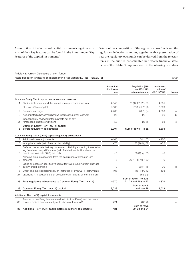A description of the individual capital instruments together with a list of their key features can be found in the Annex under "Key Features of the Capital Instruments".

Details of the composition of the regulatory own funds and the regulatory deduction amounts, together with a presentation of how the regulatory own funds can be derived from the relevant items in the audited consolidated half-yearly financial statements of the Helaba Group, are shown in the following two tables.

#### Article 437 CRR – Disclosure of own funds

(table based on Annex VI of Implementing Regulation (EU) No 1423/2013)  $\epsilon$  m

|                  |                                                                                                                                                                                                | Amount at          | Regulation (EU)                               | Implemen-                      |              |
|------------------|------------------------------------------------------------------------------------------------------------------------------------------------------------------------------------------------|--------------------|-----------------------------------------------|--------------------------------|--------------|
|                  |                                                                                                                                                                                                | disclosure<br>date | no 575/2013<br>article reference              | tation of<br><b>CRD IV/CRR</b> | <b>Notes</b> |
|                  | Common Equity Tier 1 capital: Instruments and reserves                                                                                                                                         |                    |                                               |                                |              |
| 1.               | Capital instruments and the related share premium accounts                                                                                                                                     | 4,055              | 26 (1), 27, 28, 29                            | 4,055                          |              |
|                  | of which: Share capital                                                                                                                                                                        | 2,509              | EBA list 26 (3)                               | 2,509                          |              |
| 2                | Retained earnings                                                                                                                                                                              | 4,260              | 26(1)(c)                                      | 4,260                          | (a)          |
| 3                | Accumulated other comprehensive income (and other reserves)                                                                                                                                    | 26                 | 26(1)                                         | 26                             | (b)          |
| 5а               | Independently reviewed interim profits net of any<br>foreseeable charge or dividend                                                                                                            | 53                 | 26(2)                                         | 53                             | (c)          |
| 6                | Common Equity Tier 1 (CET1) capital<br>before regulatory adjustments                                                                                                                           | 8,394              | Sum of rows 1 to 5a                           | 8,394                          |              |
|                  | Common Equity Tier 1 (CET1) capital: regulatory adjustments                                                                                                                                    |                    |                                               |                                |              |
| $\overline{7}$   | Additional value adjustments                                                                                                                                                                   | $-106$             | 34.105                                        | $-106$                         |              |
| 8                | Intangible assets (net of relaxed tax liability)                                                                                                                                               | $-75$              | 36 (1) (b), 37                                | $-75$                          |              |
| 10.              | Deferred tax assets that rely on future profitability excluding those aris-<br>ing from temporary differences (net of related tax liability where the<br>conditions in Article 38 (3) are met) | $-5$               | 36 (1) (c), 38                                | $-5$                           |              |
|                  | Negative amounts resulting from the calculation of expected loss                                                                                                                               |                    |                                               |                                |              |
| 12 <sup>12</sup> | amounts                                                                                                                                                                                        | $-6$               | 36 (1) (d), 40, 159                           | $-6$                           |              |
| 14               | Gains or losses on liabilities valued at fair value resulting from changes<br>in own credit standing                                                                                           | $-70$              | 33(1)(b)                                      | $-70$                          | (d)          |
| 16               | Direct and indirect holdings by an institution of own CET1 instruments                                                                                                                         | $-108$             | 36 (1) (f), 42                                | $-108$                         |              |
| 27               | Qualifying AT1 deductions that exceed the AT1 capital of the institution                                                                                                                       |                    | 36(1)(i)                                      |                                |              |
| 28               | Total regulatory adjustments to Common Equity Tier 1 (CET1)                                                                                                                                    | $-370$             | Sum of rows 7 to 20a,<br>21, 22 and 25a to 27 | $-370$                         |              |
| 29               | Common Equity Tier 1 (CET1) capital                                                                                                                                                            | 8,023              | Sum of row 6<br>and row 28                    | 8,023                          |              |
|                  | Additional Tier 1 (AT1) capital: instruments                                                                                                                                                   |                    |                                               |                                |              |
|                  | Amount of qualifying items referred to in Article 484 (4) and the related                                                                                                                      |                    |                                               |                                |              |
| 33<br>36         | share premium accounts subject to phase out from AT1<br>Additional Tier 1 (AT1) capital before regulatory adjustments                                                                          | 421<br>421         | 486 (3)<br>Sum of rows<br>30, 33 and 34       |                                | (e)          |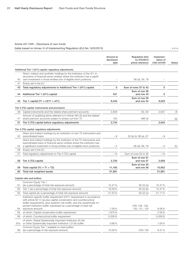#### Article 437 CRR – Disclosure of own funds

(table based on Annex VI of Implementing Regulation (EU) No 1423/2013) in  $\epsilon$  m

|     |                                                                                                                                                                                                                                                                                                                          | Amount at<br>disclosure<br>date | Regulation (EU)<br>no 575/2013<br>article reference | Implemen-<br>tation of<br><b>CRD IV/CRR</b> | <b>Notes</b> |
|-----|--------------------------------------------------------------------------------------------------------------------------------------------------------------------------------------------------------------------------------------------------------------------------------------------------------------------------|---------------------------------|-----------------------------------------------------|---------------------------------------------|--------------|
|     | Additional Tier 1 (AT1) capital: regulatory adjustments                                                                                                                                                                                                                                                                  |                                 |                                                     |                                             |              |
| 40  | Direct, indirect and synthetic holdings by the institution of the AT1 in-<br>struments of financial sector entities where the institution has a signifi-<br>cant investment in those entities (net of eligible short positions)                                                                                          |                                 | 56 (d), 59, 79                                      |                                             |              |
| 41  | Empty set in the EU                                                                                                                                                                                                                                                                                                      |                                 |                                                     |                                             |              |
| 43  | Total regulatory adjustments to Additional Tier 1 (AT1) capital                                                                                                                                                                                                                                                          | 0                               | Sum of rows 37 to 42                                | 0                                           |              |
| 44  | Additional Tier 1 (AT1) capital                                                                                                                                                                                                                                                                                          | 421                             | Sum of row 36<br>and row 43                         | 0                                           |              |
| 45  | Tier 1 capital (T1 = CET1 + AT1)                                                                                                                                                                                                                                                                                         | 8,445                           | Sum of row 29<br>and row 44                         | 8,023                                       |              |
|     | Tier 2 (T2) capital: instruments and provisions                                                                                                                                                                                                                                                                          |                                 |                                                     |                                             |              |
| 46  | Capital instruments and the related share premium accounts                                                                                                                                                                                                                                                               | 2,628                           | 62, 63                                              | 2,937                                       | (f)          |
|     | Amount of qualifying items referred to in Article 484 (5) and the related                                                                                                                                                                                                                                                |                                 |                                                     |                                             |              |
| 47  | share premium accounts subject to phase out from T2                                                                                                                                                                                                                                                                      | 100                             | 486 (4)                                             |                                             | (g)          |
| 51  | Tier 2 (T2) capital before regulatory adjustments                                                                                                                                                                                                                                                                        | 2,734                           |                                                     | 2,943                                       |              |
|     | Tier 2 (T2) capital: regulatory adjustments                                                                                                                                                                                                                                                                              |                                 |                                                     |                                             |              |
| 52  | Direct and indirect holdings by an institution of own T2 instruments and<br>subordinated loans                                                                                                                                                                                                                           | $-9$                            | 63 (b) (i), 66 (a), 67                              | $-9$                                        |              |
|     | Direct and indirect holdings by the institution of the T2 instruments and                                                                                                                                                                                                                                                |                                 |                                                     |                                             |              |
| 55  | subordinated loans of financial sector entities where the institution has<br>a significant investment in those entities (net of eligible short positions)                                                                                                                                                                | $-5$                            | 66 (d), 69, 79                                      | $-5$                                        | (h)          |
| 56  | Empty set in the EU                                                                                                                                                                                                                                                                                                      |                                 |                                                     |                                             |              |
| 57  | Total regulatory adjustments to Tier 2 (T2) capital                                                                                                                                                                                                                                                                      | $-14$                           | Sum of rows 52 to 56                                | $-14$                                       |              |
| 58  | Tier 2 (T2) capital                                                                                                                                                                                                                                                                                                      | 2,720                           | Sum of row 51<br>and row 57                         | 2,929                                       |              |
| 59  | Total capital $(TC = T1 + T2)$                                                                                                                                                                                                                                                                                           | 11,165                          | Sum of row 45<br>and row 58                         | 10,952                                      |              |
| 60  | Total risk weighted assets                                                                                                                                                                                                                                                                                               | 51,881                          |                                                     | 51,881                                      |              |
|     | Capital ratio and buffers                                                                                                                                                                                                                                                                                                |                                 |                                                     |                                             |              |
|     | Common Equity Tier 1                                                                                                                                                                                                                                                                                                     |                                 |                                                     |                                             |              |
| 61  | (as a percentage of total risk exposure amount)                                                                                                                                                                                                                                                                          | 15.47%                          | 92(2)(a)                                            | 15.47%                                      |              |
| 62  | Tier 1 (as a percentage of total risk exposure amount)                                                                                                                                                                                                                                                                   | 16.28%                          | 92(2)(b)                                            | 15.47%                                      |              |
| 63  | Total capital (as a percentage of total risk exposure amount)                                                                                                                                                                                                                                                            | 21.52%                          | 92(2)(c)                                            | 21.11%                                      |              |
| 64  | Institution specific buffer requirement (CET1 requirement in accordance<br>with article 92 (1) (a) plus capital conservation and countercyclical<br>buffer requirements, plus systemic risk buffer, plus the systemically im-<br>portant institution buffer, expressed as a percentage of total risk<br>exposure amount) | 7.09%                           | CRD 128, 129,<br>130, 131, 133                      | 8.06%                                       |              |
| 65  | of which: Capital conservation buffer requirement                                                                                                                                                                                                                                                                        | 1.875%                          |                                                     | 2.50%                                       |              |
| 66  | of which: Countercyclical buffer requirement                                                                                                                                                                                                                                                                             | 0.059%                          |                                                     | 0.059%                                      |              |
| 67a | of which: Global Systemically Important Institution (G-SII)<br>or Other Systemically Important Institution (O-SII) buffer                                                                                                                                                                                                | 0.66%                           |                                                     | 1.00%                                       |              |
| 68  | Common Equity Tier 1 available to meet buffers<br>(as a percentage of risk exposure amount)                                                                                                                                                                                                                              | 10.28%                          | <b>CRD 128</b>                                      | 9.47%                                       |              |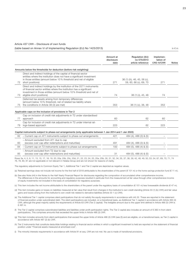#### Article 437 CRR – Disclosure of own funds

(table based on Annex VI of Implementing Regulation (EU) No 1423/2013) in  $\epsilon$  m

|    |                                                                                                                                                                                                                                                     | Amount at<br>disclosure<br>date | Regulation (EU)<br>no 575/2013<br>article reference   | Implemen-<br>tation of<br><b>CRD IV/CRR</b> | <b>Notes</b> |
|----|-----------------------------------------------------------------------------------------------------------------------------------------------------------------------------------------------------------------------------------------------------|---------------------------------|-------------------------------------------------------|---------------------------------------------|--------------|
|    | Amounts below the thresholds for deduction (before risk weighting)                                                                                                                                                                                  |                                 |                                                       |                                             |              |
| 72 | Direct and indirect holdings of the capital of financial sector<br>entities where the institution does not have a significant investment<br>in those entities (amount below 10% threshold and net of eligible<br>short positions)                   | 271                             | 36 (1) (h), 46, 45, 56 (c),<br>59, 60, 66 (c), 69, 70 | 271                                         |              |
| 73 | Direct and indirect holdings by the institution of the CET1 instruments<br>of financial sector entities where the institution has a significant<br>investment in those entities (amount below 10% threshold and net of<br>eligible short positions) | 74                              | 36 (1) (i), 45, 48                                    | 74                                          |              |
| 75 | Deferrred tax assets arising from temporary differences<br>(amount below 10% threshold, net of related tax liability where<br>the conditions in Article 38 (3) are met)                                                                             | 353                             | 36 (1) (c), 38, 48                                    | 353                                         |              |
|    | Applicable caps on the inclusion of provisions in Tier 2                                                                                                                                                                                            |                                 |                                                       |                                             |              |
| 77 | Cap on inclusion of credit risk adjustments in T2 under standardised<br>approach                                                                                                                                                                    | 60                              | 62                                                    | 60                                          |              |
| 79 | Cap for inclusion of credit risk adjustments in T2 under internal rat-<br>ings-based approach                                                                                                                                                       | 223                             | 62                                                    | 223                                         |              |
|    | Capital instruments subject to phase-out arrangements (only applicable between 1 Jan 2014 and 1 Jan 2022)                                                                                                                                           |                                 |                                                       |                                             |              |
| 82 | - Current cap on AT1 instruments subject to phase out arrangements                                                                                                                                                                                  | 421                             | 484 (4), 486 (3) & (5)                                | $\overline{\phantom{0}}$                    |              |
| 83 | - Amount excluded from AT1 due to cap<br>(excess over cap after redemptions and maturities)                                                                                                                                                         | 491                             | 484 (4), 486 (3) & (5)                                |                                             |              |
| 84 | - Current cap on T2 instruments subject to phase out arrangements                                                                                                                                                                                   | 100                             | 484 (5), 486 (4) & (5)                                |                                             |              |
| 85 | - Amount excluded from T2 due to cap<br>(excess over cap after redemptions and maturities)                                                                                                                                                          | 31                              | 484 (5), 486 (4) & (5)                                |                                             |              |

Rows 3a, 4, 5, 9, 11, 13, 15, 17, 18, 19, 20, 20a, 20b, 20c, 20d, 21, 22, 23, 24, 25, 25a, 25b, 30, 31, 32, 34, 35, 37, 38, 39, 42, 48, 49, 50, 53, 54, 67, 69, 70, 71, 74 76, 78, 80, 81 are not applicable or not relevant in Helaba Group and are not shown for reasons of clarity.

The regulatory adjustments to Common Equity Tier 1, Additional Tier 1 and Tier 2 capital are depicted as negative values.

(a) Retained earnings does not include net income for the first half of 2018 attributable to the shareholders of the parent (€ 101 m) or the home savings protection fund (€ 11 m).

(b) See also Note (44) in the Notes to the Half-Yearly Financial Report for disclosures regarding the composition of accumulated other comprehensive income. The differences in the amounts for accounting and regulatory purposes resulted in particular from the measurement at fair value through other comprehensive income of equity investments not included in the basis of consolidation for regulatory purposes.

(c) This item includes the net income attributable to the shareholders of the parent under the regulatory basis of consolidation (€ 101 m) less foreseeable dividends (€ 47 m).

- (d) This item includes gains or losses on liabilities measured at fair value that result from changes in the institution's own credit standing (Article 33 (1) (b) CRR) and fair value gains and losses arising from the institution's own credit risk related to derivative liabilities (Article 33 1 (c) CRR).
- (e) The Additional Tier 1 capital comprises silent participations that do not satisfy the equity requirements in accordance with IAS 32. These are reported in the statement of financial position under subordinated debt. The silent participations are included, on a transitional basis, as Additional Tier 1 capital in accordance with Article 484 (4) CRR, although the great majority satisfy the requirements of Article 63 CRR (Tier 2 capital). The ineligible amount due to the upper limit defined in Article 486 (3) CRR is € 491 m.
- (f) The Tier 2 capital comprises subordinated liabilities and liabilities under profit participation rights. The Tier 2 capital also includes an amount of € 360 m from silent participations. This comprises amounts that exceeded the upper limits in Article 486 (3) CRR.

(g) This item includes amounts from silent participations that exceed the upper limits of Article 486 (3) CRR (see (f)) and are eligible, on a transitional basis, as Tier 2 capital in accordance with Article 487 (2) (b) CRR.

(h) Tier 2 instruments that constitute deductible holdings relating to financial sector entities in which a significant investment is held are reported on the statement of financial position under "Financial assets measured at amortised cost".

(i) The minority interests requirements in accordance with Article 81 et seq. CRR are not met. No use is made of transitional provisions.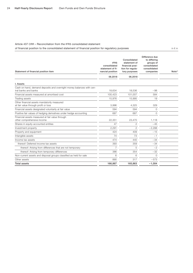#### Article 437 CRR – Reconciliation from the IFRS consolidated statement

of financial position to the consolidated statement of financial position for regulatory purposes in  $\epsilon$  m in  $\epsilon$  m

| Statement of financial position item                                                         | <b>IFRS</b><br>consolidated<br>statement of fi-<br>nancial position | Consolidated<br>statement of<br>financial posi-<br>tion for regula-<br>tory purposes | Difference due<br>to differing<br>groups of<br>consolidated<br>consolidated<br>companies | Note <sup>1</sup> |
|----------------------------------------------------------------------------------------------|---------------------------------------------------------------------|--------------------------------------------------------------------------------------|------------------------------------------------------------------------------------------|-------------------|
|                                                                                              | 06.2018                                                             | 06.2018                                                                              |                                                                                          |                   |
| I. Assets                                                                                    |                                                                     |                                                                                      |                                                                                          |                   |
| Cash on hand, demand deposits and overnight money balances with cen-<br>tral banks and banks | 18,634                                                              | 18,536                                                                               | $-98$                                                                                    |                   |
| Financial assets measured at amortised cost                                                  | 100,423                                                             | 101,007                                                                              | 584                                                                                      |                   |
| Trading assets                                                                               | 15.976                                                              | 15.995                                                                               | 19                                                                                       |                   |
| Other financial assets mandatorily measured<br>at fair value through profit or loss          | 3,996                                                               | 4,325                                                                                | 329                                                                                      |                   |
| Financial assets designated voluntarily at fair value                                        | 594                                                                 | 594                                                                                  | $\circ$                                                                                  |                   |
| Positive fair values of hedging derivatives under hedge accounting                           | 687                                                                 | 687                                                                                  | $\circ$                                                                                  |                   |
| Financial assets measured at fair value through<br>other comprehensive income                | 22,351                                                              | 23,470                                                                               | 1,118                                                                                    |                   |
| Shares in equity-accounted entities                                                          | 47                                                                  | $\overline{c}$                                                                       | $-45$                                                                                    |                   |
| Investment property                                                                          | 2,291                                                               | $\overline{c}$                                                                       | $-2,288$                                                                                 |                   |
| Property and equipment                                                                       | 424                                                                 | 409                                                                                  | $-15$                                                                                    |                   |
| Intangible assets                                                                            | 74                                                                  | 73                                                                                   | $-1$                                                                                     |                   |
| Income tax assets                                                                            | 474                                                                 | 440                                                                                  | $-34$                                                                                    |                   |
| thereof: Deferred income tax assets                                                          | 393                                                                 | 359                                                                                  | $-34$                                                                                    |                   |
| thereof: Arising from differences that are not temporary                                     | $\overline{7}$                                                      | 5                                                                                    | $-2$                                                                                     |                   |
| thereof: Arising from temporary differences                                                  | 386                                                                 | 354                                                                                  | $-32$                                                                                    |                   |
| Non-current assets and disposal groups classified as held for sale                           | 6                                                                   | 6                                                                                    | $\Omega$                                                                                 |                   |
| Other assets                                                                                 | 890                                                                 | 317                                                                                  | $-573$                                                                                   |                   |
| <b>Total assets</b>                                                                          | 166,867                                                             | 165,863                                                                              | $-1,004$                                                                                 |                   |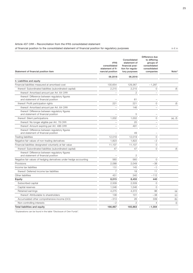#### Article 437 CRR – Reconciliation from the IFRS consolidated statement

of financial position to the consolidated statement of financial position for regulatory purposes in  $\epsilon$  m in  $\epsilon$  m

| Statement of financial position item                                                  | <b>IFRS</b><br>consolidated<br>statement of fi-<br>nancial position | Consolidated<br>statement of<br>financial posi-<br>tion for regula-<br>tory purposes | Difference due<br>to differing<br>groups of<br>consolidated<br>consolidated<br>companies | Note <sup>1</sup>          |
|---------------------------------------------------------------------------------------|---------------------------------------------------------------------|--------------------------------------------------------------------------------------|------------------------------------------------------------------------------------------|----------------------------|
|                                                                                       | 06.2018                                                             | 06.2018                                                                              |                                                                                          |                            |
| II. Liabilities and equity                                                            |                                                                     |                                                                                      |                                                                                          |                            |
| Financial liabilities measured at amortised cost                                      | 130,654                                                             | 129,367                                                                              | $-1,287$                                                                                 |                            |
| thereof: Subordinated liabilities (subordinated capital)                              | 2,215                                                               | 2,215                                                                                | $\circ$                                                                                  | (f)                        |
| thereof: Amortised amount per Art. 64 CRR                                             |                                                                     | $\mathbf{2}$                                                                         |                                                                                          |                            |
| thereof: Difference between regulatory figures<br>and statement of financial position |                                                                     | 61                                                                                   |                                                                                          |                            |
| thereof: Profit participation rights                                                  | 221                                                                 | 221                                                                                  | $\overline{0}$                                                                           | (f)                        |
| thereof: Amortised amount per Art. 64 CRR                                             |                                                                     | 146                                                                                  |                                                                                          |                            |
| thereof: Difference between regulatory figures<br>and statement of financial position |                                                                     | 5                                                                                    |                                                                                          |                            |
| thereof: Silent participations                                                        | 1,002                                                               | 1,002                                                                                | $\circ$                                                                                  | $(e)$ , $(f)$              |
| thereof: No longer eligible per Art. 78 CRR                                           |                                                                     | 20                                                                                   |                                                                                          |                            |
| thereof: Amount expiring per Art. 486 CRR                                             |                                                                     | 491                                                                                  |                                                                                          |                            |
| thereof: Difference between regulatory figures<br>and statement of financial position |                                                                     | 49                                                                                   |                                                                                          |                            |
| <b>Trading liabilities</b>                                                            | 12,019                                                              | 12,019                                                                               | $\mathsf{O}\xspace$                                                                      |                            |
| Negative fair values of non-trading derivatives                                       | 1,823                                                               | 1,822                                                                                | $-2$                                                                                     |                            |
| Financial liabilities designated voluntarily at fair value                            | 11,107                                                              | 11,107                                                                               | $\mathsf{O}\xspace$                                                                      |                            |
| thereof: Subordinated liabilities (subordinated capital)                              | 47                                                                  | 47                                                                                   | 0                                                                                        | (f)                        |
| thereof: Difference between regulatory figures<br>and statement of financial position |                                                                     | $\overline{c}$                                                                       |                                                                                          |                            |
| Negative fair values of hedging derivatives under hedge accounting                    | 560                                                                 | 560                                                                                  | $\overline{0}$                                                                           |                            |
| Provisions                                                                            | 2,088                                                               | 2,049                                                                                | $-38$                                                                                    |                            |
| Income tax liabilities                                                                | 150                                                                 | 145                                                                                  | $-5$                                                                                     |                            |
| thereof: Deferred income tax liabilities                                              | $\overline{7}$                                                      | 18                                                                                   | 11                                                                                       |                            |
| Other liabilities                                                                     | 451                                                                 | 340                                                                                  | $-112$                                                                                   |                            |
| Equity                                                                                | 8,015                                                               | 8,455                                                                                | 440                                                                                      |                            |
| Subscribed capital                                                                    | 2,509                                                               | 2.509                                                                                | $\Omega$                                                                                 |                            |
| Capital reserves                                                                      | 1,546                                                               | 1,546                                                                                | $\circ$                                                                                  |                            |
| Retained earnings                                                                     | 4,275                                                               | 4,372                                                                                | 96                                                                                       | (a)                        |
| thereof: Attributable to shareholders                                                 | 138                                                                 | 101                                                                                  | $-38$                                                                                    | (c)                        |
| Accumulated other comprehensive income (OCI)                                          | $-313$                                                              | 26                                                                                   | 339                                                                                      | (b)                        |
| Non-controlling interests                                                             | $-2$                                                                | $\overline{2}$                                                                       | $\Delta$                                                                                 | $\left( \mathsf{i}\right)$ |
| Total liabilities and equity                                                          | 166,867                                                             | 165,863                                                                              | $-1,004$                                                                                 |                            |

1) Explanations can be found in the table "Disclosure of Own Funds".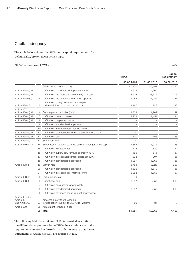#### <span id="page-25-0"></span>Capital adequacy

The table below shows the RWAs and capital requirements for default risks, broken down by risk type.

#### EU OV1 – Overview of RWAs in € m

|                                                  |                |                                                                                 | RWAs       |            | Capital<br>requirement   |
|--------------------------------------------------|----------------|---------------------------------------------------------------------------------|------------|------------|--------------------------|
|                                                  |                |                                                                                 | 30.06.2018 | 31.03.2018 | 30.06.2018               |
|                                                  | 1.             | Credit risk (excluding CCR)                                                     | 40,771     | 40,151     | 3,262                    |
| Article 438 (c) (d)                              | $\mathbf{2}$   | Of which standardised approach (CRSA)                                           | 4,634      | 4,600      | 371                      |
| Article 438 (c) (d)                              | 3              | Of which the foundation IRB (FIRB) approach                                     | 33.908     | 33.716     | 2.713                    |
| Article 438(c)(d)                                | $\overline{4}$ | Of which the advanced IRB (AIRB) approach                                       | 1,082      | 1,085      | 87                       |
| Article 438 (d)                                  | 5              | Of which equity IRB under the simple<br>risk-weighted approach or the IMA       | 1,147      | 749        | 92                       |
| Article 107,<br>Article 438 (c) (d)              | 6              | Counterparty credit risk (CCR)                                                  | 1,834      | 1,909      | 147                      |
| Article 438 (c) (d)                              | $\overline{7}$ | Of which mark to market                                                         | 1,133      | 1,154      | 91                       |
| Article 438 (c) (d)                              | 8              | Of which original exposure                                                      |            |            | $\overline{\phantom{0}}$ |
|                                                  | 9              | Of which standardised approach                                                  |            |            | $\overline{\phantom{0}}$ |
|                                                  | 10             | Of which internal model method (IMM)                                            |            |            | $\overline{\phantom{0}}$ |
| Article 438 (c) (d)                              | 11             | Of which contributions to the default fund of a CCP                             | 0          | $\Omega$   | $\mathbf 0$              |
| Article 438 (c) (d)                              | 12             | Of which CVA                                                                    | 701        | 755        | 56                       |
| Article 438 (e)                                  | 13             | Settlement risk                                                                 | $\Omega$   | $\Omega$   | 0                        |
| Article 449 (o) (i)                              | 14             | Securitisation exposures in the banking book (after the cap)                    | 1,845      | 1,942      | 148                      |
|                                                  | 15             | Of which IRB approach                                                           | 778        | 880        | 62                       |
|                                                  | 16             | Of which supervisory formula approach (SFA)                                     | 465        | 576        | 37                       |
|                                                  | 17             | Of which internal assessment approach (IAA)                                     | 308        | 297        | 25                       |
|                                                  | 18             | Of which standardised approach                                                  | 1,067      | 1,063      | 85                       |
| Article 438 (e)                                  | 19             | Market risk                                                                     | 3,784      | 3,323      | 303                      |
|                                                  | 20             | Of which standardised approach                                                  | 1,696      | 1,570      | 136                      |
|                                                  | 21             | Of which internal model method (IMM)                                            | 2,088      | 1,753      | 167                      |
| Article 438 (e)                                  | 22             | Large exposures                                                                 | $\Omega$   | $\Omega$   | $\circ$                  |
| Article 438 (f)                                  | 23             | Operational risk                                                                | 3,557      | 3,557      | 285                      |
|                                                  | 24             | Of which basic indicator approach                                               |            |            |                          |
|                                                  | 25             | Of which standardised approach                                                  | 3,557      | 3,557      | 285                      |
|                                                  | 26             | Of which advanced measurement approaches                                        |            |            |                          |
| Article 437 (2),<br>Article 48<br>und Article 60 |                | Amounts below the thresholds<br>27 for deduction (subject to 250 % risk weight) | 89         | 84         | 7                        |
| Article 500                                      | 28             | Adjustment for Basel I floor                                                    |            |            |                          |
|                                                  |                | 29 Total                                                                        | 51,881     | 50,966     | 4,150                    |

The following table (as at 30 June 2018) is provided in addition to the differentiated presentation of RWAs in accordance with the requirements in EBA/GL/2016/11 in order to ensure that the requirements of Article 438 CRR are satisfied in full.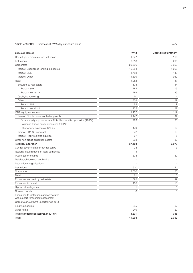#### Article 438 CRR – Overview of RWAs by exposure class in  $\epsilon$  m in  $\epsilon$  m

| <b>Exposure classes</b>                                                         | <b>RWAs</b> | Capital requirement |
|---------------------------------------------------------------------------------|-------------|---------------------|
| Central governments or central banks                                            | 1,377       | 110                 |
| Institutions                                                                    | 3,313       | 265                 |
| Corporates                                                                      | 29,536      | 2,363               |
| thereof: Specialised lending exposures                                          | 15,854      | 1,268               |
| thereof: SME                                                                    | 1,783       | 143                 |
| thereof: Other                                                                  | 11,899      | 952                 |
| Retail                                                                          | 1,082       | 87                  |
| Secured by real estate                                                          | 673         | 54                  |
| thereof: SME                                                                    | 184         | 15                  |
| thereof: Non-SME                                                                | 489         | 39                  |
| Qualifying revolving                                                            | 50          | $\overline{4}$      |
| Other                                                                           | 358         | 29                  |
| thereof: SME                                                                    | 83          | $\overline{7}$      |
| thereof: Non-SME                                                                | 275         | 22                  |
| IRBA equity exposures                                                           | 1,457       | 117                 |
| thereof: Simple risk-weighted approach                                          | 1,147       | 92                  |
| Private equity exposures in sufficiently diversified portfolios (190 %)         | 999         | 80                  |
| Exchange traded equity exposures (290 %)                                        |             |                     |
| Other equity exposures (370 %)                                                  | 149         | 12                  |
| thereof: PD/LGD approach                                                        | 242         | 19                  |
| thereof: Risk-weighted equities                                                 | 67          | 5                   |
| Other non-credit-obligation assets                                              | 398         | 32                  |
| Total IRB approach                                                              | 37,163      | 2,973               |
| Central governments or central banks                                            | 33          | 3                   |
| Regional governments or local authorities                                       | 14          | $\mathbf{1}$        |
| Public-sector entities                                                          | 373         | 30                  |
| Multilateral development banks                                                  |             |                     |
| International organisations                                                     |             |                     |
| Institutions                                                                    | 510         | 41                  |
| Corporates                                                                      | 2,006       | 160                 |
| Retail                                                                          | 81          | 6                   |
| Exposures secured by real estate                                                | 592         | 47                  |
| Exposures in default                                                            | 135         | 11                  |
| Higher risk categories                                                          | 1           | 0                   |
| Covered bonds                                                                   | 3           | $\circ$             |
| Exposures to institutions and corporates<br>with a short-term credit assessment |             |                     |
| Collective investment undertakings (CIU)                                        |             |                     |
| Equity exposures                                                                | 835         | 67                  |
| Other Items                                                                     | 249         | 20                  |
| Total standardised approach (CRSA)                                              | 4,831       | 386                 |
| Total                                                                           | 41,994      | 3,359               |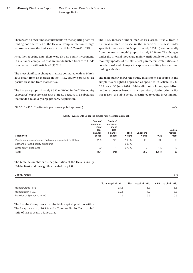There were no own funds requirements on the reporting date for trading book activities of the Helaba Group in relation to large exposures above the limits set out in Articles 395 to 401 CRR.

As at the reporting date, there were also no equity investments in insurance companies that are not deducted from own funds in accordance with Article 49 (1) CRR.

The most significant changes in RWAs compared with 31 March 2018 result from an increase in the "IRBA equity exposures" exposure class and from market risk.

The increase (approximately  $\epsilon$  387 m RWAs) in the "IRBA equity exposures" exposure class arose largely because of a subsidiary that made a relatively large property acquisition.

EU CR10 – IRB: Equities (simple risk-weighted approach) in  $\epsilon$  m

The RWA increase under market risk arose, firstly, from a business-related increase in the securities business under specific interest rate risk (approximately  $\epsilon$  234 m) and, secondly, from the internal model (approximately  $\epsilon$  336 m). The changes under the internal model are mainly attributable to the regular monthly updates of the statistical parameters (volatilities and correlations) and changes in exposures resulting from normal trading activities.

The table below shows the equity investment exposures in the simple risk-weighted approach as specified in Article 155 (2) CRR. As at 30 June 2018, Helaba did not hold any specialised lending exposures based on the supervisory slotting criteria. For this reason, the table below is restricted to equity investments.

| Equity investments under the simple risk-weighted approach      |                                                           |                                                            |                       |                   |             |                             |
|-----------------------------------------------------------------|-----------------------------------------------------------|------------------------------------------------------------|-----------------------|-------------------|-------------|-----------------------------|
| Categories                                                      | Basis of<br>measure-<br>ment<br>(on-<br>balance<br>sheet) | Basis of<br>measure-<br>ment<br>(off-<br>balance<br>sheet) | <b>Risk</b><br>weight | Exposure<br>value | <b>RWAs</b> | Capital<br>require-<br>ment |
| Private equity exposures in sufficiently diversified portfolios | 285                                                       | 241                                                        | 190%                  | 526               | 999         | 80                          |
| Exchange-traded equity exposures                                |                                                           |                                                            | 290 %                 |                   |             |                             |
| Other equity exposures                                          | 39                                                        |                                                            | 370 %                 | 40                | 149         | 12                          |
| Total                                                           | 324                                                       | 242                                                        |                       | 566               | 1,147       | 92                          |

The table below shows the capital ratios of the Helaba Group, Helaba Bank and the significant subsidiary FSP.

#### $\blacksquare$  Capital ratios in % in % in  $\blacksquare$

|                             | Total capital ratio | Tier 1 capital ratio | CET1 capital ratio |
|-----------------------------|---------------------|----------------------|--------------------|
| Helaba Group (IFRS)         | 21.5                | 16.3                 | 15.5               |
| Helaba Bank (HGB)           | 20.5                | 14.2                 | 13.3               |
| Frankfurter Sparkasse (HGB) | 20.5                | 19.5                 | 19.5               |

The Helaba Group has a comfortable capital position with a Tier 1 capital ratio of 16.3 % and a Common Equity Tier 1 capital ratio of 15.5 % as at 30 June 2018.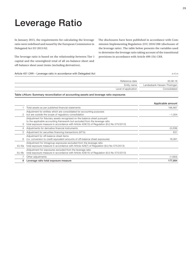## <span id="page-28-0"></span>Leverage Ratio

In January 2015, the requirements for calculating the leverage ratio were redefined and issued by the European Commission in Delegated Act EU 2015/62.

The leverage ratio is based on the relationship between Tier 1 capital and the unweighted total of all on-balance sheet and off-balance sheet asset items (including derivatives).

The disclosures have been published in accordance with Commission Implementing Regulation (EU) 2016/200 (disclosure of the leverage ratio). The table below presents the variables used to determine the leverage ratio taking account of the transitional provisions in accordance with Article 499 (1b) CRR.

| Article 451 CRR – Leverage ratio in accordance with Delegated Act |                                                                                                                                                                                                                                                       | in $\notin$ m               |
|-------------------------------------------------------------------|-------------------------------------------------------------------------------------------------------------------------------------------------------------------------------------------------------------------------------------------------------|-----------------------------|
|                                                                   | Reference date                                                                                                                                                                                                                                        | 30.06.18                    |
|                                                                   | Entity name                                                                                                                                                                                                                                           | Landesbank Hessen-Thüringen |
|                                                                   | Level of application                                                                                                                                                                                                                                  | Consolidated                |
|                                                                   | Table LRSum: Summary reconciliation of accounting assets and leverage ratio exposures                                                                                                                                                                 |                             |
|                                                                   |                                                                                                                                                                                                                                                       | Applicable amount           |
|                                                                   | Total assets as per published financial statements                                                                                                                                                                                                    | 166,867                     |
|                                                                   | Adjustment for entities which are consolidated for accounting purposes<br>but are outside the scope of regulatory consolidation                                                                                                                       | $-1.004$                    |
|                                                                   | (Adjustment for fiduciary assets recognised on the balance sheet pursuant<br>to the applicable accounting framework but excluded from the leverage ratio<br>total exposure measure in accordance with Article 429(13) of Regulation (EU) No 575/2013) |                             |
| 4                                                                 | Adjustments for derivative financial instruments                                                                                                                                                                                                      | (3,208)                     |
| 5                                                                 | Adjustment for securities financing transactions (SFTs)                                                                                                                                                                                               | 631                         |
| 6.                                                                | Adjustment for off-balance sheet items<br>(i.e. conversion to credit equivalent amounts of off-balance sheet exposures)                                                                                                                               | 16.061                      |
| EU-6a                                                             | (Adjustment for intragroup exposures excluded from the leverage ratio<br>total exposure measure in accordance with Article 429(7) of Regulation (EU) No 575/2013)                                                                                     |                             |
| EU-6b                                                             | (Adjustment for exposures excluded from the leverage ratio<br>total exposure measure in accordance with Article 429(14) of Regulation (EU) No 575/2013)                                                                                               |                             |
|                                                                   | Other adjustments                                                                                                                                                                                                                                     | (1,683)                     |
| 8                                                                 | Leverage ratio total exposure measure                                                                                                                                                                                                                 | 177,664                     |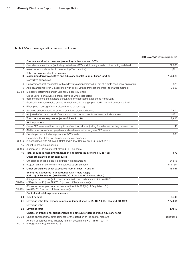#### Table LRCom: Leverage ratio common disclosure

|              |                                                                                                                                              | CRR leverage ratio exposures |
|--------------|----------------------------------------------------------------------------------------------------------------------------------------------|------------------------------|
|              | On-balance sheet exposures (excluding derivatives and SFTs)                                                                                  |                              |
| 1            | On-balance sheet items (excluding derivatives, SFTs and fiduciary assets, but including collateral)                                          | 152,638                      |
| 2            | (Asset amounts deducted in determining Tier 1 capital)                                                                                       | (311)                        |
| 3            | Total on-balance sheet exposures<br>(excluding derivatives, SFTs and fiduciary assets) (sum of lines 1 and 2)                                | 152,328                      |
|              | Derivative exposures                                                                                                                         |                              |
| 4            | Replacement cost associated with all derivatives transactions (i.e. net of eligible cash variation margin)                                   | 5,875                        |
| 5            | Add-on amounts for PFE associated with all derivatives transactions (mark-to-market method)                                                  | 2,600                        |
| $EU-5a$      | Exposure determined under Original Exposure Method                                                                                           |                              |
| 6            | Gross-up for derivatives collateral provided where deducted<br>from the balance sheet assets pursuant to the applicable accounting framework |                              |
| 7            | (Deductions of receivables assets for cash variation margin provided in derivatives transactions)                                            |                              |
| 8            | (Exempted CCP leg of client-cleared trade exposures)                                                                                         |                              |
| 9            | Adjusted effective notional amount of written credit derivatives                                                                             | 2,811                        |
| 10           | (Adjusted effective notional offsets and add-on deductions for written credit derivatives)                                                   | (2,682)                      |
| 11           | Total derivatives exposures (sum of lines 4 to 10)                                                                                           | 8,605                        |
|              | <b>SFT exposures</b>                                                                                                                         |                              |
| 12           | Gross SFT assets (with no recognition of netting), after adjusting for sales accounting transactions                                         | 40                           |
| 13           | (Netted amounts of cash payables and cash receivables of gross SFT assets)                                                                   |                              |
| 14           | Counterparty credit risk exposure for SFT assets                                                                                             | 631                          |
| EU-14a       | Derogation for SFTs: Counterparty credit risk exposure<br>in accordance with Articles 429b(4) and 222 of Regulation (EU) No 575/2013         |                              |
| 15           | Agent transaction exposures                                                                                                                  |                              |
| EU-15a       | (Exempted CCP leg of client-cleared SFT exposure)                                                                                            |                              |
| 16           | Total securities financing transaction exposures (sum of lines 12 to 15a)                                                                    | 672                          |
|              | Other off-balance sheet exposures                                                                                                            |                              |
| 17           | Off-balance sheet exposures at gross notional amount                                                                                         | 34,816                       |
| 18           | (Adjustments for conversion to credit equivalent amounts)                                                                                    | (18, 755)                    |
| 19           | Other off-balance sheet exposures (sum of lines 17 and 18)                                                                                   | 16,061                       |
|              | Exempted exposures in accordance with Article 429(7)<br>and (14) of Regulation (EU) No 575/2013 (on and off balance sheet)                   |                              |
| EU-19a       | (Intragroup exposures (solo basis) exempted in accordance with Article 429(7)<br>of Regulation (EU) No 575/2013 (on and off balance sheet))  |                              |
| EU-19b       | (Exposures exempted in accordance with Article 429(14) of Regulation (EU)<br>No 575/2013 (on and off balance sheet))                         |                              |
|              | Capital and total exposure measure                                                                                                           |                              |
|              | 20 Tier 1 capital                                                                                                                            | 8,445                        |
|              | 21 Leverage ratio total exposure measure (sum of lines 3, 11, 16, 19, EU-19a and EU-19b)                                                     | 177,664                      |
|              | Leverage ratio                                                                                                                               |                              |
| 22           | Leverage ratio                                                                                                                               | 4.75%                        |
|              | Choice on transitional arrangements and amount of derecognised fiduciary items                                                               |                              |
| <b>EU-23</b> | Choice on transitional arrangements for the definition of the capital measure                                                                | Transitional                 |
| EU-24        | Amount of derecognised fiduciary items in accordance with Article 429(11)<br>of Regulation (EU) No 575/2013                                  |                              |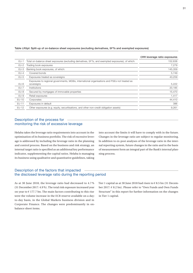#### Table LRSpl: Split-up of on-balance sheet exposures (excluding derivatives, SFTs and exempted exposures)

|         |                                                                                                            | CRR leverage ratio exposures |
|---------|------------------------------------------------------------------------------------------------------------|------------------------------|
| $EU-1$  | Total on-balance sheet exposures (excluding derivatives, SFTs, and exempted exposures), of which:          | 152,638                      |
| $EU-2$  | Trading book exposures                                                                                     | 7.279                        |
| $EU-3$  | Banking book exposures, of which:                                                                          | 145,359                      |
| $EU-4$  | Covered bonds                                                                                              | 5,749                        |
| $EU-5$  | Exposures treated as sovereigns                                                                            | 43,259                       |
| $EU-6$  | Exposures to regional governments, MDBs, international organisations and PSEs not treated as<br>sovereigns | 5,222                        |
| $EU-7$  | Institutions                                                                                               | 20,185                       |
| $EU-8$  | Secured by mortgages of immovable properties                                                               | 15,470                       |
| $EU-9$  | Retail exposures                                                                                           | 1,417                        |
| EU-10   | Corporates                                                                                                 | 44,410                       |
| EU-11   | Exposures in default                                                                                       | 386                          |
| $EU-12$ | Other exposures (e.g. equity, securitisations, and other non-credit obligation assets)                     | 9,261                        |

#### Description of the process for monitoring the risk of excessive leverage

Helaba takes the leverage ratio requirements into account in the optimisation of its business portfolio. The risk of excessive leverage is addressed by including the leverage ratio in the planning and control process. Based on the business and risk strategy, an internal target ratio is specified as an additional key performance indicator, supplementing the capital ratios. Helaba is managing its business using qualitative and quantitative guidelines, taking

into account the limits it will have to comply with in the future. Changes in the leverage ratio are subject to regular monitoring. In addition to ex-post analyses of the leverage ratio in the internal reporting system, future changes in the ratio and in the basis of measurement form an integral part of the Bank's internal planning process.

#### Description of the factors that impacted the disclosed leverage ratio during the reporting period

As at 30 June 2018, the leverage ratio had decreased to 4.7 % (31 December 2017: 4.9 %). The total risk exposure increased year on year to  $\epsilon$  177.7 bn. The main factors contributing to this rise were the volume increase in the ECB reserve available on a dayto-day basis, in the Global Markets business division and in Corporate Finance. The changes were predominantly in onbalance sheet items.

Tier 1 capital as at 30 June 2018 had risen to  $\epsilon$  8.5 bn (31 December 2017: € 8.2 bn). Please refer to "Own Funds and Own Funds Structure" in this report for further information on the changes in Tier 1 capital.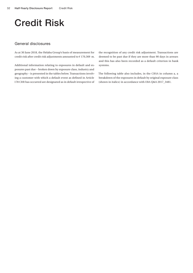### <span id="page-31-0"></span>Credit Risk

#### General disclosures

As at 30 June 2018, the Helaba Group's basis of measurement for credit risk after credit risk adjustments amounted to  $\epsilon$  170,369 m.

Additional information relating to exposures in default and exposures past due – broken down by exposure class, industry and geography – is presented in the tables below. Transactions involving a customer with which a default event as defined in Article 178 CRR has occurred are designated as in default irrespective of

the recognition of any credit risk adjustment. Transactions are deemed to be past due if they are more than 90 days in arrears and this has also been recorded as a default criterion in bank systems.

The following table also includes, in the CRSA in column a, a breakdown of the exposures in default by original exposure class (shown in italics) in accordance with EBA Q&A 2017\_3481.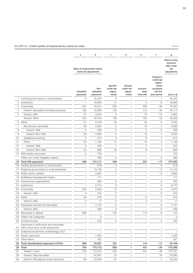#### EU CR1-A – Credit quality of exposures by exposure class in  $\epsilon$  m

 $\begin{array}{r} \n 31 \\
\hline\n 32 \\
\hline\n 33 \\
\hline\n 34 \\
\hline\n 35 \\
\hline\n 36 \\
\hline\n 37 \\
\hline\n 38 \\
\hline\n 39\n \end{array}$ 

|                |                                                                                 | a                                                      | b                              | с                                           | d                                          | e                              | f                                                                                    | g                                                                |
|----------------|---------------------------------------------------------------------------------|--------------------------------------------------------|--------------------------------|---------------------------------------------|--------------------------------------------|--------------------------------|--------------------------------------------------------------------------------------|------------------------------------------------------------------|
|                |                                                                                 | Basis of measurement before<br>credit risk adjustments |                                |                                             |                                            |                                |                                                                                      | Basis of mea-<br>surement<br>after credit<br>risk<br>adjustments |
|                |                                                                                 | Defaulted<br>exposures                                 | Non-<br>defaulted<br>exposures | Specific<br>credit risk<br>adjust-<br>ments | General<br>credit risk<br>adjust-<br>ments | Accumu-<br>lated<br>write-offs | Change in<br>credit risk<br>adjust-<br>ments<br>compared<br>with the<br>prior period | $(a+b-c-d)$                                                      |
|                | Central governments or central banks                                            | 0                                                      | 35,345                         | 3                                           |                                            |                                |                                                                                      | 35,342                                                           |
| 2              | Institutions                                                                    |                                                        | 16,853                         | 17                                          |                                            | 0                              | 13                                                                                   | 16,836                                                           |
| 3              | Corporates                                                                      | 447                                                    | 78,221                         | 302                                         |                                            | 285                            | $-36$                                                                                | 78,367                                                           |
| 4              | thereof: Specialised lending exposures                                          | 192                                                    | 34,062                         | 140                                         |                                            | 113                            | $-45$                                                                                | 34,114                                                           |
| 5              | thereof: SME                                                                    | 27                                                     | 3,944                          | 6                                           |                                            | 10                             | $-14$                                                                                | 3,964                                                            |
|                | thereof: Other                                                                  | 229                                                    | 40,216                         | 156                                         |                                            | 162                            | 23                                                                                   | 40,288                                                           |
| 6              | Retail                                                                          | 51                                                     | 5,476                          | 25                                          |                                            | 42                             | 5                                                                                    | 5,503                                                            |
| $\overline{7}$ | Secured by real estate                                                          | 29                                                     | 3,564                          | 5                                           |                                            | 19                             | $-1$                                                                                 | 3,589                                                            |
| 8              | thereof: SME                                                                    | $\mathsf{O}\xspace$                                    | 569                            | 0                                           |                                            | 4                              | 0                                                                                    | 569                                                              |
| 9              | thereof: Non-SME                                                                | 29                                                     | 2,995                          | $\overline{4}$                              |                                            | 15                             | $-1$                                                                                 | 3,020                                                            |
| 10             | Qualifying revolving                                                            | $\mathbf{2}$                                           | 812                            | 3                                           |                                            | 8                              | 1                                                                                    | 812                                                              |
| 11             | Other                                                                           | 20                                                     | 1,100                          | 17                                          |                                            | 15                             | $\overline{4}$                                                                       | 1,103                                                            |
| 12             | thereof: SME                                                                    | $\circ$                                                | 236                            | 1                                           |                                            | $\overline{7}$                 | 1                                                                                    | 234                                                              |
| 13             | thereof: Non-SME                                                                | 20                                                     | 865                            | 16                                          |                                            | 8                              | 3                                                                                    | 869                                                              |
| 14             | IRBA equity exposures                                                           | 0                                                      | 750                            | $\overline{\phantom{0}}$                    |                                            | $\overline{a}$                 | $\overline{a}$                                                                       | 750                                                              |
|                | Other non-credit-obligation assets                                              | $\qquad \qquad -$                                      | 466                            | $\mathbf 0$                                 |                                            | $\overline{a}$                 | $\circ$                                                                              | 466                                                              |
|                | 15 Total IRB approach                                                           | 498                                                    | 137,111                        | 346                                         |                                            | 327                            | $-17$                                                                                | 137,263                                                          |
| 16             | Central governments or central banks                                            |                                                        | 818                            | $\circ$                                     |                                            |                                | $\circ$                                                                              | 818                                                              |
| 17             | Regional governments or local authorities                                       | $\overline{\phantom{0}}$                               | 10,139                         | 0                                           |                                            |                                | $-0$                                                                                 | 10,139                                                           |
| 18             | Public-sector entities                                                          | $\overline{\phantom{0}}$                               | 3,967                          | $\overline{7}$                              |                                            |                                | $-5$                                                                                 | 3,960                                                            |
| 19             | Multilateral development banks                                                  |                                                        | 177                            | $\overline{\phantom{0}}$                    |                                            |                                | $\overline{a}$                                                                       | 177                                                              |
| 20             | International organisations                                                     |                                                        | 394                            | 0                                           |                                            |                                | 0                                                                                    | 394                                                              |
| 21             | Institutions                                                                    |                                                        | 8,770                          | 0                                           |                                            |                                | 0                                                                                    | 8,770                                                            |
| 22             | Corporates                                                                      | 226                                                    | 4,263                          | 10                                          |                                            |                                | $-5$                                                                                 | 4,253                                                            |
| 23             | thereof: SME                                                                    | $\overline{4}$                                         | 542                            | $\circ$                                     |                                            |                                | 0                                                                                    | 542                                                              |
|                | 24 Retail                                                                       | 40                                                     | 818                            | 2                                           |                                            | 0                              | $-1$                                                                                 | 816                                                              |
| 25             | thereof: SME                                                                    | 3                                                      | 17                             | 0                                           |                                            | 0                              | 0                                                                                    | 17                                                               |
| 26             | Exposures secured by real estate                                                |                                                        | 1,737                          | 0                                           |                                            |                                | 0                                                                                    | 1,737                                                            |
| 27             | thereof: SME                                                                    | $\qquad \qquad -$                                      | 488                            | 0                                           |                                            | $\overline{\phantom{0}}$       | 0                                                                                    | 488                                                              |
| 28             | Exposures in default                                                            | 266                                                    | $\overline{\phantom{0}}$       | 142                                         | $\qquad \qquad -$                          | 114                            | $-6$                                                                                 | 124                                                              |
| 29             | Higher risk categories                                                          | $\overline{\phantom{0}}$                               | 0                              | $\qquad \qquad -$                           | $\overline{\phantom{0}}$                   | $\overline{a}$                 | $\overline{\phantom{0}}$                                                             | 0                                                                |
| 30             | Covered bonds                                                                   |                                                        | 325                            | 0                                           |                                            |                                | 0                                                                                    | 325                                                              |
| 31             | Exposures to institutions and corporates<br>with a short-term credit assessment |                                                        |                                |                                             |                                            |                                |                                                                                      |                                                                  |
| 32             | Collective investment undertakings (CIU)                                        |                                                        |                                | $\qquad \qquad -$                           |                                            |                                |                                                                                      |                                                                  |
| 33             | Equity exposures                                                                |                                                        | 1,332                          | $\qquad \qquad -$                           |                                            | $\qquad \qquad -$              |                                                                                      | 1,332                                                            |
| 34             | Other Items                                                                     |                                                        | 261                            |                                             |                                            |                                |                                                                                      | 261                                                              |
| 35             | Total standardised approach (CRSA)                                              | 266                                                    | 33,001                         | 161                                         | $\overline{\phantom{0}}$                   | 114                            | $-17$                                                                                | 33,106                                                           |
| 36             | Total                                                                           | 764                                                    | 170,112                        | 508                                         |                                            | 441                            | -34                                                                                  | 170,369                                                          |
| 37             | thereof: Loans                                                                  | 704                                                    | 112,472                        | 425                                         | $\overline{\phantom{0}}$                   | 441                            | $-49$                                                                                | 112,751                                                          |
| 38             | thereof: Debt securities                                                        | $\overline{\phantom{0}}$                               | 24,081                         | 16                                          |                                            |                                | 16                                                                                   | 24,065                                                           |
| 39             | thereof: Off-balance-sheet exposures                                            | 60                                                     | 33,559                         | 67                                          |                                            |                                | $-1$                                                                                 | 33,552                                                           |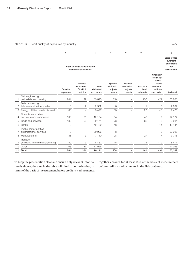#### EU CR1-B – Credit quality of exposures by industry in  $\epsilon$  m in  $\epsilon$  m

|    |                                                    | $\mathbf a$            |                                                        | b                              | c                                           | d                                          | e                              | f                                                                                    | g                                                                |
|----|----------------------------------------------------|------------------------|--------------------------------------------------------|--------------------------------|---------------------------------------------|--------------------------------------------|--------------------------------|--------------------------------------------------------------------------------------|------------------------------------------------------------------|
|    |                                                    |                        | Basis of measurement before<br>credit risk adjustments |                                |                                             |                                            |                                |                                                                                      | Basis of mea-<br>surement<br>after credit<br>risk<br>adjustments |
|    |                                                    | Defaulted<br>exposures | Defaulted<br>exposures:<br>Of which<br>past due        | Non-<br>defaulted<br>exposures | Specific<br>credit risk<br>adjust-<br>ments | General<br>credit risk<br>adjust-<br>ments | Accumu-<br>lated<br>write-offs | Change in<br>credit risk<br>adjust-<br>ments<br>compared<br>with the<br>prior period | $(a+b-c-d)$                                                      |
|    | Civil engineering,<br>real estate and housing      | 244                    | 199                                                    | 35,843                         | 218                                         |                                            | 230                            | $-22$                                                                                | 35,868                                                           |
| 2  | Data processing,<br>telecommunication, media       | 6                      | $\overline{2}$                                         | 2,982                          | 6                                           |                                            | 1                              | $\mathsf{O}\xspace$                                                                  | 2,982                                                            |
| 3  | Energy, utilities, waste disposal                  | 83                     | $\qquad \qquad -$                                      | 9,427                          | 33                                          |                                            | 28                             | $-8$                                                                                 | 9,478                                                            |
| 4  | Financial enterprises<br>and insurance companies   | 108                    | 65                                                     | 12,124                         | 54                                          |                                            | 43                             | $\overline{7}$                                                                       | 12,177                                                           |
| 5  | Trade and services                                 | 133                    | 52                                                     | 9,171                          | 73                                          |                                            | 68                             | 6                                                                                    | 9,231                                                            |
| 6  | <b>Banks</b>                                       | 0                      | -                                                      | 42,460                         | 16                                          |                                            |                                | 14                                                                                   | 42,444                                                           |
| 7  | Public-sector entities,<br>organisations, services | 0                      | $\qquad \qquad -$                                      | 30,936                         | 8                                           |                                            | $\overline{\phantom{0}}$       | $-3$                                                                                 | 30,928                                                           |
| 8  | Manufacturing                                      | 35                     | 3                                                      | 7,710                          | 28                                          |                                            | 27                             | $-7$                                                                                 | 7,718                                                            |
| 9  | Transport<br>(including vehicle manufacturing)     | 89                     | 3                                                      | 8,432                          | 45                                          | $\overline{\phantom{0}}$                   | 35                             | $-19$                                                                                | 8,477                                                            |
| 10 | Other                                              | 66                     | 37                                                     | 11,026                         | 27                                          |                                            | 10                             | $-0$                                                                                 | 11,066                                                           |
| 11 | Total                                              | 764                    | 361                                                    | 170,112                        | 508                                         |                                            | 441                            | $-34$                                                                                | 170,369                                                          |

To keep the presentation clear and ensure only relevant information is shown, the data in the table is limited to countries that, in terms of the basis of measurement before credit risk adjustments, together account for at least 95 % of the basis of measurement before credit risk adjustments in the Helaba Group.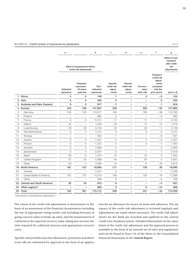|                |                                  | a                             |                                                        | b                              | c                                           | d                                          | e                              | f                                                                                    | g                                                                |
|----------------|----------------------------------|-------------------------------|--------------------------------------------------------|--------------------------------|---------------------------------------------|--------------------------------------------|--------------------------------|--------------------------------------------------------------------------------------|------------------------------------------------------------------|
|                |                                  |                               | Basis of measurement before<br>credit risk adjustments |                                |                                             |                                            |                                |                                                                                      | Basis of mea-<br>surement<br>after credit<br>risk<br>adjustments |
|                |                                  | <b>Defaulted</b><br>exposures | Defaulted<br>exposures:<br>Of which<br>past due        | Non-<br>defaulted<br>exposures | Specific<br>credit risk<br>adjust-<br>ments | General<br>credit risk<br>adjust-<br>ments | Accumu-<br>lated<br>write-offs | Change in<br>credit risk<br>adjust-<br>ments<br>compared<br>with the<br>prior period | $(a+b-c-d)$                                                      |
| 1              | Africa                           | 5                             | 0                                                      | 149                            | 1                                           | $\overline{\phantom{0}}$                   | 0                              | $-0$                                                                                 | 152                                                              |
| $\overline{2}$ | Asia                             | $\mathbf 0$                   | 0                                                      | 520                            | $\Omega$                                    |                                            | $\overline{\phantom{0}}$       | $\mathbf{0}$                                                                         | 520                                                              |
| 3              | Australia and New Zealand        | $\mathbf 0$                   | 0                                                      | 817                            | 1                                           |                                            | $\overline{a}$                 | 1                                                                                    | 816                                                              |
| $\overline{4}$ | Europe                           | 543                           | 168                                                    | 147,667                        | 326                                         | $\overline{a}$                             | 305                            | $-50$                                                                                | 147,885                                                          |
| 5              | Germany                          | 332                           | 105                                                    | 110,617                        | 164                                         | $\overline{\phantom{0}}$                   | 190                            | $-38$                                                                                | 110,785                                                          |
| 6              | Finland                          | $\overline{a}$                | $\overline{\phantom{0}}$                               | 992                            | $\overline{2}$                              |                                            | $\overline{a}$                 | $-0$                                                                                 | 990                                                              |
| $\overline{7}$ | France                           | $\overline{O}$                | 0                                                      | 8,741                          | 17                                          |                                            | 11                             | $-1$                                                                                 | 8,725                                                            |
| 8              | Ireland                          | 44                            | $\overline{\phantom{0}}$                               | 1,452                          | 16                                          | $\overline{a}$                             | 13                             | 13                                                                                   | 1,479                                                            |
| 9              | Luxembourg                       | 29                            | 29                                                     | 4,154                          | 35                                          |                                            | 28                             | $-7$                                                                                 | 4,148                                                            |
| 10             | The Netherlands                  | $\circ$                       | $\circ$                                                | 3,151                          | 4                                           | $\overline{\phantom{0}}$                   | 3                              | $\circ$                                                                              | 3,147                                                            |
| 11             | Norway                           | $\overline{\phantom{0}}$      | $\overline{\phantom{0}}$                               | 922                            | $\mathbf{1}$                                |                                            | $\overline{\phantom{0}}$       | $-0$                                                                                 | 921                                                              |
| 12             | Austria                          | $\circ$                       | $\mathsf O$                                            | 1,531                          | 3                                           | $\overline{\phantom{0}}$                   | $\sqrt{2}$                     | $-0$                                                                                 | 1,527                                                            |
| 13             | Poland                           | $\overline{O}$                | 0                                                      | 1,357                          | 5                                           | $\overline{\phantom{0}}$                   | $\overline{4}$                 | $-1$                                                                                 | 1,352                                                            |
| 14             | Sweden                           | $\overline{O}$                | 0                                                      | 2,566                          | 3                                           |                                            | $\overline{\phantom{0}}$       | $\Omega$                                                                             | 2,563                                                            |
| 15             | Switzerland                      | $\overline{O}$                | 0                                                      | 2,021                          | $\mathbf{2}$                                |                                            | $\mathbf{1}$                   | $\mathbf{1}$                                                                         | 2,019                                                            |
| 16             | Spain                            | 59                            | $\circ$                                                | 1,010                          | 14                                          |                                            | 12                             | $-2$                                                                                 | 1,055                                                            |
| 17             | United Kingdom                   | 37                            | 34                                                     | 5,568                          | 44                                          | $\overline{\phantom{0}}$                   | 34                             | 3                                                                                    | 5,561                                                            |
| 18             | Other                            | 43                            | $-1$                                                   | 3,584                          | 14                                          | $\overline{\phantom{0}}$                   | 6                              | $-18$                                                                                | 3,613                                                            |
| 19             | North America                    | 181                           | 157                                                    | 19,680                         | 171                                         |                                            | 130                            | 20                                                                                   | 19,690                                                           |
| 20             | Canada                           | $\overline{a}$                | $\overline{a}$                                         | 2,247                          | $\overline{c}$                              | $\overline{\phantom{0}}$                   | $\overline{a}$                 | $\mathbf{1}$                                                                         | 2,246                                                            |
| 21             | United States of America         | 181                           | 157                                                    | 17,074                         | 169                                         |                                            | 130                            | 19                                                                                   | 17,086                                                           |
| 22             | Other                            | $\overline{a}$                | $\overline{a}$                                         | 358                            | $\circ$                                     |                                            | $\overline{\phantom{0}}$       | $-0$                                                                                 | 358                                                              |
| 23             | <b>Central and South America</b> | 35                            | 35                                                     | 610                            | 8                                           |                                            | $\overline{\phantom{0}}$       | $-4$                                                                                 | 637                                                              |
| 24             | Other regions <sup>1)</sup>      |                               |                                                        | 668                            | 0                                           |                                            | 6                              | $-14$                                                                                | 668                                                              |
| 25             | Total                            | 764                           | 361                                                    | 170,112                        | 508                                         |                                            | 441                            | $-34$                                                                                | 170,369                                                          |

EU CR1-C – Credit quality of exposures by geography in € m

1) Exposures to supranational organisations.

The extent of the credit risk adjustments is determined on the basis of an assessment of the financial circumstances including the use of appropriate rating results and including forecasts of going concern value or break-up value, and the measurement of collateral at the expected recovery value taking into account the time required for collateral recovery and appropriate recovery costs.

Specific and portfolio loan loss allowances, provisions and direct write-offs are submitted for approval in the form of an application for an allowance for losses on loans and advances. The adequacy of the credit risk adjustment is reviewed regularly and adjustments are made where necessary. The credit risk adjustments for the Bank are recorded and updated in the central Credit Loss Database system. Detailed information on the calculation of the credit risk adjustment and the approval process is available in the form of an internal set of rules and regulations and can be found in Note (14) of the Notes to the Consolidated Financial Statements in the **[Annual Report](http://geschaeftsbericht.helaba.de/)**.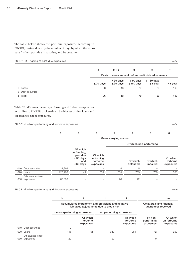The table below shows the past-due exposures according to FINREP, broken down by the number of days by which the exposure furthest past due is past due, and by customer.

#### EU CR1-D – Ageing of past-due exposures in € m in € m in € m in € m in € m in € m in € m in € m in € m in € m in € m

|                   | a              | $b + c$                                             | d                           | e                            |         |  |  |  |  |
|-------------------|----------------|-----------------------------------------------------|-----------------------------|------------------------------|---------|--|--|--|--|
|                   |                | Basis of measurement before credit risk adjustments |                             |                              |         |  |  |  |  |
|                   | $\leq$ 30 days | $>30$ days<br>$\leq$ 90 days                        | >90 days<br>$\leq$ 180 days | $>180$ days<br>$\leq$ 1 year | >1 year |  |  |  |  |
| Loans             | 96             | 13                                                  | 79                          | 20                           | 199     |  |  |  |  |
| 2 Debt securities |                |                                                     |                             |                              |         |  |  |  |  |
| 3 Total           | 96             | 13                                                  | 79                          | 20                           | 199     |  |  |  |  |

Table CR1-E shows the non-performing and forborne exposures according to FINREP, broken down by debt securities, loans and off-balance-sheet exposures.

EU CR1-E – Non-performing and forborne exposures in  $\epsilon$  m in  $\epsilon$  m

|     |                                | a       | b                                                                           | C                                               | d                     | e                       |                      | g                                 |
|-----|--------------------------------|---------|-----------------------------------------------------------------------------|-------------------------------------------------|-----------------------|-------------------------|----------------------|-----------------------------------|
|     |                                |         |                                                                             |                                                 | Gross carrying amount |                         |                      |                                   |
|     |                                |         |                                                                             |                                                 |                       | Of which non-performing |                      |                                   |
|     |                                |         | Of which<br>performing,<br>past due<br>$> 30$ days<br>and<br>$\leq 60$ days | Of which<br>performing<br>forborne<br>exposures |                       | Of which<br>defaulted   | Of which<br>impaired | Of which<br>forborne<br>exposures |
| 010 | Debt securities                | 21,993  |                                                                             |                                                 | 5                     | 5                       |                      |                                   |
| 020 | Loans                          | 120,992 | 44                                                                          | 633                                             | 785                   | 755                     | 756                  | 558                               |
| 030 | Off-balance-sheet<br>exposures | 35,099  |                                                                             |                                                 | 76                    | 72                      |                      |                                   |

#### EU CR1-E – Non-performing and forborne exposures in  $\epsilon$  m

|     |                                | h      |                                                                                                 |        | k                                 |                                    | m                                    |  |
|-----|--------------------------------|--------|-------------------------------------------------------------------------------------------------|--------|-----------------------------------|------------------------------------|--------------------------------------|--|
|     |                                |        | Accumulated impairment and provisions and negative<br>fair value adjustments due to credit risk |        |                                   |                                    |                                      |  |
|     |                                |        | on non-performing exposures<br>on performing exposures                                          |        |                                   |                                    |                                      |  |
|     |                                |        | Of which<br>forborne<br>exposures                                                               |        | Of which<br>forborne<br>exposures | on non-<br>performing<br>exposures | Of which<br>on forborne<br>exposures |  |
|     | 010 Debt securities            | $-2$   |                                                                                                 |        |                                   |                                    |                                      |  |
| 020 | Loans                          | $-146$ | $-12$                                                                                           | $-340$ | $-254$                            | 142                                | 252                                  |  |
| 030 | Off-balance-sheet<br>exposures | 22     |                                                                                                 | 29     |                                   |                                    |                                      |  |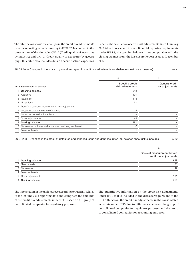The table below shows the changes in the credit risk adjustments over the reporting period according to FINREP. In contrast to the presentation of data in tables CR1-B (Credit quality of exposures by industry) and CR1-C (Credit quality of exposures by geography), this table also includes data on securitisation exposures.

Because the calculation of credit risk adjustments since 1 January 2018 takes into account the new financial reporting requirements under IFRS 9, the opening balance is not comparable with the closing balance from the Disclosure Report as at 31 December 2017.

#### EU CR2-A – Changes in the stock of general and specific credit risk adjustments (on-balance sheet risk exposures) in  $\epsilon$  m in  $\epsilon$  m

|    |                                                         | а                                   | b                                  |
|----|---------------------------------------------------------|-------------------------------------|------------------------------------|
|    | On-balance sheet exposures                              | Specific credit<br>risk adjustments | General credit<br>risk adjustments |
|    | Opening balance                                         | 542                                 |                                    |
| 2  | Additions                                               | 101                                 |                                    |
| 3  | Reversals                                               | 113                                 |                                    |
| 4  | Utilisations                                            | 51                                  |                                    |
| 5  | Transfers between types of credit risk adjustment       |                                     |                                    |
| 6  | Impact of exchange rate differences                     | 5                                   |                                    |
|    | Impact of consolidation effects                         |                                     |                                    |
| 8  | Other adjustments                                       | $-4$                                |                                    |
| 9  | Closing balance                                         | 481                                 |                                    |
| 10 | Recoveries on loans and advances previously written off | 6                                   |                                    |
|    | Direct write-offs                                       |                                     |                                    |
|    |                                                         |                                     |                                    |

EU CR2-B – Changes in the stock of defaulted and impaired loans and debt securities (on-balance sheet risk exposures) in  $\epsilon$  m

|                     | a                                                      |
|---------------------|--------------------------------------------------------|
|                     | Basis of measurement before<br>credit risk adjustments |
| Opening balance     | 859                                                    |
| 2 New defaults      | 83                                                     |
| 3 Recoveries        | 47                                                     |
| 4 Direct write-offs |                                                        |
| 5 Other adjustments | $-181$                                                 |
| 6 Closing balance   | 713                                                    |

The information in the tables above according to FINREP relates to the 30 June 2018 reporting date and comprises the amounts of the credit risk adjustments under IFRS based on the group of consolidated companies for regulatory purposes.

The quantitative information on the credit risk adjustments under IFRS that is included in the disclosures pursuant to the CRR differs from the credit risk adjustments in the consolidated accounts under IFRS due to differences between the group of consolidated companies for regulatory purposes and the group of consolidated companies for accounting purposes.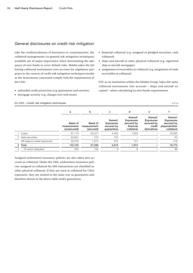#### General disclosures on credit risk mitigation

Like the creditworthiness of borrowers or counterparties, the collateral arrangements (or general risk mitigation techniques) available are of major importance when determining the adequacy of own funds to cover default risks. Helaba takes the following collateral instruments into account for regulatory purposes in the context of credit risk mitigation techniques insofar as the instruments concerned comply with the requirements of the CRR:

- unfunded credit protection (e.g. guarantees and sureties).
- mortgage security (e.g. charges over real estate)

#### EU CR3 – Credit risk mitigation techniques in  $\epsilon$  m

- financial collateral (e.g. assigned or pledged securities, cash collateral)
- ships and aircraft as other physical collateral (e.g. registered ship or aircraft mortgages)
- assignment of receivables as collateral (e.g. assignment of trade receivables as collateral)

FSP, as an institution within the Helaba Group, takes the same collateral instruments into account – ships and aircraft excepted – when calculating its own funds requirements.

|   |                             | a                                      | b                                    | c                                                        | d                                                                     | е                                                                   |                                                                            |
|---|-----------------------------|----------------------------------------|--------------------------------------|----------------------------------------------------------|-----------------------------------------------------------------------|---------------------------------------------------------------------|----------------------------------------------------------------------------|
|   |                             | Basis of<br>measurement<br>(unsecured) | Basis of<br>measurement<br>(secured) | thereof:<br><b>Exposures</b><br>secured by<br>quarantees | thereof:<br><b>Exposures</b><br>secured by<br>financial<br>collateral | thereof:<br><b>Exposures</b><br>secured by<br>credit<br>derivatives | thereof:<br><b>Exposures</b><br>secured by<br>physical/other<br>collateral |
|   | Loans                       | 87,174                                 | 25,577                               | 4,452                                                    | 1,833                                                                 |                                                                     | 19.292                                                                     |
|   | 2 Debt securities           | 23.851                                 | 215                                  | 152                                                      |                                                                       |                                                                     | 63                                                                         |
|   | Off-balance-sheet exposures | 32,078                                 | 1.474                                | 915                                                      | 141                                                                   |                                                                     | 418                                                                        |
| 3 | Total                       | 143.103                                | 27.266                               | 5.519                                                    | 1.974                                                                 |                                                                     | 19.773                                                                     |
|   | Of which defaulted          | 323                                    | 105                                  | 9                                                        | 8                                                                     |                                                                     | 88                                                                         |
|   |                             |                                        |                                      |                                                          |                                                                       |                                                                     |                                                                            |

Assigned endowment insurance policies are also taken into account as collateral. Under the CRR, endowment insurance policies assigned as collateral for IRB transactions are classified as other physical collateral. If they are used as collateral for CRSA exposures, they are treated in the same way as guarantees and therefore shown in the above table under guarantees.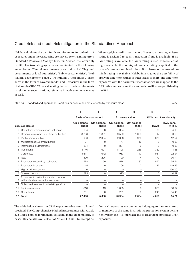#### Credit risk and credit risk mitigation in the Standardised Approach

Helaba calculates the own funds requirements for default risk exposures under the CRSA using exclusively external ratings from Standard & Poor's and Moody's Investors Service (the latter only in FSP). The two rating agencies are nominated for the following asset classes: "Central governments or central banks", "Regional governments or local authorities", "Public-sector entities", "Multilateral development banks", "Institutions", "Corporates", "Exposures in the form of covered bonds" and "Exposures in the form of shares in CIUs". When calculating the own funds requirements in relation to securitisations, reference is made to other agencies as well.

When applying credit assessments of issues to exposures, an issue rating is assigned to each transaction if one is available. If no issue rating is available, the issuer rating is used. If no issuer rating is available, the country of domicile rating is applied in the case of churches and institutions. If no issuer or country of domicile rating is available, Helaba investigates the possibility of applying long-term ratings of other issues to short- and long-term exposures with the borrower. External ratings are mapped to the CRR rating grades using the standard classification published by the EBA.

|  | EU CR4 – Standardised approach: Credit risk exposure and CRM effects by exposure class | in $\epsilon$ m |
|--|----------------------------------------------------------------------------------------|-----------------|
|  |                                                                                        |                 |

|    |                                                                                 | a                   | b                           | c                   | d                    | e           |                         |
|----|---------------------------------------------------------------------------------|---------------------|-----------------------------|---------------------|----------------------|-------------|-------------------------|
|    |                                                                                 |                     | <b>Basis of measurement</b> |                     | Exposure value       |             | RWAs and RWA density    |
|    | <b>Exposure classes</b>                                                         | On-balance<br>sheet | Off-balance<br>sheet        | On-balance<br>sheet | Off-balance<br>sheet | <b>RWAs</b> | RWA densi-<br>ty in $%$ |
|    | Central governments or central banks                                            | 684                 | 133                         | 684                 | 133                  | 33          | 4.03                    |
|    | Regional governments or local authorities                                       | 8,258               | 1,881                       | 9,559               | 1,063                | 14          | 0.13                    |
| З  | Public-sector entities                                                          | 1,956               | 2,004                       | 2,006               | 970                  | 373         | 12.54                   |
| 4  | Multilateral development banks                                                  | 177                 | 0                           | 177                 | 10                   | 0           | 0.00                    |
| 5  | International organisations                                                     | 394                 | $\Omega$                    | 394                 | $\Omega$             | $\Omega$    | 0.00                    |
| 6  | Institutions                                                                    | 8,146               | 624                         | 8,496               | 256                  | 382         | 4.36                    |
|    | Corporates                                                                      | 3,611               | 642                         | 1,963               | 147                  | 1,961       | 92.94                   |
| 8  | Retail                                                                          | 590                 | 226                         | 99                  | 4                    | 79          | 76.71                   |
| 9  | Exposures secured by real estate                                                | 1,578               | 159                         | 1,578               | 87                   | 592         | 35.54                   |
| 10 | Exposures in default                                                            | 115                 | 9                           | 106                 | 7                    | 135         | 119.46                  |
|    | Higher risk categories                                                          | ∩                   | O                           | $\Omega$            | $\Omega$             |             | 150.00                  |
| 12 | Covered bonds                                                                   | 325                 | $\Omega$                    | 325                 | 0                    | 3           | 0.97                    |
| 13 | Exposures to institutions and corporates<br>with a short-term credit assessment |                     |                             |                     |                      |             |                         |
| 14 | Collective investment undertakings (CIU)                                        |                     |                             |                     |                      |             |                         |
| 15 | Equity exposures                                                                | 1,313               | 19                          | 1,305               | 6                    | 835         | 63.64                   |
| 16 | Other Items                                                                     | 261                 | ∩                           | 261                 | $\Omega$             | 249         | 95.45                   |
| 17 | Total                                                                           | 27.408              | 5.698                       | 26,954              | 2.684                | 4.656       | 15.71                   |

The table below shows the CRSA exposure value after collateral provided. The Comprehensive Method in accordance with Article 223 CRR is applied for financial collateral in the great majority of cases. Helaba also avails itself of Article 113 CRR to exempt default risk exposures to companies belonging to the same group or members of the same institutional protection system permanently from the IRB Approach and to treat them instead as CRSA exposures.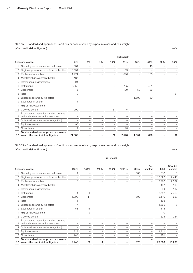#### EU CR5 – Standardised approach: Credit risk exposure value by exposure class and risk weight (after credit risk mitigation) in  $\epsilon$  m

|                |                                                                                 |        |    |     |     | Risk weight |       |     |     |     |
|----------------|---------------------------------------------------------------------------------|--------|----|-----|-----|-------------|-------|-----|-----|-----|
|                | <b>Exposure classes</b>                                                         | 0%     | 2% | 4 % | 10% | 20%         | 35%   | 50% | 70% | 75% |
|                | Central governments or central banks                                            | 631    |    |     |     |             |       | 18  |     |     |
| 2              | Regional governments or local authorities                                       | 10,551 |    |     |     | 69          |       |     |     |     |
| З              | Public-sector entities                                                          | 1,274  |    |     |     | 1,596       |       | 103 |     |     |
| $\overline{4}$ | Multilateral development banks                                                  | 187    |    |     |     |             |       |     |     |     |
| 5              | International organisations                                                     | 394    |    |     |     |             |       |     |     |     |
| 6              | Institutions                                                                    | 7.550  |    |     | 0   | 735         |       | 461 |     |     |
|                | Corporates                                                                      | 5      |    |     |     | 109         | 50    | 33  |     |     |
| 8              | Retail                                                                          | 0      |    |     |     |             |       |     |     | 91  |
| 9              | Exposures secured by real estate                                                |        |    |     |     |             | 1,600 | 59  |     |     |
| 10             | Exposures in default                                                            |        |    |     |     |             |       |     |     |     |
|                | Higher risk categories                                                          |        |    |     |     |             |       |     |     |     |
| 12             | Covered bonds                                                                   | 299    |    |     | 21  | 5           |       |     |     |     |
| 13             | Exposures to institutions and corporates<br>with a short-term credit assessment |        |    |     |     |             |       |     |     |     |
| 14             | Collective investment undertakings (CIU)                                        |        |    |     |     |             |       |     |     |     |
| 15             | Equity exposures                                                                | 490    |    |     |     |             |       |     |     |     |
| 16             | Other Items                                                                     |        |    |     |     | 13          |       |     |     |     |
| 17             | Total standardised approach exposure<br>value after credit risk mitigation      | 21,382 |    |     | 21  | 2,528       | 1,651 | 673 |     | 91  |

#### EU CR5 – Standardised approach: Credit risk exposure value by exposure class and risk weight

(after credit risk mitigation) in  $\epsilon$  m

Risk weight Exposure classes 100% 150% 250% 370% 1250% Other Deducted Total Of which unrated 1 Central governments or central banks  $1 -$  167  $-$  818 1 2 Regional governments or local authorities – – – – – 3 – 10,622 2,440 3 Public-sector entities 3 – – – – – – 2,976 2,587 4 Multilateral development banks – – – – – – – – – – – – – – – – – 187 160 5 International organisations – – – – – – – 394 137 6 Institutions 1 0 – – – 6 – 8,752 7,412 7 Corporates 1,099 11 – – – 802 – 2,110 207 8 Retail 11 – – – – – – 103 – 9 Exposures secured by real estate  $\overline{7}$   $\overline{)}$   $\overline{)}$   $\overline{)}$   $\overline{)}$   $\overline{)}$   $\overline{)}$   $\overline{)}$   $\overline{)}$   $\overline{)}$   $\overline{)}$   $\overline{)}$   $\overline{)}$   $\overline{)}$   $\overline{)}$   $\overline{)}$   $\overline{)}$   $\overline{)}$   $\overline{8}$   $\overline{8}$   $\overline{)}$   $\overline{)}$   $\overline{)}$  $\frac{1}{10}$  Exposures in default  $\frac{66}{46}$   $\frac{46}{46}$   $\frac{46}{46}$   $\frac{46}{46}$   $\frac{46}{46}$   $\frac{46}{46}$   $\frac{46}{46}$   $\frac{46}{46}$   $\frac{46}{46}$   $\frac{46}{46}$   $\frac{46}{46}$   $\frac{46}{46}$   $\frac{46}{46}$   $\frac{46}{46}$   $\frac{46}{46}$   $\frac{46}{46$ 11 Higher risk categories – 0 – – – – – – – 0 – 12 Covered bonds – – – – – – – 325 284 13 Exposures to institutions and corporates with a short-term credit assessment 14 Collective investment undertakings (CIU) – – – – – – – – – 15 Equity exposures 813 –  $\frac{813}{2}$  – 9 – – – – – – – – – 1,311 – – 16 Other Items 246 – – – – – – 261 – 17 Total standardised approach exposure value after credit risk mitigation  $2,248$  58 9 – – 978 – 29,638 13,236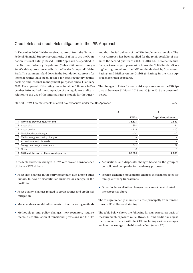#### Credit risk and credit risk mitigation in the IRB Approach

In December 2006, Helaba received approval from the German Federal Financial Supervisory Authority (BaFin) to use the Foundation Internal Ratings-Based (FIRB) Approach as specified in the German Solvency Regulation (Solvabilitätsverordnung – SolvV); this approval covered both the Helaba Group and Helaba Bank. The parameters laid down in the Foundation Approach for internal ratings have been applied for both regulatory capital backing and internal management purposes since 1 January 2007. The approval of the rating model for aircraft finance in December 2010 marked the completion of the regulatory audits in relation to the use of the internal rating models for the FIRBA

and thus the full delivery of the IRBA implementation plan. The AIRB Approach has been applied for the retail portfolio of FSP since the second quarter of 2008. In 2013, LBS became the first Bausparkasse to gain permission to use the "LBS-Kunden-Scoring" rating model and the LGD model devised by Sparkassen Rating- und Risikosysteme GmbH (S-Rating) in the AIRB Approach for retail exposures.

The changes in RWAs for credit risk exposures under the IRB Approach between 31 March 2018 and 30 June 2018 are presented below.

EU CR8 – RWA flow statements of credit risk exposures under the IRB Approach  $\epsilon$  m

|                                        | a           | b                   |
|----------------------------------------|-------------|---------------------|
|                                        | <b>RWAs</b> | Capital requirement |
| RWAs at previous quarter-end           | 35,621      | 2,850               |
|                                        | 391         | 31                  |
|                                        | $-119$      | $-10$               |
|                                        | $-30$       | $-2$                |
| Methodology and policy changes         |             |                     |
|                                        |             |                     |
|                                        | 341         | 27                  |
|                                        | 0           | 0                   |
| RWAs at the end of the current quarter | 36,205      | 2,896               |
|                                        |             |                     |

In the table above, the changes in RWAs are broken down for each of the key RWA drivers:

- Asset size: changes in the carrying amount due, among other factors, to new or discontinued business or changes in the portfolio
- Asset quality: changes related to credit ratings and credit risk mitigation
- Model updates: model adjustments to internal rating methods
- Methodology and policy changes: new regulatory requirements, discontinuation of transitional provisions and the like
- Acquisitions and disposals: changes based on the group of consolidated companies for regulatory purposes
- Foreign exchange movements: changes in exchange rates for foreign currency transactions
- Other: includes all other changes that cannot be attributed to the categories above

The foreign exchange movement arose principally from transactions in US dollars and sterling.

The table below shows the following for IRB exposures: basis of measurement, exposure value, RWAs, EL and credit risk adjustments in accordance with the CRR, including various averages, such as the average probability of default (mean PD).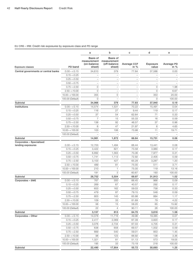#### EU CR6 – IRB: Credit risk exposures by exposure class and PD range

|                                      |                    | a                                                            | b                                         | $\mathbf{C}$             | $\mathsf{d}$             | $\mathbf{e}$                       |  |
|--------------------------------------|--------------------|--------------------------------------------------------------|-------------------------------------------|--------------------------|--------------------------|------------------------------------|--|
| Exposure classes                     | PD band            | Basis of<br>measurement measurement<br>(on-balance<br>sheet) | <b>Basis of</b><br>(off-balance<br>sheet) | Average CCF<br>in $%$    | Exposure<br>value        | Average PD<br>$\sin \frac{\pi}{6}$ |  |
| Central governments or central banks | $0.00 - < 0.15$    | 34,610                                                       | 379                                       | 77.84                    | 37,586                   | 0.00                               |  |
|                                      | $0.15 - 0.25$      | $\equiv$                                                     | $\overline{\phantom{0}}$                  | $\overline{\phantom{a}}$ | $\overline{\phantom{0}}$ | $\hspace{0.1mm}-\hspace{0.1mm}$    |  |
|                                      | $0.25 - 0.50$      | $\overline{\phantom{a}}$                                     | $\overline{\phantom{a}}$                  | $\overline{\phantom{0}}$ | $\overline{\phantom{a}}$ | $\overline{\phantom{0}}$           |  |
|                                      | $0.50 - < 0.75$    | $\overline{\phantom{a}}$                                     | $\overline{\phantom{a}}$                  | $\overline{\phantom{0}}$ | $\overline{\phantom{a}}$ | $\overline{\phantom{0}}$           |  |
|                                      |                    |                                                              |                                           |                          |                          |                                    |  |
|                                      | $0.75 - 2.50$      | $\circ$                                                      | $\overline{\phantom{a}}$                  |                          | $\circ$                  | 1.98                               |  |
|                                      | $2.50 - 10.00$     | $\circ$                                                      | $\overline{\phantom{a}}$                  | $\overline{\phantom{m}}$ | $\circ$                  | 6.67                               |  |
|                                      | $10.00 - < 100.00$ | 355                                                          | $\circ$                                   | $\overline{\phantom{a}}$ | 353                      | 20.00                              |  |
|                                      | 100.00 (Default)   | $\circ$                                                      | $\hspace{0.1mm}-\hspace{0.1mm}$           | $\overline{\phantom{m}}$ | $\circ$                  | 100.00                             |  |
| Subtotal                             |                    | 34,966                                                       | 379                                       | 77.83                    | 37,940                   | 0.19                               |  |
| Institutions                         | $0.00 - 0.15$      | 14,574                                                       | 1,531                                     | 70.22                    | 15,491                   | 0.04                               |  |
|                                      | $0.15 - 0.25$      | 116                                                          | 27                                        | 9.44                     | 119                      | 0.17                               |  |
|                                      | $0.25 - 0.50$      | 37                                                           | 54                                        | 62.64                    | 71                       | 0.33                               |  |
|                                      | $0.50 - < 0.75$    | $\overline{7}$                                               | 15                                        | 55.33                    | 16                       | 0.59                               |  |
|                                      | $0.75 - 2.50$      | 138                                                          | 92                                        | 46.57                    | 37                       | 0.96                               |  |
|                                      | $2.50 - 10.00$     | 6                                                            | 47                                        | 21.97                    | 6                        | 4.65                               |  |
|                                      | $10.00 - < 100.00$ | 103                                                          | 106                                       | 73.98                    | 11                       | 19.71                              |  |
|                                      | 100.00 (Default)   | $\overline{\phantom{a}}$                                     | $\hspace{0.1mm}-\hspace{0.1mm}$           | $\overline{\phantom{0}}$ | $\overline{\phantom{a}}$ | $\hspace{0.1mm}-\hspace{0.1mm}$    |  |
| Subtotal                             |                    | 14,981                                                       | 1,872                                     | 66.84                    | 15,751                   | 0.06                               |  |
| Corporates - Specialised             |                    |                                                              |                                           |                          |                          |                                    |  |
| lending exposures                    | $0.00 - < 0.15$    | 12,703                                                       | 1,494                                     | 66.44                    | 13,441                   | 0.08                               |  |
|                                      | $0.15 - 0.25$      | 3,422                                                        | 821                                       | 73.58                    | 3,980                    | 0.17                               |  |
|                                      | $0.25 - 0.50$      | 6,892                                                        | 1,563                                     | 70.36                    | 7,977                    | 0.31                               |  |
|                                      | $0.50 - < 0.75$    | 1,741                                                        | 1,113                                     | 72.92                    | 2,405                    | 0.59                               |  |
|                                      | $0.75 - 2.50$      | 3,103                                                        | 427                                       | 65.28                    | 3,287                    | 1.20                               |  |
|                                      | $2.50 - 10.00$     | 489                                                          | 81                                        | 75.00                    | 511                      | 3.71                               |  |
|                                      | $10.00 - < 100.00$ | 210                                                          | $\overline{1}$                            | 75.00                    | 119                      | 13.16                              |  |
|                                      | 100.00 (Default)   | 191                                                          | 3                                         | 60.67                    | 193                      | 100.00                             |  |
| Subtotal                             |                    | 28,752                                                       | 5,504                                     | 69.97                    | 31,913                   | 1.02                               |  |
|                                      |                    |                                                              |                                           |                          |                          |                                    |  |
| Corporates - SME                     | $0.00 - < 0.15$    | 767                                                          | 300                                       | 66.45                    | 966                      | 0.09                               |  |
|                                      | $0.15 - 0.25$      | 269                                                          | 67                                        | 40.57                    | 292                      | 0.17                               |  |
|                                      | $0.25 - 0.50$      | 653                                                          | 162                                       | 59.03                    | 758                      | 0.33                               |  |
|                                      | $0.50 - < 0.75$    | 479                                                          | 87                                        | 79.15                    | 548                      | 0.59                               |  |
|                                      | $0.75 - 2.50$      | 803                                                          | 145                                       | 65.98                    | 884                      | 1.17                               |  |
|                                      | $2.50 - 10.00$     | 109                                                          | 33                                        | 81.69                    | 79                       | 4.22                               |  |
|                                      | $10.00 - < 100.00$ | 56                                                           | 15                                        | 58.20                    | 65                       | 15.92                              |  |
|                                      | 100.00 (Default)   | 22                                                           | $\overline{4}$                            | 90.11                    | 26                       | 100.00                             |  |
| Subtotal                             |                    | 3,157                                                        | 813                                       | 64.70                    | 3,618                    | 1.58                               |  |
| Corporates - Other                   | $0.00 - 0.15$      | 14,078                                                       | 11,716                                    | 49.96                    | 19,385                   | 0.07                               |  |
|                                      | $0.15 - 0.25$      | 2,417                                                        | 2,069                                     | 67.39                    | 3,820                    | 0.17                               |  |
|                                      | $0.25 - 0.50$      | 3,076                                                        | 2,734                                     | 67.03                    | 4,705                    | 0.31                               |  |
|                                      | $0.50 - < 0.75$    | 638                                                          | 658                                       | 69.57                    | 1,002                    | 0.59                               |  |
|                                      |                    |                                                              | 540                                       |                          |                          | 1.45                               |  |
|                                      | $0.75 - 2.50$      | 669                                                          |                                           | 59.01                    | 853                      |                                    |  |
|                                      | $2.50 - 10.00$     | 98                                                           | 123                                       | 66.92                    | 138                      | 3.36                               |  |
|                                      | $10.00 - 100.00$   | 1,321                                                        | 81                                        | 51.13                    | 573                      | 19.05                              |  |
|                                      | 100.00 (Default)   | 195                                                          | 33                                        | 73.19                    | 218                      | 100.00                             |  |
| Subtotal                             |                    | 22,490                                                       | 17,954                                    | 55.72                    | 30,693                   | 1.25                               |  |
|                                      |                    |                                                              |                                           |                          |                          |                                    |  |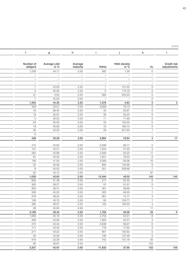$\mathfrak{e}\subset\mathfrak{e}\subset\mathfrak{e}$  in  $\mathfrak{e}\subset\mathfrak{m}$ 

|                            | k                                          |                                 |                                          | h                                     | g                               |                                 |
|----------------------------|--------------------------------------------|---------------------------------|------------------------------------------|---------------------------------------|---------------------------------|---------------------------------|
|                            |                                            |                                 |                                          |                                       |                                 |                                 |
| Credit risk<br>adjustments | EL.                                        | <b>RWA density</b><br>in $%$    | RWAs                                     | Average<br>maturity                   | Average LGD<br>in $%$           | Number of<br>obligors           |
|                            | $\overline{O}$                             | 1.28                            | 482                                      | 2.50                                  | 44.71                           | 1,258                           |
|                            | $-$                                        | $\hspace{0.1mm}-\hspace{0.1mm}$ | $ \,$                                    | $\hspace{0.1mm}-\hspace{0.1mm}$       | $\hspace{0.1mm}-\hspace{0.1mm}$ | $\qquad \qquad -$               |
|                            | $\hspace{0.1mm}-\hspace{0.1mm}$            | $\overline{\phantom{a}}$        | $\equiv$                                 | $\overline{\phantom{a}}$              | $\overline{\phantom{a}}$        | $\hspace{0.1mm}-\hspace{0.1mm}$ |
|                            | $\overline{\phantom{a}}$                   | $\overline{\phantom{a}}$        | $\equiv$                                 | $\overline{\phantom{a}}$              | $\sim$                          | $\overline{\phantom{a}}$        |
|                            | $\circ$                                    | 121.32                          | $\overline{1}$                           | 2.50                                  | 45.00                           | $\overline{1}$                  |
|                            | $\circ$                                    | 175.79                          | $\circ$                                  | 2.50                                  | 45.00                           | $\overline{2}$                  |
|                            | $\circ$                                    | 252.53                          | 893                                      | 2.50                                  | 0.03                            | 41                              |
|                            | $\circ$                                    | $\hspace{0.1mm}-\hspace{0.1mm}$ | $\sim$                                   | 2.50                                  | 45.00                           | $\overline{1}$                  |
|                            | $\mathbf 0$                                | 3.63                            | 1,376                                    | 2.50                                  | 44.30                           | 1,303                           |
|                            | $\overline{2}$<br>$\circ$                  | 18.13<br>35.97                  | 2,809                                    | 2.50<br>2.50                          | 33.51<br>36.43                  | 309<br>16                       |
|                            | $\circ$                                    | 53.24                           | 43<br>38                                 | 2.50                                  | 35.81                           | 19                              |
|                            | $\circ$                                    | 71.69                           | 11                                       | 2.50                                  | 30.02                           | $5\overline{)}$                 |
|                            | $\circ$                                    | 120.35                          | 45                                       | 2.50                                  | 45.00                           | 24                              |
|                            | $\circ$                                    | 160.14                          | 10                                       | 2.50                                  | 45.00                           | 19                              |
|                            | $\overline{1}$                             | 251.95                          | 28                                       | 2.50                                  | 45.00                           | 36                              |
|                            | $\overline{\phantom{0}}$                   | $\overline{a}$                  | $\equiv$                                 | $\mathcal{L} \rightarrow \mathcal{L}$ | $\sim$                          | $\circ$                         |
|                            | $\overline{4}$                             | 18.94                           | 2,984                                    | 2.50                                  | 33.58                           | 428                             |
|                            |                                            | 26.77                           | 3,598                                    | 2.50                                  | 42.62                           | 412                             |
|                            | $5\phantom{.0}$<br>3                       | 41.30                           | 1,644                                    | 2.50                                  | 43.21                           | 127                             |
|                            | 11                                         | 55.25                           | 4,408                                    | 2.50                                  | 42.68                           | 264                             |
|                            | 6                                          | 76.53                           | 1,841                                    | 2.50                                  | 43.52                           | 67                              |
|                            | 16                                         | 93.06                           | 3,058                                    | 2.50                                  | 41.05                           | 106                             |
|                            | 8                                          | 135.88                          | 694                                      | 2.50                                  | 42.59                           | 22                              |
|                            | $\overline{7}$                             | 209.98                          | 251                                      | 2.50                                  | 43.02                           | 8                               |
|                            | 87                                         | $\hspace{0.1mm}-\hspace{0.1mm}$ | $\hspace{0.1mm}-\hspace{0.1mm}$          | 2.50                                  | 44.72                           | 22                              |
|                            | 142                                        | 48.55                           | 15,494                                   | 2.50                                  | 42.63                           | 1,028                           |
|                            | $\overline{O}$                             | 22.45                           | 217                                      | 2.50                                  | 41.46                           | 603                             |
|                            | $\circ$                                    | 31.31                           | 91                                       | 2.50                                  | 39.27                           | 362                             |
|                            | $\overline{1}$                             | 39.66                           | 301                                      | 2.50                                  | 36.41                           | 803                             |
|                            |                                            | 59.33                           | 325                                      | 2.50                                  | 40.22                           | 336                             |
|                            | 4                                          | 74.77                           | 661                                      | 2.50                                  | 39.25                           | 578                             |
|                            |                                            | 103.77                          | 82                                       | 2.50                                  | 40.72                           | 106                             |
|                            | $\overline{4}$                             | 162.03                          | 105                                      | 2.50                                  | 38.01                           | 385                             |
|                            | 11<br>23                                   | $\sim$ $-$<br>49.26             | $\hspace{0.1mm}-\hspace{0.1mm}$<br>1,782 | 2.50<br>2.50                          | 42.83<br>39.43                  | 26<br>3,199                     |
|                            | 6                                          | 24.51                           | 4,752                                    | 2.50                                  | 43.19                           | 1,095                           |
|                            | $\mathcal{S}$                              | 42.47                           | 1,622                                    | 2.50                                  | 43.94                           | 306                             |
|                            | 6                                          | 56.07                           | 2,638                                    | 2.50                                  | 43.44                           | 474                             |
|                            | $\mathcal{S}$                              | 77.65                           | 778                                      | 2.50                                  | 43.43                           | 171                             |
|                            | $5\overline{)}$                            | 105.62                          | 901                                      | 2.50                                  | 43.22                           | 217                             |
|                            | $\overline{\phantom{0}}$<br>$\overline{2}$ | 137.46                          | 190                                      | 2.50                                  | 44.09                           | 50                              |
|                            | 25                                         | 131.19                          | 752                                      | 2.50                                  | 22.28                           | 919                             |
|                            | 102                                        | $\overline{a}$                  | $-$                                      | 2.50                                  | 46.61                           | 95                              |
|                            | 152                                        | 37.90                           | 11,632                                   | 2.50                                  | 42.97                           | 3,327                           |
|                            |                                            |                                 |                                          |                                       |                                 |                                 |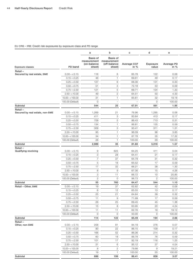#### EU CR6 – IRB: Credit risk exposures by exposure class and PD range

|                                 |                    | a                                                            | b                                  | $\mathbf c$                     | ${\sf d}$         | $\mathbf{e}$                          |  |
|---------------------------------|--------------------|--------------------------------------------------------------|------------------------------------|---------------------------------|-------------------|---------------------------------------|--|
| Exposure classes                | PD band            | Basis of<br>measurement measurement<br>(on-balance<br>sheet) | Basis of<br>(off-balance<br>sheet) | Average CCF<br>in $%$           | Exposure<br>value | Average PD<br>$\sin \frac{\theta}{6}$ |  |
| Retail-                         |                    |                                                              |                                    |                                 |                   |                                       |  |
| Secured by real estate, SME     | $0.00 - 0.15$      | 116                                                          | 8                                  | 65.78                           | 122               | 0.08                                  |  |
|                                 | $0.15 - 0.25$      | 48                                                           | $\overline{1}$                     | 69.61                           | 49                | 0.17                                  |  |
|                                 | $0.25 - < 0.50$    | 127                                                          | 6                                  | 68.36                           | 131               | 0.33                                  |  |
|                                 | $0.50 - < 0.75$    | 51                                                           | 3                                  | 72.18                           | 53                | 0.59                                  |  |
|                                 | $0.75 - < 2.50$    | 121                                                          | 5                                  | 69.71                           | 124               | 1.33                                  |  |
|                                 | $2.50 - 10.00$     | 49                                                           | $\overline{2}$                     | 64.51                           | 50                | 4.33                                  |  |
|                                 | $10.00 - < 100.00$ | 31                                                           | $\overline{1}$                     | 65.61                           | 32                | 19.18                                 |  |
|                                 | 100.00 (Default)   | $\circ$                                                      | $\overline{\phantom{a}}$           | $\hspace{0.1mm}-\hspace{0.1mm}$ | $\circ$           | 100.00                                |  |
| Subtotal                        |                    | 544                                                          | 25                                 | 67.91                           | 561               | 1.95                                  |  |
| Retail-                         |                    |                                                              |                                    |                                 |                   |                                       |  |
| Secured by real estate, non-SME | $0.00 - 0.15$      | 1,269                                                        | 21                                 | 76.96                           | 1,285             | 0.06                                  |  |
|                                 | $0.15 - 0.25$      | 411                                                          | 3                                  | 83.84                           | 413               | 0.17                                  |  |
|                                 | $0.25 - < 0.50$    | 709                                                          | 5                                  | 86.43                           | 713               | 0.31                                  |  |
|                                 | $0.50 - < 0.75$    | 134                                                          | $\overline{1}$                     | 86.81                           | 135               | 0.59                                  |  |
|                                 | $0.75 - 2.50$      | 309                                                          | 3                                  | 93.41                           | 311               | 1.31                                  |  |
|                                 | $2.50 - 10.00$     | 95                                                           | $\overline{1}$                     | 96.09                           | 96                | 3.85                                  |  |
|                                 | $10.00 - < 100.00$ | 34                                                           | $\overline{1}$                     | 87.78                           | 35                | 17.32                                 |  |
|                                 | 100.00 (Default)   | 28                                                           | $\overline{1}$                     | 100.00                          | 29                | 100.00                                |  |
| Subtotal                        |                    | 2,989                                                        | 35                                 | 81.60                           | 3,018             | 1.57                                  |  |
| $Retail -$                      |                    |                                                              |                                    |                                 |                   |                                       |  |
| Qualifying revolving            | $0.00 - 0.15$      | 9                                                            | 625                                | 64.25                           | 411               | 0.04                                  |  |
|                                 | $0.15 - 0.25$      | 3                                                            | 28                                 | 64.41                           | 21                | 0.17                                  |  |
|                                 | $0.25 - 0.50$      | $\overline{7}$                                               | 37                                 | 64.79                           | 31                | 0.32                                  |  |
|                                 | $0.50 - < 0.75$    | 5                                                            | 18                                 | 65.52                           | 17                | 0.59                                  |  |
|                                 | $0.75 - 2.50$      | 17                                                           | 32                                 | 66.21                           | 38                | 1.30                                  |  |
|                                 | $2.50 - 10.00$     | 8                                                            | 9                                  | 67.36                           | 15                | 4.26                                  |  |
|                                 | $10.00 - 100.00$   | 3                                                            | 11                                 | 66.72                           | 10                | 20.85                                 |  |
|                                 | 100.00 (Default)   | $\overline{c}$                                               | $\circ$                            | 98.73                           | $\overline{c}$    | 100.00                                |  |
| Subtotal                        |                    | 55                                                           | 760                                | 64.47                           | 544               | 1.10                                  |  |
| Retail - Other, SME             | $0.00 - < 0.15$    | 19                                                           | 37                                 | 62.82                           | 42                | 0.08                                  |  |
|                                 | $0.15 - 0.25$      | 6                                                            | 12                                 | 65.55                           | 13                | 0.17                                  |  |
|                                 | $0.25 - < 0.50$    | 25                                                           | 21                                 | 64.64                           | 39                | 0.32                                  |  |
|                                 | $0.50 - < 0.75$    | 11                                                           | 9                                  | 71.99                           | 17                | 0.59                                  |  |
|                                 | $0.75 - 2.50$      | 28                                                           | 25                                 | 69.45                           | 45                | 1.36                                  |  |
|                                 | $2.50 - 10.00$     | 15                                                           | 8                                  | 63.95                           | 20                | 4.24                                  |  |
|                                 |                    | 11                                                           | 11                                 |                                 |                   | 19.12                                 |  |
|                                 | $10.00 - 100.00$   |                                                              |                                    | 62.76                           | 18                |                                       |  |
|                                 | 100.00 (Default)   | $\circ$                                                      | $\circ$                            | 50.00                           | $\circ$           | 100.00                                |  |
| Subtotal                        |                    | 114                                                          | 122                                | 65.49                           | 194               | 2.66                                  |  |
| Retail-<br>Other, non-SME       | $0.00 - 0.15$      | 208                                                          | 81                                 | 84.19                           | 276               | 0.07                                  |  |
|                                 | $0.15 - 0.25$      | 90                                                           | 22                                 | 86.15                           | 109               | 0.17                                  |  |
|                                 | $0.25 - 0.50$      | 168                                                          | 52                                 | 86.36                           | 214               | 0.32                                  |  |
|                                 | $0.50 - < 0.75$    | 60                                                           | 18                                 | 88.78                           | 76                | 0.59                                  |  |
|                                 |                    |                                                              |                                    |                                 |                   |                                       |  |
|                                 | $0.75 - 2.50$      | 101                                                          | 17                                 | 92.19                           | 116               | 1.25                                  |  |
|                                 | $2.50 - 10.00$     | 31                                                           | 6                                  | 95.12                           | 37                | 4.04                                  |  |
|                                 | $10.00 - 100.00$   | 8                                                            | $\overline{2}$                     | 79.86                           | 9                 | 19.21                                 |  |
|                                 | 100.00 (Default)   | 19                                                           | $\overline{1}$                     | 100.00                          | 20                | 100.00                                |  |
| Subtotal                        |                    | 686                                                          | 199                                | 86.41                           | 858               | 3.07                                  |  |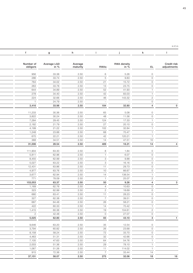|                         | $\boldsymbol{g}$ | h                   |                         |                  | k                       |             |
|-------------------------|------------------|---------------------|-------------------------|------------------|-------------------------|-------------|
|                         |                  |                     |                         |                  |                         |             |
| Number of               | Average LGD      |                     |                         | RWA density      |                         | Credit risk |
| obligors                | in %             | Average<br>maturity | RWAs                    | in $\frac{6}{6}$ | EL.                     | adjustments |
| 956                     | 33.38            | 2.50                | 6                       | 5.26             | $\circ$                 |             |
| 286                     | 33.74            | 2.50                | $5\overline{)}$         | 9.83             | $\circ$                 |             |
| 764                     | 34.02            | 2.50                | 21                      | 15.72            | $\circ$                 |             |
| 263                     | 33.78            | 2.50                | 13                      | 23.75            | $\circ$                 |             |
| 644                     | 34.89            | 2.50                | 52                      | 41.93            | $\overline{1}$          |             |
| 278                     | 34.40            | 2.50                | 42                      | 83.03            | $\overline{1}$          |             |
| 224                     | 32.66            | 2.50                | 46                      | 143.32           | $\overline{2}$          |             |
| $\overline{1}$          | 24.79            | 2.50                | $\overline{a}$          | $\overline{a}$   | $\circ$                 |             |
| 3,416                   | 33.98            | 2.50                | 184                     | 32.80            | $\overline{4}$          |             |
| 11,233                  | 30.36            | 2.50                | 65                      | 5.08             | $\circ$                 |             |
| 3,822                   | 30.24            | 2.50                | 48                      | 11.56            | $\circ$                 |             |
| 7,284                   | 29.45            | 2.50                | 124                     | 17.33            | $\overline{1}$          |             |
| 2,182                   | 21.79            | 2.50                | 27                      | 20.10            | $\circ$                 |             |
| 4,199                   | 21.22            | 2.50                | 102                     | 32.84            | $\overline{1}$          |             |
| 1,248                   | 23.88            | 2.50                | 68                      | 70.47            | $\overline{1}$          |             |
| 670                     | 22.21            | 2.50                | 42                      | 120.21           | $\overline{1}$          |             |
| 368                     | 34.51            | 2.50                | 14                      | 47.51            | 10                      |             |
| 31,006                  | 28.54            | 2.50                | 489                     | 16.21            | 14                      |             |
|                         | 63.30            |                     |                         |                  |                         |             |
| 111,904                 | 62.96            | 2.50<br>2.50        | $\,8\,$<br>$\mathbf{1}$ | 1.84<br>6.07     | $\circ$                 |             |
| 5,811<br>8,455          | 62.99            | 2.50                | $\mathcal{S}$           | 9.88             | $\circ$<br>$\circ$      |             |
| 5,027                   | 63.22            | 2.50                | $\mathcal{S}$           | 16.16            | $\circ$                 |             |
| 12,431                  | 63.86            | 2.50                | 11                      | 29.73            | $\circ$                 |             |
| 4,977                   | 63.76            | 2.50                | 10                      | 66.67            | $\circ$                 |             |
| 3,677                   | 62.94            | 2.50                | 14                      | 138.54           | $\overline{1}$          |             |
| 771                     | 78.09            | 2.50                | $\overline{1}$          | 25.07            | $\overline{2}$          |             |
| 153,053                 | 63.37            | 2.50                | 50                      | 9.26             | $\overline{4}$          |             |
| 1,169                   | 62.76            | 2.50                | $\overline{4}$          | 10.63            | $\circ$                 |             |
| 323                     | 62.99            | 2.50                | $\overline{2}$          | 18.69            | $\circ$                 |             |
| 680                     | 63.41            | 2.50                | 11                      | 28.23            | $\circ$                 |             |
| 327                     | 62.38            | 2.50                |                         | 39.51            | $\overline{0}$          |             |
| 687                     | 64.48            | 2.50                | 26                      | 58.21            | $\circ$                 |             |
| 422                     | 60.33            | 2.50                | 14                      | 70.42            | $\overline{1}$          |             |
| 1,415                   | 60.36            | 2.50                | 19                      | 104.61           | $\overline{2}$          |             |
| $\overline{2}$<br>5,025 | 42.48<br>62.80   | 2.50<br>2.50        | $\overline{O}$<br>83    | 27.07<br>43.10   | $\circ$<br>$\mathbf{3}$ |             |
|                         |                  |                     |                         |                  |                         |             |
| 9,646                   | 63.20            | 2.50                | 35                      | 12.54            | $\circ$                 |             |
| 3,794                   | 60.82            | 2.50                | 26                      | 23.68            | $\circ$                 |             |
| 8,158                   | 58.24            | 2.50                | 72                      | 33.70            | $\circ$                 |             |
| 4,463                   | 51.31            | 2.50                | 32                      | 42.66            | $\circ$                 |             |
| 7,105                   | 47.63            | 2.50                | 64                      | 54.76            | $\overline{1}$          |             |
| 2,003                   | 51.36            | 2.50                | 29                      | 78.10            | $\overline{1}$          |             |
| 1,067                   | 51.26            | 2.50                | 11                      | 114.02           | $\overline{1}$          |             |
| 915                     | 72.36            | 2.50                | $7\overline{ }$         | 33.44            | 14                      |             |

Subtotal 686 199 86.41 858 3.07 37,151 58.07 2.50 275 32.06 18 16

 $\mathfrak{e}\subset\mathfrak{e}\subset\mathfrak{e}$  in  $\mathfrak{e}\subset\mathfrak{m}$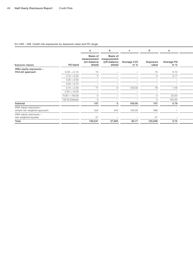#### EU CR6 – IRB: Credit risk exposures by exposure class and PD range

|                                                          |                  |                                                  | b                                                 | C                        | $\mathsf{d}$      | e                                     |  |
|----------------------------------------------------------|------------------|--------------------------------------------------|---------------------------------------------------|--------------------------|-------------------|---------------------------------------|--|
| Exposure classes                                         | PD band          | Basis of<br>measurement<br>(on-balance<br>sheet) | Basis of<br>measurement<br>(off-balance<br>sheet) | Average CCF<br>in $%$    | Exposure<br>value | Average PD<br>$\sin \frac{\theta}{6}$ |  |
| IRBA equity exposures -                                  |                  |                                                  |                                                   |                          |                   |                                       |  |
| PD/LGD approach                                          | $0.00 - 0.15$    | 74                                               |                                                   |                          | 74                | 0.10                                  |  |
|                                                          | $0.15 - 0.25$    |                                                  |                                                   |                          |                   | 0.17                                  |  |
|                                                          | $0.25 - 0.50$    |                                                  |                                                   |                          |                   |                                       |  |
|                                                          | $0.50 - < 0.75$  | $\overline{\phantom{0}}$                         |                                                   |                          | —                 |                                       |  |
|                                                          | $0.75 - 2.50$    | 77                                               |                                                   | 100.00                   | 78                | 1.48                                  |  |
|                                                          | $2.50 - 10.00$   | $\overline{\phantom{a}}$                         |                                                   |                          |                   |                                       |  |
|                                                          | $10.00 - 100.00$ | O                                                |                                                   |                          |                   | 20.00                                 |  |
|                                                          | 100.00 (Default) |                                                  |                                                   |                          |                   | 100.00                                |  |
| Subtotal                                                 |                  | 157                                              |                                                   | 100.00                   | 157               | 0.79                                  |  |
| IRBA equity exposures -<br>simple risk-weighted approach |                  | 324                                              | 242                                               | 100.00                   | 566               | $\overline{\phantom{0}}$              |  |
| IRBA equity exposures -<br>risk-weighted equities        |                  | 27                                               | $\overline{\phantom{0}}$                          | $\overline{\phantom{a}}$ | 27                | $\overline{\phantom{0}}$              |  |
| Total                                                    |                  | 109,241                                          | 27,905                                            | 60.77                    | 125,839           | 0.75                                  |  |
|                                                          |                  |                                                  |                                                   |                          |                   |                                       |  |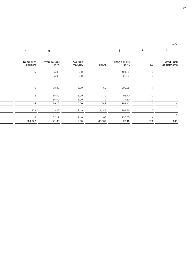|  | h                               |      |             |                                 | <b>k</b>                 |                            |
|--|---------------------------------|------|-------------|---------------------------------|--------------------------|----------------------------|
|  | Average<br>maturity             |      | <b>RWAs</b> | RWA density<br>in $\frac{6}{6}$ | EL.                      | Credit risk<br>adjustments |
|  | 5.00                            |      | 75          | 101.39                          |                          |                            |
|  | 5.00                            |      |             | 95.99                           |                          |                            |
|  | $\hspace{0.1mm}-\hspace{0.1mm}$ |      |             | $\overline{\phantom{a}}$        |                          |                            |
|  | $\overline{\phantom{a}}$        |      |             | $\overline{\phantom{a}}$        |                          |                            |
|  | 5.00                            |      | 162         | 209.05                          |                          |                            |
|  | $\overline{\phantom{0}}$        |      |             | $\overline{\phantom{0}}$        |                          |                            |
|  | 5.00                            |      | $\Omega$    | 403.70                          |                          |                            |
|  | 5.00                            |      | $\Omega$    | 437.50                          | $\cap$                   |                            |
|  | 5.00                            |      | 242         | 154.43                          |                          |                            |
|  | 2.49                            |      | 1,147       | 202.78                          |                          |                            |
|  | 2.40                            |      | 67          | 250.00                          | $\overline{\phantom{0}}$ |                            |
|  |                                 | 2.50 | 35,807      | 28.45                           | 370                      | 346                        |

 $\mathfrak{e}\subset\mathfrak{e}\subset\mathfrak{e}$  in  $\mathfrak{e}\subset\mathfrak{m}$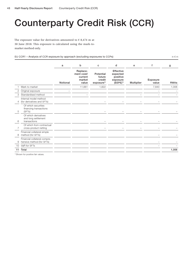# Counterparty Credit Risk (CCR)

The exposure value for derivatives amounted to  $\epsilon$  8,474 m at 30 June 2018. This exposure is calculated using the mark-tomarket method only.

EU CCR1 – Analysis of CCR exposure by approach (excluding exposures to CCPs) in  $\epsilon$  m in  $\epsilon$  m

| Replace-<br><b>Effective</b><br>ment cost/<br>Potential<br>expected<br>positive<br>current<br>future<br>credit<br>market<br>Exposure<br>exposure<br>Notional<br>$(EEPE)^{1}$<br>value<br>exposure <sup>1</sup><br><b>Multiplier</b><br>value<br>Mark to market<br>11,661<br>1,822<br>7,840<br>Original exposure<br>2<br>Standardised method<br>3<br>Internal model method<br>(for derivatives and SFTs)<br>4<br>$\overline{\phantom{0}}$<br>Of which securities<br>financing transactions<br>(SFTs)<br>5<br>$\overline{\phantom{0}}$<br>$\overline{\phantom{0}}$<br>$\overline{\phantom{0}}$<br>Of which derivatives<br>and long settlement<br>transactions<br>6<br>Of which from contractual<br>cross-product netting<br>Financial collateral simple<br>method (for SFTs)<br>8<br>Financial collateral compre-<br>hensive method (for SFTs)<br>9<br>VaR for SFTs<br>10<br>Total<br>11 |  | a | b | с | d | e | f | g           |
|----------------------------------------------------------------------------------------------------------------------------------------------------------------------------------------------------------------------------------------------------------------------------------------------------------------------------------------------------------------------------------------------------------------------------------------------------------------------------------------------------------------------------------------------------------------------------------------------------------------------------------------------------------------------------------------------------------------------------------------------------------------------------------------------------------------------------------------------------------------------------------------|--|---|---|---|---|---|---|-------------|
|                                                                                                                                                                                                                                                                                                                                                                                                                                                                                                                                                                                                                                                                                                                                                                                                                                                                                        |  |   |   |   |   |   |   | <b>RWAs</b> |
|                                                                                                                                                                                                                                                                                                                                                                                                                                                                                                                                                                                                                                                                                                                                                                                                                                                                                        |  |   |   |   |   |   |   | 1,006       |
|                                                                                                                                                                                                                                                                                                                                                                                                                                                                                                                                                                                                                                                                                                                                                                                                                                                                                        |  |   |   |   |   |   |   |             |
|                                                                                                                                                                                                                                                                                                                                                                                                                                                                                                                                                                                                                                                                                                                                                                                                                                                                                        |  |   |   |   |   |   |   |             |
|                                                                                                                                                                                                                                                                                                                                                                                                                                                                                                                                                                                                                                                                                                                                                                                                                                                                                        |  |   |   |   |   |   |   |             |
|                                                                                                                                                                                                                                                                                                                                                                                                                                                                                                                                                                                                                                                                                                                                                                                                                                                                                        |  |   |   |   |   |   |   |             |
|                                                                                                                                                                                                                                                                                                                                                                                                                                                                                                                                                                                                                                                                                                                                                                                                                                                                                        |  |   |   |   |   |   |   |             |
|                                                                                                                                                                                                                                                                                                                                                                                                                                                                                                                                                                                                                                                                                                                                                                                                                                                                                        |  |   |   |   |   |   |   |             |
|                                                                                                                                                                                                                                                                                                                                                                                                                                                                                                                                                                                                                                                                                                                                                                                                                                                                                        |  |   |   |   |   |   |   |             |
|                                                                                                                                                                                                                                                                                                                                                                                                                                                                                                                                                                                                                                                                                                                                                                                                                                                                                        |  |   |   |   |   |   |   |             |
|                                                                                                                                                                                                                                                                                                                                                                                                                                                                                                                                                                                                                                                                                                                                                                                                                                                                                        |  |   |   |   |   |   |   |             |
|                                                                                                                                                                                                                                                                                                                                                                                                                                                                                                                                                                                                                                                                                                                                                                                                                                                                                        |  |   |   |   |   |   |   | 1,006       |

<sup>1)</sup> Shown for positive fair values.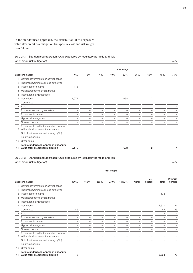In the standardised approach, the distribution of the exposure value after credit risk mitigation by exposure class and risk weight is as follows:

#### EU CCR3 – Standardised approach: CCR exposures by regulatory portfolio and risk (after credit risk mitigation) in  $\epsilon$  m

|    |                                                                                 |                          |    |     |     | Risk weight |     |     |     |     |
|----|---------------------------------------------------------------------------------|--------------------------|----|-----|-----|-------------|-----|-----|-----|-----|
|    | Exposure classes                                                                | $0\%$                    | 2% | 4 % | 10% | 20%         | 35% | 50% | 70% | 75% |
|    | Central governments or central banks                                            |                          |    |     |     |             |     |     |     |     |
| 2  | Regional governments or local authorities                                       |                          |    |     |     |             |     |     |     |     |
| 3  | Public-sector entities                                                          | 178                      |    |     |     |             |     |     |     |     |
| 4  | Multilateral development banks                                                  | $\overline{\phantom{0}}$ |    |     |     |             |     |     |     |     |
| 5  | International organisations                                                     |                          |    |     |     |             |     |     |     |     |
| 6  | Institutions                                                                    | 1,971                    |    |     |     | 638         |     | 2   |     |     |
|    | Corporates                                                                      |                          |    |     |     |             |     |     |     |     |
| 8  | Retail                                                                          |                          |    |     |     |             |     |     |     | 4   |
|    | Exposures secured by real estate                                                |                          |    |     |     |             |     |     |     |     |
|    | Exposures in default                                                            |                          |    |     |     |             |     |     |     |     |
|    | Higher risk categories                                                          |                          |    |     |     |             |     |     |     |     |
|    | Covered bonds                                                                   |                          |    |     |     |             |     |     |     |     |
| 9  | Exposures to institutions and corporates<br>with a short-term credit assessment |                          |    |     |     |             |     |     |     |     |
|    | Collective investment undertakings (CIU)                                        |                          |    |     |     |             |     |     |     |     |
|    | Equity exposures                                                                |                          |    |     |     |             |     |     |     |     |
| 10 | Other Items                                                                     |                          |    |     |     |             |     |     |     |     |
| 11 | Total standardised approach exposure<br>value after credit risk mitigation      | 2.149                    |    |     |     | 638         |     | 2   |     | 4   |

#### EU CCR3 – Standardised approach: CCR exposures by regulatory portfolio and risk

(after credit risk mitigation) in  $\epsilon$  m

|                | <b>Exposure classes</b>                                                         | 100%     | 150% | 250 % | 370 % | 1.250% | Other | De-<br>ducted | Total | Of which<br>unrated |
|----------------|---------------------------------------------------------------------------------|----------|------|-------|-------|--------|-------|---------------|-------|---------------------|
|                | Central governments or central banks                                            |          |      |       |       |        |       |               |       |                     |
| $\overline{2}$ | Regional governments or local authorities                                       |          |      |       |       |        |       |               |       |                     |
| 3              | Public-sector entities                                                          |          |      |       |       |        |       |               | 178   |                     |
| $\overline{4}$ | Multilateral development banks                                                  |          |      |       |       |        |       |               |       |                     |
| 5              | International organisations                                                     |          |      |       |       |        |       |               |       |                     |
| 6              | Institutions                                                                    |          |      |       |       |        |       |               | 2,611 | 24                  |
|                | Corporates                                                                      | 45       |      |       |       |        |       |               | 45    | 45                  |
| 8              | Retail                                                                          | $\Omega$ |      |       |       |        |       |               | 4     | 4                   |
|                | Exposures secured by real estate                                                |          |      |       |       |        |       |               |       |                     |
|                | Exposures in default                                                            |          |      |       |       |        |       |               |       |                     |
|                | Higher risk categories                                                          |          |      |       |       |        |       |               |       |                     |
|                | Covered bonds                                                                   |          |      |       |       |        |       |               |       |                     |
| 9              | Exposures to institutions and corporates<br>with a short-term credit assessment |          |      |       |       |        |       |               |       |                     |
|                | Collective investment undertakings (CIU)                                        |          |      |       |       |        |       |               |       |                     |
|                | Equity exposures                                                                |          |      |       |       |        |       |               |       |                     |
| 10             | Other Items                                                                     |          |      |       |       |        |       |               |       |                     |
| 11             | Total standardised approach exposure<br>value after credit risk mitigation      | 45       |      |       |       |        |       |               | 2,838 | 73                  |

Risk weight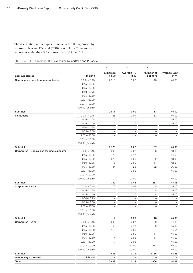The distribution of the exposure value in the IRB approach by exposure class and PD band (FIRB) is as follows: There were no exposures under the AIRB Approach as at 30 June 2018:

EU CCR4 – FIRB approach: CCR exposures by portfolio and PD scale

|                                            |                    | a                               | b                               | $\mathbf{C}$                    | ${\sf d}$                       |
|--------------------------------------------|--------------------|---------------------------------|---------------------------------|---------------------------------|---------------------------------|
|                                            |                    | Exposure                        | Average PD                      | Number of                       | Average LGD                     |
| Exposure classes                           | PD band            | value                           | in $%$                          | obligors                        | in $%$                          |
| Central governments or central banks       | $0.00 - < 0.15$    | 2,911                           | 0.00                            | 113                             | 45.00                           |
|                                            | $0.15 - 0.25$      | $\overline{\phantom{0}}$        | $\hspace{0.1mm}-\hspace{0.1mm}$ | $ \,$                           | $\hspace{0.1mm}-\hspace{0.1mm}$ |
|                                            | $0.25 - 0.50$      | $\overline{\phantom{0}}$        | $\overline{\phantom{m}}$        | $\overline{\phantom{m}}$        | $\overline{\phantom{a}}$        |
|                                            | $0.50 - < 0.75$    | $\overline{\phantom{0}}$        | $\overline{\phantom{m}}$        | $\overline{\phantom{0}}$        | $\overline{\phantom{a}}$        |
|                                            | $0.75 - 2.50$      | $\overline{\phantom{0}}$        | $\overline{\phantom{m}}$        | $\overline{\phantom{a}}$        | $\overline{\phantom{a}}$        |
|                                            | $2.50 - 10.00$     | $\overline{\phantom{0}}$        | $\qquad \qquad -$               | $\overline{\phantom{0}}$        | $\overline{\phantom{a}}$        |
|                                            | $10.00 - < 100.00$ | $\overline{\phantom{a}}$        | $\qquad \qquad -$               | $\overline{\phantom{m}}$        | $\overline{\phantom{a}}$        |
|                                            | 100.00 (Default)   | $\overline{\phantom{0}}$        | $\qquad \qquad -$               | $\overline{\phantom{0}}$        | $\overline{\phantom{a}}$        |
| Subtotal                                   |                    | 2,911                           | 0.00                            | 113                             | 45.00                           |
| Institutions                               | $0.00 - < 0.15$    | 1,165                           | 0.07                            | 63                              | 45.00                           |
|                                            | $0.15 - 0.25$      | 5                               | 0.17                            | 3                               | 45.00                           |
|                                            | $0.25 - 0.50$      | $\circ$                         | 0.26                            | $\overline{1}$                  | 45.00                           |
|                                            | $0.50 - < 0.75$    | $\overline{\phantom{a}}$        | $\overline{\phantom{a}}$        | $\overline{\phantom{0}}$        | $\hspace{0.1mm}-\hspace{0.1mm}$ |
|                                            | $0.75 - 2.50$      | $\overline{\phantom{a}}$        | $\overline{\phantom{a}}$        | $\overline{\phantom{0}}$        |                                 |
|                                            |                    |                                 |                                 |                                 | $\overline{\phantom{a}}$        |
|                                            | $2.50 - < 10.00$   | $\overline{\phantom{a}}$        | $\overline{\phantom{0}}$        | $\overline{\phantom{0}}$        | $\overline{\phantom{a}}$        |
|                                            | $10.00 - < 100.00$ | $\overline{\phantom{0}}$        | $\qquad \qquad -$               | $\overline{\phantom{a}}$        | $\overline{\phantom{a}}$        |
|                                            | 100.00 (Default)   | $\hspace{0.1mm}-\hspace{0.1mm}$ | $\overline{\phantom{0}}$        | $\overline{\phantom{0}}$        | $\hspace{0.1mm}-\hspace{0.1mm}$ |
| Subtotal                                   |                    | 1,170                           | 0.07                            | 67                              | 45.00                           |
| Corporates - Specialised lending exposures | $0.00 - < 0.15$    | 343                             | 0.08                            | 103                             | 43.85                           |
|                                            | $0.15 - 0.25$      | 23                              | 0.17                            | 27                              | 44.50                           |
|                                            | $0.25 - 0.50$      | 270                             | 0.35                            | 92                              | 43.90                           |
|                                            | $0.50 - < 0.75$    | 16                              | 0.59                            | 11                              | 42.21                           |
|                                            | $0.75 - 2.50$      | 84                              | 1.23                            | 22                              | 36.62                           |
|                                            | $2.50 - < 10.00$   | 11                              | 2.96                            | $\overline{1}$                  | 45.00                           |
|                                            | $10.00 - < 100.00$ | $\overline{\phantom{0}}$        | $\overline{\phantom{0}}$        | $\hspace{0.1mm}-\hspace{0.1mm}$ | $\hspace{0.1mm}-\hspace{0.1mm}$ |
|                                            | 100.00 (Default)   |                                 | 100.00                          | $\overline{1}$                  | 45.00                           |
| Subtotal                                   |                    | 749                             | 0.45                            | 257                             | 43.05                           |
| Corporates - SME                           | $0.00 - < 0.15$    | $\circ$                         | 0.09                            | 5                               | 45.00                           |
|                                            |                    |                                 |                                 |                                 |                                 |
|                                            | $0.15 - 0.25$      |                                 | 0.17                            | $\overline{4}$                  | 45.00                           |
|                                            | $0.25 - 0.50$      |                                 | 0.26                            | $\overline{4}$                  | 45.00                           |
|                                            | $0.50 - < 0.75$    |                                 | $\overline{\phantom{m}}$        |                                 | $\overline{\phantom{a}}$        |
|                                            | $0.75 - 2.50$      |                                 | $\overline{\phantom{m}}$        | $\overline{\phantom{a}}$        | $\hspace{0.1mm}-\hspace{0.1mm}$ |
|                                            | $2.50 - 10.00$     |                                 | $\overline{\phantom{0}}$        | $\overline{\phantom{0}}$        | $\hspace{0.1mm}-\hspace{0.1mm}$ |
|                                            | $10.00 - < 100.00$ | $\hspace{0.1mm}-\hspace{0.1mm}$ | $\qquad \qquad -$               | $\overline{\phantom{0}}$        | $\hspace{0.1mm}-\hspace{0.1mm}$ |
|                                            | 100.00 (Default)   | $\hspace{0.1mm}-\hspace{0.1mm}$ | $\hspace{0.1mm}-\hspace{0.1mm}$ | $\overline{\phantom{a}}$        | $\hspace{0.1mm}-\hspace{0.1mm}$ |
| Subtotal                                   |                    | $\overline{2}$                  | 0.20                            | 13                              | 45.00                           |
| Corporates - Other                         | $0.00 - < 0.15$    | 608                             | 0.07                            | 160                             | 44.39                           |
|                                            | $0.15 - 0.25$      | 69                              | 0.17                            | 36                              | 45.00                           |
|                                            | $0.25 - 0.50$      | 113                             | 0.30                            | 54                              | 44.54                           |
|                                            | $0.50 - < 0.75$    | $\overline{1}$                  | 0.59                            | 11                              | 45.00                           |
|                                            | $0.75 - 2.50$      | $\overline{4}$                  | 0.96                            | 17                              | 45.00                           |
|                                            |                    |                                 |                                 |                                 |                                 |
|                                            | $2.50 - 10.00$     |                                 | 2.96                            | $\overline{4}$                  | 45.00                           |
|                                            | $10.00 - < 100.00$ | $\Delta$                        | 20.00                           | 1,872                           | 45.00                           |
|                                            | 100.00 (Default)   | $\mathbf{1}$                    | 100.00                          | $\overline{2}$                  | 45.00                           |
| Subtotal                                   |                    | 806                             | 0.32                            | 2,156                           | 44.48                           |
| <b>IRBA</b> equity exposures               | Subtotal           | $\overline{\phantom{a}}$        | $\overline{\phantom{a}}$        | $ \,$                           | $\overline{\phantom{a}}$        |
| Total                                      |                    | 5,639                           | 0.12                            | 2,606                           | 44.67                           |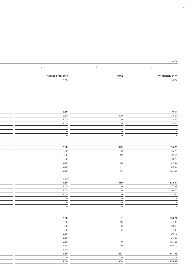$\mathfrak{e}\subset\mathfrak{e}$  in  $\mathfrak{e}\subset\mathfrak{m}$ 

| e                               | f                                          | $\mathsf g$                                                        |
|---------------------------------|--------------------------------------------|--------------------------------------------------------------------|
|                                 |                                            |                                                                    |
| Average maturity                | RWAs                                       | RWA density in %                                                   |
| 2.50                            |                                            | 0.04                                                               |
| $\hspace{0.1mm}-\hspace{0.1mm}$ | $\overline{\phantom{0}}$                   | $\hspace{0.1cm} -$                                                 |
|                                 |                                            | $\hspace{0.1mm}-\hspace{0.1mm}$                                    |
|                                 |                                            | $\hspace{0.1mm}-\hspace{0.1mm}$                                    |
|                                 |                                            | $\hspace{0.1mm}-\hspace{0.1mm}$                                    |
|                                 |                                            | $\hspace{0.1mm}-\hspace{0.1mm}$<br>$\hspace{0.1mm}-\hspace{0.1mm}$ |
| $-$                             |                                            | $\hspace{0.1mm}-\hspace{0.1mm}$                                    |
| $\hspace{0.1mm}-\hspace{0.1mm}$ | $\overline{\phantom{a}}$<br>$\overline{1}$ | 0.04                                                               |
| 2.50<br>2.50                    | 329                                        | 28.24                                                              |
| 2.50                            | $\circ$                                    | 3.56                                                               |
| 2.50                            | $\overline{O}$                             | 53.54                                                              |
| $\sim$                          | $\overline{\phantom{m}}$                   |                                                                    |
| $\overline{\phantom{a}}$        |                                            |                                                                    |
|                                 |                                            |                                                                    |
| $\overline{\phantom{0}}$        |                                            |                                                                    |
| $\overline{\phantom{0}}$        | $\overline{\phantom{0}}$                   |                                                                    |
| 2.50                            | 329                                        | 85.35                                                              |
| 2.50                            | 88                                         | 25.72                                                              |
| 2.50                            | 10                                         | 42.54                                                              |
| 2.50                            | 164                                        | 60.70                                                              |
| 2.50                            | 12                                         | 74.23                                                              |
| 2.50                            | 71                                         | 83.67                                                              |
| 2.50                            | 15                                         | 135.68                                                             |
| $\sim$<br>$\sim$                | $\overline{\phantom{0}}$                   |                                                                    |
| 2.50                            | $\overline{\phantom{0}}$                   |                                                                    |
| 2.50                            | 360                                        | 422.54                                                             |
| $\frac{2.50}{ }$                | $\circ$                                    | 27.87                                                              |
| 2.50                            | $\circ$                                    | 36.61                                                              |
| 2.50                            | $\circ$                                    | 42.24                                                              |
| $\hspace{0.1mm}-\hspace{0.1mm}$ |                                            |                                                                    |
|                                 |                                            |                                                                    |
|                                 |                                            |                                                                    |
| $\sim$                          | $\overline{\phantom{0}}$                   |                                                                    |
| —  -<br>2.50                    | $\overline{1}$                             | 106.71                                                             |
| $\frac{2.50}{ }$                | $\frac{148}{ }$                            | 24.40                                                              |
| $\overline{2.50}$               | 30                                         | 43.08                                                              |
| $\overline{2.50}$               | 65                                         | 57.40                                                              |
|                                 | $\overline{1}$                             | 79.13                                                              |
| $\frac{2.50}{2.50}$             | $\overline{4}$                             | 95.83                                                              |
| $\overline{2.50}$               | 9                                          | 135.68                                                             |
| 2.50                            | 10                                         | 255.72                                                             |
| $\overline{2.50}$               | $\overline{\phantom{0}}$                   |                                                                    |
| 2.50                            | 267                                        | $\overline{\phantom{a}}$<br>691.25                                 |
| $\sim$                          | $-$                                        | $\frac{11112}{-}$                                                  |
| 2.50                            | 958                                        |                                                                    |
|                                 |                                            |                                                                    |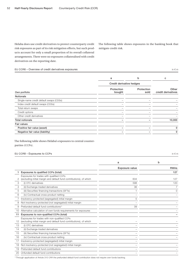Helaba does use credit derivatives to protect counterparty credit risk exposures as part of its risk mitigation efforts, but such products account for only a small proportion of its overall collateral arrangements. There were no exposures collateralised with credit derivatives on the reporting date.

The following table shows exposures in the banking book that mitigate credit risk.

#### EU CCR6 – Overview of credit derivatives exposures in € m in € m in € m in € m in € m in € m in € m in € m in € m

|                                         | a                    | b                        | C                           |
|-----------------------------------------|----------------------|--------------------------|-----------------------------|
|                                         |                      | Credit derivative hedges |                             |
| Own portfolio                           | Protection<br>bought | Protection<br>sold       | Other<br>credit derivatives |
| <b>Notionals</b>                        |                      |                          |                             |
| Single-name credit default swaps (CDSs) |                      |                          |                             |
| Index credit default swaps (CDSs)       |                      |                          |                             |
| Total return swaps                      |                      |                          |                             |
| Credit options                          |                      |                          |                             |
| Other credit derivatives                |                      |                          |                             |
| <b>Total notionals</b>                  |                      |                          | 10,000                      |
| <b>Fair values</b>                      |                      |                          |                             |
| Positive fair value (asset)             |                      |                          | 0                           |
| Negative fair value (liability)         |                      |                          | 0                           |
|                                         |                      |                          |                             |

The following table shows Helaba's exposures to central counterparties (CCPs).

#### EU CCR8 – Exposures to CCPs in € m

|    |                                                                                                                     | a              | b           |
|----|---------------------------------------------------------------------------------------------------------------------|----------------|-------------|
|    |                                                                                                                     | Exposure value | <b>RWAs</b> |
|    | Exposures to qualified CCPs (total)                                                                                 |                | 127         |
|    | Exposures for trades with qualified CCPs<br>(excluding initial margin and default fund contributions), of which     | 634            | 127         |
| 3  | (i) OTC derivatives                                                                                                 | 598            | 120         |
| 4  | (ii) Exchange-traded derivatives                                                                                    | 36             |             |
| 5  | (iii) Securities financing transactions (SFTs)                                                                      |                | $\Omega$    |
| 6  | (iv) Contractual cross-product netting                                                                              |                |             |
|    | Insolvency-protected (segregated) initial margin                                                                    | 5              |             |
| 8  | Not insolvency-protected (not segregated) initial margin                                                            |                |             |
| 9  | Prefunded default fund contributions <sup>1)</sup>                                                                  | 39             |             |
| 10 | Alternative calculation of own funds requirements for exposures                                                     |                |             |
| 11 | Exposures to non-qualified CCPs (total)                                                                             |                |             |
| 12 | Exposures for trades with non-qualified CCPs<br>(excluding initial margin and default fund contributions), of which |                |             |
| 13 | (i) OTC derivatives                                                                                                 |                |             |
| 14 | (ii) Exchange-traded derivatives                                                                                    |                |             |
| 15 | (iii) Securities financing transactions (SFTs)                                                                      |                |             |
| 16 | (iv) Contractual cross-product netting                                                                              |                |             |
| 17 | Insolvency-protected (segregated) initial margin                                                                    |                |             |
| 18 | Not insolvency-protected (not segregated) initial margin                                                            |                |             |
| 19 | Prefunded default fund contributions                                                                                |                |             |
| 20 | Unfunded default fund contributions                                                                                 |                |             |
|    |                                                                                                                     |                |             |

1) Through application of Article 310 CRR the prefunded default fund contribution does not require own funds backing.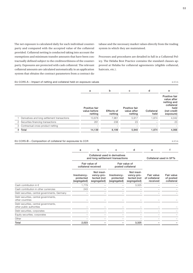The net exposure is calculated daily for each individual counterparty and compared with the accepted value of the collateral provided. Collateral netting is conducted taking into account the exemptions and minimum transfer amounts that have been contractually defined subject to the creditworthiness of the counterparty. Exposures are protected with cash collateral. The relevant collateral amounts are calculated automatically in an application system that obtains the contract parameters from a contract database and the necessary market values directly from the trading system in which they are maintained.

Processes and procedures are detailed in full in a Collateral Policy. The Helaba Best Practice contains the standard clauses approved at Helaba for collateral agreements (eligible collateral, haircuts, etc.).

#### EU CCR5-A – Impact of netting and collateral held on exposure values in  $\epsilon$  m

|                                              | a                                        | b                     | с                                       | d                  | е                                                                                             |
|----------------------------------------------|------------------------------------------|-----------------------|-----------------------------------------|--------------------|-----------------------------------------------------------------------------------------------|
|                                              | Positive fair<br>value before<br>netting | Effects of<br>netting | Positive fair<br>value after<br>netting | Collateral<br>held | Positive fair<br>value after<br>netting and<br>collateral<br>held<br>(net credit<br>exposure) |
| Derivatives and long settlement transactions | 13,878                                   | 7,961                 | 5,917                                   | 1.874              | 4,042                                                                                         |
| 2 Securities financing transactions          | 261                                      | 238                   | 23                                      |                    | 23                                                                                            |
| 3 Contractual cross-product netting          |                                          |                       |                                         |                    |                                                                                               |
| 4 Total                                      | 14,139                                   | 8.199                 | 5,940                                   | 1.874              | 4,066                                                                                         |

#### EU CCR5-B – Composition of collateral for exposures to CCR in  $\epsilon$  m

|                                                                   | a                                        | b                                                                  | с                                        | d                                                      | e                                       |                                       |
|-------------------------------------------------------------------|------------------------------------------|--------------------------------------------------------------------|------------------------------------------|--------------------------------------------------------|-----------------------------------------|---------------------------------------|
|                                                                   |                                          | Collateral used in derivatives<br>and long settlement transactions | Collateral used in SFTs                  |                                                        |                                         |                                       |
|                                                                   | Fair value of<br>collateral received     |                                                                    |                                          | Fair value of<br>posted collateral                     |                                         |                                       |
|                                                                   | Insolvency-<br>protected<br>(segregated) | Not insol-<br>vency-pro-<br>tected (not<br>segregated)             | Insolvency-<br>protected<br>(segregated) | Not insol-<br>vency-pro-<br>tected (not<br>segregated) | Fair value<br>of collateral<br>received | Fair value<br>of posted<br>collateral |
| Cash contribution in $\epsilon$                                   | 1,779                                    |                                                                    |                                          | 3,325                                                  |                                         |                                       |
| Cash contribution in other currencies                             | 243                                      |                                                                    |                                          |                                                        |                                         |                                       |
| Debt securities, central governments, Germany                     |                                          |                                                                    |                                          |                                                        |                                         |                                       |
| Debt securities, central governments,<br>other countries          |                                          |                                                                    |                                          |                                                        |                                         |                                       |
| Debt securities, central governments,<br>other public authorities |                                          |                                                                    |                                          |                                                        |                                         |                                       |
| Debt securities, corporates                                       |                                          |                                                                    |                                          |                                                        |                                         |                                       |
| Equity securities, corporates                                     |                                          |                                                                    |                                          |                                                        |                                         |                                       |
| Other                                                             |                                          |                                                                    |                                          |                                                        |                                         |                                       |
| Total                                                             | 2,023                                    |                                                                    |                                          | 3,325                                                  |                                         |                                       |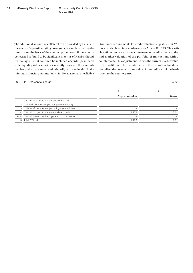Market Risk

The additional amount of collateral to be provided by Helaba in the event of a possible rating downgrade is simulated at regular intervals on the basis of the contract parameters. If the amount concerned is found to be significant in terms of Helaba's liquidity management, it can then be included accordingly in bankwide liquidity risk scenarios. Currently, however, the amounts involved, which are associated primarily with a reduction in the minimum transfer amounts (MTA) for Helaba, remain negligible.

Own funds requirements for credit valuation adjustment (CVA) risk are calculated in accordance with Article 381 CRR. This article defines credit valuation adjustment as an adjustment to the mid-market valuation of the portfolio of transactions with a counterparty. This adjustment reflects the current market value of the credit risk of the counterparty to the institution, but does not reflect the current market value of the credit risk of the institution to the counterparty.

#### EU CCR2 – CVA capital charge in  $\epsilon$  m

|   |                                                    | a              | b           |
|---|----------------------------------------------------|----------------|-------------|
|   |                                                    | Exposure value | <b>RWAs</b> |
|   | 1 CVA risk subject to the advanced method          |                |             |
| 2 | (i) VaR component (including the multiplier)       |                |             |
| 3 | (ii) SVaR component (including the multiplier)     |                |             |
|   | 4 CVA risk subject to the standardised method      | 1.179          | 701         |
|   | EU4 CVA risk based on the original exposure method |                |             |
|   | 5 Total CVA risk                                   | 1,179          | 701         |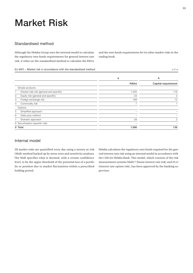## Market Risk

### Standardised method

Although the Helaba Group uses the internal model to calculate the regulatory own funds requirements for general interest rate risk, it relies on the standardised method to calculate the RWAs and the own funds requirements for its other market risks in the trading book.

#### EU MR1 – Market risk in accordance with the standardised method in  $\epsilon$  m

|                                                | a              | b                   |
|------------------------------------------------|----------------|---------------------|
|                                                | <b>RWAs</b>    | Capital requirement |
| Simple products                                |                |                     |
| Interest rate risk (general and specific)<br>1 | 1,450          | 116                 |
| Equity risk (general and specific)<br>2        | 23             | 2                   |
| Foreign exchange risk<br>3                     | 189            | 15                  |
| Commodity risk<br>4                            | $\overline{ }$ |                     |
| Options                                        |                |                     |
| Simplified approach<br>5                       |                |                     |
| Delta-plus method<br>6                         |                |                     |
| 7<br>Scenario approach                         | 28             | 2                   |
| 8 Securitisation (specific risk)               |                |                     |
| 9 Total                                        | 1,696          | 136                 |

### Internal model

All market risks are quantified every day using a money-at-risk (MaR) method backed up by stress tests and sensitivity analyses. The MaR specifies what is deemed, with a certain confidence level, to be the upper threshold of the potential loss of a portfolio or position due to market fluctuations within a prescribed holding period.

Helaba calculates the regulatory own funds required for the general interest rate risk using an internal model in accordance with the CRR for Helaba Bank. This model, which consists of the risk measurement systems MaRC² (linear interest rate risk) and ELLI (interest rate option risk), has been approved by the banking supervisor.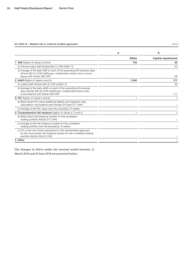#### EU MR2-A – Market risk in internal models approach

| $\sim$ |  |
|--------|--|
|        |  |

|                                                                                                                                                                              | a           | b                   |
|------------------------------------------------------------------------------------------------------------------------------------------------------------------------------|-------------|---------------------|
|                                                                                                                                                                              | <b>RWAs</b> | Capital requirement |
| <b>1 VaR</b> (higher of values a and b)                                                                                                                                      | 740         | 56                  |
| a) Previous day's VaR (Article 365 (1) CRR (VaRt-1))                                                                                                                         |             | 23                  |
| b) Average of the daily VaR on each of the preceding 60 business days<br>(Article 365 (1) CRR) (VaRavg) x multiplication factor (mc) in accor-<br>dance with Article 366 CRR |             | 56                  |
| 2 sVaR (higher of values a and b)                                                                                                                                            | 1,384       | 111                 |
| a) Latest sVaR (Article 365 (2) CRR (sVaRt-1))                                                                                                                               |             | 35                  |
| b) Average of the daily sVaR on each of the preceding 60 business<br>days (Article 365 (2) CRR) (sVaRavg) x multiplication factor (ms)<br>in accordance with Article 366 CRR |             | 111                 |
| <b>3 IRC</b> (higher of values a and b)                                                                                                                                      |             |                     |
| a) Most recent IRC value (additional default and migration risks,<br>calculated in accordance with Articles 370 and 371 CRR)                                                 |             |                     |
| b) Average of the IRC value over the preceding 12 weeks                                                                                                                      |             |                     |
| 4 Comprehensive risk measure (higher of values a, b and c)                                                                                                                   |             |                     |
| a) Most recent risk measure number for the correlation<br>trading portfolio (Article 377 CRR)                                                                                |             |                     |
| b) Average of the risk measure number for the correlation<br>trading portfolio over the preceding 12 weeks                                                                   |             |                     |
| c) 8% of the own funds requirement in the standardised approach<br>for the most recent risk measure number for the correlation trading<br>portfolio (Article 338 (4) CRR)    |             |                     |
| 5 Other                                                                                                                                                                      |             |                     |
|                                                                                                                                                                              |             |                     |

The changes in RWAs under the internal model between 31 March 2018 and 30 June 2018 are presented below.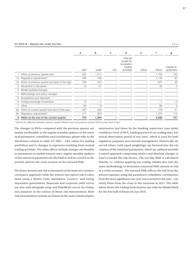#### EU MR2-B – Market risk under the IMA in  $\epsilon$  m

|    |                                               | a    | b     | C          | d                                                             | e     | f           | g                        |
|----|-----------------------------------------------|------|-------|------------|---------------------------------------------------------------|-------|-------------|--------------------------|
|    |                                               | VaR  | sVaR  | <b>IRC</b> | Internal<br>model for<br>correlation<br>trading<br>activities | Other | <b>RWAs</b> | Capital re-<br>quirement |
|    | RWAs at previous quarter-end                  | 542  | 1,211 |            |                                                               |       | 1,753       | 140                      |
| 1a | Regulatory adjustments <sup>1)</sup>          | 346  | 799   |            |                                                               |       | 1,145       | 92                       |
| 1b | RWAs at previous quarter-end (end of the day) | 195  | 412   |            |                                                               |       | 607         | 49                       |
| 2  | Movement in risk levels                       | 12   | 21    |            |                                                               |       | 33          | 3                        |
| 3  | Model updates/changes                         |      |       |            |                                                               |       |             |                          |
| 4  | Methodology and policy changes                |      |       |            |                                                               |       |             |                          |
| 5  | Acquisitions and disposals                    |      |       |            |                                                               |       |             |                          |
| 6  | Foreign exchange movements                    | $-0$ | $-1$  |            |                                                               |       | $-1$        | $-0$                     |
|    | Other                                         | 80   | $-0$  |            |                                                               |       | 80          | 6                        |
| 8a | RWAs at current quarter-end (end of the day)  | 287  | 432   |            |                                                               |       | 719         | 57                       |
| 8b | Regulatory adjustments <sup>1)</sup>          | 417  | 953   |            |                                                               |       | 1,370       | 110                      |
| 8  | RWAs at the end of the current quarter        | 704  | 1,384 |            |                                                               |       | 2,088       | 167                      |

1) Shows the difference between previous quarter RWAs/current and previous quarter RWAs/current (end of day).

The changes in RWAs compared with the previous quarter are mainly attributable to the regular monthly updates of the statistical parameters (volatilities and correlations; please refer to the disclosures related to table EU MR3 – IMA values for trading portfolios) and to changes in exposures resulting from normal trading activities. The other effects include changes attributable to movements in market interest rates, regular monthly updates of the statistical parameters for the MaR as well as a switch in the periods used for the crisis scenario in the stressed MaR.

The linear interest rate risk is measured on the basis of a variancecovariance approach, while the interest rate option risk is calculated using a Monte Carlo simulation. Country- and ratingdependent government, financials and corporate yield curves are also used alongside swap and Pfandbrief curves for evaluation purposes in the context of linear risk measurement. Both risk measurement systems are based on the same statistical parametrisation laid down by the banking supervisor (one-tailed confidence level of 99 %, holding period of ten trading days, historical observation period of one year), which is used for both regulatory purposes and internal management. Historically observed values (with equal weightings) are factored into the calculation of the statistical parameters, which are updated monthly. A mixed approach comprising relative and absolute changes is used to model the risk factors. The ten-day MaR is calculated directly, i.e. without applying any scaling. Helaba also uses the same methodology to determine a stressed MaR (money-at-risk in a crisis scenario). The stressed MaR reflects the risk from the present exposure using risk parameters (volatilities, correlations) from the most significant one-year stress period in the past – currently those from the crisis in the eurozone in 2012. The table below shows the trading book interest rate risks for Helaba Bank for the first half of financial year 2018.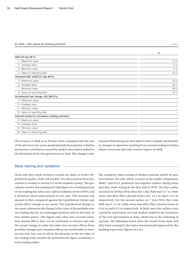#### EU MR3 – IMA values for trading portfolios in  $\epsilon$  m

|                                                   | a    |
|---------------------------------------------------|------|
| VaR (10 day 99%)                                  |      |
| Maximum value                                     | 23.0 |
| 2 Average value                                   | 15.5 |
| 3 Minimum value                                   | 11.9 |
| 4 Value on reporting date                         | 23.0 |
| Stressed VaR, sVaR (10 day 99%)                   |      |
| 5 Maximum value                                   | 35.9 |
| 6 Average value                                   | 32.1 |
| 7 Minimum value                                   | 26.5 |
| 8 Value on reporting date                         | 34.5 |
| Incremental risk charge, IRC (99.9%)              |      |
| Maximum value<br>9                                |      |
| 10 Average value                                  |      |
| Minimum value<br>11                               |      |
| 12 Value on reporting date                        |      |
| Internal model for correlation trading activities |      |
| Maximum value<br>13                               |      |
| 14 Average value                                  |      |
| 15 Minimum value                                  |      |
| 16 Value on reporting date                        |      |

The increase in MaR as at 30 June 2018 compared with the end of the previous year stems predominantly from greater volatility and poorer correlations caused by market uncertainty linked to the formation of the new government in Italy. The change in the

stressed MaR during the first half of 2018 is mainly attributable to changes in exposures resulting from normal trading activities, which conversely had only a minor impact on MaR.

#### Back-testing and validation

Clean and dirty back-testing is carried out daily to review the predictive quality of the risk models. The data used in these procedures is verified to ensure it is of the requisite quality. The procedures involve determining the MaR figure for a holding period of one trading day with a one-tailed confidence level of 99 % and a historical observation period of one year. This forecast risk amount is then compared against the hypothetical (clean) and actual (dirty) change in net assets. The hypothetical change in net assets represents the change in the value of the portfolio over one trading day for an unchanged position and on the basis of new market prices. This figure only takes into account valuation-related effects that can be attributed to interest rate risk. The actual change in value also takes into account effects from portfolio changes and valuation effects not attributable to interest rate risk. Any case in which the decrease in the net value of the trading book exceeds the potential risk figure constitutes a back-testing outlier.

The regulatory back-testing of Helaba's internal model for general interest rate risk, which consists of the model components MaRC² and ELLI, produced two negative outliers during clean and dirty back-testing in the first half of 2018. The first outlier occurred on 28 May 2018, when the 1-day MaR was  $\epsilon$  3.7 m, while clean and dirty P&Ls showed losses of  $\epsilon$  15.1 m and  $\epsilon$  14.3 m respectively. For the second outlier on 7 June 2018, the 1-day MaR was € 4.1 m, while clean and dirty P&Ls showed losses of  $\epsilon$  6.6 m and  $\epsilon$  6.5 m respectively. In both cases the outliers were caused by uncertainty in bond markets linked to the formation of the new government in Italy, which led to the widening of spreads. The following charts show the results from clean and dirty back-testing for the entire internal model approved by the banking supervisor (figures in  $\epsilon$  m).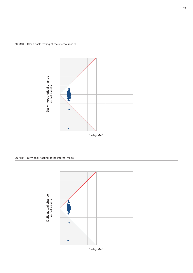

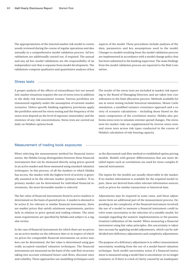The appropriateness of the internal market risk model is continuously reviewed during the course of regular operations and also annually in a comprehensive model validation process. Ad hoc validations are additionally carried out, if required. The annual and any ad hoc model validations are the responsibility of an independent unit that is separate from model development. The validations comprise qualitative and quantitative analyses of key

aspects of the model. These procedures include analyses of the data, parameters and key assumptions used in the model. Changes to models resulting from the model validation process are implemented in accordance with a model change policy that has been submitted to the banking supervisor. The main findings from the model validation process are reported to the Risk Committee.

#### Stress tests

A proper analysis of the effects of extraordinary but not unrealistic market situations requires the use of stress tests in addition to the daily risk measurement routine. Various portfolios are remeasured regularly under the assumption of extreme market scenarios. Unless specific banking regulatory provisions apply, the portfolios selected for stress testing and the frequency of the stress tests depend on the level of exposure (materiality) and the existence of any risk concentrations. Stress tests are carried out daily on Helaba's options book.

The results of the stress tests are included in market risk reporting to the Board of Managing Directors and are taken into consideration in the limit allocation process. Methods available for use in stress testing include historical simulation, Monte Carlo simulation, a modified variance-covariance approach and a variety of scenario calculations – including those based on the main components of the correlation matrix. Helaba also performs stress tests to simulate extreme spread changes. The stress tests for market risks are supplemented by inverse stress tests and stress tests across risk types conducted in the course of Helaba's calculation of risk-bearing capacity.

#### Measurement of trading book exposures

When selecting the measurement method for financial instruments, the Helaba Group distinguishes between those financial instruments that can be measured directly using prices quoted in an active market and those measured using standard valuation techniques. In this process, of all the markets to which Helaba has access, the market with the highest level of activity is generally assumed to be the relevant market (primary market). If no primary market can be determined for individual financial instruments, the most favourable market is selected.

The fair value of financial instruments listed in active markets is determined on the basis of quoted prices. A market is deemed to be active if, for relevant or similar financial instruments, there are market prices that satisfy minimum requirements, particularly in relation to price spread and trading volume. The minimum requirements are specified by Helaba and subject to a regular review.

In the case of financial instruments for which there are no prices on an active market on the reference date or in respect of which no prices for comparable financial instruments on active markets can be determined, the fair value is determined using generally accepted standard valuation techniques. The financial instruments are measured on the basis of the cash flow structure, taking into account estimated future cash flows, discount rates and volatility. These approaches use modelling techniques such

as the discounted cash flow method or established option pricing models. Models with greater differentiation that use more detailed inputs such as correlations are used for more complex financial instruments.

The inputs for the models are usually observable in the market. If no market information is available for the required model inputs, these are derived from other relevant information sources, such as prices for similar transactions or historical data.

Adjustments may be required in some cases, and these adjustments form an additional part of the measurement process. Depending on the complexity of the financial instrument involved, the use of a model to measure a financial instrument could involve some uncertainty in the selection of a suitable model, for example regarding the numeric implementation or the parametrisation/calibration of the model. When measuring a financial instrument using fair value principles, this uncertainty is taken into account by applying model adjustments, which can be subdivided into deficiency adjustments and complexity adjustments.

The purpose of a deficiency adjustment is to reflect measurement uncertainty resulting from the use of a model-based valuation technique. Such model uncertainty arises if a financial instrument is measured using a model that is uncommon (or no longer common) or if there is a lack of clarity caused by an inadequate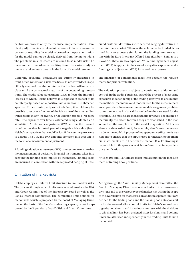calibration process or by the technical implementation. Complexity adjustments are taken into account if there is no market consensus regarding the model to be used or the parametrisation for the model cannot be clearly derived from the market data. The problems in such cases are referred to as model risk. The measurement markdowns resulting from the various adjustments are taken into account in the form of a model reserve.

Generally speaking, derivatives are currently measured in front-office systems on a risk-free basis. In other words, it is specifically assumed that the counterparties involved will remain in place until the contractual maturity of the outstanding transactions. The credit value adjustment (CVA) reflects the imputed loss risk to which Helaba believes it is exposed in respect of its counterparty, based on a positive fair value from Helaba's perspective. If the counterparty were to default, it would only be possible to recover a fraction of the fair value of the outstanding transactions in any insolvency or liquidation process (recovery rate). The exposure over time is estimated using a Monte Carlo simulation. A debit value adjustment (DVA) mirrors the CVA and is defined as that imputed part of a negative fair value (from Helaba's perspective) that would be lost if the counterparty were to default. The CVA and DVA amounts are taken into account in the form of a measurement adjustment.

A funding valuation adjustment (FVA) is necessary to ensure that the measurement of derivative financial instruments takes into account the funding costs implied by the market. Funding costs are incurred in connection with the replicated hedging of unsecured customer derivatives with secured hedging derivatives in the interbank market. Whereas the volume to be funded is derived from an exposure simulation, the funding rates are set in line with the Euro Interbank Offered Rate (Euribor). Similar to a CVA/DVA, there are two types of FVA. A funding benefit adjustment (FBA) is applied in the case of a negative exposure, and a funding cost adjustment (FCA) for a positive exposure.

The inclusion of adjustments takes into account the requirements for prudent valuation.

The valuation process is subject to continuous validation and control. In the trading business, part of the process of measuring exposures independently of the trading activity is to ensure that the methods, techniques and models used for the measurement are appropriate. New measurement models are generally subject to comprehensive initial validation before they are used for the first time. The models are then regularly reviewed depending on materiality, the extent to which they are established in the market and on the complexity of the model in question. Ad hoc reviews are also carried out if, for example, significant changes are made to the model. A process of independent verification is carried out to ensure that the inputs used for measuring the financial instruments are in line with the market. Risk Controlling is responsible for this process, which is referred to as independent price verification.

Articles 104 and 105 CRR are taken into account in the measurement of trading book positions.

#### Limitation of market risks

Helaba employs a uniform limit structure to limit market risks. The process through which limits are allocated involves the Risk and Credit Committee of the Supervisory Board as well as the Bank's internal committees. The cumulative limit defined for market risk, which is proposed by the Board of Managing Directors on the basis of the Bank's risk-bearing capacity, must be approved by the Supervisory Board's Risk and Credit Committee.

Acting through the Asset/Liability Management Committee, the Board of Managing Directors allocates limits to the risk-relevant divisions and to the various types of market risk within the scope of the overall limit for market risk. In addition separate limits are defined for the trading book and the banking book. Responsibility for the onward allocation of limits to Helaba's subordinate organisational units and its various sites rests with the divisions to which a limit has been assigned. Stop-loss limits and volume limits are also used independently in the trading units to limit market risk.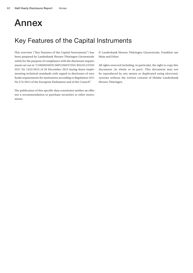## Annex

### Key Features of the Capital Instruments

This overview ("Key Features of the Capital Instruments") has been prepared by Landesbank Hessen-Thüringen Girozentrale solely for the purpose of compliance with the disclosure requirements set out in "COMMISSION IMPLEMENTING REGULATION (EU) No 1423/2013 of 20 December 2013 laying down implementing technical standards with regard to disclosure of own funds requirements for institutions according to Regulation (EU) No 575/2013 of the European Parliament and of the Council".

The publication of this specific data constitutes neither an offer nor a recommendation to purchase securities or other instruments.

© Landesbank Hessen-Thüringen Girozentrale, Frankfurt am Main and Erfurt

All rights reserved including, in particular, the right to copy this document (in whole or in part). This document may not be reproduced by any means or duplicated using electronic systems without the written consent of Helaba Landesbank Hessen-Thüringen.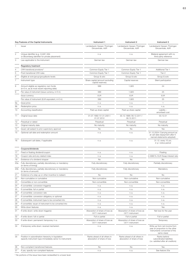|                 | Key Features of the Capital Instruments                                                                          | Instrument 1                                                | Instrument 2                                                | Instrument 3                                                                                                     |
|-----------------|------------------------------------------------------------------------------------------------------------------|-------------------------------------------------------------|-------------------------------------------------------------|------------------------------------------------------------------------------------------------------------------|
|                 | Issuer                                                                                                           | Landesbank Hessen-Thüringen<br>Girozentrale, AöR            | Landesbank Hessen-Thüringen<br>Girozentrale, AöR            | Landesbank Hessen-Thüringen<br>Girozentrale, AöR                                                                 |
| $\mathbf{2}$    | Unique identifier (e.g. CUSIP, ISIN<br>or Bloomberg identifier for private placement)                            | n. a.                                                       | n. a.                                                       | Bilateral agreement with no<br>third-party reference                                                             |
| 3               | Law applicable to the instrument                                                                                 | German law                                                  | German law                                                  | German law                                                                                                       |
|                 | <b>Regulatory treatment</b>                                                                                      |                                                             |                                                             |                                                                                                                  |
| 4               | CRR transitional provisions <sup>1)</sup>                                                                        | Common Equity Tier 1                                        | Common Equity Tier 1                                        | Additional Tier 1                                                                                                |
| 5               | Post-transitional CRR rules                                                                                      | Common Equity Tier 1                                        | Common Equity Tier 1                                        | Tier 2                                                                                                           |
| 6               | Eligible at solo/group/group&solo levels                                                                         | Group & solo                                                | Group & solo                                                | Group & solo                                                                                                     |
| 7               | Instrument type                                                                                                  | Share capital (amount excluding<br>capital reserves)        | Capital reserves                                            | Silent participation                                                                                             |
| 8               | Amount eligible as regulatory own funds<br>(in $\epsilon$ m, as at most recent reporting date)                   | 589                                                         | 1,920                                                       | 24                                                                                                               |
| 9               | Par value of instrument (issue currency, in $\epsilon$ m)                                                        | 589                                                         | 1,920                                                       | 25                                                                                                               |
|                 | Issue currency                                                                                                   | <b>EUR</b>                                                  | <b>EUR</b>                                                  | <b>EUR</b>                                                                                                       |
|                 | Par value of instrument (EUR equivalent, in $\in$ m)                                                             | 589                                                         | 1,920                                                       | 25                                                                                                               |
| 9a              | Issue price                                                                                                      | n. a.                                                       | n. a.                                                       | $\mathbf{1}$                                                                                                     |
| 9b              | Redemption price                                                                                                 | n.a.                                                        | n.a.                                                        | n.a.                                                                                                             |
| 10              | Accounting classification                                                                                        | Paid-up share capital                                       | Paid-up share capital                                       | Liability -<br>amortised cost                                                                                    |
| 11              | Original issue date                                                                                              | 01.07.1992/01.01.2001/<br>01.07.2012                        | 30.12.1998/06.12.2011/<br>09.12.2011                        | 03.12.01                                                                                                         |
| 12              | Perpetual or dated                                                                                               | Perpetual                                                   | Perpetual                                                   | Perpetual                                                                                                        |
| 13              | Original maturity date                                                                                           | No maturity                                                 | No maturity                                                 | No maturity                                                                                                      |
| 14              | Issuer call subject to prior supervisory approval                                                                | No                                                          | No                                                          | Yes                                                                                                              |
| 15              | Optional call date and redemption amount                                                                         | n.a.                                                        | n. a.                                                       | 31.12.2024 / Carrying amount as<br>at call date (repayment after fi-<br>nancial statements adopted)              |
| 16              | Subsequent call dates, if applicable                                                                             | n. a.                                                       | n. a.                                                       | 31.12. every 10 yrs.<br>2-yr. notice period                                                                      |
|                 | Coupons/dividends                                                                                                |                                                             |                                                             |                                                                                                                  |
| 17              | Fixed or floating dividend/coupon                                                                                | n.a.                                                        | n. a.                                                       | Floating                                                                                                         |
| 18              | Coupon rate and any related index                                                                                | n.a.                                                        | n.a.                                                        | 2.4990 % / EUR Swap interest rate                                                                                |
| 19              | Existence of a dividend stopper                                                                                  | No                                                          | No                                                          | No                                                                                                               |
| 20a             | Fully discretionary, partially discretionary or mandatory<br>(in terms of timing)                                | Fully discretionary                                         | Fully discretionary                                         | Partially discretionary                                                                                          |
| 20 <sub>b</sub> | Fully discretionary, partially discretionary or mandatory<br>(in terms of amount)                                | Fully discretionary                                         | Fully discretionary                                         | Mandatory                                                                                                        |
| 21              | Existence of a step up or other incentive to redeem                                                              | <b>No</b>                                                   | <b>No</b>                                                   | <b>No</b>                                                                                                        |
| 22              | Non-cumulative or cumulative                                                                                     | Non-cumulative                                              | Non-cumulative                                              | Non-cumulative                                                                                                   |
| 23              | Convertible or non-convertible                                                                                   | Non-convertible                                             | Non-convertible                                             | Non-convertible                                                                                                  |
| 24              | If convertible: conversion trigger(s)                                                                            | n. a.                                                       | n. a.                                                       | n.a.                                                                                                             |
| 25              | If convertible: full or partial                                                                                  | n. a.                                                       | n. a.                                                       | n.a.                                                                                                             |
| 26              | If convertible: conversion rate                                                                                  | n.a.                                                        | n.a.                                                        | n.a.                                                                                                             |
| 27              | If convertible: conversion obligatory or optional                                                                | n.a.                                                        | n. a.                                                       | n.a.                                                                                                             |
| 28              | If convertible: instrument type to be converted into                                                             | n.a.                                                        | n. a.                                                       | n.a.                                                                                                             |
| 29              | If convertible: issuer of instrument to be converted into                                                        | n.a.                                                        | n. a.                                                       | n.a.                                                                                                             |
| 30              | Write-down features                                                                                              | n. a.                                                       | n. a.                                                       | Yes                                                                                                              |
| 31              | If write-down: write-down trigger(s)                                                                             | Absorption of share of loss as<br>CET1 instrument           | Absorption of share of loss as<br>CET1 instrument           | Net loss for the year                                                                                            |
| 32              | If write-down: full or partial                                                                                   | Full or partial                                             | Full or partial                                             | Full or partial                                                                                                  |
| 33              | If write-down: permanent/temporary/n.a.                                                                          | Absorption of share of loss as<br>CET1 instrument           | Absorption of share of loss as<br>CET1 instrument           | Temporary                                                                                                        |
| 34              | If temporary write-down: reversal mechanism                                                                      | n. a.                                                       | n. a.                                                       | Write-up from net income from<br>year (in proportion to the other<br>instruments concerned of the<br>same class) |
| 35              | Position in subordination hierarchy in liquidation<br>(specify instrument type immediately senior to instrument) | Ranks ahead of all others in<br>absorption of share of loss | Ranks ahead of all others in<br>absorption of share of loss | Ranks behind<br>subordinated liabilities<br>(i.e. satisfied after all creditors)                                 |
| 36              | Non-compliant transitioned features                                                                              | No                                                          | No                                                          | Yes                                                                                                              |
| 37              | If yes, specify non-compliant features                                                                           | n.a.                                                        | n.a.                                                        | See feature 20a                                                                                                  |

<sup>1)</sup> No portions of the issue have been reclassified to a lower level.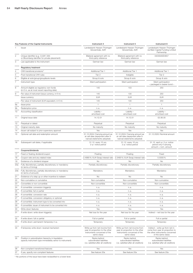|         | Key Features of the Capital Instruments                                                                             | Instrument 4                                                                                                     | Instrument 5                                                                                                     | Instrument 6                                                                                                                  |  |
|---------|---------------------------------------------------------------------------------------------------------------------|------------------------------------------------------------------------------------------------------------------|------------------------------------------------------------------------------------------------------------------|-------------------------------------------------------------------------------------------------------------------------------|--|
|         | Issuer                                                                                                              | Landesbank Hessen-Thüringen<br>Girozentrale, AöR                                                                 | Landesbank Hessen-Thüringen<br>Girozentrale, AöR                                                                 | Landesbank Hessen-Thüringen<br>via Main Capital Funding Limited<br>Partnership                                                |  |
|         | Unique identifier (e.g. CUSIP, ISIN<br>or Bloomberg identifier for private placement)                               | Bilateral agreement with no<br>third-party reference                                                             | Bilateral agreement with no<br>third-party reference                                                             | DE000A0E4657                                                                                                                  |  |
|         | Law applicable to the instrument                                                                                    | German law                                                                                                       | German law                                                                                                       | German law                                                                                                                    |  |
|         | <b>Regulatory treatment</b>                                                                                         |                                                                                                                  |                                                                                                                  |                                                                                                                               |  |
|         | CRR transitional provisions <sup>1)</sup>                                                                           | Additional Tier 1                                                                                                | Additional Tier 1                                                                                                | Additional Tier 1                                                                                                             |  |
|         | Post-transitional CRR rules                                                                                         | Tier 2                                                                                                           | Ineligible                                                                                                       | Tier 2                                                                                                                        |  |
|         | Eligible at solo/group/group&solo levels                                                                            | Group & solo                                                                                                     | Group & solo                                                                                                     | Group & solo                                                                                                                  |  |
|         | Instrument type                                                                                                     | Silent participation                                                                                             | Silent participation                                                                                             | Silent participation<br>- packaged in bearer bond -                                                                           |  |
|         | Amount eligible as regulatory own funds<br>(in $\epsilon$ m, as at most recent reporting date)                      | 145                                                                                                              | 103                                                                                                              | 250                                                                                                                           |  |
|         | Par value of instrument (issue currency, in $\epsilon$ m)                                                           | 145                                                                                                              | 130                                                                                                              | 250                                                                                                                           |  |
|         | Issue currency                                                                                                      | <b>EUR</b>                                                                                                       | <b>EUR</b>                                                                                                       | <b>EUR</b>                                                                                                                    |  |
|         | Par value of instrument (EUR equivalent, in $\in$ m)                                                                | 145                                                                                                              | 130                                                                                                              | 250                                                                                                                           |  |
| 9а      | Issue price                                                                                                         | $\overline{1}$                                                                                                   | $\overline{1}$                                                                                                   | $\overline{1}$                                                                                                                |  |
| 9b      | Redemption price                                                                                                    | n.a.                                                                                                             | n.a.                                                                                                             | n.a.                                                                                                                          |  |
| $10-10$ | Accounting classification                                                                                           | Liability -<br>amortised cost                                                                                    | Liability -<br>amortised cost                                                                                    | Liability-<br>amortised cost                                                                                                  |  |
|         |                                                                                                                     |                                                                                                                  |                                                                                                                  |                                                                                                                               |  |
|         | 11 Original issue date                                                                                              | 14.12.01                                                                                                         | 14.12.01                                                                                                         | 02.06.05                                                                                                                      |  |
| 12      | Perpetual or dated                                                                                                  | Perpetual                                                                                                        | Perpetual                                                                                                        | Perpetual                                                                                                                     |  |
|         | 13 Original maturity date                                                                                           | No maturity                                                                                                      | No maturity                                                                                                      | No maturity                                                                                                                   |  |
| 14      | Issuer call subject to prior supervisory approval                                                                   | Yes                                                                                                              | Yes                                                                                                              | Yes                                                                                                                           |  |
|         | 15 Optional call date and redemption amount                                                                         | 31.12.2024 / Carrying amount as<br>at call date (repayment after fi-<br>nancial statements adopted)              | 31.12.2024 / Carrying amount as<br>at call date (repayment after fi-<br>nancial statements adopted)              | 31.12.2020 / Nominal amount                                                                                                   |  |
| 16      | Subsequent call dates, if applicable                                                                                | 31.12. every 10 yrs.<br>2-yr. notice period                                                                      | 31.12. every 10 yrs.<br>2-yr. notice period                                                                      | 31.12. each yr. 2-yr. notice<br>period only if carrying<br>$amount = nom. amount$                                             |  |
|         | Coupons/dividends                                                                                                   |                                                                                                                  |                                                                                                                  |                                                                                                                               |  |
| 17      | Fixed or floating dividend/coupon                                                                                   | Floating                                                                                                         | Floating                                                                                                         | Fixed                                                                                                                         |  |
| 18      | Coupon rate and any related index                                                                                   | 2.4990%/EUR Swap interest rate 2.3490%/EUR Swap interest rate                                                    |                                                                                                                  | 5.5000%                                                                                                                       |  |
| 19      | Existence of a dividend stopper                                                                                     | No                                                                                                               | No                                                                                                               | No                                                                                                                            |  |
| 20a     | Fully discretionary, partially discretionary or mandatory<br>(in terms of timing)                                   | Partially discretionary                                                                                          | Partially discretionary                                                                                          | Partially discretionary                                                                                                       |  |
|         | 20b Fully discretionary, partially discretionary or mandatory<br>(in terms of amount)                               | Mandatory                                                                                                        | Mandatory                                                                                                        | Mandatory                                                                                                                     |  |
| 21      | Existence of a step up or other incentive to redeem                                                                 | No                                                                                                               | No                                                                                                               | No                                                                                                                            |  |
| 22      | Non-cumulative or cumulative                                                                                        | Non-cumulative                                                                                                   | Non-cumulative                                                                                                   | Non-cumulative                                                                                                                |  |
| 23      | Convertible or non-convertible                                                                                      | Non-convertible                                                                                                  | Non-convertible                                                                                                  | Non-convertible                                                                                                               |  |
| 24      | If convertible: conversion trigger(s)                                                                               | n.a.                                                                                                             | n. a.                                                                                                            | n.a.                                                                                                                          |  |
| 25      | If convertible: full or partial                                                                                     | n. a.                                                                                                            | n. a.                                                                                                            | n.a.                                                                                                                          |  |
|         | 26 If convertible: conversion rate                                                                                  | n.a.                                                                                                             | n. a.                                                                                                            | n.a.                                                                                                                          |  |
|         | 27 If convertible: conversion obligatory or optional                                                                | n. a.                                                                                                            | n.a.                                                                                                             | n.a.                                                                                                                          |  |
|         | 28 If convertible: instrument type to be converted into                                                             | n.a.                                                                                                             | n. a.                                                                                                            | n.a.                                                                                                                          |  |
|         | 29 If convertible: issuer of instrument to be converted into                                                        | n. a.                                                                                                            | n. a.                                                                                                            | n.a.                                                                                                                          |  |
|         | 30 Write-down features                                                                                              | Yes                                                                                                              | Yes                                                                                                              | Yes                                                                                                                           |  |
|         | 31 If write-down: write-down trigger(s)                                                                             | Net loss for the year                                                                                            | Net loss for the year                                                                                            | Indirect - net loss for the year                                                                                              |  |
|         | 32 If write-down: full or partial                                                                                   | Full or partial                                                                                                  | Full or partial                                                                                                  | Full or partial                                                                                                               |  |
|         | 33 If write-down: permanent/temporary/n.a.                                                                          | Temporary                                                                                                        | Temporary                                                                                                        | Temporary                                                                                                                     |  |
|         | 34 If temporary write-down: reversal mechanism                                                                      | Write-up from net income from<br>year (in proportion to the other<br>instruments concerned of the<br>same class) | Write-up from net income from<br>year (in proportion to the other<br>instruments concerned of the<br>same class) | Indirect – write-up from net in-<br>come from year (in proportion to<br>the other instruments concerned<br>of the same class) |  |
|         | 35 Position in subordination hierarchy in liquidation<br>(specify instrument type immediately senior to instrument) | Ranks behind<br>subordinated liabilities<br>(i.e. satisfied after all creditors)                                 | Ranks behind<br>subordinated liabilities<br>(i.e. satisfied after all creditors)                                 | Ranks behind<br>subordinated liabilities<br>(i.e. satisfied after all creditors)                                              |  |
| 36      | Non-compliant transitioned features                                                                                 | Yes                                                                                                              | Yes                                                                                                              | Yes                                                                                                                           |  |
| 37      | If yes, specify non-compliant features                                                                              | See feature 20a                                                                                                  | See feature 20a                                                                                                  | See feature 20a                                                                                                               |  |
|         |                                                                                                                     |                                                                                                                  |                                                                                                                  |                                                                                                                               |  |

<sup>1)</sup> No portions of the issue have been reclassified to a lower level.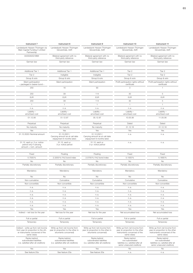| Instrument 7                                                                                                                  | Instrument 8                                                                                  | Instrument 9                                                                                  | Instrument 10                                                                                                    | Instrument 11                                                                                                    |
|-------------------------------------------------------------------------------------------------------------------------------|-----------------------------------------------------------------------------------------------|-----------------------------------------------------------------------------------------------|------------------------------------------------------------------------------------------------------------------|------------------------------------------------------------------------------------------------------------------|
| Landesbank Hessen-Thüringen via<br>Main Capital Funding II Limited<br>Partnership                                             | Landesbank Hessen-Thüringen<br>Girozentrale, AöR                                              | Landesbank Hessen-Thüringen<br>Girozentrale, AöR                                              | Landesbank Hessen-Thüringen<br>Girozentrale, AöR                                                                 | Landesbank Hessen-Thüringen<br>Girozentrale, AöR                                                                 |
| DE000A0G18M4                                                                                                                  | Bilateral agreement with no<br>third-party reference                                          | Bilateral agreement with no<br>third-party reference                                          | Bilateral agreement with no<br>third-party reference                                                             | Bilateral agreement with no<br>third-party reference                                                             |
| German law                                                                                                                    | German law                                                                                    | German law                                                                                    | German law                                                                                                       | German law                                                                                                       |
| Additional Tier 1                                                                                                             |                                                                                               |                                                                                               | Tier 2                                                                                                           | Tier 2                                                                                                           |
| Tier 2                                                                                                                        | Additional Tier 1<br>Ineligible                                                               | Additional Tier 1<br>Ineligible                                                               | Tier 2                                                                                                           | Tier 2                                                                                                           |
| Group & solo                                                                                                                  | Group & solo                                                                                  | Group & solo                                                                                  | Group & solo                                                                                                     | Group & solo                                                                                                     |
| Silent participation<br>- packaged in bearer bond -                                                                           | Silent participation                                                                          | Silent participation                                                                          | Profit participation rights without<br>certificate                                                               | Profit participation rights without<br>certificate                                                               |
| 250                                                                                                                           | 16                                                                                            | 93                                                                                            | 3                                                                                                                | $\overline{1}$                                                                                                   |
| 250                                                                                                                           | 39                                                                                            | 114                                                                                           | 30                                                                                                               | $5\overline{)}$                                                                                                  |
| <b>EUR</b>                                                                                                                    | EUR                                                                                           | <b>EUR</b>                                                                                    | <b>EUR</b>                                                                                                       | <b>EUR</b>                                                                                                       |
| 250                                                                                                                           | 39                                                                                            | 114                                                                                           | 30                                                                                                               | $5\overline{)}$                                                                                                  |
|                                                                                                                               | $\overline{1}$                                                                                | $\overline{1}$                                                                                | $\overline{1}$                                                                                                   | $\overline{1}$                                                                                                   |
| n.a.                                                                                                                          | n.a.                                                                                          | n.a.                                                                                          | n.a.                                                                                                             | n.a.                                                                                                             |
| Liability -<br>amortised cost                                                                                                 | Liability -<br>amortised cost                                                                 | $Liability -$<br>amortised cost                                                               | Liability -<br>amortised cost                                                                                    | Liability -<br>amortised cost                                                                                    |
| 01.12.06                                                                                                                      | 01.12.97                                                                                      | 05.12.97                                                                                      | 10.05.06                                                                                                         | 11.05.06                                                                                                         |
| Perpetual                                                                                                                     | Perpetual                                                                                     | Perpetual                                                                                     | Dated                                                                                                            | Dated                                                                                                            |
| No maturity                                                                                                                   | No maturity                                                                                   | No maturity                                                                                   | 31.12.18                                                                                                         | 31.12.18                                                                                                         |
| Yes                                                                                                                           | Yes                                                                                           | Yes                                                                                           | Yes                                                                                                              | Yes                                                                                                              |
| 31.12.2020 / Nominal amount                                                                                                   | 31.12.2021/<br>Carrying amount as at call date<br>(repayment 6 months later)                  | 31.12.2021/<br>Carrying amount as at call date<br>(repayment 6 months later)                  | n.a.                                                                                                             | n.a.                                                                                                             |
| 31.12. each yr. 2-yr. notice<br>period only if carrying<br>amount = nom. amount                                               | 31.12. each yr.<br>3-yr. notice period                                                        | 31.12. each yr.<br>3-yr. notice period                                                        | n.a.                                                                                                             | n.a.                                                                                                             |
| Fixed                                                                                                                         | Floating                                                                                      | Floating                                                                                      | Fixed                                                                                                            | Fixed                                                                                                            |
| 5.7500%                                                                                                                       | 2.3200 % / FAZ bond index                                                                     | 2.0700 % / FAZ bond index                                                                     | 5.1500%                                                                                                          | 5.1800%                                                                                                          |
| <b>No</b>                                                                                                                     | No                                                                                            | <b>No</b>                                                                                     | No                                                                                                               | <b>No</b>                                                                                                        |
| Partially discretionary                                                                                                       | Partially discretionary                                                                       | Partially discretionary                                                                       | Partially discretionary                                                                                          | Partially discretionary                                                                                          |
| Mandatory                                                                                                                     | Mandatory                                                                                     | Mandatory                                                                                     | Mandatory                                                                                                        | Mandatory                                                                                                        |
| No                                                                                                                            | No                                                                                            | <b>No</b>                                                                                     | <b>No</b>                                                                                                        | No                                                                                                               |
| Non-cumulative                                                                                                                | Cumulative                                                                                    | Cumulative                                                                                    | Cumulative                                                                                                       | Cumulative                                                                                                       |
| Non-convertible                                                                                                               | Non-convertible                                                                               | Non-convertible                                                                               | Non-convertible                                                                                                  | Non-convertible                                                                                                  |
| n. a.                                                                                                                         | n.a.                                                                                          | n.a.                                                                                          | n.a.                                                                                                             | n.a.                                                                                                             |
| n.a.<br>n. a.                                                                                                                 | n.a.<br>n.a.                                                                                  | n.a.<br>n.a.                                                                                  | n.a.<br>n.a.                                                                                                     | n.a.<br>n.a.                                                                                                     |
| n. a.                                                                                                                         | n.a.                                                                                          | n.a.                                                                                          | n.a.                                                                                                             | n.a.                                                                                                             |
| n.a.                                                                                                                          | n.a.                                                                                          | n.a.                                                                                          | n.a.                                                                                                             | n.a.                                                                                                             |
| n. a.                                                                                                                         | n.a.                                                                                          | n.a.                                                                                          | n.a.                                                                                                             | n.a.                                                                                                             |
| Yes                                                                                                                           | Yes                                                                                           | Yes                                                                                           | Yes                                                                                                              | Yes                                                                                                              |
| Indirect - net loss for the year                                                                                              | Net loss for the year                                                                         | Net loss for the year                                                                         | Net accumulated loss                                                                                             | Net accumulated loss                                                                                             |
| Full or partial                                                                                                               | Full or partial                                                                               | Full or partial                                                                               | Full or partial                                                                                                  | Full or partial                                                                                                  |
| Temporary                                                                                                                     | Temporary                                                                                     | Temporary                                                                                     | Temporary                                                                                                        | Temporary                                                                                                        |
| Indirect - write-up from net income<br>from year (in proportion to the oth-<br>er instruments concerned of the<br>same class) | Write-up from net income from<br>year (in proportion to the other in-<br>struments concerned) | Write-up from net income from<br>year (in proportion to the other in-<br>struments concerned) | Write-up from net income from<br>year (in proportion to the other<br>instruments concerned of the<br>same class) | Write-up from net income from<br>year (in proportion to the other<br>instruments concerned of the<br>same class) |
| Ranks behind<br>subordinated liabilities<br>(i.e. satisfied after all creditors)                                              | Ranks behind<br>subordinated liabilities<br>(i.e. satisfied after all creditors)              | Ranks behind<br>subordinated liabilities<br>(i.e. satisfied after all creditors)              | Ranks behind<br>non-subordinated<br>liabilities (i.e. satisfied after all<br>senior unsecured creditors)         | Ranks behind<br>non-subordinated<br>liabilities (i.e. satisfied after all<br>senior unsecured creditors)         |
| Yes                                                                                                                           | Yes                                                                                           | Yes                                                                                           | No                                                                                                               | No                                                                                                               |
| See feature 20a                                                                                                               | See feature 20a                                                                               | See feature 20a                                                                               | n.a.                                                                                                             | n.a.                                                                                                             |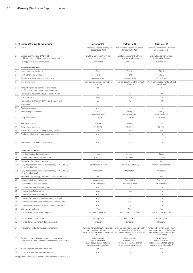|                 | Key Features of the Capital Instruments                                                                             | Instrument 12                                                                                            | Instrument 13                                                                                                                                                                            | Instrument 14                                                                                                    |
|-----------------|---------------------------------------------------------------------------------------------------------------------|----------------------------------------------------------------------------------------------------------|------------------------------------------------------------------------------------------------------------------------------------------------------------------------------------------|------------------------------------------------------------------------------------------------------------------|
|                 | Issuer                                                                                                              | Landesbank Hessen-Thüringen<br>Girozentrale, AöR                                                         | Landesbank Hessen-Thüringen<br>Girozentrale, AöR                                                                                                                                         | Landesbank Hessen-Thüringen<br>Girozentrale, AöR                                                                 |
|                 | Unique identifier (e.g. CUSIP, ISIN<br>or Bloomberg identifier for private placement)                               | Bilateral agreement with no<br>third-party reference                                                     | Bilateral agreement with no<br>third-party reference                                                                                                                                     | Bilateral agreement with no<br>third-party reference                                                             |
|                 | Law applicable to the instrument                                                                                    | German law                                                                                               | German law                                                                                                                                                                               | German law                                                                                                       |
|                 | <b>Regulatory treatment</b>                                                                                         |                                                                                                          |                                                                                                                                                                                          |                                                                                                                  |
|                 | CRR transitional provisions <sup>1)</sup>                                                                           | Tier 2                                                                                                   | Tier 2                                                                                                                                                                                   | Tier 2                                                                                                           |
|                 | Post-transitional CRR rules                                                                                         | Tier 2                                                                                                   | Tier 2                                                                                                                                                                                   | Tier 2                                                                                                           |
|                 | Eligible at solo/group/group&solo levels                                                                            | Group & solo                                                                                             | Group & solo                                                                                                                                                                             | Group & solo                                                                                                     |
|                 | Instrument type                                                                                                     | Profit participation rights without<br>certificate                                                       | Profit participation rights without<br>certificate                                                                                                                                       | Profit participation rights without<br>certificate                                                               |
|                 | Amount eligible as regulatory own funds<br>(in $\epsilon$ m, as at most recent reporting date)                      | 14                                                                                                       | - 7                                                                                                                                                                                      | 21                                                                                                               |
|                 | Par value of instrument (issue currency, in $\in$ m)                                                                | 20                                                                                                       | 10                                                                                                                                                                                       | 30                                                                                                               |
|                 | Issue currency                                                                                                      | <b>EUR</b>                                                                                               | <b>EUR</b>                                                                                                                                                                               | <b>EUR</b>                                                                                                       |
|                 | Par value of instrument (EUR equivalent, in $\in$ m)                                                                | 20                                                                                                       | 10                                                                                                                                                                                       | 30                                                                                                               |
| 9а              | Issue price                                                                                                         | $\overline{1}$                                                                                           | $\overline{1}$                                                                                                                                                                           | $\overline{1}$                                                                                                   |
| 9b              | Redemption price                                                                                                    | n. a.                                                                                                    | n.a.                                                                                                                                                                                     | n.a.                                                                                                             |
| 10              | Accounting classification                                                                                           | Liability -<br>amortised cost                                                                            | Liability -<br>amortised cost                                                                                                                                                            | Liability -<br>amortised cost                                                                                    |
|                 | 11 Original issue date                                                                                              | 12.05.06                                                                                                 | 29.05.06                                                                                                                                                                                 | 01.06.06                                                                                                         |
|                 |                                                                                                                     |                                                                                                          |                                                                                                                                                                                          |                                                                                                                  |
| 12              | Perpetual or dated                                                                                                  | Dated                                                                                                    | Dated                                                                                                                                                                                    | Dated                                                                                                            |
| 13              | Original maturity date                                                                                              | 31.12.21                                                                                                 | 31.12.21                                                                                                                                                                                 | 31.12.21                                                                                                         |
| 14              | Issuer call subject to prior supervisory approval                                                                   | Yes                                                                                                      | Yes                                                                                                                                                                                      | Yes                                                                                                              |
|                 | 15 Optional call date and redemption amount                                                                         | n. a.                                                                                                    | n. a.                                                                                                                                                                                    | n.a.                                                                                                             |
|                 | 16 Subsequent call dates, if applicable                                                                             | n. a.                                                                                                    | n.a.                                                                                                                                                                                     | n.a.                                                                                                             |
|                 | Coupons/dividends                                                                                                   |                                                                                                          |                                                                                                                                                                                          |                                                                                                                  |
| 17 <sup>7</sup> | Fixed or floating dividend/coupon                                                                                   | Fixed                                                                                                    | Fixed                                                                                                                                                                                    | Fixed                                                                                                            |
| 18              | Coupon rate and any related index                                                                                   | 5.3000%                                                                                                  | 5.1225%                                                                                                                                                                                  | 5.1750%                                                                                                          |
| 19              | Existence of a dividend stopper                                                                                     | No                                                                                                       | No                                                                                                                                                                                       | No                                                                                                               |
| 20a             | Fully discretionary, partially discretionary or mandatory<br>(in terms of timing)                                   | Partially discretionary                                                                                  | Partially discretionary                                                                                                                                                                  | Partially discretionary                                                                                          |
|                 | 20b Fully discretionary, partially discretionary or mandatory<br>(in terms of amount)                               | Mandatory                                                                                                | Mandatory                                                                                                                                                                                | Mandatory                                                                                                        |
| 21              | Existence of a step up or other incentive to redeem                                                                 | No                                                                                                       | <b>No</b>                                                                                                                                                                                | No                                                                                                               |
| 22              | Non-cumulative or cumulative                                                                                        | Cumulative                                                                                               | Cumulative                                                                                                                                                                               | Cumulative                                                                                                       |
| 23              | Convertible or non-convertible                                                                                      | Non-convertible                                                                                          | Non-convertible                                                                                                                                                                          | Non-convertible                                                                                                  |
|                 | 24 If convertible: conversion trigger(s)                                                                            | n. a.                                                                                                    | n. a.                                                                                                                                                                                    | n. a.                                                                                                            |
|                 | 25 If convertible: full or partial                                                                                  | n. a.                                                                                                    | n. a.                                                                                                                                                                                    | n.a.                                                                                                             |
|                 | 26 If convertible: conversion rate                                                                                  | n. a.                                                                                                    | n. a.                                                                                                                                                                                    | n.a.                                                                                                             |
|                 | 27 If convertible: conversion obligatory or optional                                                                | n. a.                                                                                                    | n. a.                                                                                                                                                                                    | n.a.                                                                                                             |
|                 | 28 If convertible: instrument type to be converted into                                                             | n. a.                                                                                                    | n. a.                                                                                                                                                                                    | n.a.                                                                                                             |
|                 | 29 If convertible: issuer of instrument to be converted into                                                        | n. a.                                                                                                    | n. a.                                                                                                                                                                                    | n.a.                                                                                                             |
| 30              | Write-down features                                                                                                 | Yes                                                                                                      | Yes                                                                                                                                                                                      | Yes                                                                                                              |
|                 | 31 If write-down: write-down trigger(s)                                                                             | Net accumulated loss                                                                                     | Net accumulated loss                                                                                                                                                                     | Net accumulated loss                                                                                             |
|                 | 32 If write-down: full or partial                                                                                   | Full or partial                                                                                          | Full or partial                                                                                                                                                                          | Full or partial                                                                                                  |
|                 | 33 If write-down: permanent/temporary/n.a.                                                                          | Temporary                                                                                                | Temporary                                                                                                                                                                                | Temporary                                                                                                        |
|                 | 34 If temporary write-down: reversal mechanism                                                                      | (in proportion to the other<br>class)                                                                    | Write-up from net income from year    Vrite-up from net income from year<br>(in proportion to the other<br>instruments concerned of the same instruments concerned of the same<br>class) | Write-up from net income from<br>year (in proportion to the other<br>instruments concerned of the<br>same class) |
|                 | 35 Position in subordination hierarchy in liquidation<br>(specify instrument type immediately senior to instrument) | Ranks behind<br>non-subordinated<br>liabilities (i.e. satisfied after all<br>senior unsecured creditors) | Ranks behind<br>non-subordinated<br>liabilities (i.e. satisfied after all<br>senior unsecured creditors)                                                                                 | Ranks behind<br>non-subordinated<br>liabilities (i.e. satisfied after all<br>senior unsecured creditors)         |
| 36              | Non-compliant transitioned features                                                                                 | No                                                                                                       | No                                                                                                                                                                                       | No                                                                                                               |
|                 | 37 If yes, specify non-compliant features                                                                           | n. a.                                                                                                    | n. a.                                                                                                                                                                                    | n.a.                                                                                                             |
|                 |                                                                                                                     |                                                                                                          |                                                                                                                                                                                          |                                                                                                                  |

<sup>1)</sup> No portions of the issue have been reclassified to a lower level.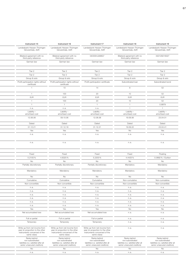| Instrument 15                                                                                            | Instrument 16                                                                                            | Instrument 17                                                                                            | Instrument 18                                                                                            | Instrument 19                                                                                            |
|----------------------------------------------------------------------------------------------------------|----------------------------------------------------------------------------------------------------------|----------------------------------------------------------------------------------------------------------|----------------------------------------------------------------------------------------------------------|----------------------------------------------------------------------------------------------------------|
| Landesbank Hessen-Thüringen                                                                              | Landesbank Hessen-Thüringen                                                                              | Landesbank Hessen-Thüringen                                                                              | Landesbank Hessen-Thüringen                                                                              | Landesbank Hessen-Thüringen                                                                              |
| Girozentrale, AöR                                                                                        | Girozentrale, AöR                                                                                        | Girozentrale, AöR                                                                                        | Girozentrale, AöR                                                                                        | Girozentrale, AöR                                                                                        |
| Bilateral agreement with no<br>third-party reference                                                     | Bilateral agreement with no<br>third-party reference                                                     | DE000HLB88G7                                                                                             | Bilateral agreement with no<br>third-party reference                                                     | XS0128218327                                                                                             |
| German law                                                                                               | German law                                                                                               | German law                                                                                               | German law                                                                                               | German law                                                                                               |
|                                                                                                          |                                                                                                          |                                                                                                          |                                                                                                          |                                                                                                          |
| Tier 2                                                                                                   | Tier 2                                                                                                   | Tier 2                                                                                                   | Tier 2                                                                                                   | Tier 2                                                                                                   |
| Tier 2                                                                                                   | Tier 2                                                                                                   | Tier 2                                                                                                   | Tier 2                                                                                                   | Tier 2                                                                                                   |
| Group & solo                                                                                             | Group & solo                                                                                             | Group & solo                                                                                             | Group & solo                                                                                             | Group & solo                                                                                             |
| Profit participation rights without<br>certificate                                                       | Profit participation rights without<br>certificate                                                       | Profit-participation certificate                                                                         | Subordinated loan                                                                                        | Subordinated bond                                                                                        |
| $\overline{1}$                                                                                           | 10                                                                                                       | 14                                                                                                       | 8                                                                                                        | 52                                                                                                       |
| $\overline{1}$                                                                                           | 100                                                                                                      | 20                                                                                                       | 10                                                                                                       | 52                                                                                                       |
| <b>EUR</b>                                                                                               | <b>EUR</b>                                                                                               | <b>EUR</b>                                                                                               | <b>EUR</b>                                                                                               | <b>EUR</b>                                                                                               |
| $\overline{1}$                                                                                           | 100                                                                                                      | 20                                                                                                       | 10                                                                                                       | 52                                                                                                       |
| $\overline{1}$                                                                                           | $\overline{1}$                                                                                           | $\overline{1}$                                                                                           | $\overline{1}$                                                                                           | 0.9979                                                                                                   |
| n.a.                                                                                                     | n.a.                                                                                                     | n.a.                                                                                                     | $\overline{1}$                                                                                           | $-1$                                                                                                     |
| Liability -<br>amortised cost                                                                            | Liability -<br>amortised cost                                                                            | Liability -<br>amortised cost                                                                            | Liability -<br>amortised cost                                                                            | Liability -<br>amortised cost                                                                            |
| 12.06.06                                                                                                 | 09.10.06                                                                                                 | 12.06.06                                                                                                 | 19.09.06                                                                                                 | 23.04.01                                                                                                 |
| Dated                                                                                                    | Dated                                                                                                    | Dated                                                                                                    | Dated                                                                                                    | Dated                                                                                                    |
| 31.12.21                                                                                                 | 31.12.18                                                                                                 | 31.12.21                                                                                                 | 19.09.22                                                                                                 | 23.04.41                                                                                                 |
| Yes                                                                                                      | Yes                                                                                                      | Yes                                                                                                      | No                                                                                                       | Yes                                                                                                      |
| n.a.                                                                                                     | n.a.                                                                                                     | n.a.                                                                                                     | n.a.                                                                                                     | n.a.                                                                                                     |
|                                                                                                          |                                                                                                          |                                                                                                          |                                                                                                          |                                                                                                          |
| n.a.                                                                                                     | n.a.                                                                                                     | n.a.                                                                                                     | n.a.                                                                                                     | n.a.                                                                                                     |
|                                                                                                          |                                                                                                          |                                                                                                          |                                                                                                          |                                                                                                          |
| Fixed                                                                                                    | Fixed                                                                                                    | Fixed                                                                                                    | Fixed                                                                                                    | Floating                                                                                                 |
| 5.2100%                                                                                                  | 4.8325%                                                                                                  | 5.2200%                                                                                                  | 4.4425 %                                                                                                 | 0.0682% / Euribor                                                                                        |
| No                                                                                                       | No                                                                                                       | <b>No</b>                                                                                                | No                                                                                                       | <b>No</b>                                                                                                |
| Partially discretionary                                                                                  | Partially discretionary                                                                                  | Partially discretionary                                                                                  | Mandatory                                                                                                | Mandatory                                                                                                |
| Mandatory                                                                                                | Mandatory                                                                                                | Mandatory                                                                                                | Mandatory                                                                                                | Mandatory                                                                                                |
| No                                                                                                       | No                                                                                                       | <b>No</b>                                                                                                | No                                                                                                       | No                                                                                                       |
| Cumulative                                                                                               | Cumulative                                                                                               | Cumulative                                                                                               | Non-cumulative                                                                                           | Non-cumulative                                                                                           |
| Non-convertible                                                                                          | Non-convertible                                                                                          | Non-convertible                                                                                          | Non-convertible                                                                                          | Non-convertible                                                                                          |
| n.a.                                                                                                     | n.a.                                                                                                     | n.a.                                                                                                     | n.a.                                                                                                     | n.a.                                                                                                     |
| n.a.                                                                                                     | n.a.                                                                                                     | n.a.                                                                                                     | n. a.                                                                                                    | n.a.                                                                                                     |
| n. a.                                                                                                    | n.a.                                                                                                     | n.a.                                                                                                     | n. a.                                                                                                    | n.a.                                                                                                     |
| n.a.                                                                                                     | n.a.                                                                                                     | n.a.                                                                                                     | n. a.                                                                                                    | n.a.                                                                                                     |
| n.a.                                                                                                     | n.a.                                                                                                     | n.a.                                                                                                     | n.a.                                                                                                     | n.a.                                                                                                     |
| n.a.                                                                                                     | n.a.                                                                                                     | n.a.                                                                                                     | n. a.                                                                                                    | n.a.                                                                                                     |
| Yes<br>Net accumulated loss                                                                              | Yes<br>Net accumulated loss                                                                              | Yes<br>Net accumulated loss                                                                              | No<br>n. a.                                                                                              | No<br>n.a.                                                                                               |
| Full or partial                                                                                          | Full or partial                                                                                          | Full or partial                                                                                          | n. a.                                                                                                    | n.a.                                                                                                     |
| Temporary                                                                                                | Temporary                                                                                                | Temporary                                                                                                | n. a.                                                                                                    | n.a.                                                                                                     |
| Write-up from net income from                                                                            | Write-up from net income from                                                                            | Write-up from net income from                                                                            | n.a.                                                                                                     | n.a.                                                                                                     |
| year (in proportion to the other<br>instruments concerned of the<br>same class)                          | year (in proportion to the other<br>instruments concerned of the<br>same class)                          | year (in proportion to the other<br>instruments concerned of the<br>same class)                          |                                                                                                          |                                                                                                          |
| Ranks behind<br>non-subordinated<br>liabilities (i.e. satisfied after all<br>senior unsecured creditors) | Ranks behind<br>non-subordinated<br>liabilities (i.e. satisfied after all<br>senior unsecured creditors) | Ranks behind<br>non-subordinated<br>liabilities (i.e. satisfied after all<br>senior unsecured creditors) | Ranks behind<br>non-subordinated<br>liabilities (i.e. satisfied after all<br>senior unsecured creditors) | Ranks behind<br>non-subordinated<br>liabilities (i.e. satisfied after all<br>senior unsecured creditors) |
| No                                                                                                       | No                                                                                                       | No                                                                                                       | <b>No</b>                                                                                                | No                                                                                                       |
| n.a.                                                                                                     | n.a.                                                                                                     | n.a.                                                                                                     | n.a.                                                                                                     | n.a.                                                                                                     |
|                                                                                                          |                                                                                                          |                                                                                                          |                                                                                                          |                                                                                                          |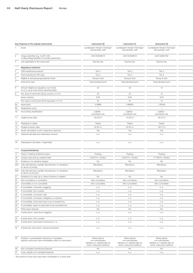|    | Key Features of the Capital Instruments                                                                             | Instrument 20                                                                                            | Instrument 21                                                                                            | Instrument 22                                                                                            |
|----|---------------------------------------------------------------------------------------------------------------------|----------------------------------------------------------------------------------------------------------|----------------------------------------------------------------------------------------------------------|----------------------------------------------------------------------------------------------------------|
|    | Issuer                                                                                                              | Landesbank Hessen-Thüringen<br>Girozentrale, AöR                                                         | Landesbank Hessen-Thüringen<br>Girozentrale, AöR                                                         | Landesbank Hessen-Thüringen<br>Girozentrale, AöR                                                         |
|    | Unique identifier (e.g. CUSIP, ISIN<br>or Bloomberg identifier for private placement)                               | XS0128429619                                                                                             | XS0128429619                                                                                             | XS0132805762                                                                                             |
|    | Law applicable to the instrument                                                                                    | German law                                                                                               | German law                                                                                               | German law                                                                                               |
|    | <b>Regulatory treatment</b>                                                                                         |                                                                                                          |                                                                                                          |                                                                                                          |
|    | CRR transitional provisions <sup>1)</sup>                                                                           | Tier 2                                                                                                   | Tier 2                                                                                                   | Tier 2                                                                                                   |
|    | Post-transitional CRR rules                                                                                         | Tier 2                                                                                                   | Tier 2                                                                                                   | Tier 2                                                                                                   |
|    | Eligible at solo/group/group&solo levels                                                                            | Group & solo                                                                                             | Group & solo                                                                                             | Group & solo                                                                                             |
|    | Instrument type                                                                                                     | Subordinated bond                                                                                        | Subordinated bond                                                                                        | Subordinated bond                                                                                        |
|    | Amount eligible as regulatory own funds<br>(in $\epsilon$ m, as at most recent reporting date)                      | 20                                                                                                       | 30                                                                                                       | 15                                                                                                       |
|    | Par value of instrument (issue currency, in $\epsilon$ m)                                                           | 20                                                                                                       | 30                                                                                                       | 15                                                                                                       |
|    | Issue currency                                                                                                      | <b>EUR</b>                                                                                               | EUR                                                                                                      | <b>EUR</b>                                                                                               |
|    | Par value of instrument (EUR equivalent, in $\epsilon$ m)                                                           | 20                                                                                                       | 30                                                                                                       | 15                                                                                                       |
| 9a | Issue price                                                                                                         | 0.9968                                                                                                   | 0.99835                                                                                                  | 1.00045                                                                                                  |
| 9b | Redemption price                                                                                                    | $\overline{1}$                                                                                           | $\overline{1}$                                                                                           | $\overline{1}$                                                                                           |
|    | 10 Accounting classification                                                                                        | Liability -<br>amortised cost                                                                            | Liability -<br>amortised cost                                                                            | Liability -<br>amortised cost                                                                            |
|    | 11 Original issue date                                                                                              | 03.05.01                                                                                                 | 14.05.01                                                                                                 | 18.07.01                                                                                                 |
|    | 12 Perpetual or dated                                                                                               | Dated                                                                                                    | Dated                                                                                                    | Dated                                                                                                    |
|    | 13 Original maturity date                                                                                           | 03.05.41                                                                                                 | 03.05.41                                                                                                 | 18.07.31                                                                                                 |
|    | 14 Issuer call subject to prior supervisory approval                                                                | Yes                                                                                                      | Yes                                                                                                      | Yes                                                                                                      |
|    | 15 Optional call date and redemption amount                                                                         | n. a.                                                                                                    | n. a.                                                                                                    | n.a.                                                                                                     |
|    | 16 Subsequent call dates, if applicable                                                                             | n. a.                                                                                                    | n.a.                                                                                                     | n.a.                                                                                                     |
|    | Coupons/dividends                                                                                                   |                                                                                                          |                                                                                                          |                                                                                                          |
|    | 17 Fixed or floating dividend/coupon                                                                                | Floating                                                                                                 | Floating                                                                                                 | Floating                                                                                                 |
| 18 | Coupon rate and any related index                                                                                   | 0.0610% / Euribor                                                                                        | 0.0610% / Euribor                                                                                        | 0.1790 % / Euribor                                                                                       |
|    | 19 Existence of a dividend stopper                                                                                  | No                                                                                                       | No                                                                                                       | No                                                                                                       |
|    | 20a Fully discretionary, partially discretionary or mandatory                                                       | Mandatory                                                                                                | Mandatory                                                                                                | Mandatory                                                                                                |
|    | (in terms of timing)<br>20b Fully discretionary, partially discretionary or mandatory                               | Mandatory                                                                                                | Mandatory                                                                                                | Mandatory                                                                                                |
|    | (in terms of amount)                                                                                                |                                                                                                          |                                                                                                          |                                                                                                          |
| 21 | Existence of a step up or other incentive to redeem                                                                 | No                                                                                                       | No                                                                                                       | No                                                                                                       |
| 22 | Non-cumulative or cumulative                                                                                        | Non-cumulative                                                                                           | Non-cumulative                                                                                           | Non-cumulative                                                                                           |
| 23 | Convertible or non-convertible                                                                                      | Non-convertible                                                                                          | Non-convertible                                                                                          | Non-convertible                                                                                          |
|    | 24 If convertible: conversion trigger(s)<br>25 If convertible: full or partial                                      | n. a.                                                                                                    | n. a.                                                                                                    | n. a.<br>n.a.                                                                                            |
|    | 26 If convertible: conversion rate                                                                                  | n. a.                                                                                                    | n. a.                                                                                                    |                                                                                                          |
|    | 27 If convertible: conversion obligatory or optional                                                                | n. a.                                                                                                    | n. a.                                                                                                    | n.a.                                                                                                     |
|    | 28 If convertible: instrument type to be converted into                                                             | n.a.                                                                                                     | n. a.                                                                                                    | n.a.                                                                                                     |
|    | 29 If convertible: issuer of instrument to be converted into                                                        | n. a.                                                                                                    | n. a.                                                                                                    | n.a.                                                                                                     |
|    | 30 Write-down features                                                                                              | n. a.<br>No                                                                                              | n. a.<br>No                                                                                              | n.a.<br>No                                                                                               |
|    | 31 If write-down: write-down trigger(s)                                                                             | n. a.                                                                                                    | n. a.                                                                                                    | n.a.                                                                                                     |
|    | 32 If write-down: full or partial                                                                                   | n. a.                                                                                                    | n. a.                                                                                                    | n.a.                                                                                                     |
|    | 33 If write-down: permanent/temporary/n.a.                                                                          | n. a.                                                                                                    | n. a.                                                                                                    | n.a.                                                                                                     |
|    | 34 If temporary write-down: reversal mechanism                                                                      | n. a.                                                                                                    | n. a.                                                                                                    | n.a.                                                                                                     |
|    | 35 Position in subordination hierarchy in liquidation<br>(specify instrument type immediately senior to instrument) | Ranks behind<br>non-subordinated<br>liabilities (i.e. satisfied after all<br>senior unsecured creditors) | Ranks behind<br>non-subordinated<br>liabilities (i.e. satisfied after all<br>senior unsecured creditors) | Ranks behind<br>non-subordinated<br>liabilities (i.e. satisfied after all<br>senior unsecured creditors) |
|    | 36 Non-compliant transitioned features                                                                              | No                                                                                                       | No                                                                                                       | No                                                                                                       |

37 If yes, specify non-compliant features n. a. n. a. n. a. n. a. n. a. n. a. n. a. n. a.

1) No portions of the issue have been reclassified to a lower level.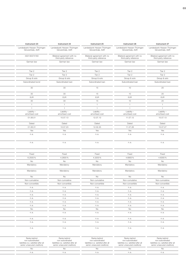| Instrument 23                                    | Instrument 24                                        | Instrument 25                                        | Instrument 26                                        | Instrument 27                                        |
|--------------------------------------------------|------------------------------------------------------|------------------------------------------------------|------------------------------------------------------|------------------------------------------------------|
| Landesbank Hessen-Thüringen<br>Girozentrale, AöR | Landesbank Hessen-Thüringen<br>Girozentrale, AöR     | Landesbank Hessen-Thüringen<br>Girozentrale, AöR     | Landesbank Hessen-Thüringen<br>Girozentrale, AöR     | Landesbank Hessen-Thüringen<br>Girozentrale, AöR     |
| XS0130374183                                     | Bilateral agreement with no<br>third-party reference | Bilateral agreement with no<br>third-party reference | Bilateral agreement with no<br>third-party reference | Bilateral agreement with no<br>third-party reference |
| German law                                       | German law                                           | German law                                           | German law                                           | German law                                           |
| Tier 2                                           | Tier 2                                               | Tier 2                                               | Tier 2                                               | Tier 2                                               |
| Tier 2                                           | Tier 2                                               | Tier 2                                               | Tier 2                                               | Tier 2                                               |
| Group & solo                                     | Group & solo                                         | Group & solo                                         | Group & solo                                         | Group & solo                                         |
| Subordinated bond                                | Subordinated loan                                    | Subordinated loan                                    | Subordinated loan                                    | Subordinated loan                                    |
| 30                                               | 30                                                   | 15                                                   | 10                                                   | 20                                                   |
| 30                                               | 30                                                   | 15                                                   | 10                                                   | 20                                                   |
| <b>EUR</b>                                       | <b>EUR</b>                                           | <b>EUR</b>                                           | <b>EUR</b>                                           | <b>EUR</b>                                           |
| 30                                               | 30                                                   | 15                                                   | 10                                                   | 20                                                   |
| $-1$                                             | $\overline{1}$                                       | $\overline{1}$                                       | $\overline{1}$                                       | $\overline{1}$                                       |
| $\overline{1}$                                   | $\mathbf{1}$                                         | $\overline{1}$                                       | $\mathbf{1}$                                         | $\overline{1}$                                       |
| Liability -<br>amortised cost                    | Liability -<br>amortised cost                        | Liability -<br>amortised cost                        | Liability -<br>amortised cost                        | Liability -<br>amortised cost                        |
| 01.06.01                                         | 10.07.13                                             | 12.07.13                                             | 11.07.13                                             | 15.07.13                                             |
| Dated                                            | Dated                                                | Dated                                                | Dated                                                | Dated                                                |
| 01.06.31                                         | 10.07.23                                             | 12.02.25                                             | 11.07.28                                             | 15.07.27                                             |
| Yes                                              | Yes                                                  | Yes                                                  | Yes                                                  | Yes                                                  |
| n.a.                                             | n.a.                                                 | n.a.                                                 | n.a.                                                 | n.a.                                                 |
| n.a.                                             | n.a.                                                 | n.a.                                                 | n.a.                                                 | n.a.                                                 |
|                                                  |                                                      |                                                      |                                                      |                                                      |
| Fixed                                            | Fixed                                                | Fixed                                                | Fixed                                                | Fixed                                                |
| 6.2500%                                          | 4.2600%                                              | 4.3200%                                              | 4.6800%                                              | 4.6300%                                              |
| No<br>Mandatory                                  | No<br>Mandatory                                      | No<br>Mandatory                                      | No<br>Mandatory                                      | No<br>Mandatory                                      |
| Mandatory                                        | Mandatory                                            | Mandatory                                            | Mandatory                                            | Mandatory                                            |
| No                                               | No                                                   | No                                                   | No                                                   | No                                                   |
| Non-cumulative                                   | Non-cumulative                                       | Non-cumulative                                       | Non-cumulative                                       | Non-cumulative                                       |
|                                                  |                                                      |                                                      | Non-convertible                                      | Non-convertible                                      |
| Non-convertible                                  | Non-convertible                                      | Non-convertible                                      |                                                      |                                                      |
| n. a.                                            | n.a.                                                 | n.a.                                                 | n.a.                                                 | n.a.                                                 |
| n.a.                                             | n.a.                                                 | n.a.                                                 | n.a.                                                 | n.a.                                                 |
| n.a.                                             | n.a.                                                 | n.a.                                                 | n. a.                                                | n.a.                                                 |
| n.a.                                             | n.a.                                                 | n.a.                                                 | n. a.                                                |                                                      |
| n.a.                                             | n.a.                                                 | n.a.                                                 | n.a.                                                 |                                                      |
| n. a.                                            | n.a.                                                 | n.a.                                                 | n.a.                                                 | n.a.                                                 |
| <b>No</b>                                        | No                                                   | <b>No</b>                                            | No                                                   | n.a.<br>n.a.<br><b>No</b>                            |
| n. a.                                            | n.a.                                                 | n.a.                                                 | n. a.                                                | n.a.                                                 |
| n.a.                                             | n.a.                                                 | n.a.                                                 | n. a.                                                | n.a.                                                 |
| n.a.                                             | n.a.                                                 | n.a.                                                 | n. a.                                                | n.a.                                                 |

| Ranks behind<br>non-subordinated<br>liabilities (i.e. satisfied after P'<br>senior unsecured creditors) | Ranks behind<br>non-subordinated<br>liabilities (i.e. satisfied after all<br>senior unsecured creditors) | Ranks behind<br>non-subordinated<br>liabilities (i.e. satisfied after all<br>senior unsecured creditors) | Ranks behind<br>non-subordinated<br>liabilities (i.e. satisfied after all<br>senior unsecured creditors) | Ranks behind<br>non-subordinated<br>liabilities (i.e. satisfied after all<br>senior unsecured creditors) |
|---------------------------------------------------------------------------------------------------------|----------------------------------------------------------------------------------------------------------|----------------------------------------------------------------------------------------------------------|----------------------------------------------------------------------------------------------------------|----------------------------------------------------------------------------------------------------------|
|                                                                                                         |                                                                                                          |                                                                                                          |                                                                                                          |                                                                                                          |
|                                                                                                         |                                                                                                          |                                                                                                          |                                                                                                          |                                                                                                          |
|                                                                                                         |                                                                                                          |                                                                                                          |                                                                                                          |                                                                                                          |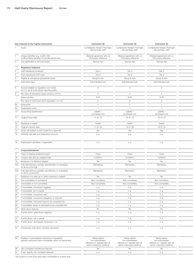|     | Key Features of the Capital Instruments                                                                             | Instrument 28                                                                                            | Instrument 29                                                                                            | Instrument 30                                                                                            |
|-----|---------------------------------------------------------------------------------------------------------------------|----------------------------------------------------------------------------------------------------------|----------------------------------------------------------------------------------------------------------|----------------------------------------------------------------------------------------------------------|
|     | Issuer                                                                                                              | Landesbank Hessen-Thüringen<br>Girozentrale, AöR                                                         | Landesbank Hessen-Thüringen<br>Girozentrale, AöR                                                         | Landesbank Hessen-Thüringen<br>Girozentrale, AöR                                                         |
|     | Unique identifier (e.g. CUSIP, ISIN                                                                                 | Bilateral agreement with no                                                                              | Bilateral agreement with no                                                                              | Bilateral agreement with no                                                                              |
|     | or Bloomberg identifier for private placement)                                                                      | third-party reference                                                                                    | third-party reference                                                                                    | third-party reference                                                                                    |
|     | Law applicable to the instrument                                                                                    | German law                                                                                               | German law                                                                                               | German law                                                                                               |
|     | <b>Regulatory treatment</b>                                                                                         |                                                                                                          |                                                                                                          |                                                                                                          |
|     | CRR transitional provisions <sup>1)</sup>                                                                           | Tier 2                                                                                                   | Tier 2                                                                                                   | Tier 2                                                                                                   |
|     | Post-transitional CRR rules                                                                                         | Tier 2                                                                                                   | Tier 2                                                                                                   | Tier 2                                                                                                   |
|     | Eligible at solo/group/group&solo levels                                                                            | Group & solo                                                                                             | Group & solo                                                                                             | Group & solo                                                                                             |
|     | Instrument type                                                                                                     | Subordinated loan                                                                                        | Subordinated loan                                                                                        | Subordinated loan                                                                                        |
|     | Amount eligible as regulatory own funds<br>(in $\epsilon$ m, as at most recent reporting date)                      | -5                                                                                                       | -5                                                                                                       | 5                                                                                                        |
|     | Par value of instrument (issue currency, in $\epsilon$ m)                                                           | -5                                                                                                       | 5                                                                                                        | 5                                                                                                        |
|     | Issue currency                                                                                                      | <b>EUR</b>                                                                                               | <b>EUR</b>                                                                                               | <b>EUR</b>                                                                                               |
|     | Par value of instrument (EUR equivalent, in $\in$ m)                                                                | 5                                                                                                        | 5                                                                                                        | 5                                                                                                        |
| Эa  | Issue price                                                                                                         | $\overline{1}$                                                                                           | $\overline{1}$                                                                                           | $\overline{1}$                                                                                           |
| Эb  | Redemption price                                                                                                    | $\overline{1}$                                                                                           | $\overline{1}$                                                                                           | $\overline{1}$                                                                                           |
| 10  | Accounting classification                                                                                           | Liability -<br>amortised cost                                                                            | Liability -<br>amortised cost                                                                            | Liability -<br>amortised cost                                                                            |
|     | 11 Original issue date                                                                                              | 11.07.13                                                                                                 | 15.07.13                                                                                                 | 12.07.13                                                                                                 |
| 12  | Perpetual or dated                                                                                                  | Dated                                                                                                    | Dated                                                                                                    | Dated                                                                                                    |
| 13  | Original maturity date                                                                                              | 11.07.23                                                                                                 | 15.07.26                                                                                                 | 12.07.24                                                                                                 |
| 14  | Issuer call subject to prior supervisory approval                                                                   | Yes                                                                                                      | Yes                                                                                                      | Yes                                                                                                      |
|     | 15 Optional call date and redemption amount                                                                         | n.a.                                                                                                     | n.a.                                                                                                     | n.a.                                                                                                     |
| 16  | Subsequent call dates, if applicable                                                                                | n.a.                                                                                                     | n.a.                                                                                                     | n.a.                                                                                                     |
|     |                                                                                                                     |                                                                                                          |                                                                                                          |                                                                                                          |
|     | Coupons/dividends                                                                                                   |                                                                                                          |                                                                                                          |                                                                                                          |
| 17  | Fixed or floating dividend/coupon                                                                                   | Fixed<br>4.2500%                                                                                         | Fixed<br>4.5300 %                                                                                        | Fixed<br>4.3500%                                                                                         |
| 18  | Coupon rate and any related index                                                                                   |                                                                                                          |                                                                                                          |                                                                                                          |
| 19  | Existence of a dividend stopper                                                                                     | No                                                                                                       | No                                                                                                       | No                                                                                                       |
| 20a | Fully discretionary, partially discretionary or mandatory<br>(in terms of timing)                                   | Mandatory                                                                                                | Mandatory                                                                                                | Mandatory                                                                                                |
|     | 20b Fully discretionary, partially discretionary or mandatory<br>(in terms of amount)                               | Mandatory                                                                                                | Mandatory                                                                                                | Mandatory                                                                                                |
| 21  | Existence of a step up or other incentive to redeem                                                                 | No                                                                                                       | No                                                                                                       | No                                                                                                       |
| 22  | Non-cumulative or cumulative                                                                                        | Non-cumulative                                                                                           | Non-cumulative                                                                                           | Non-cumulative                                                                                           |
| 23  | Convertible or non-convertible                                                                                      | Non-convertible                                                                                          | Non-convertible                                                                                          | Non-convertible                                                                                          |
|     | 24 If convertible: conversion trigger(s)                                                                            | n.a.                                                                                                     | n. a.                                                                                                    | n.a.                                                                                                     |
|     | 25 If convertible: full or partial                                                                                  | n. a.                                                                                                    | n. a.                                                                                                    | n.a.                                                                                                     |
|     | 26 If convertible: conversion rate                                                                                  | n.a.                                                                                                     | n. a.                                                                                                    | n.a.                                                                                                     |
|     | 27 If convertible: conversion obligatory or optional                                                                | n.a.                                                                                                     | n.a.                                                                                                     | n.a.                                                                                                     |
|     | 28 If convertible: instrument type to be converted into                                                             | n. a.                                                                                                    | n. a.                                                                                                    | n.a.                                                                                                     |
|     | 29 If convertible: issuer of instrument to be converted into                                                        | n.a.                                                                                                     | n.a.                                                                                                     | n.a.                                                                                                     |
|     | 30 Write-down features                                                                                              | No                                                                                                       | No                                                                                                       | No                                                                                                       |
|     | 31 If write-down: write-down trigger(s)                                                                             | n. a.                                                                                                    | n. a.                                                                                                    | n.a.                                                                                                     |
|     | 32 If write-down: full or partial                                                                                   | n. a.                                                                                                    | n. a.                                                                                                    | n.a.                                                                                                     |
|     | 33 If write-down: permanent/temporary/n.a.                                                                          | n. a.                                                                                                    | n. a.                                                                                                    | n.a.                                                                                                     |
|     | 34 If temporary write-down: reversal mechanism                                                                      | n. a.                                                                                                    | n. a.                                                                                                    | n.a.                                                                                                     |
|     | 35 Position in subordination hierarchy in liquidation<br>(specify instrument type immediately senior to instrument) | Ranks behind<br>non-subordinated<br>liabilities (i.e. satisfied after all<br>senior unsecured creditors) | Ranks behind<br>non-subordinated<br>liabilities (i.e. satisfied after all<br>senior unsecured creditors) | Ranks behind<br>non-subordinated<br>liabilities (i.e. satisfied after all<br>senior unsecured creditors) |
|     | 36 Non-compliant transitioned features                                                                              | No                                                                                                       | No                                                                                                       | No                                                                                                       |

37 If yes, specify non-compliant features n. a. n. a. n. a. n. a. n. a. n. a. n. a. n. a.

1) No portions of the issue have been reclassified to a lower level.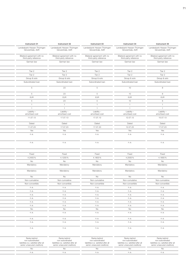| Instrument 31                                        | Instrument 32                                        | Instrument 33                                        | Instrument 34                                        | Instrument 35                                        |
|------------------------------------------------------|------------------------------------------------------|------------------------------------------------------|------------------------------------------------------|------------------------------------------------------|
| Landesbank Hessen-Thüringen<br>Girozentrale, AöR     | Landesbank Hessen-Thüringen<br>Girozentrale, AöR     | Landesbank Hessen-Thüringen<br>Girozentrale, AöR     | Landesbank Hessen-Thüringen<br>Girozentrale, AöR     | Landesbank Hessen-Thüringen<br>Girozentrale, AöR     |
| Bilateral agreement with no<br>third-party reference | Bilateral agreement with no<br>third-party reference | Bilateral agreement with no<br>third-party reference | Bilateral agreement with no<br>third-party reference | Bilateral agreement with no<br>third-party reference |
| German law                                           | German law                                           | German law                                           | German law                                           | German law                                           |
| Tier 2                                               | Tier 2                                               | Tier 2                                               | Tier 2                                               | Tier 2                                               |
| Tier 2                                               | Tier 2                                               | Tier 2                                               | Tier 2                                               | Tier 2                                               |
| Group & solo                                         | Group & solo                                         | Group & solo                                         | Group & solo                                         | Group & solo                                         |
| Subordinated loan                                    | Subordinated loan                                    | Subordinated loan                                    | Subordinated loan                                    | Subordinated loan                                    |
| - 5                                                  | 23                                                   | 5                                                    | 10                                                   | 8                                                    |
| 5                                                    | 23                                                   | $5\overline{)}$                                      | 10                                                   | 8                                                    |
| <b>EUR</b>                                           | EUR                                                  | <b>EUR</b>                                           | <b>EUR</b>                                           | <b>EUR</b>                                           |
| 5                                                    | 23                                                   | 5                                                    | 10                                                   | 8                                                    |
| $\overline{1}$                                       | $\overline{1}$                                       | $\overline{1}$                                       | $\mathbf{1}$                                         | $\overline{1}$                                       |
| $\overline{1}$                                       | 1                                                    | $\overline{1}$                                       | $\overline{1}$                                       | $\overline{1}$                                       |
| Liability -<br>amortised cost                        | Liability -<br>amortised cost                        | Liability-<br>amortised cost                         | Liability -<br>amortised cost                        | Liability-<br>amortised cost                         |
| 11.07.13                                             | 17.07.13                                             | 17.07.13                                             | 12.07.13                                             | 15.07.13                                             |
| Dated                                                | Dated                                                | Dated                                                | Dated                                                | Dated                                                |
| 11.07.23                                             | 17.07.23                                             | 17.07.23                                             | 12.07.23                                             | 17.07.23                                             |
| Yes                                                  | Yes                                                  | Yes                                                  | Yes                                                  | Yes                                                  |
| n.a.                                                 | n.a.                                                 | n.a.                                                 | n.a.                                                 | n.a.                                                 |
| n.a.                                                 | n.a.                                                 | n.a.                                                 | n.a.                                                 | n.a.                                                 |
|                                                      |                                                      |                                                      |                                                      |                                                      |
| Fixed                                                | Fixed                                                | Fixed                                                | Fixed                                                | Fixed                                                |
| 4.2400%                                              | 4.1200%                                              | 4.1800%                                              | 4.2000%                                              | 4.1800%                                              |
| <b>No</b><br>Mandatory                               | No<br>Mandatory                                      | No<br>Mandatory                                      | <b>No</b><br>Mandatory                               | No<br>Mandatory                                      |
| Mandatory                                            | Mandatory                                            | Mandatory                                            | Mandatory                                            | Mandatory                                            |
| No                                                   | No                                                   | No                                                   | No                                                   | No                                                   |
| Non-cumulative                                       | Non-cumulative                                       | Non-cumulative                                       | Non-cumulative                                       | Non-cumulative                                       |
| Non-convertible                                      | Non-convertible                                      | Non-convertible                                      | Non-convertible                                      | Non-convertible                                      |
| n. a.                                                | n.a.                                                 | n.a.                                                 | n.a.                                                 | n.a.                                                 |
| n.a.                                                 | n.a.                                                 | n.a.                                                 | n.a.                                                 | n.a.                                                 |
| n.a.                                                 | n.a.                                                 | n.a.                                                 | n.a.                                                 | n.a.                                                 |
|                                                      | n.a.                                                 | n.a.                                                 | n.a.                                                 | n.a.                                                 |
| n.a.                                                 |                                                      |                                                      |                                                      |                                                      |
| n.a.                                                 | n.a.                                                 | n.a.                                                 | n.a.                                                 | n.a.                                                 |
| n.a.                                                 | n.a.                                                 | n.a.                                                 | n.a.                                                 | n.a.                                                 |
| <b>No</b>                                            | No                                                   | <b>No</b>                                            | <b>No</b>                                            | No                                                   |
| n.a.                                                 | n.a.                                                 | n.a.                                                 | n. a.                                                | n.a.                                                 |
| n.a.                                                 | n.a.                                                 | n.a.                                                 | n.a.                                                 | n.a.                                                 |
| n.a.                                                 | n.a.                                                 | n.a.                                                 | n.a.                                                 | n.a.                                                 |

| Ranks behind<br>non-subordinated<br>liabilities (i.e. satisfied after al<br>senior unsecured creditors) | Ranks behind<br>non-subordinated<br>liabilities (i.e. satisfied after all<br>senior unsecured creditors) | Ranks behind<br>non-subordinated<br>liabilities (i.e. satisfied after all<br>senior unsecured creditors) | Ranks behind<br>non-subordinated<br>liabilities (i.e. satisfied after all<br>senior unsecured creditors) | Ranks behind<br>non-subordinated<br>liabilities (i.e. satisfied after all<br>senior unsecured creditors) |
|---------------------------------------------------------------------------------------------------------|----------------------------------------------------------------------------------------------------------|----------------------------------------------------------------------------------------------------------|----------------------------------------------------------------------------------------------------------|----------------------------------------------------------------------------------------------------------|
|                                                                                                         |                                                                                                          |                                                                                                          |                                                                                                          |                                                                                                          |
|                                                                                                         |                                                                                                          |                                                                                                          |                                                                                                          |                                                                                                          |
|                                                                                                         |                                                                                                          |                                                                                                          |                                                                                                          |                                                                                                          |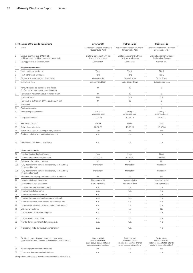|                | Key Features of the Capital Instruments                                                                             | Instrument 36                                                                                            | Instrument 37                                                                                            | Instrument 38                                                                                            |  |
|----------------|---------------------------------------------------------------------------------------------------------------------|----------------------------------------------------------------------------------------------------------|----------------------------------------------------------------------------------------------------------|----------------------------------------------------------------------------------------------------------|--|
|                | 1 Issuer                                                                                                            | Landesbank Hessen-Thüringen<br>Girozentrale, AöR                                                         | Landesbank Hessen-Thüringen<br>Girozentrale, AöR                                                         | Landesbank Hessen-Thüringen<br>Girozentrale, AöR                                                         |  |
| $\overline{2}$ | Unique identifier (e.g. CUSIP, ISIN<br>or Bloomberg identifier for private placement)                               | Bilateral agreement with no<br>third-party reference                                                     | Bilateral agreement with no<br>third-party reference                                                     | Bilateral agreement with no<br>third-party reference                                                     |  |
| 3              | Law applicable to the instrument                                                                                    | German law                                                                                               | German law                                                                                               | German law                                                                                               |  |
|                | Regulatory treatment                                                                                                |                                                                                                          |                                                                                                          |                                                                                                          |  |
|                | CRR transitional provisions <sup>1)</sup>                                                                           | Tier 2                                                                                                   | Tier 2                                                                                                   | Tier 2                                                                                                   |  |
|                | Post-transitional CRR rules                                                                                         | Tier 2                                                                                                   | Tier 2                                                                                                   | Tier 2                                                                                                   |  |
|                | Eligible at solo/group/group&solo levels                                                                            | Group & solo                                                                                             | Group & solo                                                                                             | Group & solo                                                                                             |  |
|                | Instrument type                                                                                                     | Subordinated loan                                                                                        | Subordinated loan                                                                                        | Subordinated loan                                                                                        |  |
| 8              | Amount eligible as regulatory own funds<br>(in $\epsilon$ m, as at most recent reporting date)                      | 14                                                                                                       | 82                                                                                                       | 6                                                                                                        |  |
|                | Par value of instrument (issue currency, in $\in$ m)                                                                | 14                                                                                                       | 82                                                                                                       | 6                                                                                                        |  |
|                | Issue currency                                                                                                      | <b>EUR</b>                                                                                               | <b>EUR</b>                                                                                               | <b>EUR</b>                                                                                               |  |
|                | Par value of instrument (EUR equivalent, in $\in$ m)                                                                | 14                                                                                                       | 82                                                                                                       | 6                                                                                                        |  |
| 9a             | Issue price                                                                                                         | $\overline{1}$                                                                                           | $\overline{1}$                                                                                           | $\overline{1}$                                                                                           |  |
| 9b             | Redemption price                                                                                                    |                                                                                                          | $\overline{1}$                                                                                           | $\overline{1}$                                                                                           |  |
| 10             | Accounting classification                                                                                           | Liability -<br>amortised cost                                                                            | Liability -<br>amortised cost                                                                            | Liability -<br>amortised cost                                                                            |  |
|                | 11 Original issue date                                                                                              | 23.07.13                                                                                                 | 19.07.13                                                                                                 | 17.07.13                                                                                                 |  |
|                | 12 Perpetual or dated                                                                                               | Dated                                                                                                    | Dated                                                                                                    | Dated                                                                                                    |  |
| 13             | Original maturity date                                                                                              | 22.07.33                                                                                                 | 19.07.23                                                                                                 | 17.07.28                                                                                                 |  |
| 14             | Issuer call subject to prior supervisory approval                                                                   | Yes                                                                                                      | Yes                                                                                                      | Yes                                                                                                      |  |
|                | 15 Optional call date and redemption amount                                                                         | n. a.                                                                                                    | n.a.                                                                                                     | n.a.                                                                                                     |  |
| 16             | Subsequent call dates, if applicable                                                                                | n. a.                                                                                                    | n.a.                                                                                                     | n.a.                                                                                                     |  |
|                | Coupons/dividends                                                                                                   |                                                                                                          |                                                                                                          |                                                                                                          |  |
| 17             | Fixed or floating dividend/coupon                                                                                   | Fixed                                                                                                    | Fixed                                                                                                    | Fixed                                                                                                    |  |
| 18             | Coupon rate and any related index                                                                                   | 4.7000%                                                                                                  | 4.2000%                                                                                                  | 4.6000%                                                                                                  |  |
| 19             | Existence of a dividend stopper                                                                                     | No                                                                                                       | No                                                                                                       | No                                                                                                       |  |
|                | 20a Fully discretionary, partially discretionary or mandatory<br>(in terms of timing)                               | Mandatory                                                                                                | Mandatory                                                                                                | Mandatory                                                                                                |  |
|                | 20b Fully discretionary, partially discretionary or mandatory<br>(in terms of amount)                               | Mandatory                                                                                                | Mandatory                                                                                                | Mandatory                                                                                                |  |
|                | 21 Existence of a step up or other incentive to redeem                                                              | No                                                                                                       | <b>No</b>                                                                                                | No                                                                                                       |  |
| 22             | Non-cumulative or cumulative                                                                                        | Non-cumulative                                                                                           | Non-cumulative                                                                                           | Non-cumulative                                                                                           |  |
|                | 23 Convertible or non-convertible                                                                                   | Non-convertible                                                                                          | Non-convertible                                                                                          | Non-convertible                                                                                          |  |
|                | 24 If convertible: conversion trigger(s)                                                                            | n. a.                                                                                                    | n. a.                                                                                                    | n.a.                                                                                                     |  |
|                | 25 If convertible: full or partial                                                                                  | n. a.                                                                                                    | n. a.                                                                                                    | n.a.                                                                                                     |  |
|                | 26 If convertible: conversion rate                                                                                  | n.a.                                                                                                     | n. a.                                                                                                    | n.a.                                                                                                     |  |
|                | 27 If convertible: conversion obligatory or optional                                                                | n. a.                                                                                                    | n. a.                                                                                                    | n.a.                                                                                                     |  |
|                | 28 If convertible: instrument type to be converted into                                                             | n. a.                                                                                                    | n.a.                                                                                                     | n.a.                                                                                                     |  |
|                | 29 If convertible: issuer of instrument to be converted into                                                        | n. a.                                                                                                    | n. a.                                                                                                    | n.a.                                                                                                     |  |
|                | 30 Write-down features                                                                                              | No                                                                                                       | No                                                                                                       | No                                                                                                       |  |
|                | 31 If write-down: write-down trigger(s)                                                                             | n. a.                                                                                                    | n. a.                                                                                                    | n.a.                                                                                                     |  |
|                | 32 If write-down: full or partial                                                                                   | n. a.                                                                                                    | n. a.                                                                                                    | n.a.                                                                                                     |  |
|                | 33 If write-down: permanent/temporary/n.a.                                                                          | n. a.                                                                                                    | n. a.                                                                                                    | n.a.                                                                                                     |  |
|                | 34 If temporary write-down: reversal mechanism                                                                      | n. a.                                                                                                    | n. a.                                                                                                    | n.a.                                                                                                     |  |
|                | 35 Position in subordination hierarchy in liquidation<br>(specify instrument type immediately senior to instrument) | Ranks behind<br>non-subordinated<br>liabilities (i.e. satisfied after all<br>senior unsecured creditors) | Ranks behind<br>non-subordinated<br>liabilities (i.e. satisfied after all<br>senior unsecured creditors) | Ranks behind<br>non-subordinated<br>liabilities (i.e. satisfied after all<br>senior unsecured creditors) |  |
|                | 36 Non-compliant transitioned features                                                                              | No                                                                                                       | No                                                                                                       | No                                                                                                       |  |
|                | 37 If yes, specify non-compliant features                                                                           | n. a.                                                                                                    | n.a.                                                                                                     | n.a.                                                                                                     |  |

1) No portions of the issue have been reclassified to a lower level.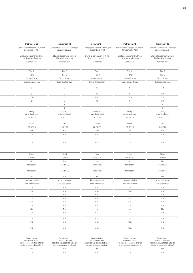| Instrument 39                                        | Instrument 40                                        | Instrument 41                                        | Instrument 42                                        | Instrument 43                                        |
|------------------------------------------------------|------------------------------------------------------|------------------------------------------------------|------------------------------------------------------|------------------------------------------------------|
| Landesbank Hessen-Thüringen<br>Girozentrale, AöR     | Landesbank Hessen-Thüringen<br>Girozentrale, AöR     | Landesbank Hessen-Thüringen<br>Girozentrale, AöR     | Landesbank Hessen-Thüringen<br>Girozentrale, AöR     | Landesbank Hessen-Thüringen<br>Girozentrale, AöR     |
| Bilateral agreement with no<br>third-party reference | Bilateral agreement with no<br>third-party reference | Bilateral agreement with no<br>third-party reference | Bilateral agreement with no<br>third-party reference | Bilateral agreement with no<br>third-party reference |
| German law                                           | German law                                           | German law                                           | German law                                           | German law                                           |
| Tier 2                                               | Tier 2                                               | Tier 2                                               | Tier 2                                               | Tier 2                                               |
| Tier 2                                               | Tier 2                                               | Tier 2                                               | Tier 2                                               | Tier 2                                               |
| Group & solo                                         | Group & solo                                         | Group & solo                                         | Group & solo                                         | Group & solo                                         |
| Subordinated loan                                    | Subordinated loan                                    | Subordinated loan                                    | Subordinated loan                                    | Subordinated loan                                    |
| 2                                                    | 9                                                    | 10                                                   | 6                                                    | 19                                                   |
| $\overline{2}$                                       | 9                                                    | 10                                                   | 6                                                    | 20                                                   |
| <b>EUR</b>                                           | EUR                                                  | <b>EUR</b>                                           | EUR                                                  | <b>EUR</b>                                           |
| 2                                                    | 9                                                    | 10                                                   | 6                                                    | 20                                                   |
| $\overline{1}$                                       | $\overline{1}$                                       | $\overline{1}$                                       | $\overline{1}$                                       | $\overline{1}$                                       |
| $\overline{1}$                                       | 1                                                    | $\overline{1}$                                       | $\overline{1}$                                       | $\overline{1}$                                       |
| Liability -<br>amortised cost                        | Liability -<br>amortised cost                        | Liability-<br>amortised cost                         | Liability -<br>amortised cost                        | Liability-<br>amortised cost                         |
| 24.07.13                                             | 24.07.13                                             | 25.07.13                                             | 31.07.13                                             | 31.07.13                                             |
| Dated                                                | Dated                                                | Dated                                                | Dated                                                | Dated                                                |
| 24.07.26                                             | 24.07.23                                             | 25.07.23                                             | 31.07.28                                             | 31.07.28                                             |
| Yes                                                  | Yes                                                  | Yes                                                  | Yes                                                  | Yes                                                  |
| n.a.                                                 | n.a.                                                 | n.a.                                                 | n.a.                                                 | n.a.                                                 |
| n.a.                                                 | n.a.                                                 | n.a.                                                 | n.a.                                                 | n.a.                                                 |
|                                                      |                                                      |                                                      |                                                      |                                                      |
| Fixed                                                | Fixed                                                | Fixed                                                | Fixed                                                | Fixed                                                |
| 4.4000%                                              | 4.1000%                                              | 4.1300%                                              | 4.5900%                                              | 4.6300%                                              |
| <b>No</b><br>Mandatory                               | No<br>Mandatory                                      | No<br>Mandatory                                      | <b>No</b><br>Mandatory                               | No<br>Mandatory                                      |
| Mandatory                                            | Mandatory                                            | Mandatory                                            | Mandatory                                            | Mandatory                                            |
| No                                                   | No                                                   | No                                                   | No                                                   | No                                                   |
| Non-cumulative                                       | Non-cumulative                                       | Non-cumulative                                       | Non-cumulative                                       | Non-cumulative                                       |
| Non-convertible                                      | Non-convertible                                      | Non-convertible                                      | Non-convertible                                      | Non-convertible                                      |
| n. a.                                                | n.a.                                                 | n.a.                                                 | n.a.                                                 | n.a.                                                 |
| n.a.                                                 | n.a.                                                 | n.a.                                                 | n.a.                                                 | n.a.                                                 |
| n.a.                                                 | n.a.                                                 | n.a.                                                 | n.a.                                                 | n.a.                                                 |
|                                                      |                                                      |                                                      | n.a.                                                 | n.a.                                                 |
| n.a.                                                 | n.a.                                                 | n.a.                                                 |                                                      |                                                      |
| n.a.                                                 | n.a.                                                 | n.a.                                                 | n.a.                                                 | n.a.                                                 |
| n.a.                                                 | n.a.                                                 | n.a.                                                 | n.a.                                                 | n.a.                                                 |
| <b>No</b>                                            | No                                                   | <b>No</b>                                            | <b>No</b>                                            | <b>No</b>                                            |
| n.a.                                                 | n.a.                                                 | n.a.                                                 | n. a.                                                | n.a.                                                 |
| n.a.                                                 | n.a.                                                 | n.a.                                                 | n.a.                                                 | n.a.                                                 |
| n.a.<br>n.a.                                         | n.a.<br>n.a.                                         | n.a.<br>n.a.                                         | n.a.<br>n.a.                                         | n.a.<br>n.a.                                         |

| liabilities (i.e. satisfied after all<br>liabilities (i.e. satisfied after all<br>liabilities (i.e. satisfied after al<br>liabilities (i.e. satisfied after all<br>liabilities (i.e. satisfied after all<br>senior unsecured creditors)<br>senior unsecured creditors)<br>senior unsecured creditors)<br>senior unsecured creditors)<br>senior unsecured creditors) |
|---------------------------------------------------------------------------------------------------------------------------------------------------------------------------------------------------------------------------------------------------------------------------------------------------------------------------------------------------------------------|
|                                                                                                                                                                                                                                                                                                                                                                     |
|                                                                                                                                                                                                                                                                                                                                                                     |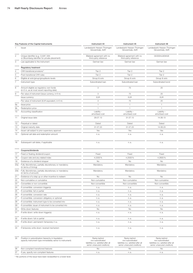|                | Key Features of the Capital Instruments                                                                             | Instrument 44                                                                                            | Instrument 45                                                                                            | Instrument 46                                                                                            |  |
|----------------|---------------------------------------------------------------------------------------------------------------------|----------------------------------------------------------------------------------------------------------|----------------------------------------------------------------------------------------------------------|----------------------------------------------------------------------------------------------------------|--|
|                | 1 Issuer                                                                                                            | Landesbank Hessen-Thüringen<br>Girozentrale, AöR                                                         | Landesbank Hessen-Thüringen<br>Girozentrale, AöR                                                         | Landesbank Hessen-Thüringen<br>Girozentrale, AöR                                                         |  |
| $\overline{2}$ | Unique identifier (e.g. CUSIP, ISIN<br>or Bloomberg identifier for private placement)                               | Bilateral agreement with no<br>third-party reference                                                     | Bilateral agreement with no<br>third-party reference                                                     | DE000HLB0WG6                                                                                             |  |
| 3              | Law applicable to the instrument                                                                                    | German law                                                                                               | German law                                                                                               | German law                                                                                               |  |
|                | <b>Regulatory treatment</b>                                                                                         |                                                                                                          |                                                                                                          |                                                                                                          |  |
|                | CRR transitional provisions <sup>1)</sup>                                                                           | Tier 2                                                                                                   | Tier 2                                                                                                   | Tier 2                                                                                                   |  |
|                | Post-transitional CRR rules                                                                                         | Tier 2                                                                                                   | Tier 2                                                                                                   | Tier 2                                                                                                   |  |
|                | Eligible at solo/group/group&solo levels                                                                            | Group & solo                                                                                             | Group & solo                                                                                             | Group & solo                                                                                             |  |
|                | Instrument type                                                                                                     | Subordinated loan                                                                                        | Subordinated loan                                                                                        | Subordinated bond                                                                                        |  |
| 8              | Amount eligible as regulatory own funds<br>(in $\epsilon$ m, as at most recent reporting date)                      | $\mathbf{3}$                                                                                             | 75                                                                                                       | 25                                                                                                       |  |
|                | Par value of instrument (issue currency, in $\in$ m)                                                                | $\mathbf{3}$                                                                                             | 75                                                                                                       | 25                                                                                                       |  |
|                | Issue currency                                                                                                      | <b>EUR</b>                                                                                               | <b>EUR</b>                                                                                               | <b>EUR</b>                                                                                               |  |
|                | Par value of instrument (EUR equivalent, in $\epsilon$ m)                                                           | $\mathbf{3}$                                                                                             | 75                                                                                                       | 25                                                                                                       |  |
| <b>9a</b>      | Issue price                                                                                                         | $\overline{1}$                                                                                           | $\overline{1}$                                                                                           | $\overline{1}$                                                                                           |  |
| 9 <sub>b</sub> | Redemption price                                                                                                    | $\overline{1}$                                                                                           | $\overline{1}$                                                                                           | $-1$                                                                                                     |  |
|                | 10 Accounting classification                                                                                        | Liability -<br>amortised cost                                                                            | Liability -<br>amortised cost                                                                            | Liability -<br>amortised cost                                                                            |  |
|                | 11 Original issue date                                                                                              | 29.07.13                                                                                                 | 31.07.13                                                                                                 | 14.08.13                                                                                                 |  |
|                | 12 Perpetual or dated                                                                                               | Dated                                                                                                    | Dated                                                                                                    | Dated                                                                                                    |  |
|                | 13 Original maturity date                                                                                           | 31.07.23                                                                                                 | 31.07.23                                                                                                 | 14.08.23                                                                                                 |  |
|                |                                                                                                                     |                                                                                                          |                                                                                                          |                                                                                                          |  |
|                | 14 Issuer call subject to prior supervisory approval                                                                | Yes                                                                                                      | Yes                                                                                                      | Yes                                                                                                      |  |
| 15             | Optional call date and redemption amount                                                                            | n.a.                                                                                                     | n.a.                                                                                                     | n.a.                                                                                                     |  |
|                | 16 Subsequent call dates, if applicable                                                                             | n. a.                                                                                                    | n.a.                                                                                                     | n.a.                                                                                                     |  |
|                |                                                                                                                     |                                                                                                          |                                                                                                          |                                                                                                          |  |
|                | Coupons/dividends                                                                                                   |                                                                                                          |                                                                                                          |                                                                                                          |  |
|                | 17 Fixed or floating dividend/coupon                                                                                | Fixed                                                                                                    | Fixed                                                                                                    | Fixed                                                                                                    |  |
| 18             | Coupon rate and any related index                                                                                   | 4.2300%                                                                                                  | 4.2500 %                                                                                                 | 4.2600%                                                                                                  |  |
| 19             | Existence of a dividend stopper                                                                                     | No                                                                                                       | No                                                                                                       | No                                                                                                       |  |
|                | 20a Fully discretionary, partially discretionary or mandatory                                                       | Mandatory                                                                                                | Mandatory                                                                                                | Mandatory                                                                                                |  |
|                | (in terms of timing)                                                                                                |                                                                                                          |                                                                                                          |                                                                                                          |  |
|                | 20b Fully discretionary, partially discretionary or mandatory<br>(in terms of amount)                               | Mandatory                                                                                                | Mandatory                                                                                                | Mandatory                                                                                                |  |
| 21             | Existence of a step up or other incentive to redeem                                                                 | No                                                                                                       | <b>No</b>                                                                                                | No                                                                                                       |  |
| 22             | Non-cumulative or cumulative                                                                                        | Non-cumulative                                                                                           | Non-cumulative                                                                                           | Non-cumulative                                                                                           |  |
|                | 23 Convertible or non-convertible                                                                                   | Non-convertible                                                                                          | Non-convertible                                                                                          | Non-convertible                                                                                          |  |
|                | 24 If convertible: conversion trigger(s)                                                                            | n.a.                                                                                                     | n. a.                                                                                                    | n.a.                                                                                                     |  |
| 25             | If convertible: full or partial                                                                                     | n.a.                                                                                                     | n. a.                                                                                                    | n.a.                                                                                                     |  |
| 26             | If convertible: conversion rate                                                                                     | n.a.                                                                                                     | n.a.                                                                                                     | n.a.                                                                                                     |  |
|                | 27 If convertible: conversion obligatory or optional                                                                | n.a.                                                                                                     | n.a.                                                                                                     | n.a.                                                                                                     |  |
|                | 28 If convertible: instrument type to be converted into                                                             | n. a.                                                                                                    | n.a.                                                                                                     | n.a.                                                                                                     |  |
|                | 29 If convertible: issuer of instrument to be converted into                                                        | n. a.                                                                                                    | n. a.                                                                                                    | n.a.                                                                                                     |  |
|                |                                                                                                                     |                                                                                                          |                                                                                                          |                                                                                                          |  |
|                | 30 Write-down features                                                                                              | No                                                                                                       | No                                                                                                       | No                                                                                                       |  |
|                | 31 If write-down: write-down trigger(s)                                                                             | n.a.                                                                                                     | n. a.                                                                                                    | n.a.                                                                                                     |  |
|                | 32 If write-down: full or partial                                                                                   | n. a.                                                                                                    | n. a.                                                                                                    | n.a.                                                                                                     |  |
|                | 33 If write-down: permanent/temporary/n.a.                                                                          | n.a.                                                                                                     | n.a.                                                                                                     | n.a.                                                                                                     |  |
|                | 34 If temporary write-down: reversal mechanism                                                                      | n. a.                                                                                                    | n.a.                                                                                                     | n.a.                                                                                                     |  |
|                | 35 Position in subordination hierarchy in liquidation<br>(specify instrument type immediately senior to instrument) | Ranks behind<br>non-subordinated<br>liabilities (i.e. satisfied after all<br>senior unsecured creditors) | Ranks behind<br>non-subordinated<br>liabilities (i.e. satisfied after all<br>senior unsecured creditors) | Ranks behind<br>non-subordinated<br>liabilities (i.e. satisfied after all<br>senior unsecured creditors) |  |
| 36             | Non-compliant transitioned features                                                                                 | No                                                                                                       | No                                                                                                       | No                                                                                                       |  |
|                | 37 If yes, specify non-compliant features                                                                           | n. a.                                                                                                    | n. a.                                                                                                    | n.a.                                                                                                     |  |
|                |                                                                                                                     |                                                                                                          |                                                                                                          |                                                                                                          |  |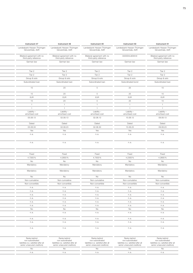| Instrument 47                                        | Instrument 48                                        | Instrument 49                                        | Instrument 50                                    | Instrument 51                                        |
|------------------------------------------------------|------------------------------------------------------|------------------------------------------------------|--------------------------------------------------|------------------------------------------------------|
| Landesbank Hessen-Thüringen<br>Girozentrale, AöR     | Landesbank Hessen-Thüringen<br>Girozentrale, AöR     | Landesbank Hessen-Thüringen<br>Girozentrale, AöR     | Landesbank Hessen-Thüringen<br>Girozentrale, AöR | Landesbank Hessen-Thüringen<br>Girozentrale, AöR     |
| Bilateral agreement with no<br>third-party reference | Bilateral agreement with no<br>third-party reference | Bilateral agreement with no<br>third-party reference | DE000HLB0WH4                                     | Bilateral agreement with no<br>third-party reference |
| German law                                           | German law                                           | German law                                           | German law                                       | German law                                           |
| Tier 2                                               | Tier 2                                               | Tier 2                                               | Tier 2                                           | Tier 2                                               |
| Tier 2                                               | Tier 2                                               | Tier 2                                               | Tier 2                                           | Tier 2                                               |
| Group & solo                                         | Group & solo                                         | Group & solo                                         | Group & solo                                     | Group & solo                                         |
| Subordinated loan                                    | Subordinated loan                                    | Subordinated loan                                    | Subordinated bond                                | Subordinated loan                                    |
| 15                                                   | 20                                                   | 5                                                    | 25                                               | 10                                                   |
| 15                                                   | 20                                                   | $5\overline{)}$                                      | 25                                               | 10                                                   |
| <b>EUR</b>                                           | EUR                                                  | <b>EUR</b>                                           | <b>EUR</b>                                       | <b>EUR</b>                                           |
| 15                                                   | 20                                                   | 5                                                    | 25                                               | 10                                                   |
| $\overline{1}$                                       | $\overline{1}$                                       | $\overline{1}$                                       | $\overline{1}$                                   | $\overline{1}$                                       |
| $\overline{1}$                                       | 1                                                    | $\overline{1}$                                       | $\overline{1}$                                   | $\overline{1}$                                       |
| Liability -<br>amortised cost                        | Liability -<br>amortised cost                        | Liability-<br>amortised cost                         | Liability -<br>amortised cost                    | Liability-<br>amortised cost                         |
| 05.08.13                                             | 02.08.13                                             | 02.08.13                                             | 15.08.13                                         | 09.08.13                                             |
| Dated                                                | Dated                                                | Dated                                                | Dated                                            | Dated                                                |
| 05.08.33                                             | 02.08.23                                             | 02.08.30                                             | 15.08.23                                         | 09.08.23                                             |
| Yes                                                  | Yes                                                  | Yes                                                  | Yes                                              | Yes                                                  |
| n.a.                                                 | n.a.                                                 | n.a.                                                 | n.a.                                             | n.a.                                                 |
| n.a.                                                 | n.a.                                                 | n.a.                                                 | n.a.                                             | n.a.                                                 |
|                                                      |                                                      |                                                      |                                                  |                                                      |
| Fixed                                                | Fixed                                                | Fixed                                                | Fixed                                            | Fixed                                                |
| 4.7300%<br><b>No</b>                                 | 4.2650%<br>No                                        | 4.7500%<br>No                                        | 4.2300%<br><b>No</b>                             | 4.2800%<br>No                                        |
| Mandatory                                            | Mandatory                                            | Mandatory                                            | Mandatory                                        | Mandatory                                            |
| Mandatory                                            | Mandatory                                            | Mandatory                                            | Mandatory                                        | Mandatory                                            |
| No                                                   | No                                                   | No                                                   | No                                               | No                                                   |
| Non-cumulative                                       | Non-cumulative                                       | Non-cumulative                                       | Non-cumulative                                   | Non-cumulative                                       |
| Non-convertible                                      | Non-convertible                                      | Non-convertible                                      | Non-convertible                                  | Non-convertible                                      |
| n. a.                                                | n.a.                                                 | n.a.                                                 | n.a.                                             | n.a.                                                 |
| n.a.                                                 | n.a.                                                 | n.a.                                                 | n.a.                                             | n.a.                                                 |
| n.a.                                                 | n.a.                                                 | n.a.                                                 | n.a.                                             | n.a.                                                 |
| n.a.<br>n.a.                                         | n.a.<br>n.a.                                         | n.a.                                                 | n.a.                                             | n.a.                                                 |
|                                                      |                                                      | n.a.<br>n.a.                                         | n.a.<br>n.a.                                     | n.a.                                                 |
|                                                      |                                                      |                                                      |                                                  | n.a.                                                 |
| n.a.                                                 | n.a.                                                 |                                                      |                                                  |                                                      |
| No                                                   | No                                                   | <b>No</b>                                            | <b>No</b>                                        | No                                                   |
| n.a.                                                 | n.a.                                                 | n.a.                                                 | n.a.                                             | n.a.                                                 |
| n. a.<br>n.a.                                        | n.a.<br>n.a.                                         | n.a.<br>n.a.                                         | n.a.<br>n.a.                                     | n.a.<br>n.a.                                         |

| Ranks behind<br>non-subordinated<br>liabilities (i.e. satisfied after al<br>senior unsecured creditors) | Ranks behind<br>non-subordinated<br>liabilities (i.e. satisfied after all<br>senior unsecured creditors) | Ranks behind<br>non-subordinated<br>liabilities (i.e. satisfied after all<br>senior unsecured creditors) | Ranks behind<br>non-subordinated<br>liabilities (i.e. satisfied after all<br>senior unsecured creditors) | Ranks behind<br>non-subordinated<br>liabilities (i.e. satisfied after all<br>senior unsecured creditors) |
|---------------------------------------------------------------------------------------------------------|----------------------------------------------------------------------------------------------------------|----------------------------------------------------------------------------------------------------------|----------------------------------------------------------------------------------------------------------|----------------------------------------------------------------------------------------------------------|
|                                                                                                         |                                                                                                          |                                                                                                          |                                                                                                          |                                                                                                          |
|                                                                                                         |                                                                                                          |                                                                                                          |                                                                                                          |                                                                                                          |
|                                                                                                         |                                                                                                          |                                                                                                          |                                                                                                          |                                                                                                          |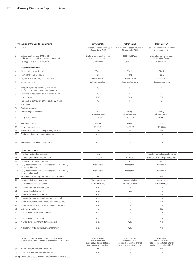|                 | Key Features of the Capital Instruments                                                                             | Instrument 52                                                                                            | Instrument 53                                                                                            | Instrument 54                                                                                            |  |
|-----------------|---------------------------------------------------------------------------------------------------------------------|----------------------------------------------------------------------------------------------------------|----------------------------------------------------------------------------------------------------------|----------------------------------------------------------------------------------------------------------|--|
|                 | 1 Issuer                                                                                                            | Landesbank Hessen-Thüringen<br>Girozentrale, AöR                                                         | Landesbank Hessen-Thüringen<br>Girozentrale, AöR                                                         | Landesbank Hessen-Thüringen<br>Girozentrale, AöR                                                         |  |
| 2               | Unique identifier (e.g. CUSIP, ISIN<br>or Bloomberg identifier for private placement)                               | Bilateral agreement with no<br>third-party reference                                                     | DE000HLB0WJ0                                                                                             | Bilateral agreement with no<br>third-party reference                                                     |  |
| 3               | Law applicable to the instrument                                                                                    | German law                                                                                               | German law                                                                                               | German law                                                                                               |  |
|                 | <b>Regulatory treatment</b>                                                                                         |                                                                                                          |                                                                                                          |                                                                                                          |  |
|                 | CRR transitional provisions <sup>1)</sup>                                                                           | Tier 2                                                                                                   | Tier 2                                                                                                   | Tier 2                                                                                                   |  |
|                 | Post-transitional CRR rules                                                                                         | Tier 2                                                                                                   | Tier 2                                                                                                   | Tier 2                                                                                                   |  |
|                 | Eligible at solo/group/group&solo levels                                                                            | Group & solo                                                                                             | Group & solo                                                                                             | Group & solo                                                                                             |  |
|                 | Instrument type                                                                                                     | Subordinated loan                                                                                        | Subordinated bond                                                                                        | Subordinated loan                                                                                        |  |
|                 | Amount eligible as regulatory own funds<br>(in $\in$ m, as at most recent reporting date)                           | 10                                                                                                       |                                                                                                          | $\overline{4}$                                                                                           |  |
|                 | Par value of instrument (issue currency, in $\in$ m)                                                                | 10                                                                                                       | -5                                                                                                       | 5                                                                                                        |  |
|                 | Issue currency                                                                                                      | <b>EUR</b>                                                                                               | <b>EUR</b>                                                                                               | <b>EUR</b>                                                                                               |  |
|                 | Par value of instrument (EUR equivalent, in $\in$ m)                                                                | 10                                                                                                       | -5                                                                                                       | 5                                                                                                        |  |
| <b>9a</b>       | Issue price                                                                                                         | 1                                                                                                        | $\overline{1}$                                                                                           | $\overline{1}$                                                                                           |  |
| 9b              | Redemption price                                                                                                    | $\mathbf{1}$                                                                                             | $\overline{1}$                                                                                           | $\overline{1}$                                                                                           |  |
| 10 <sub>1</sub> | Accounting classification                                                                                           | Liability -<br>amortised cost                                                                            | Liability -<br>amortised cost                                                                            | Liability -<br>fair value option                                                                         |  |
|                 | 11 Original issue date                                                                                              | 29.08.13                                                                                                 | 04.09.13                                                                                                 | 05.09.13                                                                                                 |  |
|                 | 12 Perpetual or dated                                                                                               | Dated                                                                                                    | Dated                                                                                                    | Dated                                                                                                    |  |
|                 | 13 Original maturity date                                                                                           | 29.08.23                                                                                                 | 04.09.23                                                                                                 | 05.09.33                                                                                                 |  |
| 14              | Issuer call subject to prior supervisory approval                                                                   | Yes                                                                                                      | Yes                                                                                                      | Yes                                                                                                      |  |
| 15              | Optional call date and redemption amount                                                                            | n.a.                                                                                                     | n.a.                                                                                                     | n.a.                                                                                                     |  |
|                 | 16 Subsequent call dates, if applicable                                                                             | n.a.                                                                                                     | n.a.                                                                                                     | n.a.                                                                                                     |  |
|                 | Coupons/dividends                                                                                                   |                                                                                                          |                                                                                                          |                                                                                                          |  |
| 17              | Fixed or floating dividend/coupon                                                                                   | Fixed                                                                                                    | Fixed                                                                                                    | Currently fixed, subsequently floating                                                                   |  |
| 18              | Coupon rate and any related index                                                                                   | 4.4200%                                                                                                  | 4.4200%                                                                                                  | 5.0000 % / EUR Swap interest rate                                                                        |  |
| 19              | Existence of a dividend stopper                                                                                     | No                                                                                                       | <b>No</b>                                                                                                | No                                                                                                       |  |
|                 | 20a Fully discretionary, partially discretionary or mandatory                                                       | Mandatory                                                                                                | Mandatory                                                                                                | Mandatory                                                                                                |  |
|                 | (in terms of timing)                                                                                                |                                                                                                          |                                                                                                          |                                                                                                          |  |
|                 | 20b Fully discretionary, partially discretionary or mandatory<br>(in terms of amount)                               | Mandatory                                                                                                | Mandatory                                                                                                | Mandatory                                                                                                |  |
|                 | 21 Existence of a step up or other incentive to redeem                                                              | No                                                                                                       | No                                                                                                       | No                                                                                                       |  |
| 22              | Non-cumulative or cumulative                                                                                        | Non-cumulative                                                                                           | Non-cumulative                                                                                           | Non-cumulative                                                                                           |  |
|                 | 23 Convertible or non-convertible                                                                                   | Non-convertible                                                                                          | Non-convertible                                                                                          | Non-convertible                                                                                          |  |
|                 | 24 If convertible: conversion trigger(s)                                                                            | n. a.                                                                                                    | n. a.                                                                                                    | n.a.                                                                                                     |  |
| 25              | If convertible: full or partial                                                                                     | n.a.                                                                                                     | n. a.                                                                                                    | n.a.                                                                                                     |  |
| 26              | If convertible: conversion rate                                                                                     | n.a.                                                                                                     | n.a.                                                                                                     | n.a.                                                                                                     |  |
|                 | 27 If convertible: conversion obligatory or optional                                                                | n. a.                                                                                                    | n. a.                                                                                                    | n.a.                                                                                                     |  |
|                 | 28 If convertible: instrument type to be converted into                                                             | n.a.                                                                                                     | n.a.                                                                                                     | n.a.                                                                                                     |  |
|                 | 29 If convertible: issuer of instrument to be converted into                                                        | n.a.                                                                                                     | n.a.                                                                                                     | n.a.                                                                                                     |  |
|                 | 30 Write-down features                                                                                              | No                                                                                                       | No                                                                                                       | No                                                                                                       |  |
|                 | 31 If write-down: write-down trigger(s)                                                                             | n.a.                                                                                                     | n.a.                                                                                                     | n.a.                                                                                                     |  |
|                 | 32 If write-down: full or partial                                                                                   | n.a.                                                                                                     | n.a.                                                                                                     | n.a.                                                                                                     |  |
|                 | 33 If write-down: permanent/temporary/n.a.                                                                          | n. a.                                                                                                    | n. a.                                                                                                    | n.a.                                                                                                     |  |
|                 | 34 If temporary write-down: reversal mechanism                                                                      | n.a.                                                                                                     | n. a.                                                                                                    | n.a.                                                                                                     |  |
|                 | 35 Position in subordination hierarchy in liquidation<br>(specify instrument type immediately senior to instrument) | Ranks behind<br>non-subordinated<br>liabilities (i.e. satisfied after all<br>senior unsecured creditors) | Ranks behind<br>non-subordinated<br>liabilities (i.e. satisfied after all<br>senior unsecured creditors) | Ranks behind<br>non-subordinated<br>liabilities (i.e. satisfied after all<br>senior unsecured creditors) |  |
|                 | 36 Non-compliant transitioned features                                                                              | No                                                                                                       | No                                                                                                       | No                                                                                                       |  |
|                 | 37 If yes, specify non-compliant features                                                                           | n. a.                                                                                                    | n. a.                                                                                                    | n.a.                                                                                                     |  |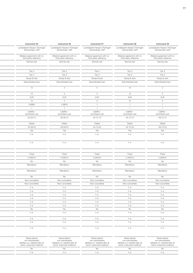| Instrument 55                                        | Instrument 56                                        | Instrument 57                                        | Instrument 58                                        | Instrument 59                                        |
|------------------------------------------------------|------------------------------------------------------|------------------------------------------------------|------------------------------------------------------|------------------------------------------------------|
| Landesbank Hessen-Thüringen<br>Girozentrale, AöR     | Landesbank Hessen-Thüringen<br>Girozentrale, AöR     | Landesbank Hessen-Thüringen<br>Girozentrale, AöR     | Landesbank Hessen-Thüringen<br>Girozentrale, AöR     | Landesbank Hessen-Thüringen<br>Girozentrale, AöR     |
| Bilateral agreement with no<br>third-party reference | Bilateral agreement with no<br>third-party reference | Bilateral agreement with no<br>third-party reference | Bilateral agreement with no<br>third-party reference | Bilateral agreement with no<br>third-party reference |
| German law                                           | German law                                           | German law                                           | German law                                           | German law                                           |
| Tier 2                                               | Tier 2                                               | Tier 2                                               | Tier 2                                               | Tier 2                                               |
| Tier 2                                               | Tier 2                                               | Tier 2                                               | Tier 2                                               | Tier 2                                               |
| Group & solo                                         | Group & solo                                         | Group & solo                                         | Group & solo                                         | Group & solo                                         |
| Subordinated loan                                    | Subordinated loan                                    | Subordinated loan                                    | Subordinated loan                                    | Subordinated loan                                    |
| 10                                                   | $5\overline{)}$                                      | 5                                                    | 10                                                   | $\overline{2}$                                       |
| 10                                                   | 5                                                    | $5\overline{)}$                                      | 10                                                   | $\overline{2}$                                       |
| <b>EUR</b>                                           | EUR                                                  | <b>EUR</b>                                           | <b>EUR</b>                                           | <b>EUR</b>                                           |
| 10                                                   | 5                                                    | 5                                                    | 10                                                   | $\overline{2}$                                       |
| 0.9992                                               | 0.9978                                               | $-1$                                                 | $\mathbf{1}$                                         | $\overline{1}$                                       |
| $\overline{1}$                                       | $\overline{1}$                                       | $\overline{1}$                                       | $\overline{1}$                                       | $\overline{1}$                                       |
| Liability -<br>amortised cost                        | Liability -<br>amortised cost                        | Liability-<br>amortised cost                         | Liability -<br>amortised cost                        | Liability-<br>amortised cost                         |
| 23.09.13                                             | 26.09.13                                             | 04.10.13                                             | 04.10.13                                             | 09.10.13                                             |
| Dated                                                | Dated                                                | Dated                                                | Dated                                                | Dated                                                |
| 22.09.23                                             | 26.09.23                                             | 04.10.23                                             | 04.10.23                                             | 09.10.23                                             |
| Yes                                                  | Yes                                                  | Yes                                                  | Yes                                                  | Yes                                                  |
| n.a.                                                 | n.a.                                                 | n.a.                                                 | n.a.                                                 | n.a.                                                 |
| n.a.                                                 | n.a.                                                 | n.a.                                                 | n.a.                                                 | n.a.                                                 |
|                                                      |                                                      |                                                      |                                                      |                                                      |
| Fixed<br>4.4300 %                                    | Fixed<br>4.4000%                                     | Fixed<br>4.3500%                                     | Fixed<br>4.3400 %                                    | Fixed<br>4.4000%                                     |
| <b>No</b>                                            | No                                                   | No                                                   | <b>No</b>                                            | No                                                   |
| Mandatory                                            | Mandatory                                            | Mandatory                                            | Mandatory                                            | Mandatory                                            |
| Mandatory                                            | Mandatory                                            | Mandatory                                            | Mandatory                                            | Mandatory                                            |
| <b>No</b>                                            | No                                                   | No                                                   | No                                                   | No                                                   |
| Non-cumulative                                       | Non-cumulative                                       | Non-cumulative                                       | Non-cumulative                                       | Non-cumulative                                       |
| Non-convertible                                      | Non-convertible                                      | Non-convertible                                      | Non-convertible                                      | Non-convertible                                      |
| n. a.                                                | n.a.                                                 | n.a.                                                 | n.a.                                                 | n.a.                                                 |
|                                                      | n.a.                                                 | n.a.                                                 | n.a.                                                 | n.a.                                                 |
| n.a.                                                 |                                                      |                                                      |                                                      |                                                      |
| n.a.                                                 | n.a.                                                 | n.a.                                                 | n.a.                                                 | n.a.                                                 |
| n.a.                                                 | n.a.                                                 | n.a.                                                 | n.a.                                                 | n.a.                                                 |
| n.a.                                                 | n.a.                                                 | n.a.                                                 | n.a.                                                 | n.a.                                                 |
| n.a.                                                 | n.a.                                                 | n.a.                                                 | n.a.                                                 | n.a.                                                 |
| No                                                   | No                                                   | <b>No</b>                                            | No                                                   | No                                                   |
| n.a.                                                 | n.a.                                                 | n.a.                                                 | n.a.                                                 | n.a.                                                 |
| n. a.                                                | n.a.                                                 | n.a.                                                 | n.a.                                                 | n.a.                                                 |
| n.a.<br>n.a.                                         | n.a.<br>n.a.                                         | n.a.<br>n.a.                                         | n.a.<br>n.a.                                         | n.a.<br>n.a.                                         |

| Ranks behind<br>non-subordinated<br>liabilities (i.e. satisfied after P'<br>senior unsecured creditors) | Ranks behind<br>non-subordinated<br>liabilities (i.e. satisfied after all<br>senior unsecured creditors) | Ranks behind<br>non-subordinated<br>liabilities (i.e. satisfied after all<br>senior unsecured creditors) | Ranks behind<br>non-subordinated<br>liabilities (i.e. satisfied after all<br>senior unsecured creditors) | Ranks behind<br>non-subordinated<br>liabilities (i.e. satisfied after all<br>senior unsecured creditors) |
|---------------------------------------------------------------------------------------------------------|----------------------------------------------------------------------------------------------------------|----------------------------------------------------------------------------------------------------------|----------------------------------------------------------------------------------------------------------|----------------------------------------------------------------------------------------------------------|
|                                                                                                         |                                                                                                          |                                                                                                          |                                                                                                          |                                                                                                          |
|                                                                                                         |                                                                                                          |                                                                                                          |                                                                                                          |                                                                                                          |
|                                                                                                         |                                                                                                          |                                                                                                          |                                                                                                          |                                                                                                          |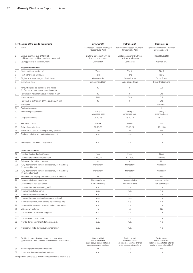|                 | Key Features of the Capital Instruments                                                                             | Instrument 60                                                                                            | Instrument 61                                                                                            | Instrument 62                                                                                            |  |
|-----------------|---------------------------------------------------------------------------------------------------------------------|----------------------------------------------------------------------------------------------------------|----------------------------------------------------------------------------------------------------------|----------------------------------------------------------------------------------------------------------|--|
|                 | 1 Issuer                                                                                                            | Landesbank Hessen-Thüringen<br>Girozentrale, AöR                                                         | Landesbank Hessen-Thüringen<br>Girozentrale, AöR                                                         | Landesbank Hessen-Thüringen<br>Girozentrale, AöR                                                         |  |
| 2               | Unique identifier (e.g. CUSIP, ISIN<br>or Bloomberg identifier for private placement)                               | Bilateral agreement with no<br>third-party reference                                                     | Bilateral agreement with no<br>third-party reference                                                     | DE000HLB02N4                                                                                             |  |
| 3               | Law applicable to the instrument                                                                                    | German law                                                                                               | German law                                                                                               | German law                                                                                               |  |
|                 | <b>Regulatory treatment</b>                                                                                         |                                                                                                          |                                                                                                          |                                                                                                          |  |
|                 | CRR transitional provisions <sup>1)</sup>                                                                           | Tier 2                                                                                                   | Tier 2                                                                                                   | Tier 2                                                                                                   |  |
|                 | Post-transitional CRR rules                                                                                         | Tier 2                                                                                                   | Tier 2                                                                                                   | Tier 2                                                                                                   |  |
|                 | Eligible at solo/group/group&solo levels                                                                            | Group & solo                                                                                             | Group & solo                                                                                             | Group & solo                                                                                             |  |
|                 | Instrument type                                                                                                     | Subordinated loan                                                                                        | Subordinated loan                                                                                        | Subordinated bond                                                                                        |  |
|                 | Amount eligible as regulatory own funds<br>(in $\in$ m, as at most recent reporting date)                           | 10                                                                                                       |                                                                                                          | 208                                                                                                      |  |
|                 | Par value of instrument (issue currency, in $\in$ m)                                                                | 10                                                                                                       |                                                                                                          | 215                                                                                                      |  |
|                 | Issue currency                                                                                                      | <b>EUR</b>                                                                                               | <b>EUR</b>                                                                                               | <b>EUR</b>                                                                                               |  |
|                 | Par value of instrument (EUR equivalent, in $\in$ m)                                                                | 10                                                                                                       |                                                                                                          | 215                                                                                                      |  |
| <b>9a</b>       | Issue price                                                                                                         | $\overline{1}$                                                                                           |                                                                                                          | 0.980615733                                                                                              |  |
| 9b              | Redemption price                                                                                                    | $\mathbf{1}$                                                                                             | $\overline{1}$                                                                                           | $\overline{1}$                                                                                           |  |
| 10 <sub>1</sub> | Accounting classification                                                                                           | Liability -                                                                                              | Liability -                                                                                              | Liability -                                                                                              |  |
|                 |                                                                                                                     | amortised cost                                                                                           | amortised cost                                                                                           | amortised cost                                                                                           |  |
|                 | 11 Original issue date                                                                                              | 09.10.13                                                                                                 | 28.10.13                                                                                                 | 06.11.13                                                                                                 |  |
|                 | 12 Perpetual or dated                                                                                               | Dated                                                                                                    | Dated                                                                                                    | Dated                                                                                                    |  |
|                 | 13 Original maturity date                                                                                           | 09.10.23                                                                                                 | 28.10.24                                                                                                 | 06.11.23                                                                                                 |  |
| 14              | Issuer call subject to prior supervisory approval                                                                   | Yes                                                                                                      | Yes                                                                                                      | Yes                                                                                                      |  |
| 15              | Optional call date and redemption amount                                                                            | n.a.                                                                                                     | n.a.                                                                                                     | n.a.                                                                                                     |  |
|                 | 16 Subsequent call dates, if applicable                                                                             | n.a.                                                                                                     | n.a.                                                                                                     | n.a.                                                                                                     |  |
|                 | Coupons/dividends                                                                                                   |                                                                                                          |                                                                                                          |                                                                                                          |  |
| 17              |                                                                                                                     | Fixed                                                                                                    | Fixed                                                                                                    | Fixed                                                                                                    |  |
| 18              | Fixed or floating dividend/coupon                                                                                   | 4.3700 %                                                                                                 | 4.4150%                                                                                                  | 4.0000%                                                                                                  |  |
| 19              | Coupon rate and any related index                                                                                   | No                                                                                                       | <b>No</b>                                                                                                | No                                                                                                       |  |
|                 | Existence of a dividend stopper<br>20a Fully discretionary, partially discretionary or mandatory                    |                                                                                                          |                                                                                                          |                                                                                                          |  |
|                 | (in terms of timing)                                                                                                | Mandatory                                                                                                | Mandatory                                                                                                | Mandatory                                                                                                |  |
|                 | 20b Fully discretionary, partially discretionary or mandatory<br>(in terms of amount)                               | Mandatory                                                                                                | Mandatory                                                                                                | Mandatory                                                                                                |  |
|                 | 21 Existence of a step up or other incentive to redeem                                                              | No                                                                                                       | No                                                                                                       | No                                                                                                       |  |
| 22              | Non-cumulative or cumulative                                                                                        | Non-cumulative                                                                                           | Non-cumulative                                                                                           | Non-cumulative                                                                                           |  |
|                 | 23 Convertible or non-convertible                                                                                   | Non-convertible                                                                                          | Non-convertible                                                                                          | Non-convertible                                                                                          |  |
|                 | 24 If convertible: conversion trigger(s)                                                                            | n. a.                                                                                                    | n. a.                                                                                                    | n.a.                                                                                                     |  |
| 25              | If convertible: full or partial                                                                                     | n.a.                                                                                                     | n. a.                                                                                                    | n.a.                                                                                                     |  |
| 26              | If convertible: conversion rate                                                                                     | n.a.                                                                                                     | n.a.                                                                                                     | n.a.                                                                                                     |  |
|                 | 27 If convertible: conversion obligatory or optional                                                                | n. a.                                                                                                    | n. a.                                                                                                    | n.a.                                                                                                     |  |
|                 | 28 If convertible: instrument type to be converted into                                                             | n.a.                                                                                                     | n.a.                                                                                                     | n.a.                                                                                                     |  |
|                 | 29 If convertible: issuer of instrument to be converted into                                                        | n.a.                                                                                                     | n.a.                                                                                                     | n.a.                                                                                                     |  |
|                 | 30 Write-down features                                                                                              | No                                                                                                       | No                                                                                                       | No                                                                                                       |  |
|                 | 31 If write-down: write-down trigger(s)                                                                             | n.a.                                                                                                     | n.a.                                                                                                     | n.a.                                                                                                     |  |
|                 | 32 If write-down: full or partial                                                                                   | n.a.                                                                                                     | n.a.                                                                                                     | n.a.                                                                                                     |  |
|                 | 33 If write-down: permanent/temporary/n.a.                                                                          | n. a.                                                                                                    | n. a.                                                                                                    | n.a.                                                                                                     |  |
|                 | 34 If temporary write-down: reversal mechanism                                                                      | n.a.                                                                                                     | n. a.                                                                                                    | n.a.                                                                                                     |  |
|                 | 35 Position in subordination hierarchy in liquidation<br>(specify instrument type immediately senior to instrument) | Ranks behind<br>non-subordinated<br>liabilities (i.e. satisfied after all<br>senior unsecured creditors) | Ranks behind<br>non-subordinated<br>liabilities (i.e. satisfied after all<br>senior unsecured creditors) | Ranks behind<br>non-subordinated<br>liabilities (i.e. satisfied after all<br>senior unsecured creditors) |  |
|                 | 36 Non-compliant transitioned features                                                                              | No                                                                                                       | No                                                                                                       | No                                                                                                       |  |
|                 | 37 If yes, specify non-compliant features                                                                           | n. a.                                                                                                    | n. a.                                                                                                    | n.a.                                                                                                     |  |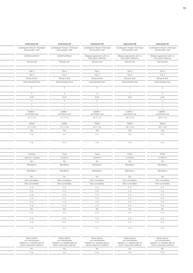| Instrument 63               | Instrument 64                    | Instrument 65                                        | Instrument 66                                        | Instrument 67                                        |
|-----------------------------|----------------------------------|------------------------------------------------------|------------------------------------------------------|------------------------------------------------------|
| Landesbank Hessen-Thüringen | Landesbank Hessen-Thüringen      | Landesbank Hessen-Thüringen                          | Landesbank Hessen-Thüringen                          | Landesbank Hessen-Thüringen                          |
| Girozentrale, AöR           | Girozentrale, AöR                | Girozentrale, AöR                                    | Girozentrale, AöR                                    | Girozentrale, AöR                                    |
| DE000HLB0WK8                | DE000HLB0WL6                     | Bilateral agreement with no<br>third-party reference | Bilateral agreement with no<br>third-party reference | Bilateral agreement with no<br>third-party reference |
| German law                  | German law                       | German law                                           | German law                                           | German law                                           |
| Tier 2                      |                                  | Tier 2                                               |                                                      | Tier 2                                               |
| Tier 2                      | Tier 2<br>Tier 2                 | Tier 2                                               | Tier 2<br>Tier 2                                     |                                                      |
| Group & solo                | Group & solo                     | Group & solo                                         | Group & solo                                         | Tier 2<br>Group & solo                               |
| Subordinated bond           | Subordinated bond                | Subordinated loan                                    | Subordinated loan                                    | Subordinated loan                                    |
| 5                           | 5                                | 5                                                    | $\mathbf{1}$                                         | 5                                                    |
|                             |                                  |                                                      |                                                      |                                                      |
| 5                           | $5\overline{)}$                  | $5\overline{)}$                                      | $\overline{1}$                                       | $5\overline{)}$                                      |
| <b>EUR</b>                  | <b>EUR</b>                       | <b>EUR</b>                                           | <b>EUR</b>                                           | EUR                                                  |
| 5<br>$\overline{1}$         | 5 <sup>5</sup><br>$\overline{1}$ | $5\overline{)}$<br>$\overline{1}$                    | $\mathbf{1}$<br>$\overline{1}$                       | $5\overline{)}$<br>$\overline{1}$                    |
| $\overline{1}$              | $\mathbf{1}$                     | $\overline{1}$                                       | $\mathbf{1}$                                         | $\overline{1}$                                       |
| Liability -                 | Liability -                      | Liability -                                          | Liability -                                          | Liability-                                           |
| amortised cost              | amortised cost                   | amortised cost                                       | amortised cost                                       | amortised cost                                       |
| 01.11.13                    | 01.11.13                         | 04.11.13                                             | 05.11.13                                             | 06.11.13                                             |
| Dated                       | Dated                            | Dated                                                | Dated                                                | Dated                                                |
| 01.11.23                    | 01.11.23                         | 04.11.33                                             | 05.11.24                                             | 06.11.23                                             |
| Yes                         | Yes                              | Yes                                                  | Yes                                                  | Yes                                                  |
| n.a.                        | n.a.                             | n.a.                                                 | n.a.                                                 | n.a.                                                 |
| n.a.                        | n.a.                             | n.a.                                                 | n.a.                                                 | n.a.                                                 |
|                             |                                  |                                                      |                                                      |                                                      |
| Floating                    | Fixed                            | Fixed                                                | Fixed                                                | Fixed                                                |
| 1.9810% / Euribor           | 4.3000%                          | 4.8750%                                              | 4.4150%                                              | 4.1900%                                              |
| No                          | No                               | No                                                   | No                                                   | No                                                   |
| Mandatory                   | Mandatory                        | Mandatory                                            | Mandatory                                            | Mandatory                                            |
| Mandatory                   | Mandatory                        | Mandatory                                            | Mandatory                                            | Mandatory                                            |
| No                          | No                               | No                                                   | No                                                   | No                                                   |
| Non-cumulative              | Non-cumulative                   | Non-cumulative                                       | Non-cumulative                                       | Non-cumulative                                       |
| Non-convertible             | Non-convertible                  | Non-convertible                                      | Non-convertible                                      | Non-convertible                                      |
| n. a.                       | n.a.                             | n.a.                                                 | n.a.                                                 | n.a.                                                 |
| n.a.                        | n.a.                             | n.a.                                                 | n.a.                                                 | n.a.                                                 |
| n.a.<br>n.a.                | n.a.<br>n.a.                     | n.a.<br>n.a.                                         | n.a.<br>n.a.                                         | n.a.<br>n.a.                                         |
|                             | n.a.                             | n.a.                                                 | n.a.                                                 | n.a.                                                 |
|                             |                                  |                                                      |                                                      |                                                      |
| n.a.                        |                                  |                                                      |                                                      |                                                      |
| n.a.                        | n.a.                             | n.a.                                                 | n.a.                                                 | n.a.                                                 |
| <b>No</b><br>n. a.          | No<br>n.a.                       | <b>No</b><br>n.a.                                    | <b>No</b><br>n. a.                                   | <b>No</b><br>n.a.                                    |
|                             |                                  |                                                      |                                                      |                                                      |
| n.a.<br>n.a.                | n.a.<br>n.a.                     | n.a.<br>n.a.                                         | n.a.<br>n. a.                                        | n.a.<br>n.a.                                         |

| Ranks behind<br>non-subordinated<br>liabilities (i.e. satisfied after al<br>senior unsecured creditors) | Ranks behind<br>non-subordinated<br>liabilities (i.e. satisfied after all<br>senior unsecured creditors) | Ranks behind<br>non-subordinated<br>liabilities (i.e. satisfied after all<br>senior unsecured creditors) | Ranks behind<br>non-subordinated<br>liabilities (i.e. satisfied after all<br>senior unsecured creditors) | Ranks behind<br>non-subordinated<br>liabilities (i.e. satisfied after all<br>senior unsecured creditors) |
|---------------------------------------------------------------------------------------------------------|----------------------------------------------------------------------------------------------------------|----------------------------------------------------------------------------------------------------------|----------------------------------------------------------------------------------------------------------|----------------------------------------------------------------------------------------------------------|
|                                                                                                         |                                                                                                          |                                                                                                          |                                                                                                          |                                                                                                          |
|                                                                                                         |                                                                                                          |                                                                                                          |                                                                                                          |                                                                                                          |
|                                                                                                         |                                                                                                          |                                                                                                          |                                                                                                          |                                                                                                          |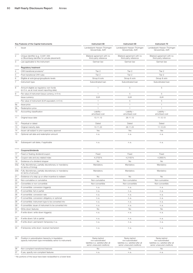|     | Key Features of the Capital Instruments                                                                             | Instrument 68                                                                                            | Instrument 69                                                                                            | Instrument 70                                                                                            |
|-----|---------------------------------------------------------------------------------------------------------------------|----------------------------------------------------------------------------------------------------------|----------------------------------------------------------------------------------------------------------|----------------------------------------------------------------------------------------------------------|
|     | Issuer                                                                                                              | Landesbank Hessen-Thüringen<br>Girozentrale, AöR                                                         | Landesbank Hessen-Thüringen<br>Girozentrale, AöR                                                         | Landesbank Hessen-Thüringen<br>Girozentrale, AöR                                                         |
|     | Unique identifier (e.g. CUSIP, ISIN<br>or Bloomberg identifier for private placement)                               | Bilateral agreement with no<br>third-party reference                                                     | Bilateral agreement with no<br>third-party reference                                                     | Bilateral agreement with no<br>third-party reference                                                     |
|     | Law applicable to the instrument                                                                                    | German law                                                                                               | German law                                                                                               | German law                                                                                               |
|     | <b>Regulatory treatment</b>                                                                                         |                                                                                                          |                                                                                                          |                                                                                                          |
|     | CRR transitional provisions <sup>1)</sup>                                                                           | Tier 2                                                                                                   | Tier 2                                                                                                   | Tier 2                                                                                                   |
|     | Post-transitional CRR rules                                                                                         | Tier 2                                                                                                   | Tier 2                                                                                                   | Tier 2                                                                                                   |
|     | Eligible at solo/group/group&solo levels                                                                            | Group & solo                                                                                             | Group & solo                                                                                             | Group & solo                                                                                             |
|     | Instrument type                                                                                                     | Subordinated loan                                                                                        | Subordinated loan                                                                                        | Subordinated loan                                                                                        |
|     | Amount eligible as regulatory own funds<br>(in € m, as at most recent reporting date)                               |                                                                                                          | -5                                                                                                       | 5                                                                                                        |
|     | Par value of instrument (issue currency, in $\in$ m)                                                                | $\overline{1}$                                                                                           | 5                                                                                                        | 5                                                                                                        |
|     | Issue currency                                                                                                      | <b>EUR</b>                                                                                               | <b>EUR</b>                                                                                               | <b>EUR</b>                                                                                               |
|     | Par value of instrument (EUR equivalent, in $\epsilon$ m)                                                           | $\overline{1}$                                                                                           | 5                                                                                                        | $5\overline{)}$                                                                                          |
| 9а  | Issue price                                                                                                         | $\overline{1}$                                                                                           | $\overline{1}$                                                                                           | $\overline{1}$                                                                                           |
| 9b  | Redemption price                                                                                                    | $\overline{1}$                                                                                           | $\overline{1}$                                                                                           | $\overline{1}$                                                                                           |
|     | 10 Accounting classification                                                                                        | Liability -<br>amortised cost                                                                            | Liability -<br>amortised cost                                                                            | Liability -<br>amortised cost                                                                            |
|     | 11 Original issue date                                                                                              | 13.11.13                                                                                                 | 28.11.13                                                                                                 | 11.12.13                                                                                                 |
| 12  | Perpetual or dated                                                                                                  | Dated                                                                                                    | Dated                                                                                                    | Dated                                                                                                    |
| 13  | Original maturity date                                                                                              | 13.11.23                                                                                                 | 28.11.23                                                                                                 | 11.12.23                                                                                                 |
| 14  | Issuer call subject to prior supervisory approval                                                                   | Yes                                                                                                      | Yes                                                                                                      | Yes                                                                                                      |
|     | 15 Optional call date and redemption amount                                                                         | n. a.                                                                                                    | n.a.                                                                                                     | n.a.                                                                                                     |
|     | 16 Subsequent call dates, if applicable                                                                             | n.a.                                                                                                     | n. a.                                                                                                    | n.a.                                                                                                     |
|     | Coupons/dividends                                                                                                   |                                                                                                          |                                                                                                          |                                                                                                          |
| 17  | Fixed or floating dividend/coupon                                                                                   | Fixed                                                                                                    | Fixed                                                                                                    | Fixed                                                                                                    |
| 18  | Coupon rate and any related index                                                                                   | 4.2700%                                                                                                  | 4.2100%                                                                                                  | 4.2850%                                                                                                  |
| 19  | Existence of a dividend stopper                                                                                     | No                                                                                                       | No                                                                                                       | No                                                                                                       |
| 20a | Fully discretionary, partially discretionary or mandatory                                                           | Mandatory                                                                                                | Mandatory                                                                                                | Mandatory                                                                                                |
|     | (in terms of timing)                                                                                                |                                                                                                          |                                                                                                          |                                                                                                          |
|     | 20b Fully discretionary, partially discretionary or mandatory<br>(in terms of amount)                               | Mandatory                                                                                                | Mandatory                                                                                                | Mandatory                                                                                                |
| 21  | Existence of a step up or other incentive to redeem                                                                 | No                                                                                                       | <b>No</b>                                                                                                | No                                                                                                       |
| 22  | Non-cumulative or cumulative                                                                                        | Non-cumulative                                                                                           | Non-cumulative                                                                                           | Non-cumulative                                                                                           |
| 23  | Convertible or non-convertible                                                                                      | Non-convertible                                                                                          | Non-convertible                                                                                          | Non-convertible                                                                                          |
|     | 24 If convertible: conversion trigger(s)                                                                            | n. a.                                                                                                    | n. a.                                                                                                    | n.a.                                                                                                     |
|     | 25 If convertible: full or partial                                                                                  | n. a.                                                                                                    | n. a.                                                                                                    | n.a.                                                                                                     |
|     | 26 If convertible: conversion rate                                                                                  | n. a.                                                                                                    | n.a.                                                                                                     | n.a.                                                                                                     |
|     | 27 If convertible: conversion obligatory or optional                                                                | n.a.                                                                                                     | n.a.                                                                                                     | n.a.                                                                                                     |
|     | 28 If convertible: instrument type to be converted into                                                             | n. a.                                                                                                    | n. a.                                                                                                    | n.a.                                                                                                     |
|     | 29 If convertible: issuer of instrument to be converted into                                                        | n. a.                                                                                                    | n.a.                                                                                                     | n.a.                                                                                                     |
|     | 30 Write-down features                                                                                              | No                                                                                                       | No                                                                                                       | No                                                                                                       |
|     | 31 If write-down: write-down trigger(s)                                                                             | n. a.                                                                                                    | n. a.                                                                                                    | n.a.                                                                                                     |
|     | 32 If write-down: full or partial                                                                                   | n. a.                                                                                                    | n. a.                                                                                                    | n.a.                                                                                                     |
|     | 33 If write-down: permanent/temporary/n.a.                                                                          | n. a.                                                                                                    | n. a.                                                                                                    | n.a.                                                                                                     |
|     | 34 If temporary write-down: reversal mechanism                                                                      | n. a.                                                                                                    | n. a.                                                                                                    | n.a.                                                                                                     |
|     | 35 Position in subordination hierarchy in liquidation<br>(specify instrument type immediately senior to instrument) | Ranks behind<br>non-subordinated<br>liabilities (i.e. satisfied after all<br>senior unsecured creditors) | Ranks behind<br>non-subordinated<br>liabilities (i.e. satisfied after all<br>senior unsecured creditors) | Ranks behind<br>non-subordinated<br>liabilities (i.e. satisfied after all<br>senior unsecured creditors) |
|     | 36 Non-compliant transitioned features                                                                              | No                                                                                                       | No                                                                                                       | No                                                                                                       |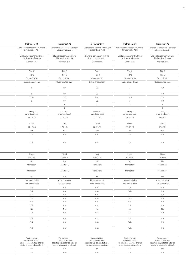| Instrument 71                                        | Instrument 72                                        | Instrument 73                                        | Instrument 74                                        | Instrument 75                                        |
|------------------------------------------------------|------------------------------------------------------|------------------------------------------------------|------------------------------------------------------|------------------------------------------------------|
| Landesbank Hessen-Thüringen<br>Girozentrale, AöR     | Landesbank Hessen-Thüringen<br>Girozentrale, AöR     | Landesbank Hessen-Thüringen<br>Girozentrale, AöR     | Landesbank Hessen-Thüringen<br>Girozentrale, AöR     | Landesbank Hessen-Thüringen<br>Girozentrale, AöR     |
| Bilateral agreement with no<br>third-party reference | Bilateral agreement with no<br>third-party reference | Bilateral agreement with no<br>third-party reference | Bilateral agreement with no<br>third-party reference | Bilateral agreement with no<br>third-party reference |
| German law                                           | German law                                           | German law                                           | German law                                           | German law                                           |
| Tier 2                                               | Tier 2                                               | Tier 2                                               | Tier 2                                               | Tier 2                                               |
| Tier 2                                               | Tier 2                                               | Tier 2                                               | Tier 2                                               | Tier 2                                               |
| Group & solo                                         | Group & solo                                         | Group & solo                                         | Group & solo                                         | Group & solo                                         |
| Subordinated loan                                    | Subordinated loan                                    | Subordinated loan                                    | Subordinated loan                                    | Subordinated loan                                    |
| - 5                                                  | 10                                                   | 30                                                   | $\overline{7}$                                       | 39                                                   |
| 5                                                    | 10                                                   | 30                                                   | 7                                                    | 39                                                   |
| <b>EUR</b>                                           | <b>EUR</b>                                           | <b>EUR</b>                                           | <b>EUR</b>                                           | <b>EUR</b>                                           |
| 5                                                    | 10                                                   | 30                                                   | 7                                                    | 39                                                   |
| $\overline{1}$                                       | $\overline{1}$                                       | $\overline{1}$                                       | $\overline{1}$                                       | $\overline{1}$                                       |
|                                                      | $\overline{1}$                                       | $\overline{1}$                                       | $\mathbf{1}$                                         | $\overline{1}$                                       |
| Liability -<br>amortised cost                        | Liability-<br>amortised cost                         | Liability -<br>amortised cost                        | Liability -<br>amortised cost                        | Liability-<br>amortised cost                         |
| 11.12.13                                             | 17.01.14                                             | 23.01.14                                             | 06.02.14                                             | 06.02.14                                             |
| Dated                                                | Dated                                                | Dated                                                | Dated                                                | Dated                                                |
| 11.12.23                                             | 17.01.24                                             | 23.01.34                                             | 06.02.26                                             | 06.02.34                                             |
| Yes                                                  | Yes                                                  | Yes                                                  | Yes                                                  | Yes                                                  |
| n.a.                                                 | n.a.                                                 | n.a.                                                 | n.a.                                                 | n.a.                                                 |
| n.a.                                                 | n.a.                                                 | n.a.                                                 | n.a.                                                 | n.a.                                                 |
|                                                      |                                                      |                                                      |                                                      |                                                      |
| Fixed                                                | Fixed                                                | Fixed                                                | Fixed                                                | Fixed                                                |
| 4.2650%                                              | 4.3400%                                              | 4.6300%                                              | 4.1000%                                              | 4.4700%                                              |
| No                                                   | No                                                   | No                                                   | <b>No</b>                                            | No                                                   |
| Mandatory                                            | Mandatory                                            | Mandatory                                            | Mandatory                                            | Mandatory                                            |
| Mandatory                                            | Mandatory                                            | Mandatory                                            | Mandatory                                            | Mandatory                                            |
| No                                                   | No                                                   | No                                                   | No                                                   | <b>No</b>                                            |
| Non-cumulative                                       | Non-cumulative                                       | Non-cumulative                                       | Non-cumulative                                       | Non-cumulative                                       |
| Non-convertible                                      | Non-convertible                                      | Non-convertible                                      | Non-convertible                                      | Non-convertible                                      |
| n.a.<br>n. a.                                        | n.a.<br>n.a.                                         | n.a.<br>n.a.                                         | n.a.<br>n.a.                                         | n.a.<br>n.a.                                         |
| n.a.                                                 | n.a.                                                 | n.a.                                                 | n.a.                                                 | n.a.                                                 |
| n.a.                                                 | n.a.                                                 | n.a.                                                 | n.a.                                                 | n.a.                                                 |
| n.a.                                                 | n.a.                                                 | n.a.                                                 | n.a.                                                 | n.a.                                                 |
| n. a.                                                | n.a.                                                 | n.a.                                                 | n.a.                                                 | n.a.                                                 |
| <b>No</b>                                            | No                                                   | <b>No</b>                                            | <b>No</b>                                            | <b>No</b>                                            |
| n.a.                                                 | n.a.                                                 | n.a.                                                 | n.a.                                                 | n.a.                                                 |
|                                                      |                                                      |                                                      |                                                      |                                                      |
| n.a.                                                 | n.a.                                                 | n.a.                                                 | n.a.                                                 | n.a.                                                 |
| n.a.                                                 | n.a.                                                 | n.a.                                                 | n. a.                                                | n.a.                                                 |

| Ranks behind<br>non-subordinated<br>liabilities (i.e. satisfied after a<br>senior unsecured creditors) | Ranks behind<br>non-subordinated<br>liabilities (i.e. satisfied after all<br>senior unsecured creditors) | Ranks behind<br>non-subordinated<br>liabilities (i.e. satisfied after all<br>senior unsecured creditors) | Ranks behind<br>non-subordinated<br>liabilities (i.e. satisfied after all<br>senior unsecured creditors) | Ranks behind<br>non-subordinated<br>liabilities (i.e. satisfied after all<br>senior unsecured creditors) |
|--------------------------------------------------------------------------------------------------------|----------------------------------------------------------------------------------------------------------|----------------------------------------------------------------------------------------------------------|----------------------------------------------------------------------------------------------------------|----------------------------------------------------------------------------------------------------------|
|                                                                                                        |                                                                                                          |                                                                                                          |                                                                                                          |                                                                                                          |
|                                                                                                        |                                                                                                          |                                                                                                          |                                                                                                          |                                                                                                          |
|                                                                                                        |                                                                                                          |                                                                                                          |                                                                                                          |                                                                                                          |

 $\overline{a}$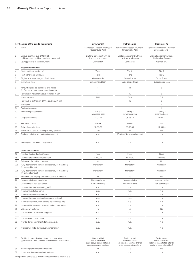|                | Key Features of the Capital Instruments                                                                             | Instrument 76                                                                                            | Instrument 77                                                                                            | Instrument 78                                                                                            |  |
|----------------|---------------------------------------------------------------------------------------------------------------------|----------------------------------------------------------------------------------------------------------|----------------------------------------------------------------------------------------------------------|----------------------------------------------------------------------------------------------------------|--|
|                | Issuer                                                                                                              | Landesbank Hessen-Thüringen<br>Girozentrale, AöR                                                         | Landesbank Hessen-Thüringen<br>Girozentrale, AöR                                                         | Landesbank Hessen-Thüringen<br>Girozentrale, AöR                                                         |  |
| $\overline{2}$ | Unique identifier (e.g. CUSIP, ISIN<br>or Bloomberg identifier for private placement)                               | Bilateral agreement with no<br>third-party reference                                                     | Bilateral agreement with no<br>third-party reference                                                     | Bilateral agreement with no<br>third-party reference                                                     |  |
| З              | Law applicable to the instrument                                                                                    | German law                                                                                               | German law                                                                                               | German law                                                                                               |  |
|                | Regulatory treatment                                                                                                |                                                                                                          |                                                                                                          |                                                                                                          |  |
|                | CRR transitional provisions <sup>1)</sup>                                                                           | Tier 2                                                                                                   | Tier 2                                                                                                   | Tier 2                                                                                                   |  |
|                | Post-transitional CRR rules                                                                                         | Tier 2                                                                                                   | Tier 2                                                                                                   | Tier 2                                                                                                   |  |
|                | Eligible at solo/group/group&solo levels                                                                            | Group & solo                                                                                             | Group & solo                                                                                             | Group & solo                                                                                             |  |
|                | Instrument type                                                                                                     | Subordinated loan                                                                                        | Subordinated loan                                                                                        | Subordinated loan                                                                                        |  |
| 8              | Amount eligible as regulatory own funds<br>(in $\epsilon$ m, as at most recent reporting date)                      | 5                                                                                                        | 11                                                                                                       | 5                                                                                                        |  |
|                | Par value of instrument (issue currency, in $\in$ m)                                                                | 5                                                                                                        | 10                                                                                                       | 5                                                                                                        |  |
|                | Issue currency                                                                                                      | <b>EUR</b>                                                                                               | <b>EUR</b>                                                                                               | <b>EUR</b>                                                                                               |  |
|                | Par value of instrument (EUR equivalent, in $\epsilon$ m)                                                           | 5                                                                                                        | 10                                                                                                       | 5                                                                                                        |  |
| 9a             | Issue price                                                                                                         | $\overline{1}$                                                                                           | $\overline{1}$                                                                                           | $\overline{1}$                                                                                           |  |
| 9b             | Redemption price                                                                                                    |                                                                                                          | $\overline{1}$                                                                                           | $-1$                                                                                                     |  |
|                | 10 Accounting classification                                                                                        | Liability -<br>amortised cost                                                                            | Liability -<br>fair value option                                                                         | Liability -<br>amortised cost                                                                            |  |
|                | 11 Original issue date                                                                                              | 12.02.14                                                                                                 | 06.03.14                                                                                                 | 11.03.14                                                                                                 |  |
|                | 12 Perpetual or dated                                                                                               | Dated                                                                                                    | Dated                                                                                                    | Dated                                                                                                    |  |
|                | 13 Original maturity date                                                                                           | 12.02.29                                                                                                 | 06.03.34                                                                                                 | 11.03.24                                                                                                 |  |
| 14             | Issuer call subject to prior supervisory approval                                                                   | Yes                                                                                                      | Yes                                                                                                      | Yes                                                                                                      |  |
| 15             | Optional call date and redemption amount                                                                            | n.a.                                                                                                     | 06.03.2024 / Nominal amount                                                                              | n.a.                                                                                                     |  |
| 16             | Subsequent call dates, if applicable                                                                                | n. a.                                                                                                    | n.a.                                                                                                     | n.a.                                                                                                     |  |
|                |                                                                                                                     |                                                                                                          |                                                                                                          |                                                                                                          |  |
|                | Coupons/dividends                                                                                                   |                                                                                                          |                                                                                                          |                                                                                                          |  |
|                | 17 Fixed or floating dividend/coupon                                                                                | Fixed                                                                                                    | Fixed                                                                                                    | Fixed                                                                                                    |  |
| 18             | Coupon rate and any related index                                                                                   | 4.3400%                                                                                                  | 4.6800%                                                                                                  | 3.8800%                                                                                                  |  |
| 19             | Existence of a dividend stopper                                                                                     | No                                                                                                       | No                                                                                                       | No                                                                                                       |  |
|                | 20a Fully discretionary, partially discretionary or mandatory<br>(in terms of timing)                               | Mandatory                                                                                                | Mandatory                                                                                                | Mandatory                                                                                                |  |
|                | 20b Fully discretionary, partially discretionary or mandatory<br>(in terms of amount)                               | Mandatory                                                                                                | Mandatory                                                                                                | Mandatory                                                                                                |  |
| 21             | Existence of a step up or other incentive to redeem                                                                 | No                                                                                                       | No                                                                                                       | No                                                                                                       |  |
| 22             | Non-cumulative or cumulative                                                                                        | Non-cumulative                                                                                           | Non-cumulative                                                                                           | Non-cumulative                                                                                           |  |
|                | 23 Convertible or non-convertible                                                                                   | Non-convertible                                                                                          | Non-convertible                                                                                          | Non-convertible                                                                                          |  |
|                | 24 If convertible: conversion trigger(s)                                                                            | n. a.                                                                                                    | n. a.                                                                                                    | n.a.                                                                                                     |  |
|                | 25 If convertible: full or partial                                                                                  | n. a.                                                                                                    | n.a.                                                                                                     | n.a.                                                                                                     |  |
|                | 26 If convertible: conversion rate                                                                                  | n.a.                                                                                                     | n. a.                                                                                                    | n.a.                                                                                                     |  |
|                | 27 If convertible: conversion obligatory or optional                                                                | n.a.                                                                                                     | n. a.                                                                                                    | n.a.                                                                                                     |  |
|                | 28 If convertible: instrument type to be converted into                                                             | n. a.                                                                                                    | n. a.                                                                                                    | n.a.                                                                                                     |  |
|                | 29 If convertible: issuer of instrument to be converted into                                                        | n. a.                                                                                                    | n.a.                                                                                                     | n.a.                                                                                                     |  |
|                | 30 Write-down features                                                                                              | No                                                                                                       | No                                                                                                       | No                                                                                                       |  |
|                | 31 If write-down: write-down trigger(s)                                                                             | n. a.                                                                                                    | n.a.                                                                                                     | n.a.                                                                                                     |  |
|                | 32 If write-down: full or partial                                                                                   | n. a.                                                                                                    | n. a.                                                                                                    | n.a.                                                                                                     |  |
|                | 33 If write-down: permanent/temporary/n.a.                                                                          | n. a.                                                                                                    | n.a.                                                                                                     | n.a.                                                                                                     |  |
|                | 34 If temporary write-down: reversal mechanism                                                                      | n. a.                                                                                                    | n.a.                                                                                                     | n.a.                                                                                                     |  |
|                | 35 Position in subordination hierarchy in liquidation<br>(specify instrument type immediately senior to instrument) | Ranks behind<br>non-subordinated<br>liabilities (i.e. satisfied after all<br>senior unsecured creditors) | Ranks behind<br>non-subordinated<br>liabilities (i.e. satisfied after all<br>senior unsecured creditors) | Ranks behind<br>non-subordinated<br>liabilities (i.e. satisfied after all<br>senior unsecured creditors) |  |
|                | 36 Non-compliant transitioned features                                                                              | No                                                                                                       | No                                                                                                       | No                                                                                                       |  |
|                | 37 If yes, specify non-compliant features                                                                           | n. a.                                                                                                    | n.a.                                                                                                     | n.a.                                                                                                     |  |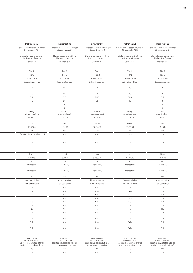| Instrument 79                                        | Instrument 80                                        | Instrument 81                                        | Instrument 82                                        | Instrument 83                                        |
|------------------------------------------------------|------------------------------------------------------|------------------------------------------------------|------------------------------------------------------|------------------------------------------------------|
| Landesbank Hessen-Thüringen                          | Landesbank Hessen-Thüringen                          | Landesbank Hessen-Thüringen                          | Landesbank Hessen-Thüringen                          | Landesbank Hessen-Thüringen                          |
| Girozentrale, AöR                                    | Girozentrale, AöR                                    | Girozentrale, AöR                                    | Girozentrale, AöR                                    | Girozentrale, AöR                                    |
| Bilateral agreement with no<br>third-party reference | Bilateral agreement with no<br>third-party reference | Bilateral agreement with no<br>third-party reference | Bilateral agreement with no<br>third-party reference | Bilateral agreement with no<br>third-party reference |
| German law                                           | German law                                           | German law                                           | German law                                           | German law                                           |
|                                                      |                                                      |                                                      |                                                      |                                                      |
| Tier 2                                               | Tier 2                                               | Tier 2                                               | Tier 2                                               | Tier 2                                               |
| Tier 2                                               | Tier 2                                               | Tier 2                                               | Tier 2                                               | Tier 2                                               |
| Group & solo                                         | Group & solo                                         | Group & solo                                         | Group & solo                                         | Group & solo                                         |
| Subordinated loan                                    | Subordinated loan                                    | Subordinated loan                                    | Subordinated loan                                    | Subordinated loan                                    |
| $11 -$                                               | 20                                                   | 25                                                   | 10                                                   | $\overline{1}$                                       |
| 10                                                   | 20                                                   | 25                                                   | 10                                                   | $\overline{1}$                                       |
| <b>EUR</b>                                           | EUR                                                  | <b>EUR</b>                                           | <b>EUR</b>                                           | EUR                                                  |
| 10                                                   | 20                                                   | 25                                                   | 10                                                   | $\overline{1}$                                       |
| $\overline{1}$                                       | $\overline{1}$                                       | $\overline{1}$                                       | $\mathbf{1}$                                         | $\overline{1}$                                       |
| $\overline{1}$                                       | 1                                                    | $\overline{1}$                                       | $\overline{1}$                                       | $\overline{1}$                                       |
| Liability -<br>fair value option                     | Liability -<br>amortised cost                        | Liability-<br>amortised cost                         | Liability -<br>amortised cost                        | Liability-<br>amortised cost                         |
| 13.03.14                                             | 21.03.14                                             | 15.04.14                                             | 09.05.14                                             | 13.05.14                                             |
| Dated                                                | Dated                                                | Dated                                                | Dated                                                | Dated                                                |
| 13.03.34                                             | 21.12.29                                             | 15.04.24                                             | 09.05.34                                             | 13.05.24                                             |
| Yes                                                  | Yes                                                  | Yes                                                  | Yes                                                  | Yes                                                  |
| 13.03.2024 / Nominal amount                          | n.a.                                                 | n.a.                                                 | n.a.                                                 | n.a.                                                 |
| n.a.                                                 | n.a.                                                 | n.a.                                                 | n.a.                                                 | n.a.                                                 |
|                                                      |                                                      |                                                      |                                                      |                                                      |
| Fixed                                                | Fixed                                                | Fixed                                                | Fixed                                                | Fixed                                                |
| 4.7000%                                              | 4.3000%                                              | 3.6300%                                              | 4.2300%                                              | 3.6350%                                              |
| <b>No</b>                                            | No                                                   | No                                                   | <b>No</b>                                            | <b>No</b>                                            |
| Mandatory                                            | Mandatory                                            | Mandatory                                            | Mandatory                                            | Mandatory                                            |
| Mandatory                                            | Mandatory                                            | Mandatory                                            | Mandatory                                            | Mandatory                                            |
| No                                                   | No                                                   | No                                                   | No                                                   | No                                                   |
| Non-cumulative                                       | Non-cumulative                                       | Non-cumulative                                       | Non-cumulative                                       | Non-cumulative                                       |
| Non-convertible                                      | Non-convertible                                      | Non-convertible                                      | Non-convertible                                      | Non-convertible                                      |
| n. a.                                                | n.a.                                                 | n.a.                                                 | n.a.                                                 | n.a.                                                 |
| n.a.                                                 | n.a.                                                 | n.a.                                                 | n.a.                                                 | n.a.                                                 |
| n.a.                                                 | n.a.                                                 | n.a.                                                 | n.a.                                                 | n.a.                                                 |
|                                                      |                                                      |                                                      |                                                      |                                                      |
| n.a.                                                 | n.a.                                                 | n.a.                                                 | n.a.                                                 |                                                      |
| n.a.                                                 | n.a.                                                 | n.a.                                                 | n.a.                                                 | n.a.                                                 |
| n.a.                                                 | n.a.                                                 | n.a.                                                 | n.a.                                                 | n.a.<br>n.a.                                         |
| No                                                   | No                                                   | <b>No</b>                                            | <b>No</b>                                            | No                                                   |
| n.a.                                                 | n.a.                                                 | n.a.                                                 | n.a.                                                 | n.a.                                                 |
| n.a.                                                 | n.a.                                                 | n.a.                                                 | n.a.                                                 | n.a.                                                 |
| n.a.<br>n.a.                                         | n.a.                                                 | n.a.                                                 | n.a.                                                 | n.a.                                                 |

| liabilities (i.e. satisfied after all<br>liabilities (i.e. satisfied after all<br>liabilities (i.e. satisfied after al<br>liabilities (i.e. satisfied after all<br>liabilities (i.e. satisfied after all<br>senior unsecured creditors)<br>senior unsecured creditors)<br>senior unsecured creditors)<br>senior unsecured creditors)<br>senior unsecured creditors) |
|---------------------------------------------------------------------------------------------------------------------------------------------------------------------------------------------------------------------------------------------------------------------------------------------------------------------------------------------------------------------|
|                                                                                                                                                                                                                                                                                                                                                                     |
|                                                                                                                                                                                                                                                                                                                                                                     |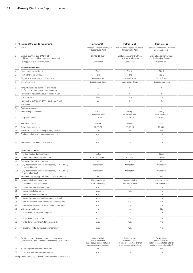|          | Key Features of the Capital Instruments                                                                             | Instrument 84                                                                                            | Instrument 85                                                                                            | Instrument 86                                                                                            |
|----------|---------------------------------------------------------------------------------------------------------------------|----------------------------------------------------------------------------------------------------------|----------------------------------------------------------------------------------------------------------|----------------------------------------------------------------------------------------------------------|
|          | Issuer                                                                                                              | Landesbank Hessen-Thüringen<br>Girozentrale, AöR                                                         | Landesbank Hessen-Thüringen<br>Girozentrale, AöR                                                         | Landesbank Hessen-Thüringen<br>Girozentrale, AöR                                                         |
|          |                                                                                                                     |                                                                                                          |                                                                                                          |                                                                                                          |
|          | Unique identifier (e.g. CUSIP, ISIN<br>or Bloomberg identifier for private placement)                               | DE000HLB4L07                                                                                             | Bilateral agreement with no<br>third-party reference                                                     | Bilateral agreement with no<br>third-party reference                                                     |
|          | Law applicable to the instrument                                                                                    | German law                                                                                               | German law                                                                                               | German law                                                                                               |
|          | <b>Regulatory treatment</b>                                                                                         |                                                                                                          |                                                                                                          |                                                                                                          |
|          | CRR transitional provisions <sup>1)</sup>                                                                           | Tier 2                                                                                                   | Tier 2                                                                                                   | Tier 2                                                                                                   |
|          | Post-transitional CRR rules                                                                                         | Tier 2                                                                                                   | Tier 2                                                                                                   | Tier 2                                                                                                   |
|          | Eligible at solo/group/group&solo levels                                                                            | Group & solo                                                                                             | Group & solo                                                                                             | Group & solo                                                                                             |
|          | Instrument type                                                                                                     | Subordinated bond                                                                                        | Subordinated loan                                                                                        | Subordinated loan                                                                                        |
|          | Amount eligible as regulatory own funds<br>(in $\epsilon$ m, as at most recent reporting date)                      | 20                                                                                                       | 8                                                                                                        | 25                                                                                                       |
|          | Par value of instrument (issue currency, in $\epsilon$ m)                                                           | 20                                                                                                       | 8                                                                                                        | 25                                                                                                       |
|          | Issue currency                                                                                                      | <b>EUR</b>                                                                                               | <b>EUR</b>                                                                                               | <b>EUR</b>                                                                                               |
|          | Par value of instrument (EUR equivalent, in $\in$ m)                                                                | 20                                                                                                       | 8                                                                                                        | 25                                                                                                       |
| 9а       | Issue price                                                                                                         | $\overline{1}$                                                                                           | $\overline{1}$                                                                                           | $\overline{1}$                                                                                           |
| 9b       | Redemption price                                                                                                    |                                                                                                          | $\overline{1}$                                                                                           | $\overline{1}$                                                                                           |
|          | 10 Accounting classification                                                                                        | Liability -<br>amortised cost                                                                            | Liability -<br>amortised cost                                                                            | Liability -<br>amortised cost                                                                            |
|          | 11 Original issue date                                                                                              | 23.05.14                                                                                                 | 03.06.14                                                                                                 | 05.06.14                                                                                                 |
|          | 12 Perpetual or dated                                                                                               | Dated                                                                                                    | Dated                                                                                                    | Dated                                                                                                    |
|          | 13 Original maturity date                                                                                           | 23.05.24                                                                                                 | 03.06.24                                                                                                 | 05.06.24                                                                                                 |
|          | 14 Issuer call subject to prior supervisory approval                                                                | Yes                                                                                                      | Yes                                                                                                      | Yes                                                                                                      |
|          | 15 Optional call date and redemption amount                                                                         | n.a.                                                                                                     | n.a.                                                                                                     | n.a.                                                                                                     |
|          | 16 Subsequent call dates, if applicable                                                                             | n. a.                                                                                                    | n. a.                                                                                                    | n.a.                                                                                                     |
|          | Coupons/dividends                                                                                                   |                                                                                                          |                                                                                                          |                                                                                                          |
|          | 17 Fixed or floating dividend/coupon                                                                                | Floating                                                                                                 | Fixed                                                                                                    | Fixed                                                                                                    |
| 18       | Coupon rate and any related index                                                                                   | 1.6300 % / Euribor                                                                                       | 3.3100%                                                                                                  | 3.3500%                                                                                                  |
| 19       | Existence of a dividend stopper                                                                                     | No                                                                                                       | No                                                                                                       | No                                                                                                       |
|          | 20a Fully discretionary, partially discretionary or mandatory                                                       | Mandatory                                                                                                | Mandatory                                                                                                | Mandatory                                                                                                |
|          | (in terms of timing)<br>20b Fully discretionary, partially discretionary or mandatory<br>(in terms of amount)       | Mandatory                                                                                                | Mandatory                                                                                                | Mandatory                                                                                                |
|          |                                                                                                                     |                                                                                                          |                                                                                                          | No                                                                                                       |
| 21       | Existence of a step up or other incentive to redeem<br>Non-cumulative or cumulative                                 | No                                                                                                       | No                                                                                                       | Non-cumulative                                                                                           |
| 22<br>23 | Convertible or non-convertible                                                                                      | Non-cumulative<br>Non-convertible                                                                        | Non-cumulative<br>Non-convertible                                                                        | Non-convertible                                                                                          |
|          |                                                                                                                     |                                                                                                          |                                                                                                          |                                                                                                          |
|          | 24 If convertible: conversion trigger(s)<br>25 If convertible: full or partial                                      | n. a.<br>n. a.                                                                                           | n. a.                                                                                                    | n. a.<br>n.a.                                                                                            |
|          | 26 If convertible: conversion rate                                                                                  |                                                                                                          | n. a.<br>n. a.                                                                                           | n.a.                                                                                                     |
|          | 27 If convertible: conversion obligatory or optional                                                                | n. a.<br>n. a.                                                                                           | n. a.                                                                                                    | n.a.                                                                                                     |
|          | 28 If convertible: instrument type to be converted into                                                             |                                                                                                          |                                                                                                          |                                                                                                          |
|          | 29 If convertible: issuer of instrument to be converted into                                                        | n. a.                                                                                                    | n. a.                                                                                                    | n.a.                                                                                                     |
|          | 30 Write-down features                                                                                              | n. a.<br>No                                                                                              | n. a.<br>No                                                                                              | n.a.<br>No                                                                                               |
|          | 31 If write-down: write-down trigger(s)                                                                             | n. a.                                                                                                    | n. a.                                                                                                    | n.a.                                                                                                     |
|          | 32 If write-down: full or partial                                                                                   | n. a.                                                                                                    | n. a.                                                                                                    | n.a.                                                                                                     |
|          | 33 If write-down: permanent/temporary/n.a.                                                                          | n. a.                                                                                                    | n. a.                                                                                                    | n.a.                                                                                                     |
|          | 34 If temporary write-down: reversal mechanism                                                                      | n. a.                                                                                                    | n. a.                                                                                                    | n.a.                                                                                                     |
|          | 35 Position in subordination hierarchy in liquidation<br>(specify instrument type immediately senior to instrument) | Ranks behind<br>non-subordinated<br>liabilities (i.e. satisfied after all<br>senior unsecured creditors) | Ranks behind<br>non-subordinated<br>liabilities (i.e. satisfied after all<br>senior unsecured creditors) | Ranks behind<br>non-subordinated<br>liabilities (i.e. satisfied after all<br>senior unsecured creditors) |
|          | 36 Non-compliant transitioned features                                                                              | No                                                                                                       | No                                                                                                       | No                                                                                                       |

37 If yes, specify non-compliant features nearly nearly nearly nearly nearly nearly nearly nearly nearly nearly nearly nearly nearly nearly nearly nearly nearly nearly nearly nearly nearly nearly nearly nearly nearly nearl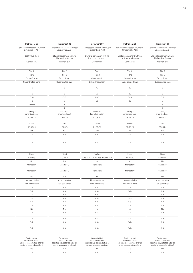| Instrument 87                                    | Instrument 88                                        | Instrument 89                                        | Instrument 90                                        | Instrument 91                                        |
|--------------------------------------------------|------------------------------------------------------|------------------------------------------------------|------------------------------------------------------|------------------------------------------------------|
| Landesbank Hessen-Thüringen<br>Girozentrale, AöR | Landesbank Hessen-Thüringen<br>Girozentrale, AöR     | Landesbank Hessen-Thüringen<br>Girozentrale, AöR     | Landesbank Hessen-Thüringen<br>Girozentrale, AöR     | Landesbank Hessen-Thüringen<br>Girozentrale, AöR     |
| DE000HLB4L15                                     | Bilateral agreement with no<br>third-party reference | Bilateral agreement with no<br>third-party reference | Bilateral agreement with no<br>third-party reference | Bilateral agreement with no<br>third-party reference |
| German law                                       | German law                                           | German law                                           | German law                                           | German law                                           |
| Tier 2                                           | Tier 2                                               | Tier 2                                               | Tier 2                                               | Tier 2                                               |
| Tier 2                                           | Tier 2                                               | Tier 2                                               | Tier 2                                               | Tier 2                                               |
| Group & solo                                     | Group & solo                                         | Group & solo                                         | Group & solo                                         | Group & solo                                         |
| Subordinated bond                                | Subordinated loan                                    | Subordinated loan                                    | Subordinated loan                                    | Subordinated loan                                    |
| 10                                               | $\mathcal{S}$                                        | 19                                                   | 30                                                   | $\mathcal{S}$                                        |
| 10                                               | $\mathcal{S}$                                        | 20                                                   | 30                                                   | $\mathcal{S}$                                        |
| <b>EUR</b>                                       | EUR                                                  | <b>EUR</b>                                           | <b>EUR</b>                                           | EUR                                                  |
| 10                                               | $\mathbf{3}$                                         | 20                                                   | 30                                                   | $\mathbf{3}$                                         |
| 1.0004                                           | $\overline{1}$                                       | $\overline{1}$                                       | $\overline{1}$                                       | $\overline{1}$                                       |
| $\overline{1}$                                   | 1                                                    | $-1$                                                 | $\overline{1}$                                       | $\overline{1}$                                       |
| Liability -<br>amortised cost                    | Liability -<br>amortised cost                        | Liability-<br>fair value option                      | Liability -<br>amortised cost                        | Liability -<br>amortised cost                        |
| 10.06.14                                         | 12.06.14                                             | 01.08.14                                             | 25.08.14                                             | 26.08.14                                             |
| Dated                                            | Dated                                                | Dated                                                | Dated                                                | Dated                                                |
| 10.06.24                                         | 12.06.34                                             | 01.08.24                                             | 01.07.25                                             | 26.08.24                                             |
| Yes                                              | Yes                                                  | Yes                                                  | Yes                                                  | Yes                                                  |
| n.a.                                             | n.a.                                                 | n.a.                                                 | n.a.                                                 | n.a.                                                 |
| n.a.                                             | n.a.                                                 | n.a.                                                 | n.a.                                                 | n.a.                                                 |
|                                                  |                                                      |                                                      |                                                      |                                                      |
| Fixed                                            | Fixed                                                | Floating                                             | Fixed                                                | Fixed                                                |
| 3.3000%                                          | 4.0100%                                              | 1.8327% / EUR Swap interest rate                     | 3.0000%                                              | 2.9050%                                              |
| <b>No</b>                                        | No                                                   | No                                                   | <b>No</b>                                            | No                                                   |
| Mandatory                                        | Mandatory                                            | Mandatory                                            | Mandatory                                            | Mandatory                                            |
| Mandatory                                        | Mandatory                                            | Mandatory                                            | Mandatory                                            | Mandatory                                            |
| No                                               | No                                                   | No                                                   | No                                                   | No                                                   |
| Non-cumulative                                   | Non-cumulative                                       | Non-cumulative                                       | Non-cumulative                                       | Non-cumulative                                       |
| Non-convertible                                  | Non-convertible                                      | Non-convertible                                      | Non-convertible                                      | Non-convertible                                      |
| n. a.<br>n.a.                                    | n.a.<br>n.a.                                         | n.a.<br>n.a.                                         | n.a.<br>n.a.                                         | n.a.<br>n.a.                                         |
| n.a.                                             | n.a.                                                 | n.a.                                                 | n.a.                                                 | n.a.                                                 |
|                                                  | n.a.                                                 | n.a.                                                 | n.a.                                                 | n.a.                                                 |
|                                                  |                                                      |                                                      |                                                      |                                                      |
| n.a.<br>n.a.                                     | n.a.                                                 | n.a.                                                 | n.a.                                                 | n.a.                                                 |
|                                                  |                                                      |                                                      |                                                      |                                                      |
| n.a.<br><b>No</b>                                | n.a.<br>No                                           | n.a.<br><b>No</b>                                    | n.a.<br><b>No</b>                                    | n.a.<br>No                                           |
| n.a.                                             | n.a.                                                 | n.a.                                                 | n. a.                                                | n.a.                                                 |
| n.a.                                             | n.a.                                                 | n.a.                                                 | n.a.                                                 | n.a.                                                 |
| n.a.                                             | n.a.                                                 | n.a.                                                 | n.a.                                                 | n.a.                                                 |

| Ranks behind<br>non-subordinated<br>liabilities (i.e. satisfied after P'<br>senior unsecured creditors) | Ranks behind<br>non-subordinated<br>liabilities (i.e. satisfied after all<br>senior unsecured creditors) | Ranks behind<br>non-subordinated<br>liabilities (i.e. satisfied after all<br>senior unsecured creditors) | Ranks behind<br>non-subordinated<br>liabilities (i.e. satisfied after all<br>senior unsecured creditors) | Ranks behind<br>non-subordinated<br>liabilities (i.e. satisfied after all<br>senior unsecured creditors) |
|---------------------------------------------------------------------------------------------------------|----------------------------------------------------------------------------------------------------------|----------------------------------------------------------------------------------------------------------|----------------------------------------------------------------------------------------------------------|----------------------------------------------------------------------------------------------------------|
|                                                                                                         |                                                                                                          |                                                                                                          |                                                                                                          |                                                                                                          |
|                                                                                                         |                                                                                                          |                                                                                                          |                                                                                                          |                                                                                                          |
|                                                                                                         |                                                                                                          |                                                                                                          |                                                                                                          |                                                                                                          |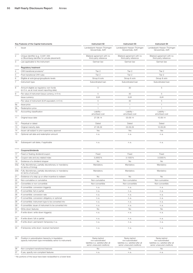|     | Key Features of the Capital Instruments                                                                             | Instrument 92                                                                                            | Instrument 93                                                                                            | Instrument 94                                                                                            |
|-----|---------------------------------------------------------------------------------------------------------------------|----------------------------------------------------------------------------------------------------------|----------------------------------------------------------------------------------------------------------|----------------------------------------------------------------------------------------------------------|
|     | Issuer                                                                                                              | Landesbank Hessen-Thüringen<br>Girozentrale, AöR                                                         | Landesbank Hessen-Thüringen<br>Girozentrale, AöR                                                         | Landesbank Hessen-Thüringen<br>Girozentrale, AöR                                                         |
|     |                                                                                                                     |                                                                                                          |                                                                                                          |                                                                                                          |
|     | Unique identifier (e.g. CUSIP, ISIN<br>or Bloomberg identifier for private placement)                               | Bilateral agreement with no<br>third-party reference                                                     | Bilateral agreement with no<br>third-party reference                                                     | Bilateral agreement with no<br>third-party reference                                                     |
|     | Law applicable to the instrument                                                                                    | German law                                                                                               | German law                                                                                               | German law                                                                                               |
|     | <b>Regulatory treatment</b>                                                                                         |                                                                                                          |                                                                                                          |                                                                                                          |
|     | CRR transitional provisions <sup>1)</sup>                                                                           | Tier 2                                                                                                   | Tier 2                                                                                                   | Tier 2                                                                                                   |
|     | Post-transitional CRR rules                                                                                         | Tier 2                                                                                                   | Tier 2                                                                                                   | Tier 2                                                                                                   |
|     | Eligible at solo/group/group&solo levels                                                                            | Group & solo                                                                                             | Group & solo                                                                                             | Group & solo                                                                                             |
|     | Instrument type                                                                                                     | Subordinated loan                                                                                        | Subordinated loan                                                                                        | Subordinated loan                                                                                        |
|     | Amount eligible as regulatory own funds<br>(in $\epsilon$ m, as at most recent reporting date)                      | -5                                                                                                       | 30                                                                                                       | 5                                                                                                        |
|     | Par value of instrument (issue currency, in $\epsilon$ m)                                                           | -5                                                                                                       | 30                                                                                                       | 5                                                                                                        |
|     | Issue currency                                                                                                      | <b>EUR</b>                                                                                               | <b>EUR</b>                                                                                               | <b>EUR</b>                                                                                               |
|     | Par value of instrument (EUR equivalent, in $\in$ m)                                                                | 5                                                                                                        | $30\,$                                                                                                   | 5                                                                                                        |
| Эa  | Issue price                                                                                                         | $\overline{1}$                                                                                           | $\overline{1}$                                                                                           | $\overline{1}$                                                                                           |
| Эb  | Redemption price                                                                                                    | $\overline{1}$                                                                                           | $\overline{1}$                                                                                           | $\overline{1}$                                                                                           |
| 10  | Accounting classification                                                                                           | Liability -<br>amortised cost                                                                            | Liability -<br>amortised cost                                                                            | Liability -<br>amortised cost                                                                            |
|     | 11 Original issue date                                                                                              | 27.08.14                                                                                                 | 03.09.14                                                                                                 | 10.09.14                                                                                                 |
| 12  | Perpetual or dated                                                                                                  | Dated                                                                                                    | Dated                                                                                                    | Dated                                                                                                    |
| 13  | Original maturity date                                                                                              | 27.08.29                                                                                                 | 03.09.29                                                                                                 | 10.09.26                                                                                                 |
| 14  | Issuer call subject to prior supervisory approval                                                                   | Yes                                                                                                      | Yes                                                                                                      | Yes                                                                                                      |
|     | 15 Optional call date and redemption amount                                                                         | n.a.                                                                                                     | n.a.                                                                                                     | n.a.                                                                                                     |
| 16  | Subsequent call dates, if applicable                                                                                | n.a.                                                                                                     | n.a.                                                                                                     | n.a.                                                                                                     |
|     | Coupons/dividends                                                                                                   |                                                                                                          |                                                                                                          |                                                                                                          |
| 17  | Fixed or floating dividend/coupon                                                                                   | Fixed                                                                                                    | Fixed                                                                                                    | Fixed                                                                                                    |
| 18  | Coupon rate and any related index                                                                                   | 3.2650%                                                                                                  | 3.1500%                                                                                                  | 3.0300%                                                                                                  |
| 19  | Existence of a dividend stopper                                                                                     | No                                                                                                       | No                                                                                                       | No                                                                                                       |
| 20a | Fully discretionary, partially discretionary or mandatory                                                           | Mandatory                                                                                                | Mandatory                                                                                                | Mandatory                                                                                                |
|     | (in terms of timing)                                                                                                |                                                                                                          |                                                                                                          |                                                                                                          |
|     | 20b Fully discretionary, partially discretionary or mandatory<br>(in terms of amount)                               | Mandatory                                                                                                | Mandatory                                                                                                | Mandatory                                                                                                |
| 21  | Existence of a step up or other incentive to redeem                                                                 | No                                                                                                       | No                                                                                                       | No                                                                                                       |
| 22  | Non-cumulative or cumulative                                                                                        | Non-cumulative                                                                                           | Non-cumulative                                                                                           | Non-cumulative                                                                                           |
| 23  | Convertible or non-convertible                                                                                      | Non-convertible                                                                                          | Non-convertible                                                                                          | Non-convertible                                                                                          |
|     | 24 If convertible: conversion trigger(s)                                                                            | n.a.                                                                                                     | n. a.                                                                                                    | n.a.                                                                                                     |
|     | 25 If convertible: full or partial                                                                                  | n. a.                                                                                                    | n. a.                                                                                                    | n.a.                                                                                                     |
|     | 26 If convertible: conversion rate                                                                                  | n.a.                                                                                                     | n. a.                                                                                                    | n.a.                                                                                                     |
|     | 27 If convertible: conversion obligatory or optional                                                                | n.a.                                                                                                     | n.a.                                                                                                     | n.a.                                                                                                     |
|     | 28 If convertible: instrument type to be converted into                                                             | n. a.                                                                                                    | n. a.                                                                                                    | n.a.                                                                                                     |
|     | 29 If convertible: issuer of instrument to be converted into                                                        | n.a.                                                                                                     | n.a.                                                                                                     | n.a.                                                                                                     |
|     | 30 Write-down features                                                                                              | No                                                                                                       | No                                                                                                       | No                                                                                                       |
|     | 31 If write-down: write-down trigger(s)                                                                             | n. a.                                                                                                    | n. a.                                                                                                    | n.a.                                                                                                     |
|     | 32 If write-down: full or partial                                                                                   | n. a.                                                                                                    | n. a.                                                                                                    | n.a.                                                                                                     |
|     | 33 If write-down: permanent/temporary/n.a.                                                                          | n. a.                                                                                                    | n. a.                                                                                                    | n.a.                                                                                                     |
|     | 34 If temporary write-down: reversal mechanism                                                                      | n. a.                                                                                                    | n. a.                                                                                                    | n.a.                                                                                                     |
|     | 35 Position in subordination hierarchy in liquidation<br>(specify instrument type immediately senior to instrument) | Ranks behind<br>non-subordinated<br>liabilities (i.e. satisfied after all<br>senior unsecured creditors) | Ranks behind<br>non-subordinated<br>liabilities (i.e. satisfied after all<br>senior unsecured creditors) | Ranks behind<br>non-subordinated<br>liabilities (i.e. satisfied after all<br>senior unsecured creditors) |
|     | 36 Non-compliant transitioned features                                                                              | No                                                                                                       | No                                                                                                       | No                                                                                                       |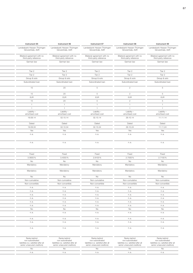| Instrument 95                                        | Instrument 96                                        | Instrument 97                                        | Instrument 98                                        | Instrument 99                                        |
|------------------------------------------------------|------------------------------------------------------|------------------------------------------------------|------------------------------------------------------|------------------------------------------------------|
| Landesbank Hessen-Thüringen<br>Girozentrale, AöR     | Landesbank Hessen-Thüringen<br>Girozentrale, AöR     | Landesbank Hessen-Thüringen<br>Girozentrale, AöR     | Landesbank Hessen-Thüringen<br>Girozentrale, AöR     | Landesbank Hessen-Thüringen<br>Girozentrale, AöR     |
| Bilateral agreement with no<br>third-party reference | Bilateral agreement with no<br>third-party reference | Bilateral agreement with no<br>third-party reference | Bilateral agreement with no<br>third-party reference | Bilateral agreement with no<br>third-party reference |
| German law                                           | German law                                           | German law                                           | German law                                           | German law                                           |
| Tier 2                                               | Tier 2                                               | Tier 2                                               | Tier 2                                               | Tier 2                                               |
| Tier 2                                               | Tier 2                                               | Tier 2                                               | Tier 2                                               | Tier 2                                               |
| Group & solo                                         | Group & solo                                         | Group & solo                                         | Group & solo                                         | Group & solo                                         |
| Subordinated loan                                    | Subordinated loan                                    | Subordinated loan                                    | Subordinated loan                                    | Subordinated loan                                    |
| 15                                                   | 20                                                   | 5                                                    | $\overline{2}$                                       | $5\overline{)}$                                      |
| 15                                                   | 20                                                   | $5\overline{)}$                                      | $\overline{2}$                                       | $5\overline{)}$                                      |
| <b>EUR</b>                                           | EUR                                                  | <b>EUR</b>                                           | EUR                                                  | EUR                                                  |
| 15                                                   | 20                                                   | 5                                                    | $\overline{2}$                                       | $5\overline{)}$                                      |
| $\overline{1}$                                       | $\overline{1}$                                       | $\overline{1}$                                       | $\mathbf{1}$                                         | $\overline{1}$                                       |
| $\overline{1}$                                       | 1                                                    | $\overline{1}$                                       | $\overline{1}$                                       | $\overline{1}$                                       |
| Liability -<br>amortised cost                        | Liability -<br>amortised cost                        | Liability-<br>amortised cost                         | Liability -<br>amortised cost                        | Liability -<br>amortised cost                        |
| 19.09.14                                             | 02.10.14                                             | 02.10.14                                             | 29.10.14                                             | 11.11.14                                             |
| Dated                                                | Dated                                                | Dated                                                | Dated                                                | Dated                                                |
| 19.09.33                                             | 02.10.34                                             | 02.10.24                                             | 29.10.24                                             | 11.11.24                                             |
| Yes                                                  | Yes                                                  | Yes                                                  | Yes                                                  | Yes                                                  |
| n.a.                                                 | n.a.                                                 | n.a.                                                 | n.a.                                                 | n.a.                                                 |
| n.a.                                                 | n.a.                                                 | n.a.                                                 | n.a.                                                 | n.a.                                                 |
|                                                      |                                                      |                                                      |                                                      |                                                      |
| Fixed<br>3.5600%                                     | Fixed<br>3.4550%                                     | Fixed<br>2.8100%                                     | Fixed<br>2.7000%                                     | Fixed<br>2.7150%                                     |
| <b>No</b>                                            | No                                                   | No                                                   | <b>No</b>                                            | No                                                   |
| Mandatory                                            | Mandatory                                            | Mandatory                                            | Mandatory                                            | Mandatory                                            |
| Mandatory                                            | Mandatory                                            | Mandatory                                            | Mandatory                                            | Mandatory                                            |
| No                                                   | No                                                   | No                                                   | No                                                   | No                                                   |
| Non-cumulative                                       | Non-cumulative                                       | Non-cumulative                                       | Non-cumulative                                       | Non-cumulative                                       |
| Non-convertible                                      | Non-convertible                                      | Non-convertible                                      | Non-convertible                                      | Non-convertible                                      |
| n. a.                                                | n.a.                                                 | n.a.                                                 | n.a.                                                 | n.a.                                                 |
| n.a.                                                 | n.a.                                                 | n.a.                                                 | n.a.                                                 | n.a.                                                 |
| n.a.                                                 | n.a.                                                 | n.a.                                                 | n.a.                                                 | n.a.                                                 |
| n.a.                                                 | n.a.                                                 | n.a.                                                 | n.a.                                                 | n.a.                                                 |
| n.a.                                                 | n.a.                                                 | n.a.                                                 | n.a.                                                 | n.a.                                                 |
| n.a.<br>No                                           | n.a.<br>No                                           | n.a.<br><b>No</b>                                    | n.a.<br><b>No</b>                                    | n.a.<br>No                                           |
|                                                      |                                                      |                                                      |                                                      |                                                      |
| n.a.                                                 | n.a.                                                 | n.a.                                                 | n.a.                                                 | n.a.                                                 |
|                                                      |                                                      |                                                      |                                                      |                                                      |
| n. a.<br>n.a.                                        | n.a.<br>n.a.                                         | n.a.<br>n.a.                                         | n.a.<br>n.a.                                         | n.a.<br>n.a.                                         |

| Ranks behind<br>non-subordinated<br>liabilities (i.e. satisfied after P'<br>senior unsecured creditors) | Ranks behind<br>non-subordinated<br>liabilities (i.e. satisfied after all<br>senior unsecured creditors) | Ranks behind<br>non-subordinated<br>liabilities (i.e. satisfied after all<br>senior unsecured creditors) | Ranks behind<br>non-subordinated<br>liabilities (i.e. satisfied after all<br>senior unsecured creditors) | Ranks behind<br>non-subordinated<br>liabilities (i.e. satisfied after all<br>senior unsecured creditors) |
|---------------------------------------------------------------------------------------------------------|----------------------------------------------------------------------------------------------------------|----------------------------------------------------------------------------------------------------------|----------------------------------------------------------------------------------------------------------|----------------------------------------------------------------------------------------------------------|
|                                                                                                         |                                                                                                          |                                                                                                          |                                                                                                          |                                                                                                          |
|                                                                                                         |                                                                                                          |                                                                                                          |                                                                                                          |                                                                                                          |
|                                                                                                         |                                                                                                          |                                                                                                          |                                                                                                          |                                                                                                          |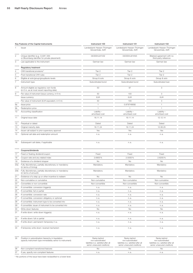|                 | Key Features of the Capital Instruments                                                                             | Instrument 100                                                                                           | Instrument 101                                                                                           | Instrument 102                                                                                           |
|-----------------|---------------------------------------------------------------------------------------------------------------------|----------------------------------------------------------------------------------------------------------|----------------------------------------------------------------------------------------------------------|----------------------------------------------------------------------------------------------------------|
|                 | Issuer                                                                                                              | Landesbank Hessen-Thüringen<br>Girozentrale, AöR                                                         | Landesbank Hessen-Thüringen<br>Girozentrale, AöR                                                         | Landesbank Hessen-Thüringen<br>Girozentrale, AöR                                                         |
|                 | Unique identifier (e.g. CUSIP, ISIN<br>or Bloomberg identifier for private placement)                               | DE000HLB1V32                                                                                             | DE000HLB1KN5                                                                                             | Bilateral agreement with no<br>third-party reference                                                     |
|                 | Law applicable to the instrument                                                                                    | German law                                                                                               | German law                                                                                               | German law                                                                                               |
|                 | <b>Regulatory treatment</b>                                                                                         |                                                                                                          |                                                                                                          |                                                                                                          |
|                 | CRR transitional provisions <sup>1)</sup>                                                                           | Tier 2                                                                                                   | Tier 2                                                                                                   | Tier 2                                                                                                   |
|                 | Post-transitional CRR rules                                                                                         | Tier 2                                                                                                   | Tier 2                                                                                                   | Tier 2                                                                                                   |
|                 | Eligible at solo/group/group&solo levels                                                                            | Group & solo                                                                                             | Group & solo                                                                                             | Group & solo                                                                                             |
|                 | Instrument type                                                                                                     | Subordinated bond                                                                                        | Subordinated bond                                                                                        | Subordinated loan                                                                                        |
|                 | Amount eligible as regulatory own funds<br>(in $\epsilon$ m, as at most recent reporting date)                      | 50                                                                                                       | 97                                                                                                       | 3                                                                                                        |
|                 | Par value of instrument (issue currency, in $\epsilon$ m)                                                           | 50                                                                                                       | 100                                                                                                      | $\mathcal{S}$                                                                                            |
|                 | Issue currency                                                                                                      | <b>EUR</b>                                                                                               | <b>EUR</b>                                                                                               | <b>EUR</b>                                                                                               |
|                 | Par value of instrument (EUR equivalent, in $\epsilon$ m)                                                           | 50                                                                                                       | 100                                                                                                      | $\mathcal{S}$                                                                                            |
| 9а              | Issue price                                                                                                         | $\overline{1}$                                                                                           | 0.979749092                                                                                              | $-1$                                                                                                     |
| 9b              | Redemption price                                                                                                    | $\overline{1}$                                                                                           | $\overline{1}$                                                                                           | $\overline{1}$                                                                                           |
|                 | 10 Accounting classification                                                                                        | Liability -<br>amortised cost                                                                            | Liability -<br>amortised cost                                                                            | Liability -<br>amortised cost                                                                            |
|                 | 11 Original issue date                                                                                              | 18.11.14                                                                                                 | 19.11.14                                                                                                 | 12.12.14                                                                                                 |
|                 | 12 Perpetual or dated                                                                                               | Dated                                                                                                    | Dated                                                                                                    | Dated                                                                                                    |
|                 | 13 Original maturity date                                                                                           | 18.11.24                                                                                                 | 19.11.24                                                                                                 | 12.06.25                                                                                                 |
| 14              | Issuer call subject to prior supervisory approval                                                                   | Yes                                                                                                      | Yes                                                                                                      | Yes                                                                                                      |
|                 | 15 Optional call date and redemption amount                                                                         | n. a.                                                                                                    | n. a.                                                                                                    | n.a.                                                                                                     |
|                 | 16 Subsequent call dates, if applicable                                                                             | n. a.                                                                                                    | n. a.                                                                                                    | n.a.                                                                                                     |
|                 | Coupons/dividends                                                                                                   |                                                                                                          |                                                                                                          |                                                                                                          |
| 17              | Fixed or floating dividend/coupon                                                                                   | Fixed                                                                                                    | Fixed                                                                                                    | Fixed                                                                                                    |
| 18              | Coupon rate and any related index                                                                                   | 2.6900%                                                                                                  | 2.5000%                                                                                                  | 2.6200%                                                                                                  |
| 19              | Existence of a dividend stopper                                                                                     | No                                                                                                       | No                                                                                                       | No                                                                                                       |
| 20a             | Fully discretionary, partially discretionary or mandatory                                                           | Mandatory                                                                                                | Mandatory                                                                                                | Mandatory                                                                                                |
| 20 <sub>b</sub> | (in terms of timing)<br>Fully discretionary, partially discretionary or mandatory                                   | Mandatory                                                                                                | Mandatory                                                                                                | Mandatory                                                                                                |
|                 | (in terms of amount)                                                                                                |                                                                                                          |                                                                                                          |                                                                                                          |
| 21              | Existence of a step up or other incentive to redeem                                                                 | No                                                                                                       | No                                                                                                       | No                                                                                                       |
| 22              | Non-cumulative or cumulative                                                                                        | Non-cumulative                                                                                           | Non-cumulative                                                                                           | Non-cumulative                                                                                           |
| 23              | Convertible or non-convertible                                                                                      | Non-convertible                                                                                          | Non-convertible                                                                                          | Non-convertible                                                                                          |
|                 | 24 If convertible: conversion trigger(s)                                                                            | n. a.                                                                                                    | n. a.                                                                                                    | n.a.                                                                                                     |
|                 | 25 If convertible: full or partial                                                                                  | n. a.                                                                                                    | n. a.                                                                                                    | n.a.                                                                                                     |
|                 | 26 If convertible: conversion rate                                                                                  | n. a.                                                                                                    | n. a.                                                                                                    | n.a.                                                                                                     |
|                 | 27 If convertible: conversion obligatory or optional                                                                | n. a.                                                                                                    | n.a.                                                                                                     | n.a.                                                                                                     |
|                 | 28 If convertible: instrument type to be converted into                                                             | n. a.                                                                                                    | n. a.                                                                                                    | n.a.                                                                                                     |
|                 | 29 If convertible: issuer of instrument to be converted into                                                        | n. a.                                                                                                    | n. a.                                                                                                    | n.a.                                                                                                     |
|                 | 30 Write-down features                                                                                              | No                                                                                                       | No                                                                                                       | No                                                                                                       |
|                 | 31 If write-down: write-down trigger(s)                                                                             | n. a.                                                                                                    | n. a.                                                                                                    | n.a.                                                                                                     |
|                 | 32 If write-down: full or partial                                                                                   | n. a.                                                                                                    | n. a.                                                                                                    | n.a.                                                                                                     |
|                 | 33 If write-down: permanent/temporary/n.a.                                                                          | n. a.                                                                                                    | n. a.                                                                                                    | n.a.                                                                                                     |
|                 | 34 If temporary write-down: reversal mechanism                                                                      | n. a.                                                                                                    | n. a.                                                                                                    | n.a.                                                                                                     |
|                 | 35 Position in subordination hierarchy in liquidation<br>(specify instrument type immediately senior to instrument) | Ranks behind<br>non-subordinated<br>liabilities (i.e. satisfied after all<br>senior unsecured creditors) | Ranks behind<br>non-subordinated<br>liabilities (i.e. satisfied after all<br>senior unsecured creditors) | Ranks behind<br>non-subordinated<br>liabilities (i.e. satisfied after all<br>senior unsecured creditors) |
|                 | 36 Non-compliant transitioned features                                                                              | No                                                                                                       | No                                                                                                       | No                                                                                                       |

37 If yes, specify non-compliant features nearly nearly nearly nearly nearly nearly nearly nearly nearly nearly nearly nearly nearly nearly nearly nearly nearly nearly nearly nearly nearly nearly nearly nearly nearly nearl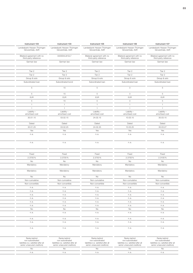| Instrument 103                                       | Instrument 104                | Instrument 105                                       | Instrument 106                                       | Instrument 107                                       |
|------------------------------------------------------|-------------------------------|------------------------------------------------------|------------------------------------------------------|------------------------------------------------------|
| Landesbank Hessen-Thüringen                          | Landesbank Hessen-Thüringen   | Landesbank Hessen-Thüringen                          | Landesbank Hessen-Thüringen                          | Landesbank Hessen-Thüringen                          |
| Girozentrale, AöR                                    | Girozentrale, AöR             | Girozentrale, AöR                                    | Girozentrale, AöR                                    | Girozentrale, AöR                                    |
| Bilateral agreement with no<br>third-party reference | DE000HLB12L7                  | Bilateral agreement with no<br>third-party reference | Bilateral agreement with no<br>third-party reference | Bilateral agreement with no<br>third-party reference |
| German law                                           | German law                    | German law                                           | German law                                           | German law                                           |
|                                                      |                               |                                                      |                                                      |                                                      |
| Tier 2                                               | Tier 2                        | Tier 2                                               | Tier 2                                               | Tier 2                                               |
| Tier 2                                               | Tier 2                        | Tier 2                                               | Tier 2                                               | Tier 2                                               |
| Group & solo                                         | Group & solo                  | Group & solo                                         | Group & solo                                         | Group & solo                                         |
| Subordinated loan                                    | Subordinated bond             | Subordinated loan                                    | Subordinated loan                                    | Subordinated loan                                    |
| 5                                                    | 15                            | 5                                                    | $\mathcal{S}$                                        | 5                                                    |
| 5                                                    | 15                            | $5\overline{)}$                                      | $\mathcal{S}$                                        | $5\overline{)}$                                      |
| <b>EUR</b>                                           | <b>EUR</b>                    | <b>EUR</b>                                           | <b>EUR</b>                                           | EUR                                                  |
| 5                                                    | 15                            | $5\overline{)}$                                      | 3                                                    | $5\overline{)}$                                      |
| $\overline{1}$                                       | $\overline{1}$                | $\overline{1}$                                       | $\overline{1}$                                       | $\overline{1}$                                       |
| $\overline{1}$                                       | $\mathbf{1}$                  | $\overline{1}$                                       | $\mathbf{1}$                                         | $\overline{1}$                                       |
| Liability -<br>amortised cost                        | Liability -<br>amortised cost | Liability -<br>amortised cost                        | Liability -<br>amortised cost                        | Liability -<br>amortised cost                        |
| 30.01.15                                             | 03.02.15                      | 24.02.15                                             | 10.03.15                                             | 30.03.15                                             |
| Dated                                                | Dated                         | Dated                                                | Dated                                                | Dated                                                |
| 30.01.25                                             | 03.02.25                      | 24.02.25                                             | 10.03.25                                             | 30.03.27                                             |
| Yes                                                  | Yes                           | Yes                                                  | Yes                                                  | Yes                                                  |
| n.a.                                                 | n.a.                          | n.a.                                                 | n.a.                                                 | n.a.                                                 |
| n.a.                                                 | n.a.                          | n.a.                                                 | n.a.                                                 | n.a.                                                 |
|                                                      |                               |                                                      |                                                      |                                                      |
| Fixed                                                | Fixed                         | Fixed                                                | Fixed                                                | Fixed                                                |
| 2.3700%                                              | 2.3700%                       | 2.3750%                                              | 2.3700%                                              | 2.3100%                                              |
| <b>No</b>                                            | No                            | No                                                   | No                                                   | No                                                   |
| Mandatory                                            | Mandatory                     | Mandatory                                            | Mandatory                                            | Mandatory                                            |
| Mandatory                                            | Mandatory                     | Mandatory                                            | Mandatory                                            | Mandatory                                            |
| No                                                   | No                            | No                                                   | No                                                   | No                                                   |
| Non-cumulative                                       | Non-cumulative                | Non-cumulative                                       | Non-cumulative                                       | Non-cumulative                                       |
| Non-convertible                                      | Non-convertible               | Non-convertible                                      | Non-convertible                                      | Non-convertible                                      |
| n. a.                                                | n.a.                          | n.a.                                                 | n.a.                                                 | n.a.                                                 |
| n.a.                                                 | n.a.                          | n.a.                                                 | n.a.                                                 | n.a.                                                 |
| n.a.                                                 | n.a.                          | n.a.                                                 | n.a.                                                 | n.a.                                                 |
| n.a.                                                 | n.a.                          | n.a.                                                 | n.a.                                                 | n.a.                                                 |
| n.a.<br>n.a.                                         | n.a.<br>n.a.                  | n.a.<br>n.a.                                         | n.a.<br>n.a.                                         | n.a.<br>n.a.                                         |
| <b>No</b>                                            | No                            | <b>No</b>                                            | <b>No</b>                                            | <b>No</b>                                            |
|                                                      |                               |                                                      |                                                      | n.a.                                                 |
|                                                      |                               |                                                      |                                                      |                                                      |
| n. a.                                                | n.a.                          | n.a.                                                 | n. a.                                                |                                                      |
| n.a.                                                 | n.a.                          | n.a.                                                 | n.a.                                                 | n.a.                                                 |
| n.a.                                                 | n.a.                          | n.a.                                                 | n. a.                                                | n.a.                                                 |

| Ranks behind<br>non-subordinated<br>liabilities (i.e. satisfied after a<br>senior unsecured creditors) | Ranks behind<br>non-subordinated<br>liabilities (i.e. satisfied after all<br>senior unsecured creditors) | Ranks behind<br>non-subordinated<br>liabilities (i.e. satisfied after all<br>senior unsecured creditors) | Ranks behind<br>non-subordinated<br>liabilities (i.e. satisfied after all<br>senior unsecured creditors) | Ranks behind<br>non-subordinated<br>liabilities (i.e. satisfied after all<br>senior unsecured creditors) |
|--------------------------------------------------------------------------------------------------------|----------------------------------------------------------------------------------------------------------|----------------------------------------------------------------------------------------------------------|----------------------------------------------------------------------------------------------------------|----------------------------------------------------------------------------------------------------------|
|                                                                                                        |                                                                                                          |                                                                                                          |                                                                                                          |                                                                                                          |
|                                                                                                        |                                                                                                          |                                                                                                          |                                                                                                          |                                                                                                          |
|                                                                                                        |                                                                                                          |                                                                                                          |                                                                                                          |                                                                                                          |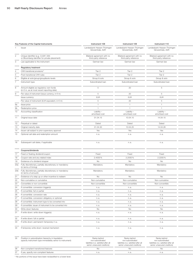|     | Key Features of the Capital Instruments                                                                             | Instrument 108                                                                                           | Instrument 109                                                                                           | Instrument 110                                                                                           |
|-----|---------------------------------------------------------------------------------------------------------------------|----------------------------------------------------------------------------------------------------------|----------------------------------------------------------------------------------------------------------|----------------------------------------------------------------------------------------------------------|
|     | Issuer                                                                                                              | Landesbank Hessen-Thüringen<br>Girozentrale, AöR                                                         | Landesbank Hessen-Thüringen<br>Girozentrale, AöR                                                         | Landesbank Hessen-Thüringen<br>Girozentrale, AöR                                                         |
|     | Unique identifier (e.g. CUSIP, ISIN<br>or Bloomberg identifier for private placement)                               | Bilateral agreement with no<br>third-party reference                                                     | Bilateral agreement with no<br>third-party reference                                                     | Bilateral agreement with no<br>third-party reference                                                     |
|     | Law applicable to the instrument                                                                                    | German law                                                                                               | German law                                                                                               | German law                                                                                               |
|     | <b>Regulatory treatment</b>                                                                                         |                                                                                                          |                                                                                                          |                                                                                                          |
|     | CRR transitional provisions <sup>1)</sup>                                                                           | Tier 2                                                                                                   | Tier 2                                                                                                   | Tier 2                                                                                                   |
|     | Post-transitional CRR rules                                                                                         | Tier 2                                                                                                   | Tier 2                                                                                                   | Tier 2                                                                                                   |
|     | Eligible at solo/group/group&solo levels                                                                            | Group & solo                                                                                             | Group & solo                                                                                             | Group & solo                                                                                             |
|     | Instrument type                                                                                                     | Subordinated loan                                                                                        | Subordinated loan                                                                                        | Subordinated loan                                                                                        |
|     | Amount eligible as regulatory own funds<br>(in € m, as at most recent reporting date)                               | -5                                                                                                       | 20                                                                                                       | 5                                                                                                        |
|     | Par value of instrument (issue currency, in $\in$ m)                                                                | 5                                                                                                        | 20                                                                                                       | 5                                                                                                        |
|     | Issue currency                                                                                                      | <b>EUR</b>                                                                                               | <b>EUR</b>                                                                                               | <b>EUR</b>                                                                                               |
|     | Par value of instrument (EUR equivalent, in $\epsilon$ m)                                                           | -5                                                                                                       | 20                                                                                                       | $5\overline{)}$                                                                                          |
| 9а  | Issue price                                                                                                         | $\overline{1}$                                                                                           | $\overline{1}$                                                                                           | $\overline{1}$                                                                                           |
| 9b  | Redemption price                                                                                                    | $\overline{1}$                                                                                           | $\overline{1}$                                                                                           | $\overline{1}$                                                                                           |
|     | 10 Accounting classification                                                                                        | Liability -<br>amortised cost                                                                            | Liability -<br>amortised cost                                                                            | Liability -<br>amortised cost                                                                            |
|     | 11 Original issue date                                                                                              | 01.04.15                                                                                                 | 10.04.15                                                                                                 | 14.04.15                                                                                                 |
| 12  | Perpetual or dated                                                                                                  | Dated                                                                                                    | Dated                                                                                                    | Dated                                                                                                    |
| 13  | Original maturity date                                                                                              | 01.04.30                                                                                                 | 10.04.25                                                                                                 | 14.04.26                                                                                                 |
| 14  | Issuer call subject to prior supervisory approval                                                                   | Yes                                                                                                      | Yes                                                                                                      | Yes                                                                                                      |
|     | 15 Optional call date and redemption amount                                                                         | n. a.                                                                                                    | n.a.                                                                                                     | n.a.                                                                                                     |
|     | 16 Subsequent call dates, if applicable                                                                             | n.a.                                                                                                     | n. a.                                                                                                    | n.a.                                                                                                     |
|     | Coupons/dividends                                                                                                   |                                                                                                          |                                                                                                          |                                                                                                          |
| 17  | Fixed or floating dividend/coupon                                                                                   | Fixed                                                                                                    | Fixed                                                                                                    | Fixed                                                                                                    |
| 18  | Coupon rate and any related index                                                                                   | 2.4000%                                                                                                  | 2.2050%                                                                                                  | 2.2200%                                                                                                  |
| 19  | Existence of a dividend stopper                                                                                     | No                                                                                                       | No                                                                                                       | No                                                                                                       |
| 20a | Fully discretionary, partially discretionary or mandatory                                                           | Mandatory                                                                                                | Mandatory                                                                                                | Mandatory                                                                                                |
|     | (in terms of timing)                                                                                                |                                                                                                          |                                                                                                          |                                                                                                          |
|     | 20b Fully discretionary, partially discretionary or mandatory<br>(in terms of amount)                               | Mandatory                                                                                                | Mandatory                                                                                                | Mandatory                                                                                                |
| 21  | Existence of a step up or other incentive to redeem                                                                 | No                                                                                                       | <b>No</b>                                                                                                | No                                                                                                       |
| 22  | Non-cumulative or cumulative                                                                                        | Non-cumulative                                                                                           | Non-cumulative                                                                                           | Non-cumulative                                                                                           |
| 23  | Convertible or non-convertible                                                                                      | Non-convertible                                                                                          | Non-convertible                                                                                          | Non-convertible                                                                                          |
|     | 24 If convertible: conversion trigger(s)                                                                            | n. a.                                                                                                    | n. a.                                                                                                    | n.a.                                                                                                     |
|     | 25 If convertible: full or partial                                                                                  | n. a.                                                                                                    | n. a.                                                                                                    | n.a.                                                                                                     |
|     | 26 If convertible: conversion rate                                                                                  | n. a.                                                                                                    | n.a.                                                                                                     | n.a.                                                                                                     |
|     | 27 If convertible: conversion obligatory or optional                                                                | n.a.                                                                                                     | n.a.                                                                                                     | n.a.                                                                                                     |
|     | 28 If convertible: instrument type to be converted into                                                             | n. a.                                                                                                    | n. a.                                                                                                    | n.a.                                                                                                     |
|     | 29 If convertible: issuer of instrument to be converted into                                                        | n. a.                                                                                                    | n.a.                                                                                                     | n.a.                                                                                                     |
|     | 30 Write-down features                                                                                              | No                                                                                                       | No                                                                                                       | No                                                                                                       |
|     | 31 If write-down: write-down trigger(s)                                                                             | n. a.                                                                                                    | n. a.                                                                                                    | n.a.                                                                                                     |
|     | 32 If write-down: full or partial                                                                                   | n. a.                                                                                                    | n. a.                                                                                                    | n.a.                                                                                                     |
|     | 33 If write-down: permanent/temporary/n.a.                                                                          | n. a.                                                                                                    | n. a.                                                                                                    | n.a.                                                                                                     |
|     | 34 If temporary write-down: reversal mechanism                                                                      | n. a.                                                                                                    | n. a.                                                                                                    | n.a.                                                                                                     |
|     | 35 Position in subordination hierarchy in liquidation<br>(specify instrument type immediately senior to instrument) | Ranks behind<br>non-subordinated<br>liabilities (i.e. satisfied after all<br>senior unsecured creditors) | Ranks behind<br>non-subordinated<br>liabilities (i.e. satisfied after all<br>senior unsecured creditors) | Ranks behind<br>non-subordinated<br>liabilities (i.e. satisfied after all<br>senior unsecured creditors) |
|     | 36 Non-compliant transitioned features                                                                              | No                                                                                                       | No                                                                                                       | No                                                                                                       |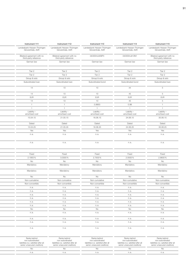| Instrument 111                                       | Instrument 112                                       | Instrument 113                                   | Instrument 114                                   | Instrument 115                                       |
|------------------------------------------------------|------------------------------------------------------|--------------------------------------------------|--------------------------------------------------|------------------------------------------------------|
| Landesbank Hessen-Thüringen<br>Girozentrale, AöR     | Landesbank Hessen-Thüringen<br>Girozentrale, AöR     | Landesbank Hessen-Thüringen<br>Girozentrale, AöR | Landesbank Hessen-Thüringen<br>Girozentrale, AöR | Landesbank Hessen-Thüringen<br>Girozentrale, AöR     |
| Bilateral agreement with no<br>third-party reference | Bilateral agreement with no<br>third-party reference | DE000HLB09P4                                     | DE000HLB13N1                                     | Bilateral agreement with no<br>third-party reference |
| German law                                           | German law                                           | German law                                       | German law                                       | German law                                           |
| Tier 2                                               | Tier 2                                               | Tier 2                                           | Tier 2                                           | Tier 2                                               |
| Tier 2                                               | Tier 2                                               | Tier 2                                           | Tier 2                                           | Tier 2                                               |
| Group & solo                                         | Group & solo                                         | Group & solo                                     | Group & solo                                     | Group & solo                                         |
| Subordinated loan                                    | Subordinated loan                                    | Subordinated bond                                | Subordinated bond                                | Subordinated loan                                    |
| 14                                                   | 10                                                   | 10                                               | 44                                               | 5 <sup>5</sup>                                       |
| 14                                                   | 10                                                   | 10                                               | 45                                               | $5\overline{)}$                                      |
| <b>EUR</b>                                           | <b>EUR</b>                                           | <b>EUR</b>                                       | <b>EUR</b>                                       | EUR                                                  |
| 14                                                   | 10                                                   | 10                                               | 45                                               | $5\overline{)}$                                      |
| $\overline{1}$                                       | $\overline{1}$                                       | 0.9953                                           | 0.98                                             | $\overline{1}$                                       |
| $\overline{1}$                                       | $\overline{1}$                                       | $\overline{1}$                                   | $\overline{1}$                                   | $\overline{1}$                                       |
| Liability -<br>amortised cost                        | Liability -<br>amortised cost                        | Liability -<br>amortised cost                    | Liability -<br>amortised cost                    | Liability -<br>amortised cost                        |
| 15.04.15                                             | 21.05.15                                             | 16.06.15                                         | 24.06.15                                         | 30.06.15                                             |
| Dated                                                | Dated                                                | Dated                                            | Dated                                            | Dated                                                |
| 15.04.25                                             | 21.05.35                                             | 16.06.25                                         | 24.06.25                                         | 30.06.25                                             |
| Yes                                                  | Yes                                                  | Yes                                              | Yes                                              | Yes                                                  |
| n.a.                                                 | n.a.                                                 | n.a.                                             | n.a.                                             | n.a.                                                 |
| n.a.                                                 | n.a.                                                 | n.a.                                             | n.a.                                             | n.a.                                                 |
|                                                      |                                                      |                                                  |                                                  |                                                      |
| Fixed                                                | Fixed                                                | Fixed                                            | Fixed                                            | Fixed                                                |
| 2.1950%                                              | 3.0000%                                              | 2.7500%                                          | 2.0000%                                          | 2.8600%                                              |
| No                                                   | No                                                   | No                                               | No                                               | <b>No</b>                                            |
| Mandatory                                            | Mandatory                                            | Mandatory                                        | Mandatory                                        | Mandatory                                            |
| Mandatory                                            | Mandatory                                            | Mandatory                                        | Mandatory                                        | Mandatory                                            |
| No                                                   | No                                                   | No                                               | No                                               | No                                                   |
| Non-cumulative                                       | Non-cumulative                                       | Non-cumulative                                   | Non-cumulative                                   | Non-cumulative                                       |
| Non-convertible                                      | Non-convertible                                      | Non-convertible                                  | Non-convertible                                  | Non-convertible                                      |
| n. a.                                                | n.a.                                                 | n.a.                                             | n.a.                                             | n.a.                                                 |
| n. a.                                                | n.a.                                                 | n.a.                                             | n. a.                                            | n.a.                                                 |
| n.a.                                                 | n.a.                                                 | n.a.                                             | n.a.                                             | n.a.                                                 |
| n.a.                                                 | n.a.                                                 | n.a.                                             | n.a.                                             | n.a.                                                 |
| n.a.                                                 | n.a.                                                 | n.a.                                             | n.a.                                             | n.a.                                                 |
| n.a.                                                 | n.a.                                                 | n.a.                                             | n. a.                                            | n.a.                                                 |
| No                                                   | No                                                   | No                                               | No                                               | <b>No</b>                                            |
|                                                      | n.a.                                                 | n.a.                                             | n.a.                                             | n.a.                                                 |
| n. a.                                                |                                                      |                                                  |                                                  |                                                      |
| n.a.                                                 | n.a.                                                 | n.a.                                             | n.a.                                             | n.a.                                                 |
| n.a.                                                 | n.a.                                                 | n.a.                                             | n. a.                                            | n.a.                                                 |

| Ranks behind<br>non-subordinated<br>liabilities (i.e. satisfied after all<br>senior unsecured creditors) | Ranks behind<br>non-subordinated<br>liabilities (i.e. satisfied after all<br>senior unsecured creditors) | Ranks behind<br>non-subordinated<br>liabilities (i.e. satisfied after al<br>senior unsecured creditors) | Ranks behind<br>non-subordinated<br>liabilities (i.e. satisfied after all<br>senior unsecured creditors) | Ranks behind<br>non-subordinated<br>liabilities (i.e. satisfied after all<br>senior unsecured creditors) |
|----------------------------------------------------------------------------------------------------------|----------------------------------------------------------------------------------------------------------|---------------------------------------------------------------------------------------------------------|----------------------------------------------------------------------------------------------------------|----------------------------------------------------------------------------------------------------------|
|                                                                                                          |                                                                                                          |                                                                                                         |                                                                                                          |                                                                                                          |
|                                                                                                          |                                                                                                          |                                                                                                         |                                                                                                          |                                                                                                          |
|                                                                                                          |                                                                                                          |                                                                                                         |                                                                                                          |                                                                                                          |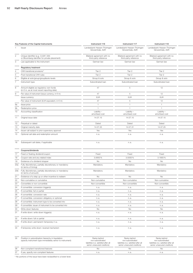|     | Key Features of the Capital Instruments                                                                             | Instrument 116                                                                                           | Instrument 117                                                                                           | Instrument 118                                                                                           |  |
|-----|---------------------------------------------------------------------------------------------------------------------|----------------------------------------------------------------------------------------------------------|----------------------------------------------------------------------------------------------------------|----------------------------------------------------------------------------------------------------------|--|
|     | Issuer                                                                                                              | Landesbank Hessen-Thüringen<br>Girozentrale, AöR                                                         | Landesbank Hessen-Thüringen<br>Girozentrale, AöR                                                         | Landesbank Hessen-Thüringen<br>Girozentrale, AöR                                                         |  |
|     | Unique identifier (e.g. CUSIP, ISIN<br>or Bloomberg identifier for private placement)                               | Bilateral agreement with no<br>third-party reference                                                     | Bilateral agreement with no<br>third-party reference                                                     | Bilateral agreement with no<br>third-party reference                                                     |  |
|     | Law applicable to the instrument                                                                                    | German law                                                                                               | German law                                                                                               | German law                                                                                               |  |
|     | <b>Regulatory treatment</b>                                                                                         |                                                                                                          |                                                                                                          |                                                                                                          |  |
|     | CRR transitional provisions <sup>1)</sup>                                                                           | Tier 2                                                                                                   | Tier 2                                                                                                   | Tier 2                                                                                                   |  |
|     | Post-transitional CRR rules                                                                                         | Tier 2                                                                                                   | Tier 2                                                                                                   | Tier 2                                                                                                   |  |
|     | Eligible at solo/group/group&solo levels                                                                            | Group & solo                                                                                             | Group & solo                                                                                             | Group & solo                                                                                             |  |
|     | Instrument type                                                                                                     | Subordinated loan                                                                                        | Subordinated loan                                                                                        | Subordinated loan                                                                                        |  |
|     | Amount eligible as regulatory own funds<br>(in $\epsilon$ m, as at most recent reporting date)                      | 47                                                                                                       | $\sqrt{2}$                                                                                               | 12                                                                                                       |  |
|     | Par value of instrument (issue currency, in $\epsilon$ m)                                                           | 47                                                                                                       | 5                                                                                                        | 12                                                                                                       |  |
|     | Issue currency                                                                                                      | <b>EUR</b>                                                                                               | <b>EUR</b>                                                                                               | <b>EUR</b>                                                                                               |  |
|     | Par value of instrument (EUR equivalent, in $\epsilon$ m)                                                           | 47                                                                                                       | 5                                                                                                        | 12                                                                                                       |  |
| 9a  | Issue price                                                                                                         | $\overline{1}$                                                                                           | $\overline{1}$                                                                                           | $\overline{1}$                                                                                           |  |
| Эb  | Redemption price                                                                                                    | $\overline{1}$                                                                                           | $\overline{1}$                                                                                           | $\overline{1}$                                                                                           |  |
| 10  | Accounting classification                                                                                           | Liability -<br>amortised cost                                                                            | Liability -<br>amortised cost                                                                            | Liability -<br>amortised cost                                                                            |  |
|     | 11 Original issue date                                                                                              | 14.07.15                                                                                                 | 14.07.15                                                                                                 | 14.07.15                                                                                                 |  |
| 12  | Perpetual or dated                                                                                                  | Dated                                                                                                    | Dated                                                                                                    | Dated                                                                                                    |  |
| 13  | Original maturity date                                                                                              | 14.07.25                                                                                                 | 14.07.31                                                                                                 | 14.07.25                                                                                                 |  |
| 14  | Issuer call subject to prior supervisory approval                                                                   | Yes                                                                                                      | Yes                                                                                                      | Yes                                                                                                      |  |
|     | 15 Optional call date and redemption amount                                                                         | n.a.                                                                                                     | n.a.                                                                                                     | n.a.                                                                                                     |  |
|     | 16 Subsequent call dates, if applicable                                                                             | n.a.                                                                                                     | n. a.                                                                                                    | n.a.                                                                                                     |  |
|     | Coupons/dividends                                                                                                   |                                                                                                          |                                                                                                          |                                                                                                          |  |
| 17  | Fixed or floating dividend/coupon                                                                                   | Fixed                                                                                                    | Fixed                                                                                                    | Fixed                                                                                                    |  |
| 18  | Coupon rate and any related index                                                                                   | 3.0650%                                                                                                  | 3.5000%                                                                                                  | 3.1800%                                                                                                  |  |
| 19  | Existence of a dividend stopper                                                                                     | <b>No</b>                                                                                                | No                                                                                                       | No                                                                                                       |  |
| 20a | Fully discretionary, partially discretionary or mandatory                                                           | Mandatory                                                                                                | Mandatory                                                                                                | Mandatory                                                                                                |  |
|     | (in terms of timing)                                                                                                |                                                                                                          |                                                                                                          |                                                                                                          |  |
|     | 20b Fully discretionary, partially discretionary or mandatory<br>(in terms of amount)                               | Mandatory                                                                                                | Mandatory                                                                                                | Mandatory                                                                                                |  |
|     | Existence of a step up or other incentive to redeem                                                                 | No                                                                                                       | No                                                                                                       | No                                                                                                       |  |
| 22  | Non-cumulative or cumulative                                                                                        | Non-cumulative                                                                                           | Non-cumulative                                                                                           | Non-cumulative                                                                                           |  |
| 23  | Convertible or non-convertible                                                                                      | Non-convertible                                                                                          | Non-convertible                                                                                          | Non-convertible                                                                                          |  |
|     | 24 If convertible: conversion trigger(s)                                                                            | n. a.                                                                                                    | n. a.                                                                                                    | n. a.                                                                                                    |  |
|     | 25 If convertible: full or partial                                                                                  | n. a.                                                                                                    | n. a.                                                                                                    | n.a.                                                                                                     |  |
|     | 26 If convertible: conversion rate                                                                                  | n. a.                                                                                                    | n.a.                                                                                                     | n.a.                                                                                                     |  |
|     | 27 If convertible: conversion obligatory or optional                                                                | n. a.                                                                                                    | n. a.                                                                                                    | n.a.                                                                                                     |  |
|     | 28 If convertible: instrument type to be converted into                                                             | n. a.                                                                                                    | n. a.                                                                                                    | n.a.                                                                                                     |  |
|     | 29 If convertible: issuer of instrument to be converted into                                                        | n. a.                                                                                                    | n. a.                                                                                                    | n.a.                                                                                                     |  |
|     | 30 Write-down features                                                                                              | No                                                                                                       | No                                                                                                       | No                                                                                                       |  |
|     | 31 If write-down: write-down trigger(s)                                                                             | n.a.                                                                                                     | n.a.                                                                                                     | n.a.                                                                                                     |  |
|     | 32 If write-down: full or partial                                                                                   | n.a.                                                                                                     | n.a.                                                                                                     | n.a.                                                                                                     |  |
|     | 33 If write-down: permanent/temporary/n.a.                                                                          | n. a.                                                                                                    | n. a.                                                                                                    | n.a.                                                                                                     |  |
|     | 34 If temporary write-down: reversal mechanism                                                                      | n. a.                                                                                                    | n. a.                                                                                                    | n.a.                                                                                                     |  |
|     | 35 Position in subordination hierarchy in liquidation<br>(specify instrument type immediately senior to instrument) | Ranks behind<br>non-subordinated<br>liabilities (i.e. satisfied after all<br>senior unsecured creditors) | Ranks behind<br>non-subordinated<br>liabilities (i.e. satisfied after all<br>senior unsecured creditors) | Ranks behind<br>non-subordinated<br>liabilities (i.e. satisfied after all<br>senior unsecured creditors) |  |
|     | 36 Non-compliant transitioned features                                                                              | No                                                                                                       | No                                                                                                       | No                                                                                                       |  |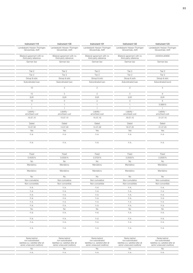| Instrument 119                                       | Instrument 120                                       | Instrument 121                                       | Instrument 122                                       | Instrument 123               |
|------------------------------------------------------|------------------------------------------------------|------------------------------------------------------|------------------------------------------------------|------------------------------|
| Landesbank Hessen-Thüringen                          | Landesbank Hessen-Thüringen                          | Landesbank Hessen-Thüringen                          | Landesbank Hessen-Thüringen                          | Landesbank Hessen-Thüringen  |
| Girozentrale, AöR                                    | Girozentrale, AöR                                    | Girozentrale, AöR                                    | Girozentrale, AöR                                    | Girozentrale, AöR            |
| Bilateral agreement with no<br>third-party reference | Bilateral agreement with no<br>third-party reference | Bilateral agreement with no<br>third-party reference | Bilateral agreement with no<br>third-party reference | DE000HLB0908                 |
| German law                                           | German law                                           | German law                                           | German law                                           | German law                   |
|                                                      |                                                      |                                                      |                                                      |                              |
| Tier 2                                               | Tier 2                                               | Tier 2                                               | Tier 2                                               | Tier 2                       |
| Tier 2                                               | Tier 2                                               | Tier 2                                               | Tier 2                                               | Tier 2                       |
| Group & solo<br>Subordinated loan                    | Group & solo<br>Subordinated loan                    | Group & solo<br>Subordinated loan                    | Group & solo<br>Subordinated loan                    | Group & solo                 |
|                                                      |                                                      |                                                      |                                                      | Subordinated bond            |
| 10                                                   | 5 <sup>5</sup>                                       | $\overline{2}$                                       | $\mathbf{3}$                                         | $5\overline{)}$              |
| 10                                                   | $5\overline{)}$                                      | 2                                                    | 3                                                    | 6                            |
| <b>EUR</b>                                           | EUR                                                  | EUR                                                  | EUR                                                  | EUR                          |
| 10                                                   | $5\overline{)}$                                      | $\overline{2}$                                       | $\mathcal{S}$                                        | 6                            |
| $\overline{1}$                                       | $\overline{1}$                                       | $\overline{1}$                                       | $\overline{1}$                                       | 0.99915                      |
| $\overline{1}$                                       | $\sim$                                               | $\overline{1}$                                       | $\overline{1}$                                       | $-1$                         |
| Liability -<br>amortised cost                        | Liability -<br>amortised cost                        | Liability-<br>amortised cost                         | Liability -<br>amortised cost                        | Liability-<br>amortised cost |
| 15.07.15                                             | 15.07.15                                             | 15.07.15                                             | 16.07.15                                             | 21.07.15                     |
| Dated                                                | Dated                                                | Dated                                                | Dated                                                | Dated                        |
| 15.07.30                                             | 14.07.28                                             | 15.07.26                                             | 16.07.25                                             | 21.07.25                     |
| Yes                                                  | Yes                                                  | Yes                                                  | Yes                                                  | Yes                          |
| n.a.                                                 | n.a.                                                 | n.a.                                                 | n.a.                                                 | n.a.                         |
| n.a.                                                 | n.a.                                                 | n.a.                                                 | n. a.                                                | n.a.                         |
|                                                      |                                                      |                                                      |                                                      |                              |
| Fixed                                                | Fixed                                                | Fixed                                                | Fixed                                                | Fixed                        |
| 3.4500%                                              | 3.5500%                                              | 3.3700 %                                             | 3.2000%                                              | 3.2000%                      |
| <b>No</b>                                            | No                                                   | <b>No</b>                                            | No                                                   | <b>No</b>                    |
| Mandatory                                            | Mandatory                                            | Mandatory                                            | Mandatory                                            | Mandatory                    |
| Mandatory                                            | Mandatory                                            | Mandatory                                            | Mandatory                                            | Mandatory                    |
| No                                                   | No                                                   | No                                                   | No                                                   | No                           |
| Non-cumulative                                       | Non-cumulative                                       | Non-cumulative                                       | Non-cumulative                                       | Non-cumulative               |
| Non-convertible                                      | Non-convertible                                      | Non-convertible                                      | Non-convertible                                      | Non-convertible              |
| n.a.                                                 | n.a.                                                 | n.a.                                                 | n.a.                                                 | n.a.                         |
| n.a.                                                 | n.a.                                                 | n.a.                                                 | n. a.                                                | n.a.                         |
| n.a.                                                 | n.a.                                                 | n.a.                                                 | n.a.                                                 | n.a.                         |
| n.a.                                                 | n.a.                                                 | n.a.                                                 | n. a.                                                | n.a.                         |
| n.a.                                                 | n.a.                                                 | n.a.                                                 | n. a.                                                | n.a.                         |
| n.a.                                                 | n.a.<br>No                                           | n.a.<br>No                                           | n.a.<br>No                                           | n.a.<br>No                   |
|                                                      |                                                      |                                                      |                                                      |                              |
| No                                                   |                                                      |                                                      |                                                      |                              |
| n.a.                                                 | n.a.                                                 | n.a.                                                 | n.a.                                                 | n.a.                         |
| n.a.                                                 | n.a.                                                 | n.a.                                                 | n. a.                                                | n.a.                         |
| n.a.                                                 | n.a.                                                 | n.a.                                                 | n.a.                                                 | n.a.                         |

| Ranks behind<br>non-subordinated<br>liabilities (i.e. satisfied after P'<br>senior unsecured creditors) | Ranks behind<br>non-subordinated<br>liabilities (i.e. satisfied after all<br>senior unsecured creditors) | Ranks behind<br>non-subordinated<br>liabilities (i.e. satisfied after all<br>senior unsecured creditors) | Ranks behind<br>non-subordinated<br>liabilities (i.e. satisfied after all<br>senior unsecured creditors) | Ranks behind<br>non-subordinated<br>liabilities (i.e. satisfied after all<br>senior unsecured creditors) |
|---------------------------------------------------------------------------------------------------------|----------------------------------------------------------------------------------------------------------|----------------------------------------------------------------------------------------------------------|----------------------------------------------------------------------------------------------------------|----------------------------------------------------------------------------------------------------------|
|                                                                                                         |                                                                                                          |                                                                                                          |                                                                                                          |                                                                                                          |
|                                                                                                         |                                                                                                          |                                                                                                          |                                                                                                          |                                                                                                          |
|                                                                                                         |                                                                                                          |                                                                                                          |                                                                                                          |                                                                                                          |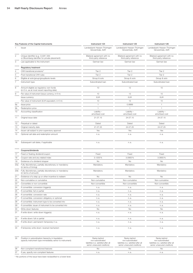|        | Key Features of the Capital Instruments                                                                             | Instrument 124                                                                                           | Instrument 125                                                                                           | Instrument 126                                                                                           |  |
|--------|---------------------------------------------------------------------------------------------------------------------|----------------------------------------------------------------------------------------------------------|----------------------------------------------------------------------------------------------------------|----------------------------------------------------------------------------------------------------------|--|
|        | Issuer                                                                                                              | Landesbank Hessen-Thüringen<br>Girozentrale, AöR                                                         | Landesbank Hessen-Thüringen<br>Girozentrale, AöR                                                         | Landesbank Hessen-Thüringen<br>Girozentrale, AöR                                                         |  |
|        | Unique identifier (e.g. CUSIP, ISIN<br>or Bloomberg identifier for private placement)                               | Bilateral agreement with no<br>third-party reference                                                     | Bilateral agreement with no<br>third-party reference                                                     | Bilateral agreement with no<br>third-party reference                                                     |  |
|        | Law applicable to the instrument                                                                                    | German law                                                                                               | German law                                                                                               | German law                                                                                               |  |
|        | <b>Regulatory treatment</b>                                                                                         |                                                                                                          |                                                                                                          |                                                                                                          |  |
|        | CRR transitional provisions <sup>1)</sup>                                                                           | Tier 2                                                                                                   | Tier 2                                                                                                   | Tier 2                                                                                                   |  |
|        | Post-transitional CRR rules                                                                                         | Tier 2                                                                                                   | Tier 2                                                                                                   | Tier 2                                                                                                   |  |
|        | Eligible at solo/group/group&solo levels                                                                            | Group & solo                                                                                             | Group & solo                                                                                             | Group & solo                                                                                             |  |
|        | Instrument type                                                                                                     | Subordinated loan                                                                                        | Subordinated loan                                                                                        | Subordinated loan                                                                                        |  |
|        | Amount eligible as regulatory own funds<br>(in $\epsilon$ m, as at most recent reporting date)                      | 10                                                                                                       | 12                                                                                                       | 10                                                                                                       |  |
|        | Par value of instrument (issue currency, in $\epsilon$ m)                                                           | 10                                                                                                       | 13                                                                                                       | 10                                                                                                       |  |
|        | Issue currency                                                                                                      | <b>EUR</b>                                                                                               | <b>EUR</b>                                                                                               | <b>EUR</b>                                                                                               |  |
|        | Par value of instrument (EUR equivalent, in $\epsilon$ m)                                                           | 10                                                                                                       | 13                                                                                                       | 10                                                                                                       |  |
| Эа     | Issue price                                                                                                         | $\overline{1}$                                                                                           | 0.9999                                                                                                   | $\overline{1}$                                                                                           |  |
| 9b     | Redemption price                                                                                                    | $\overline{1}$                                                                                           | $\overline{1}$                                                                                           | $\overline{1}$                                                                                           |  |
| $10 -$ | Accounting classification                                                                                           | Liability -<br>amortised cost                                                                            | Liability -<br>amortised cost                                                                            | Liability -<br>amortised cost                                                                            |  |
|        | 11 Original issue date                                                                                              | 21.07.15                                                                                                 | 24.07.15                                                                                                 | 24.07.15                                                                                                 |  |
| 12     | Perpetual or dated                                                                                                  | Dated                                                                                                    | Dated                                                                                                    | Dated                                                                                                    |  |
| 13     | Original maturity date                                                                                              | 21.07.25                                                                                                 | 24.07.25                                                                                                 | 24.07.25                                                                                                 |  |
| 14     | Issuer call subject to prior supervisory approval                                                                   | Yes                                                                                                      | Yes                                                                                                      | Yes                                                                                                      |  |
|        | 15 Optional call date and redemption amount                                                                         | n.a.                                                                                                     | n.a.                                                                                                     | n.a.                                                                                                     |  |
| 16     | Subsequent call dates, if applicable                                                                                | n. a.                                                                                                    | n. a.                                                                                                    | n.a.                                                                                                     |  |
|        | Coupons/dividends                                                                                                   |                                                                                                          |                                                                                                          |                                                                                                          |  |
| 17     | Fixed or floating dividend/coupon                                                                                   | Fixed                                                                                                    | Fixed                                                                                                    | Fixed                                                                                                    |  |
| 18     | Coupon rate and any related index                                                                                   | 3.1200%                                                                                                  | 3.0900%                                                                                                  | 3.0850%                                                                                                  |  |
| 19     | Existence of a dividend stopper                                                                                     | No                                                                                                       | No                                                                                                       | No                                                                                                       |  |
| 20a    | Fully discretionary, partially discretionary or mandatory                                                           | Mandatory                                                                                                | Mandatory                                                                                                | Mandatory                                                                                                |  |
|        | (in terms of timing)                                                                                                |                                                                                                          |                                                                                                          |                                                                                                          |  |
| 20b    | Fully discretionary, partially discretionary or mandatory<br>(in terms of amount)                                   | Mandatory                                                                                                | Mandatory                                                                                                | Mandatory                                                                                                |  |
| 21     | Existence of a step up or other incentive to redeem                                                                 | No                                                                                                       | No                                                                                                       | No                                                                                                       |  |
| 22     | Non-cumulative or cumulative                                                                                        | Non-cumulative                                                                                           | Non-cumulative                                                                                           | Non-cumulative                                                                                           |  |
| 23     | Convertible or non-convertible                                                                                      | Non-convertible                                                                                          | Non-convertible                                                                                          | Non-convertible                                                                                          |  |
|        | 24 If convertible: conversion trigger(s)                                                                            | n. a.                                                                                                    | n. a.                                                                                                    | n.a.                                                                                                     |  |
|        | 25 If convertible: full or partial                                                                                  | n. a.                                                                                                    | n. a.                                                                                                    | n.a.                                                                                                     |  |
|        | 26 If convertible: conversion rate                                                                                  | n. a.                                                                                                    | n. a.                                                                                                    | n.a.                                                                                                     |  |
|        | 27 If convertible: conversion obligatory or optional                                                                | n. a.                                                                                                    | n. a.                                                                                                    | n.a.                                                                                                     |  |
|        | 28 If convertible: instrument type to be converted into                                                             | n.a.                                                                                                     | n.a.                                                                                                     | n.a.                                                                                                     |  |
|        | 29 If convertible: issuer of instrument to be converted into                                                        | n. a.                                                                                                    | n. a.                                                                                                    | n.a.                                                                                                     |  |
|        | 30 Write-down features                                                                                              | No                                                                                                       | No                                                                                                       | No                                                                                                       |  |
|        | 31 If write-down: write-down trigger(s)                                                                             | n. a.                                                                                                    | n. a.                                                                                                    | n.a.                                                                                                     |  |
|        | 32 If write-down: full or partial                                                                                   | n. a.                                                                                                    | n. a.                                                                                                    | n.a.                                                                                                     |  |
|        | 33 If write-down: permanent/temporary/n.a.                                                                          | n. a.                                                                                                    | n.a.                                                                                                     | n.a.                                                                                                     |  |
|        | 34 If temporary write-down: reversal mechanism                                                                      | n. a.                                                                                                    | n. a.                                                                                                    | n.a.                                                                                                     |  |
|        | 35 Position in subordination hierarchy in liquidation<br>(specify instrument type immediately senior to instrument) | Ranks behind<br>non-subordinated<br>liabilities (i.e. satisfied after all<br>senior unsecured creditors) | Ranks behind<br>non-subordinated<br>liabilities (i.e. satisfied after all<br>senior unsecured creditors) | Ranks behind<br>non-subordinated<br>liabilities (i.e. satisfied after all<br>senior unsecured creditors) |  |
|        | 36 Non-compliant transitioned features                                                                              | No                                                                                                       | No                                                                                                       | No                                                                                                       |  |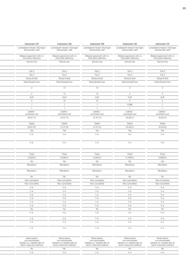| Instrument 127                                       | Instrument 128                                       | Instrument 129                                       | Instrument 130                                       | Instrument 131                                       |
|------------------------------------------------------|------------------------------------------------------|------------------------------------------------------|------------------------------------------------------|------------------------------------------------------|
| Landesbank Hessen-Thüringen<br>Girozentrale, AöR     | Landesbank Hessen-Thüringen<br>Girozentrale, AöR     | Landesbank Hessen-Thüringen<br>Girozentrale, AöR     | Landesbank Hessen-Thüringen<br>Girozentrale, AöR     | Landesbank Hessen-Thüringen<br>Girozentrale, AöR     |
| Bilateral agreement with no<br>third-party reference | Bilateral agreement with no<br>third-party reference | Bilateral agreement with no<br>third-party reference | Bilateral agreement with no<br>third-party reference | Bilateral agreement with no<br>third-party reference |
| German law                                           | German law                                           | German law                                           | German law                                           | German law                                           |
| Tier 2                                               | Tier 2                                               | Tier 2                                               | Tier 2                                               | Tier 2                                               |
| Tier 2                                               | Tier 2                                               | Tier 2                                               | Tier 2                                               | Tier 2                                               |
| Group & solo                                         | Group & solo                                         | Group & solo                                         | Group & solo                                         | Group & solo                                         |
| Subordinated loan                                    | Subordinated loan                                    | Subordinated loan                                    | Subordinated loan                                    | Subordinated loan                                    |
| 2                                                    | 10                                                   | 12                                                   | $\overline{2}$                                       | 5                                                    |
| 2                                                    | 10                                                   | 12                                                   | $\overline{2}$                                       | $5\overline{)}$                                      |
| <b>EUR</b>                                           | <b>EUR</b>                                           | <b>EUR</b>                                           | <b>EUR</b>                                           | <b>EUR</b>                                           |
| $\overline{2}$                                       | 10                                                   | 12                                                   | 2                                                    | 5                                                    |
| $\overline{1}$                                       | $\overline{1}$                                       | $\overline{1}$                                       | 0.998                                                | $\overline{1}$                                       |
|                                                      | $\overline{1}$                                       | $\overline{1}$                                       | $\overline{1}$                                       | $\overline{1}$                                       |
| Liability -<br>amortised cost                        | Liability-<br>amortised cost                         | Liability -<br>amortised cost                        | Liability -<br>amortised cost                        | Liability-<br>amortised cost                         |
| 28.07.15                                             | 31.07.15                                             | 31.07.15                                             | 03.08.15                                             | 05.08.15                                             |
| Dated                                                | Dated                                                | Dated                                                | Dated                                                | Dated                                                |
| 28.07.25                                             | 31.07.30                                             | 31.07.25                                             | 03.08.27                                             | 05.08.30                                             |
| Yes                                                  | Yes                                                  | Yes                                                  | Yes                                                  | Yes                                                  |
| n.a.                                                 | n.a.                                                 | n.a.                                                 | n.a.                                                 | n.a.                                                 |
| n.a.                                                 | n.a.                                                 | n.a.                                                 | n.a.                                                 | n.a.                                                 |
|                                                      |                                                      |                                                      |                                                      |                                                      |
| Fixed                                                | Fixed                                                | Fixed                                                | Fixed                                                | Fixed                                                |
| 3.0250%<br><b>No</b>                                 | 3.4000%<br>No                                        | 3.0400%<br>No                                        | 3.1900%<br>No                                        | 3.3800%<br>No                                        |
| Mandatory                                            | Mandatory                                            | Mandatory                                            | Mandatory                                            | Mandatory                                            |
| Mandatory                                            | Mandatory                                            | Mandatory                                            | Mandatory                                            | Mandatory                                            |
| No                                                   | No                                                   | No                                                   | No                                                   | <b>No</b>                                            |
| Non-cumulative                                       | Non-cumulative                                       | Non-cumulative                                       | Non-cumulative                                       | Non-cumulative                                       |
| Non-convertible                                      | Non-convertible                                      | Non-convertible                                      | Non-convertible                                      | Non-convertible                                      |
| n.a.                                                 | n.a.                                                 | n.a.                                                 | n. a.                                                | n.a.                                                 |
| n. a.                                                | n.a.                                                 | n.a.                                                 | n.a.                                                 | n.a.                                                 |
| n.a.                                                 | n.a.                                                 | n.a.                                                 | n.a.                                                 | n.a.                                                 |
| n.a.<br>n.a.                                         | n.a.                                                 | n.a.                                                 | n.a.                                                 | n.a.                                                 |
|                                                      | n.a.                                                 | n.a.                                                 | n.a.                                                 | n.a.                                                 |
|                                                      |                                                      |                                                      |                                                      |                                                      |
| n. a.                                                | n.a.                                                 | n.a.                                                 | n.a.                                                 | n.a.                                                 |
| <b>No</b>                                            | <b>No</b>                                            | <b>No</b>                                            | <b>No</b>                                            | <b>No</b>                                            |
| n.a.                                                 | n.a.                                                 | n.a.                                                 | n.a.                                                 | n.a.                                                 |
| n.a.                                                 | n.a.                                                 | n.a.                                                 | n.a.                                                 | n.a.                                                 |
| n. a.<br>n.a.                                        | n.a.<br>n.a.                                         | n.a.<br>n.a.                                         | n. a.                                                | n.a.<br>n.a.                                         |

| liabilities (i.e. satisfied after all<br>liabilities (i.e. satisfied after all<br>liabilities (i.e. satisfied after al<br>liabilities (i.e. satisfied after all<br>liabilities (i.e. satisfied after all<br>senior unsecured creditors)<br>senior unsecured creditors)<br>senior unsecured creditors)<br>senior unsecured creditors)<br>senior unsecured creditors) |
|---------------------------------------------------------------------------------------------------------------------------------------------------------------------------------------------------------------------------------------------------------------------------------------------------------------------------------------------------------------------|
|                                                                                                                                                                                                                                                                                                                                                                     |
|                                                                                                                                                                                                                                                                                                                                                                     |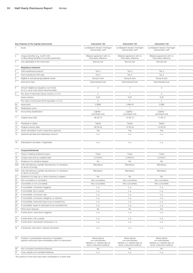|                 | Key Features of the Capital Instruments                                                                             | Instrument 132                                                                                           | Instrument 133                                                                                           | Instrument 134                                                                                           |  |
|-----------------|---------------------------------------------------------------------------------------------------------------------|----------------------------------------------------------------------------------------------------------|----------------------------------------------------------------------------------------------------------|----------------------------------------------------------------------------------------------------------|--|
|                 | Issuer                                                                                                              | Landesbank Hessen-Thüringen<br>Girozentrale, AöR                                                         | Landesbank Hessen-Thüringen<br>Girozentrale, AöR                                                         | Landesbank Hessen-Thüringen<br>Girozentrale, AöR                                                         |  |
|                 | Unique identifier (e.g. CUSIP, ISIN<br>or Bloomberg identifier for private placement)                               | Bilateral agreement with no<br>third-party reference                                                     | Bilateral agreement with no<br>third-party reference                                                     | Bilateral agreement with no<br>third-party reference                                                     |  |
|                 | Law applicable to the instrument                                                                                    | German law                                                                                               | German law                                                                                               | German law                                                                                               |  |
|                 | <b>Regulatory treatment</b>                                                                                         |                                                                                                          |                                                                                                          |                                                                                                          |  |
|                 | CRR transitional provisions <sup>1)</sup>                                                                           | Tier 2                                                                                                   | Tier 2                                                                                                   | Tier 2                                                                                                   |  |
|                 | Post-transitional CRR rules                                                                                         | Tier 2                                                                                                   | Tier 2                                                                                                   | Tier 2                                                                                                   |  |
|                 | Eligible at solo/group/group&solo levels                                                                            | Group & solo                                                                                             | Group & solo                                                                                             | Group & solo                                                                                             |  |
|                 | Instrument type                                                                                                     | Subordinated loan                                                                                        | Subordinated loan                                                                                        | Subordinated loan                                                                                        |  |
|                 | Amount eligible as regulatory own funds<br>(in $\epsilon$ m, as at most recent reporting date)                      | 2                                                                                                        | $\overline{7}$                                                                                           | $\overline{2}$                                                                                           |  |
|                 | Par value of instrument (issue currency, in $\epsilon$ m)                                                           | $\overline{2}$                                                                                           | $\overline{7}$                                                                                           | 2                                                                                                        |  |
|                 | Issue currency                                                                                                      | <b>EUR</b>                                                                                               | <b>EUR</b>                                                                                               | <b>EUR</b>                                                                                               |  |
|                 | Par value of instrument (EUR equivalent, in $\in$ m)                                                                | 2                                                                                                        | $\overline{7}$                                                                                           | 2                                                                                                        |  |
| 9a              | Issue price                                                                                                         | 0.9982                                                                                                   | 0.99418                                                                                                  | 0.998                                                                                                    |  |
| 9b              | Redemption price                                                                                                    | $\overline{1}$                                                                                           | $\overline{1}$                                                                                           | $\overline{1}$                                                                                           |  |
| 10 <sub>1</sub> | Accounting classification                                                                                           | Liability -<br>amortised cost                                                                            | Liability -<br>amortised cost                                                                            | Liability -<br>amortised cost                                                                            |  |
|                 | 11 Original issue date                                                                                              | 06.08.15                                                                                                 | 12.08.15                                                                                                 | 11.08.15                                                                                                 |  |
| 12              | Perpetual or dated                                                                                                  | Dated                                                                                                    | Dated                                                                                                    | Dated                                                                                                    |  |
| 13              | Original maturity date                                                                                              | 06.08.30                                                                                                 | 12.08.30                                                                                                 | 12.08.30                                                                                                 |  |
| 14              | Issuer call subject to prior supervisory approval                                                                   | Yes                                                                                                      | Yes                                                                                                      | Yes                                                                                                      |  |
|                 | 15 Optional call date and redemption amount                                                                         | n. a.                                                                                                    | n.a.                                                                                                     | n.a.                                                                                                     |  |
| 16              | Subsequent call dates, if applicable                                                                                | n. a.                                                                                                    | n. a.                                                                                                    | n.a.                                                                                                     |  |
|                 | Coupons/dividends                                                                                                   |                                                                                                          |                                                                                                          |                                                                                                          |  |
| 17              | Fixed or floating dividend/coupon                                                                                   | Fixed                                                                                                    | Fixed                                                                                                    | Fixed                                                                                                    |  |
| 18              | Coupon rate and any related index                                                                                   | 3.2750%                                                                                                  | 3.3400%                                                                                                  | 3.3750%                                                                                                  |  |
| 19              | Existence of a dividend stopper                                                                                     | No                                                                                                       | No                                                                                                       | No                                                                                                       |  |
| 20a             | Fully discretionary, partially discretionary or mandatory                                                           | Mandatory                                                                                                | Mandatory                                                                                                | Mandatory                                                                                                |  |
|                 | (in terms of timing)                                                                                                |                                                                                                          |                                                                                                          |                                                                                                          |  |
| 20 <sub>b</sub> | Fully discretionary, partially discretionary or mandatory<br>(in terms of amount)                                   | Mandatory                                                                                                | Mandatory                                                                                                | Mandatory                                                                                                |  |
| 21              | Existence of a step up or other incentive to redeem                                                                 | No                                                                                                       | No                                                                                                       | No                                                                                                       |  |
| 22              | Non-cumulative or cumulative                                                                                        | Non-cumulative                                                                                           | Non-cumulative                                                                                           | Non-cumulative                                                                                           |  |
| 23              | Convertible or non-convertible                                                                                      | Non-convertible                                                                                          | Non-convertible                                                                                          | Non-convertible                                                                                          |  |
|                 | 24 If convertible: conversion trigger(s)                                                                            | n. a.                                                                                                    | n. a.                                                                                                    | n.a.                                                                                                     |  |
|                 | 25 If convertible: full or partial                                                                                  | n. a.                                                                                                    | n. a.                                                                                                    | n.a.                                                                                                     |  |
|                 | 26 If convertible: conversion rate                                                                                  | n. a.                                                                                                    | n. a.                                                                                                    | n.a.                                                                                                     |  |
|                 | 27 If convertible: conversion obligatory or optional                                                                | n. a.                                                                                                    | n. a.                                                                                                    | n.a.                                                                                                     |  |
|                 | 28 If convertible: instrument type to be converted into                                                             | n.a.                                                                                                     | n.a.                                                                                                     | n.a.                                                                                                     |  |
|                 | 29 If convertible: issuer of instrument to be converted into                                                        | n. a.                                                                                                    | n. a.                                                                                                    | n.a.                                                                                                     |  |
|                 | 30 Write-down features                                                                                              | No                                                                                                       | No                                                                                                       | No                                                                                                       |  |
|                 | 31 If write-down: write-down trigger(s)                                                                             | n. a.                                                                                                    | n. a.                                                                                                    | n.a.                                                                                                     |  |
|                 | 32 If write-down: full or partial                                                                                   | n. a.                                                                                                    | n. a.                                                                                                    | n.a.                                                                                                     |  |
|                 | 33 If write-down: permanent/temporary/n.a.                                                                          | n. a.                                                                                                    | n. a.                                                                                                    | n.a.                                                                                                     |  |
|                 | 34 If temporary write-down: reversal mechanism                                                                      | n. a.                                                                                                    | n. a.                                                                                                    | n.a.                                                                                                     |  |
|                 | 35 Position in subordination hierarchy in liquidation<br>(specify instrument type immediately senior to instrument) | Ranks behind<br>non-subordinated<br>liabilities (i.e. satisfied after all<br>senior unsecured creditors) | Ranks behind<br>non-subordinated<br>liabilities (i.e. satisfied after all<br>senior unsecured creditors) | Ranks behind<br>non-subordinated<br>liabilities (i.e. satisfied after all<br>senior unsecured creditors) |  |
|                 | 36 Non-compliant transitioned features                                                                              | No                                                                                                       | No                                                                                                       | No                                                                                                       |  |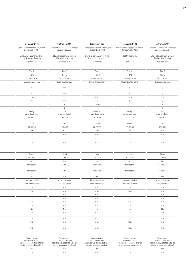| Instrument 135                                       | Instrument 136                                       | Instrument 137                                       | Instrument 138                                   | Instrument 139                                       |
|------------------------------------------------------|------------------------------------------------------|------------------------------------------------------|--------------------------------------------------|------------------------------------------------------|
| Landesbank Hessen-Thüringen<br>Girozentrale, AöR     | Landesbank Hessen-Thüringen<br>Girozentrale, AöR     | Landesbank Hessen-Thüringen<br>Girozentrale, AöR     | Landesbank Hessen-Thüringen<br>Girozentrale, AöR | Landesbank Hessen-Thüringen<br>Girozentrale, AöR     |
| Bilateral agreement with no<br>third-party reference | Bilateral agreement with no<br>third-party reference | Bilateral agreement with no<br>third-party reference | DE000HLB1AH8                                     | Bilateral agreement with no<br>third-party reference |
| German law                                           | German law                                           | German law                                           | German law                                       | German law                                           |
| Tier 2                                               | Tier 2                                               | Tier 2                                               | Tier 2                                           | Tier 2                                               |
| Tier 2                                               | Tier 2                                               | Tier 2                                               | Tier 2                                           | Tier 2                                               |
| Group & solo                                         | Group & solo                                         | Group & solo                                         | Group & solo                                     | Group & solo                                         |
| Subordinated loan                                    | Subordinated loan                                    | Subordinated loan                                    | Subordinated bond                                | Subordinated loan                                    |
| $\overline{1}$                                       | 10                                                   | 5                                                    | $5 -$                                            | $5\overline{)}$                                      |
| $\overline{1}$                                       | 10                                                   | 5                                                    | $5\overline{)}$                                  | $5\overline{)}$                                      |
| <b>EUR</b>                                           | EUR                                                  | <b>EUR</b>                                           | EUR                                              | <b>EUR</b>                                           |
| $\overline{1}$                                       | 10                                                   | 5                                                    | 5 <sup>5</sup>                                   | $5\overline{)}$                                      |
| $\overline{1}$                                       | $\overline{1}$                                       | 0.9979                                               | 1                                                | $\overline{1}$                                       |
| $\overline{1}$                                       | 1                                                    | $\overline{1}$                                       | $\overline{1}$                                   | $\overline{1}$                                       |
| Liability -<br>amortised cost                        | Liability -<br>amortised cost                        | Liability-<br>amortised cost                         | Liability -<br>amortised cost                    | Liability-<br>amortised cost                         |
| 11.08.15                                             | 12.08.15                                             | 25.08.15                                             | 02.09.15                                         | 02.09.15                                             |
| Dated                                                | Dated                                                | Dated                                                | Dated                                            | Dated                                                |
| 11.08.25                                             | 12.08.25                                             | 25.08.25                                             | 02.09.30                                         | 02.09.30                                             |
| Yes                                                  | Yes                                                  | Yes                                                  | Yes                                              | Yes                                                  |
| n.a.                                                 | n.a.                                                 | n.a.                                                 | n.a.                                             | n.a.                                                 |
| n.a.                                                 | n.a.                                                 | n.a.                                                 | n.a.                                             | n.a.                                                 |
| Fixed                                                | Fixed                                                | Fixed                                                | Fixed                                            | Fixed                                                |
| 3.0300%                                              | 3.0250%                                              | 2.9200%                                              | 3.3400%                                          | 3.3300%                                              |
| <b>No</b>                                            | No                                                   | No                                                   | <b>No</b>                                        | No                                                   |
| Mandatory                                            | Mandatory                                            | Mandatory                                            | Mandatory                                        | Mandatory                                            |
| Mandatory                                            | Mandatory                                            | Mandatory                                            | Mandatory                                        | Mandatory                                            |
| <b>No</b>                                            | No                                                   | No                                                   | No                                               | No                                                   |
| Non-cumulative                                       | Non-cumulative                                       | Non-cumulative                                       | Non-cumulative                                   | Non-cumulative                                       |
| Non-convertible                                      | Non-convertible                                      | Non-convertible                                      | Non-convertible                                  | Non-convertible                                      |
| n. a.                                                | n.a.                                                 | n.a.                                                 | n.a.                                             | n.a.                                                 |
| n.a.                                                 | n.a.                                                 | n.a.                                                 | n.a.                                             | n.a.                                                 |
| n.a.                                                 | n.a.                                                 | n.a.                                                 | n.a.                                             | n.a.                                                 |
| n.a.                                                 | n.a.                                                 | n.a.                                                 | n.a.                                             | n.a.                                                 |
| n. a.                                                | n.a.                                                 | n.a.                                                 | n.a.                                             | n.a.                                                 |
| n.a.                                                 | n.a.                                                 | n.a.                                                 | n.a.                                             | n.a.                                                 |
| No                                                   | No                                                   | <b>No</b>                                            | No                                               | No                                                   |
| n.a.                                                 | n.a.                                                 | n.a.                                                 | n.a.                                             | n.a.                                                 |
|                                                      |                                                      |                                                      |                                                  |                                                      |
| n.a.                                                 | n.a.                                                 | n.a.                                                 | n.a.                                             | n.a.                                                 |
| n.a.<br>n.a.                                         | n.a.<br>n.a.                                         | n.a.<br>n.a.                                         | n.a.<br>n.a.                                     | n.a.<br>n.a.                                         |

| liabilities (i.e. satisfied after all<br>liabilities (i.e. satisfied after all<br>liabilities (i.e. satisfied after al<br>liabilities (i.e. satisfied after all<br>liabilities (i.e. satisfied after all<br>senior unsecured creditors)<br>senior unsecured creditors)<br>senior unsecured creditors)<br>senior unsecured creditors)<br>senior unsecured creditors) |
|---------------------------------------------------------------------------------------------------------------------------------------------------------------------------------------------------------------------------------------------------------------------------------------------------------------------------------------------------------------------|
|                                                                                                                                                                                                                                                                                                                                                                     |
|                                                                                                                                                                                                                                                                                                                                                                     |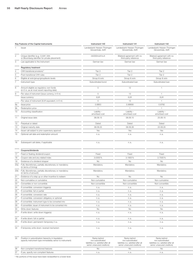|                 | Key Features of the Capital Instruments                                                                             | Instrument 140                                                                                           | Instrument 141                                                                                           | Instrument 142                                                                                           |
|-----------------|---------------------------------------------------------------------------------------------------------------------|----------------------------------------------------------------------------------------------------------|----------------------------------------------------------------------------------------------------------|----------------------------------------------------------------------------------------------------------|
|                 | Issuer                                                                                                              | Landesbank Hessen-Thüringen<br>Girozentrale, AöR                                                         | Landesbank Hessen-Thüringen<br>Girozentrale, AöR                                                         | Landesbank Hessen-Thüringen<br>Girozentrale, AöR                                                         |
|                 | Unique identifier (e.g. CUSIP, ISIN<br>or Bloomberg identifier for private placement)                               | DE000HLB1AJ4                                                                                             | Bilateral agreement with no<br>third-party reference                                                     | Bilateral agreement with no<br>third-party reference                                                     |
|                 | Law applicable to the instrument                                                                                    | German law                                                                                               | German law                                                                                               | German law                                                                                               |
|                 | <b>Regulatory treatment</b>                                                                                         |                                                                                                          |                                                                                                          |                                                                                                          |
|                 | CRR transitional provisions <sup>1)</sup>                                                                           | Tier 2                                                                                                   | Tier 2                                                                                                   | Tier 2                                                                                                   |
|                 | Post-transitional CRR rules                                                                                         | Tier 2                                                                                                   | Tier 2                                                                                                   | Tier 2                                                                                                   |
|                 | Eligible at solo/group/group&solo levels                                                                            | Group & solo                                                                                             | Group & solo                                                                                             | Group & solo                                                                                             |
|                 | Instrument type                                                                                                     | Subordinated bond                                                                                        | Subordinated loan                                                                                        | Subordinated loan                                                                                        |
|                 | Amount eligible as regulatory own funds<br>(in $\epsilon$ m, as at most recent reporting date)                      | 5                                                                                                        | 12                                                                                                       | $\overline{1}$                                                                                           |
|                 | Par value of instrument (issue currency, in $\epsilon$ m)                                                           | 5                                                                                                        | 13                                                                                                       | $\overline{1}$                                                                                           |
|                 | Issue currency                                                                                                      | <b>EUR</b>                                                                                               | <b>EUR</b>                                                                                               | <b>EUR</b>                                                                                               |
|                 | Par value of instrument (EUR equivalent, in $\epsilon$ m)                                                           | 5                                                                                                        | 13                                                                                                       | $-1$                                                                                                     |
| 9а              | Issue price                                                                                                         | 0.9953                                                                                                   | 0.99908                                                                                                  | 0.9782                                                                                                   |
| 9b              | Redemption price                                                                                                    | $\overline{1}$                                                                                           | $\overline{1}$                                                                                           | $\overline{1}$                                                                                           |
|                 | 10 Accounting classification                                                                                        | Liability -<br>amortised cost                                                                            | Liability -<br>amortised cost                                                                            | Liability -<br>amortised cost                                                                            |
|                 | 11 Original issue date                                                                                              | 08.09.15                                                                                                 | 08.09.15                                                                                                 | 23.09.15                                                                                                 |
|                 | 12 Perpetual or dated                                                                                               | Dated                                                                                                    | Dated                                                                                                    | Dated                                                                                                    |
|                 | 13 Original maturity date                                                                                           | 08.09.25                                                                                                 | 08.09.26                                                                                                 | 23.09.25                                                                                                 |
| 14              | Issuer call subject to prior supervisory approval                                                                   | Yes                                                                                                      | Yes                                                                                                      | Yes                                                                                                      |
|                 | 15 Optional call date and redemption amount                                                                         | n. a.                                                                                                    | n. a.                                                                                                    | n.a.                                                                                                     |
|                 | 16 Subsequent call dates, if applicable                                                                             | n. a.                                                                                                    | n. a.                                                                                                    | n.a.                                                                                                     |
|                 | Coupons/dividends                                                                                                   |                                                                                                          |                                                                                                          |                                                                                                          |
| $17 -$          | Fixed or floating dividend/coupon                                                                                   | Fixed                                                                                                    | Fixed                                                                                                    | Fixed                                                                                                    |
| 18              | Coupon rate and any related index                                                                                   | 3.0300%                                                                                                  | 3.1900%                                                                                                  | 2.7500%                                                                                                  |
| 19              | Existence of a dividend stopper                                                                                     | No                                                                                                       | No                                                                                                       | No                                                                                                       |
| 20a             | Fully discretionary, partially discretionary or mandatory                                                           | Mandatory                                                                                                | Mandatory                                                                                                | Mandatory                                                                                                |
| 20 <sub>b</sub> | (in terms of timing)<br>Fully discretionary, partially discretionary or mandatory                                   | Mandatory                                                                                                | Mandatory                                                                                                | Mandatory                                                                                                |
|                 | (in terms of amount)                                                                                                |                                                                                                          |                                                                                                          |                                                                                                          |
| 21              | Existence of a step up or other incentive to redeem                                                                 | No                                                                                                       | No                                                                                                       | No                                                                                                       |
| 22              | Non-cumulative or cumulative                                                                                        | Non-cumulative                                                                                           | Non-cumulative                                                                                           | Non-cumulative                                                                                           |
| 23              | Convertible or non-convertible                                                                                      | Non-convertible                                                                                          | Non-convertible                                                                                          | Non-convertible                                                                                          |
|                 | 24 If convertible: conversion trigger(s)                                                                            | n. a.                                                                                                    | n. a.                                                                                                    | n.a.                                                                                                     |
|                 | 25 If convertible: full or partial                                                                                  | n. a.                                                                                                    | n. a.                                                                                                    | n.a.                                                                                                     |
|                 | 26 If convertible: conversion rate                                                                                  | n. a.                                                                                                    | n. a.                                                                                                    | n.a.                                                                                                     |
|                 | 27 If convertible: conversion obligatory or optional                                                                | n. a.                                                                                                    | n.a.                                                                                                     | n.a.                                                                                                     |
|                 | 28 If convertible: instrument type to be converted into                                                             | n. a.                                                                                                    | n. a.                                                                                                    | n.a.                                                                                                     |
|                 | 29 If convertible: issuer of instrument to be converted into                                                        | n. a.                                                                                                    | n. a.                                                                                                    | n.a.                                                                                                     |
|                 | 30 Write-down features<br>31 If write-down: write-down trigger(s)                                                   | No                                                                                                       | No                                                                                                       | No                                                                                                       |
|                 |                                                                                                                     | n. a.                                                                                                    | n. a.                                                                                                    | n.a.                                                                                                     |
|                 | 32 If write-down: full or partial                                                                                   | n. a.                                                                                                    | n. a.                                                                                                    | n.a.                                                                                                     |
|                 | 33 If write-down: permanent/temporary/n.a.                                                                          | n. a.                                                                                                    | n. a.                                                                                                    | n.a.                                                                                                     |
|                 | 34 If temporary write-down: reversal mechanism                                                                      | n. a.                                                                                                    | n. a.                                                                                                    | n.a.                                                                                                     |
|                 | 35 Position in subordination hierarchy in liquidation<br>(specify instrument type immediately senior to instrument) | Ranks behind<br>non-subordinated<br>liabilities (i.e. satisfied after all<br>senior unsecured creditors) | Ranks behind<br>non-subordinated<br>liabilities (i.e. satisfied after all<br>senior unsecured creditors) | Ranks behind<br>non-subordinated<br>liabilities (i.e. satisfied after all<br>senior unsecured creditors) |
|                 | 36 Non-compliant transitioned features                                                                              | No                                                                                                       | No                                                                                                       | No                                                                                                       |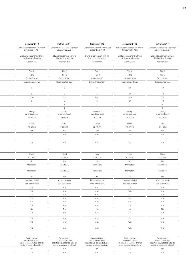| Instrument 143                                       | Instrument 144                                       | Instrument 145                                       | Instrument 146                                       | Instrument 147                                       |
|------------------------------------------------------|------------------------------------------------------|------------------------------------------------------|------------------------------------------------------|------------------------------------------------------|
| Landesbank Hessen-Thüringen<br>Girozentrale, AöR     | Landesbank Hessen-Thüringen<br>Girozentrale, AöR     | Landesbank Hessen-Thüringen<br>Girozentrale, AöR     | Landesbank Hessen-Thüringen<br>Girozentrale, AöR     | Landesbank Hessen-Thüringen<br>Girozentrale, AöR     |
| Bilateral agreement with no<br>third-party reference | Bilateral agreement with no<br>third-party reference | Bilateral agreement with no<br>third-party reference | Bilateral agreement with no<br>third-party reference | Bilateral agreement with no<br>third-party reference |
| German law                                           | German law                                           | German law                                           | German law                                           | German law                                           |
| Tier 2                                               | Tier 2                                               | Tier 2                                               | Tier 2                                               | Tier 2                                               |
| Tier 2                                               | Tier 2                                               | Tier 2                                               | Tier 2                                               | Tier 2                                               |
| Group & solo                                         | Group & solo                                         | Group & solo                                         | Group & solo                                         | Group & solo                                         |
| Subordinated loan                                    | Subordinated loan                                    | Subordinated loan                                    | Subordinated loan                                    | Subordinated loan                                    |
| 3                                                    | $\mathcal{S}$                                        | 5                                                    | 67                                                   | 10                                                   |
| $\mathbf{3}$                                         | $\mathbf{3}$                                         | 5                                                    | 67                                                   | 10                                                   |
| <b>EUR</b>                                           | <b>EUR</b>                                           | <b>EUR</b>                                           | <b>EUR</b>                                           | <b>EUR</b>                                           |
| 3                                                    | $\mathbf{3}$                                         | 5                                                    | 67                                                   | 10                                                   |
| $\overline{1}$                                       | $\overline{1}$                                       | $\overline{1}$                                       | $\overline{1}$                                       | $\overline{1}$                                       |
|                                                      | $\overline{1}$                                       | $\overline{1}$                                       | $\mathbf{1}$                                         | $\overline{1}$                                       |
| Liability -<br>amortised cost                        | Liability-<br>amortised cost                         | Liability -<br>amortised cost                        | Liability -<br>amortised cost                        | Liability-<br>amortised cost                         |
| 24.09.15                                             | 29.09.15                                             | 29.09.15                                             | 01.10.15                                             | 01.10.15                                             |
| Dated                                                | Dated                                                | Dated                                                | Dated                                                | Dated                                                |
| 24.09.29                                             | 29.09.25                                             | 29.09.25                                             | 01.10.25                                             | 01.10.35                                             |
| Yes                                                  | Yes                                                  | Yes                                                  | Yes                                                  | Yes                                                  |
| n.a.                                                 | n.a.                                                 | n.a.                                                 | n.a.                                                 | n.a.                                                 |
| n.a.                                                 | n.a.                                                 | n.a.                                                 | n.a.                                                 | n.a.                                                 |
|                                                      |                                                      |                                                      |                                                      |                                                      |
| Fixed                                                | Fixed                                                | Fixed                                                | Fixed                                                | Fixed                                                |
| 3.3400%<br>No                                        | 3.1700%<br>No                                        | 3.1600%<br>No                                        | 3.1500%<br><b>No</b>                                 | 3.7240%<br>No                                        |
| Mandatory                                            | Mandatory                                            | Mandatory                                            | Mandatory                                            | Mandatory                                            |
| Mandatory                                            | Mandatory                                            | Mandatory                                            | Mandatory                                            | Mandatory                                            |
| No                                                   | No                                                   | No                                                   | No                                                   | <b>No</b>                                            |
| Non-cumulative                                       | Non-cumulative                                       | Non-cumulative                                       | Non-cumulative                                       | Non-cumulative                                       |
| Non-convertible                                      | Non-convertible                                      | Non-convertible                                      | Non-convertible                                      | Non-convertible                                      |
| n.a.                                                 | n.a.                                                 | n.a.                                                 | n.a.                                                 | n.a.                                                 |
| n. a.                                                | n.a.                                                 | n.a.                                                 | n.a.                                                 | n.a.                                                 |
| n.a.                                                 | n.a.                                                 | n.a.                                                 | n.a.                                                 | n.a.                                                 |
|                                                      |                                                      |                                                      |                                                      |                                                      |
| n.a.                                                 | n.a.                                                 | n.a.                                                 | n.a.                                                 | n.a.                                                 |
| n.a.                                                 | n.a.                                                 | n.a.                                                 | n.a.                                                 | n.a.                                                 |
| n. a.                                                | n.a.                                                 | n.a.                                                 | n.a.                                                 | n.a.                                                 |
| <b>No</b>                                            | <b>No</b>                                            | <b>No</b>                                            | <b>No</b>                                            | <b>No</b>                                            |
| n.a.                                                 | n.a.                                                 | n.a.                                                 | n.a.                                                 | n.a.                                                 |
| n.a.                                                 | n.a.                                                 | n.a.                                                 | n.a.                                                 | n.a.                                                 |
| n. a.<br>n.a.                                        | n.a.                                                 | n.a.                                                 | n. a.                                                | n.a.                                                 |

| liabilities (i.e. satisfied after all<br>liabilities (i.e. satisfied after all<br>liabilities (i.e. satisfied after al<br>liabilities (i.e. satisfied after all<br>liabilities (i.e. satisfied after all<br>senior unsecured creditors)<br>senior unsecured creditors)<br>senior unsecured creditors)<br>senior unsecured creditors)<br>senior unsecured creditors) |
|---------------------------------------------------------------------------------------------------------------------------------------------------------------------------------------------------------------------------------------------------------------------------------------------------------------------------------------------------------------------|
|                                                                                                                                                                                                                                                                                                                                                                     |
|                                                                                                                                                                                                                                                                                                                                                                     |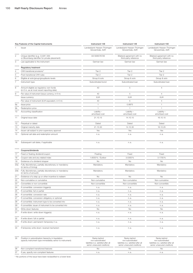|    | Key Features of the Capital Instruments                                                                             | Instrument 148                                                            | Instrument 149                                                            | Instrument 150                                                            |
|----|---------------------------------------------------------------------------------------------------------------------|---------------------------------------------------------------------------|---------------------------------------------------------------------------|---------------------------------------------------------------------------|
|    | Issuer                                                                                                              | Landesbank Hessen-Thüringen                                               | Landesbank Hessen-Thüringen                                               | Landesbank Hessen-Thüringen                                               |
|    |                                                                                                                     | Girozentrale, AöR                                                         | Girozentrale, AöR                                                         | Girozentrale, AöR                                                         |
|    | Unique identifier (e.g. CUSIP, ISIN<br>or Bloomberg identifier for private placement)                               | XS1306576726                                                              | Bilateral agreement with no                                               | Bilateral agreement with no                                               |
|    | Law applicable to the instrument                                                                                    | German law                                                                | third-party reference<br>German law                                       | third-party reference<br>German law                                       |
|    |                                                                                                                     |                                                                           |                                                                           |                                                                           |
|    | Regulatory treatment                                                                                                |                                                                           |                                                                           |                                                                           |
|    | CRR transitional provisions <sup>1)</sup>                                                                           | Tier 2                                                                    | Tier 2                                                                    | Tier 2                                                                    |
|    | Post-transitional CRR rules                                                                                         | Tier 2                                                                    | Tier 2                                                                    | Tier 2                                                                    |
|    | Eligible at solo/group/group&solo levels                                                                            | Group & solo                                                              | Group & solo                                                              | Group & solo                                                              |
|    | Instrument type                                                                                                     | Subordinated bond                                                         | Subordinated loan                                                         | Subordinated loan                                                         |
|    | Amount eligible as regulatory own funds<br>(in € m, as at most recent reporting date)                               | 40                                                                        | 5                                                                         | $\overline{4}$                                                            |
|    | Par value of instrument (issue currency, in $\in$ m)                                                                | 40                                                                        | 5                                                                         | $\overline{4}$                                                            |
|    | Issue currency                                                                                                      | <b>EUR</b>                                                                | <b>EUR</b>                                                                | <b>EUR</b>                                                                |
|    | Par value of instrument (EUR equivalent, in $\in$ m)                                                                | 40                                                                        | 5                                                                         | $\overline{4}$                                                            |
|    | 9a Issue price                                                                                                      | $\overline{1}$                                                            | 0.9975                                                                    | $\overline{1}$                                                            |
| 9b | Redemption price                                                                                                    |                                                                           | $\overline{1}$                                                            | $\overline{1}$                                                            |
|    | 10 Accounting classification                                                                                        | Liability -<br>amortised cost                                             | Liability -<br>amortised cost                                             | Liability -<br>amortised cost                                             |
|    | 11 Original issue date                                                                                              | 21.10.15                                                                  | 14.10.15                                                                  | 16.10.15                                                                  |
|    | 12 Perpetual or dated                                                                                               | Dated                                                                     | Dated                                                                     | Dated                                                                     |
|    | 13 Original maturity date                                                                                           | 21.10.30                                                                  | 14.10.30                                                                  | 16.10.25                                                                  |
|    | 14 Issuer call subject to prior supervisory approval                                                                | Yes                                                                       | Yes                                                                       | Yes                                                                       |
|    | 15 Optional call date and redemption amount                                                                         | n. a.                                                                     | n.a.                                                                      | n.a.                                                                      |
|    |                                                                                                                     |                                                                           |                                                                           |                                                                           |
|    | 16 Subsequent call dates, if applicable                                                                             | n.a.                                                                      | n. a.                                                                     | n.a.                                                                      |
|    | Coupons/dividends                                                                                                   |                                                                           |                                                                           |                                                                           |
|    | 17 Fixed or floating dividend/coupon                                                                                | Floating                                                                  | Fixed                                                                     | Fixed                                                                     |
| 18 | Coupon rate and any related index                                                                                   | 1.6000 % / Euribor                                                        | 3.5300 %                                                                  | 3.1700%                                                                   |
|    | 19 Existence of a dividend stopper                                                                                  | No                                                                        | No                                                                        | No                                                                        |
|    | 20a Fully discretionary, partially discretionary or mandatory                                                       | Mandatory                                                                 | Mandatory                                                                 | Mandatory                                                                 |
|    | (in terms of timing)                                                                                                |                                                                           |                                                                           |                                                                           |
|    | 20b Fully discretionary, partially discretionary or mandatory<br>(in terms of amount)                               | Mandatory                                                                 | Mandatory                                                                 | Mandatory                                                                 |
| 21 | Existence of a step up or other incentive to redeem                                                                 | No                                                                        | No                                                                        | No                                                                        |
| 22 | Non-cumulative or cumulative                                                                                        | Non-cumulative                                                            | Non-cumulative                                                            | Non-cumulative                                                            |
| 23 | Convertible or non-convertible                                                                                      | Non-convertible                                                           | Non-convertible                                                           | Non-convertible                                                           |
|    | 24 If convertible: conversion trigger(s)                                                                            | n. a.                                                                     | n. a.                                                                     | n. a.                                                                     |
|    | 25 If convertible: full or partial                                                                                  | n.a.                                                                      | n. a.                                                                     | n.a.                                                                      |
|    | 26 If convertible: conversion rate                                                                                  | n.a.                                                                      | n. a.                                                                     | n.a.                                                                      |
|    | 27 If convertible: conversion obligatory or optional                                                                | n.a.                                                                      | n. a.                                                                     | n.a.                                                                      |
|    | 28 If convertible: instrument type to be converted into                                                             | n. a.                                                                     | n. a.                                                                     | n.a.                                                                      |
|    | 29 If convertible: issuer of instrument to be converted into                                                        | n.a.                                                                      | n. a.                                                                     | n.a.                                                                      |
|    | 30 Write-down features                                                                                              | No                                                                        | No                                                                        | No                                                                        |
|    | 31 If write-down: write-down trigger(s)                                                                             | n. a.                                                                     | n. a.                                                                     | n.a.                                                                      |
|    | 32 If write-down: full or partial                                                                                   | n. a.                                                                     | n. a.                                                                     | n.a.                                                                      |
|    | 33 If write-down: permanent/temporary/n.a.                                                                          | n. a.                                                                     | n. a.                                                                     | n.a.                                                                      |
|    |                                                                                                                     |                                                                           |                                                                           |                                                                           |
|    | 34 If temporary write-down: reversal mechanism                                                                      | n. a.                                                                     | n. a.                                                                     | n.a.                                                                      |
|    |                                                                                                                     |                                                                           |                                                                           |                                                                           |
|    | 35 Position in subordination hierarchy in liquidation<br>(specify instrument type immediately senior to instrument) | Ranks behind<br>non-subordinated<br>liabilities (i.e. satisfied after all | Ranks behind<br>non-subordinated<br>liabilities (i.e. satisfied after all | Ranks behind<br>non-subordinated<br>liabilities (i.e. satisfied after all |
|    |                                                                                                                     | senior unsecured creditors)                                               | senior unsecured creditors)                                               | senior unsecured creditors)                                               |
|    | 36 Non-compliant transitioned features                                                                              | No                                                                        | No                                                                        | No                                                                        |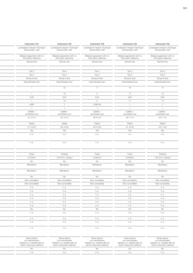| Instrument 151                                       | Instrument 152                                       | Instrument 153                                       | Instrument 154                                       | Instrument 155                                       |
|------------------------------------------------------|------------------------------------------------------|------------------------------------------------------|------------------------------------------------------|------------------------------------------------------|
| Landesbank Hessen-Thüringen<br>Girozentrale, AöR     | Landesbank Hessen-Thüringen<br>Girozentrale, AöR     | Landesbank Hessen-Thüringen<br>Girozentrale, AöR     | Landesbank Hessen-Thüringen<br>Girozentrale, AöR     | Landesbank Hessen-Thüringen<br>Girozentrale, AöR     |
| Bilateral agreement with no<br>third-party reference | Bilateral agreement with no<br>third-party reference | Bilateral agreement with no<br>third-party reference | Bilateral agreement with no<br>third-party reference | Bilateral agreement with no<br>third-party reference |
| German law                                           | German law                                           | German law                                           | German law                                           | German law                                           |
| Tier 2                                               | Tier 2                                               | Tier 2                                               | Tier 2                                               | Tier 2                                               |
| Tier 2                                               | Tier 2                                               | Tier 2                                               | Tier 2                                               | Tier 2                                               |
| Group & solo                                         | Group & solo                                         | Group & solo                                         | Group & solo                                         | Group & solo                                         |
| Subordinated loan                                    | Subordinated loan                                    | Subordinated loan                                    | Subordinated loan                                    | Subordinated loan                                    |
| $\overline{1}$                                       | 10                                                   | 5                                                    | 16                                                   | 15                                                   |
| $\overline{1}$                                       | 10                                                   | 5                                                    | 17                                                   | 15                                                   |
| <b>EUR</b>                                           | EUR                                                  | <b>EUR</b>                                           | <b>EUR</b>                                           | <b>EUR</b>                                           |
| $\overline{1}$                                       | 10                                                   | 5                                                    | 17                                                   | 15                                                   |
| 0.997                                                | $\overline{1}$                                       | 0.99133                                              | $\overline{1}$                                       | $\overline{1}$                                       |
| $\overline{1}$                                       | $\overline{1}$                                       | $\overline{1}$                                       | $\overline{1}$                                       | $\overline{1}$                                       |
| Liability -<br>amortised cost                        | Liability -<br>amortised cost                        | Liability-<br>amortised cost                         | Liability -<br>amortised cost                        | Liability -<br>amortised cost                        |
| 21.10.15                                             | 23.10.15                                             | 28.10.15                                             | 02.11.15                                             | 04.11.15                                             |
| Dated                                                | Dated                                                | Dated                                                | Dated                                                | Dated                                                |
| 21.10.30                                             | 23.10.25                                             | 28.10.30                                             | 31.10.25                                             | 04.11.25                                             |
| Yes                                                  | Yes                                                  | Yes                                                  | Yes                                                  | Yes                                                  |
| n.a.                                                 | n.a.                                                 | n.a.                                                 | n.a.                                                 | n.a.                                                 |
| n.a.                                                 | n.a.                                                 | n.a.                                                 | n.a.                                                 | n.a.                                                 |
| Fixed                                                | Floating                                             | Fixed                                                | Fixed                                                | Floating                                             |
| 3.4700%                                              | 1.8770% / Euribor                                    | 3.4000%                                              | 3.0400%                                              | 1.8710% / Euribor                                    |
| No                                                   | No                                                   | No                                                   | No                                                   | <b>No</b>                                            |
| Mandatory                                            | Mandatory                                            | Mandatory                                            | Mandatory                                            | Mandatory                                            |
| Mandatory                                            | Mandatory                                            | Mandatory                                            | Mandatory                                            | Mandatory                                            |
| No                                                   | No                                                   | No                                                   | No                                                   | <b>No</b>                                            |
| Non-cumulative                                       | Non-cumulative                                       | Non-cumulative                                       | Non-cumulative                                       | Non-cumulative                                       |
| Non-convertible                                      | Non-convertible                                      | Non-convertible                                      | Non-convertible                                      | Non-convertible                                      |
| n. a.                                                | n.a.                                                 | n.a.                                                 | n. a.                                                | n.a.                                                 |
| n.a.                                                 | n.a.                                                 | n.a.                                                 | n.a.                                                 | n.a.                                                 |
| n. a.<br>n.a.                                        | n.a.<br>n.a.                                         | n.a.<br>n.a.                                         | n.a.<br>n.a.                                         | n.a.<br>n.a.                                         |
| n. a.                                                | n.a.                                                 | n.a.                                                 | n.a.                                                 | n.a.                                                 |
| n.a.                                                 | n.a.                                                 | n.a.                                                 | n. a.                                                | n.a.                                                 |
| <b>No</b>                                            | No                                                   | No                                                   | No                                                   | No                                                   |
|                                                      |                                                      |                                                      |                                                      | n.a.                                                 |
| n. a.                                                | n.a.                                                 | n.a.                                                 | n. a.                                                |                                                      |
| n.a.                                                 | n.a.                                                 | n.a.                                                 | n.a.                                                 | n.a.                                                 |
| n. a.                                                | n.a.                                                 | n.a.                                                 | n.a.                                                 | n.a.                                                 |

| Ranks behind<br>non-subordinated<br>liabilities (i.e. satisfied after al<br>senior unsecured creditors) | Ranks behind<br>non-subordinated<br>liabilities (i.e. satisfied after all<br>senior unsecured creditors) | Ranks behind<br>non-subordinated<br>liabilities (i.e. satisfied after all<br>senior unsecured creditors) | Ranks behind<br>non-subordinated<br>liabilities (i.e. satisfied after all<br>senior unsecured creditors) | Ranks behind<br>non-subordinated<br>liabilities (i.e. satisfied after all<br>senior unsecured creditors) |
|---------------------------------------------------------------------------------------------------------|----------------------------------------------------------------------------------------------------------|----------------------------------------------------------------------------------------------------------|----------------------------------------------------------------------------------------------------------|----------------------------------------------------------------------------------------------------------|
|                                                                                                         |                                                                                                          |                                                                                                          |                                                                                                          |                                                                                                          |
|                                                                                                         |                                                                                                          |                                                                                                          |                                                                                                          |                                                                                                          |
|                                                                                                         |                                                                                                          |                                                                                                          |                                                                                                          |                                                                                                          |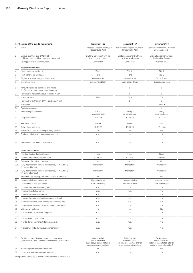|        | Key Features of the Capital Instruments                                                                             | Instrument 156                                                                                           | Instrument 157                                                                                           | Instrument 158                                                                                           |
|--------|---------------------------------------------------------------------------------------------------------------------|----------------------------------------------------------------------------------------------------------|----------------------------------------------------------------------------------------------------------|----------------------------------------------------------------------------------------------------------|
|        | Issuer                                                                                                              | Landesbank Hessen-Thüringen<br>Girozentrale, AöR                                                         | Landesbank Hessen-Thüringen<br>Girozentrale, AöR                                                         | Landesbank Hessen-Thüringen<br>Girozentrale, AöR                                                         |
|        | Unique identifier (e.g. CUSIP, ISIN<br>or Bloomberg identifier for private placement)                               | Bilateral agreement with no<br>third-party reference                                                     | Bilateral agreement with no<br>third-party reference                                                     | Bilateral agreement with no<br>third-party reference                                                     |
|        | Law applicable to the instrument                                                                                    | German law                                                                                               | German law                                                                                               | German law                                                                                               |
|        | <b>Regulatory treatment</b>                                                                                         |                                                                                                          |                                                                                                          |                                                                                                          |
|        | CRR transitional provisions <sup>1)</sup>                                                                           | Tier 2                                                                                                   | Tier 2                                                                                                   | Tier 2                                                                                                   |
|        | Post-transitional CRR rules                                                                                         | Tier 2                                                                                                   | Tier 2                                                                                                   | Tier 2                                                                                                   |
|        | Eligible at solo/group/group&solo levels                                                                            | Group & solo                                                                                             | Group & solo                                                                                             | Group & solo                                                                                             |
|        | Instrument type                                                                                                     | Subordinated loan                                                                                        | Subordinated loan                                                                                        | Subordinated loan                                                                                        |
|        | Amount eligible as regulatory own funds<br>(in € m, as at most recent reporting date)                               | $\overline{1}$                                                                                           | $\overline{2}$                                                                                           | 5                                                                                                        |
|        | Par value of instrument (issue currency, in $\epsilon$ m)                                                           | $\overline{1}$                                                                                           | $\overline{2}$                                                                                           | 5                                                                                                        |
|        | Issue currency                                                                                                      | <b>EUR</b>                                                                                               | EUR                                                                                                      | <b>EUR</b>                                                                                               |
|        | Par value of instrument (EUR equivalent, in $\epsilon$ m)                                                           | $\overline{1}$                                                                                           | $\overline{c}$                                                                                           | 5                                                                                                        |
|        | 9a Issue price                                                                                                      | $\overline{1}$                                                                                           | $\overline{1}$                                                                                           | 0.9949                                                                                                   |
| 9b     | Redemption price                                                                                                    | $\overline{1}$                                                                                           | $\overline{1}$                                                                                           | $\overline{1}$                                                                                           |
|        | 10 Accounting classification                                                                                        | Liability -<br>amortised cost                                                                            | Liability -<br>amortised cost                                                                            | Liability -<br>amortised cost                                                                            |
|        | 11 Original issue date                                                                                              | 10.11.15                                                                                                 | 10.11.15                                                                                                 | 17.11.15                                                                                                 |
|        | 12 Perpetual or dated                                                                                               | Dated                                                                                                    | Dated                                                                                                    | Dated                                                                                                    |
|        | 13 Original maturity date                                                                                           | 10.11.25                                                                                                 | 10.11.25                                                                                                 | 17.11.25                                                                                                 |
|        | 14 Issuer call subject to prior supervisory approval                                                                | Yes                                                                                                      | Yes                                                                                                      | Yes                                                                                                      |
|        | 15 Optional call date and redemption amount                                                                         | n.a.                                                                                                     | n.a.                                                                                                     | n.a.                                                                                                     |
|        | 16 Subsequent call dates, if applicable                                                                             | n. a.                                                                                                    | n. a.                                                                                                    | n.a.                                                                                                     |
|        | Coupons/dividends                                                                                                   |                                                                                                          |                                                                                                          |                                                                                                          |
|        | 17 Fixed or floating dividend/coupon                                                                                | Fixed                                                                                                    | Fixed                                                                                                    | Fixed                                                                                                    |
| 18     | Coupon rate and any related index                                                                                   | 3.1350%                                                                                                  | 3.1400%                                                                                                  | 3.0500%                                                                                                  |
|        | 19 Existence of a dividend stopper                                                                                  | No                                                                                                       | No                                                                                                       | No                                                                                                       |
|        | 20a Fully discretionary, partially discretionary or mandatory                                                       | Mandatory                                                                                                | Mandatory                                                                                                | Mandatory                                                                                                |
|        | (in terms of timing)<br>20b Fully discretionary, partially discretionary or mandatory                               | Mandatory                                                                                                | Mandatory                                                                                                | Mandatory                                                                                                |
|        | (in terms of amount)                                                                                                |                                                                                                          |                                                                                                          |                                                                                                          |
| $21 -$ | Existence of a step up or other incentive to redeem                                                                 | No                                                                                                       | No                                                                                                       | No                                                                                                       |
| 22     | Non-cumulative or cumulative                                                                                        | Non-cumulative                                                                                           | Non-cumulative                                                                                           | Non-cumulative                                                                                           |
|        | 23 Convertible or non-convertible                                                                                   | Non-convertible                                                                                          | Non-convertible                                                                                          | Non-convertible                                                                                          |
|        | 24 If convertible: conversion trigger(s)                                                                            | n. a.                                                                                                    | n. a.                                                                                                    | n.a.                                                                                                     |
|        | 25 If convertible: full or partial                                                                                  | n. a.                                                                                                    | n. a.                                                                                                    | n.a.                                                                                                     |
|        | 26 If convertible: conversion rate                                                                                  | n. a.                                                                                                    | n. a.                                                                                                    | n.a.                                                                                                     |
|        | 27 If convertible: conversion obligatory or optional                                                                | n. a.                                                                                                    | n.a.                                                                                                     | n.a.                                                                                                     |
|        | 28 If convertible: instrument type to be converted into                                                             | n. a.                                                                                                    | n. a.                                                                                                    | n.a.                                                                                                     |
|        | 29 If convertible: issuer of instrument to be converted into                                                        | n. a.                                                                                                    | n. a.                                                                                                    | n.a.                                                                                                     |
|        | 30 Write-down features                                                                                              | No                                                                                                       | No                                                                                                       | No                                                                                                       |
|        | 31 If write-down: write-down trigger(s)                                                                             | n. a.                                                                                                    | n. a.                                                                                                    | n.a.                                                                                                     |
|        | 32 If write-down: full or partial                                                                                   | n. a.                                                                                                    | n. a.                                                                                                    | n.a.                                                                                                     |
|        | 33 If write-down: permanent/temporary/n.a.                                                                          | n. a.                                                                                                    | n. a.                                                                                                    | n.a.                                                                                                     |
|        | 34 If temporary write-down: reversal mechanism                                                                      | n. a.                                                                                                    | n. a.                                                                                                    | n.a.                                                                                                     |
|        | 35 Position in subordination hierarchy in liquidation<br>(specify instrument type immediately senior to instrument) | Ranks behind<br>non-subordinated<br>liabilities (i.e. satisfied after all<br>senior unsecured creditors) | Ranks behind<br>non-subordinated<br>liabilities (i.e. satisfied after all<br>senior unsecured creditors) | Ranks behind<br>non-subordinated<br>liabilities (i.e. satisfied after all<br>senior unsecured creditors) |
|        | 36 Non-compliant transitioned features                                                                              | No                                                                                                       | No                                                                                                       | No                                                                                                       |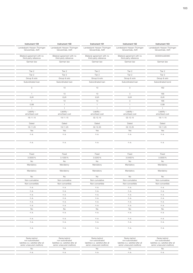| Instrument 159                                       | Instrument 160                                       | Instrument 161                                       | Instrument 162                                       | Instrument 163                |
|------------------------------------------------------|------------------------------------------------------|------------------------------------------------------|------------------------------------------------------|-------------------------------|
| Landesbank Hessen-Thüringen                          | Landesbank Hessen-Thüringen                          | Landesbank Hessen-Thüringen                          | Landesbank Hessen-Thüringen                          | Landesbank Hessen-Thüringen   |
| Girozentrale, AöR                                    | Girozentrale, AöR                                    | Girozentrale, AöR                                    | Girozentrale, AöR                                    | Girozentrale, AöR             |
| Bilateral agreement with no<br>third-party reference | Bilateral agreement with no<br>third-party reference | Bilateral agreement with no<br>third-party reference | Bilateral agreement with no<br>third-party reference | DE000HLB2DM0                  |
| German law                                           | German law                                           | German law                                           | German law                                           | German law                    |
| Tier 2                                               | Tier 2                                               | Tier 2                                               | Tier 2                                               | Tier 2                        |
| Tier 2                                               | Tier 2                                               | Tier 2                                               | Tier 2                                               | Tier 2                        |
| Group & solo                                         | Group & solo                                         | Group & solo                                         | Group & solo                                         | Group & solo                  |
| Subordinated loan                                    | Subordinated loan                                    | Subordinated loan                                    | Subordinated loan                                    | Subordinated bond             |
| $\circ$                                              | 10                                                   | 10                                                   | $\mathcal{S}$                                        | 162                           |
| $\overline{1}$                                       | 10                                                   | 10                                                   | $\mathcal{S}$                                        | 166                           |
| <b>EUR</b>                                           | <b>EUR</b>                                           | <b>EUR</b>                                           | <b>EUR</b>                                           | <b>EUR</b>                    |
| $\overline{1}$                                       | 10                                                   | 10                                                   | 3                                                    | 166                           |
| 0.99                                                 | $\overline{1}$                                       | $\overline{1}$                                       | $\overline{1}$                                       | 0.99                          |
| $\overline{1}$                                       | $\mathbf{1}$                                         | $\overline{1}$                                       | $\mathbf{1}$                                         | $\overline{1}$                |
| Liability -<br>amortised cost                        | Liability -<br>amortised cost                        | Liability -<br>amortised cost                        | Liability -<br>amortised cost                        | Liability -<br>amortised cost |
| 18.11.15                                             | 19.11.15                                             | 02.12.15                                             | 02.12.15                                             | 18.11.15                      |
| Dated                                                | Dated                                                | Dated                                                | Dated                                                | Dated                         |
| 18.11.25                                             | 19.11.25                                             | 02.12.25                                             | 02.12.25                                             | 18.11.25                      |
| Yes                                                  | Yes                                                  | Yes                                                  | Yes                                                  | Yes                           |
| n.a.                                                 | n.a.                                                 | n.a.                                                 | n.a.                                                 | n.a.                          |
| n.a.                                                 | n.a.                                                 | n.a.                                                 | n.a.                                                 | n.a.                          |
|                                                      |                                                      |                                                      |                                                      |                               |
| Fixed                                                | Fixed                                                | Fixed                                                | Fixed                                                | Fixed                         |
| 3.0000%                                              | 3.1000%                                              | 3.0250%                                              | 3.0400%                                              | 3.0000%                       |
| No                                                   | No                                                   | No                                                   | No                                                   | No                            |
| Mandatory                                            | Mandatory                                            | Mandatory                                            | Mandatory                                            | Mandatory                     |
| Mandatory                                            | Mandatory                                            | Mandatory                                            | Mandatory                                            | Mandatory                     |
| <b>No</b>                                            | No                                                   | No                                                   | No                                                   | No                            |
| Non-cumulative                                       | Non-cumulative                                       | Non-cumulative                                       | Non-cumulative                                       | Non-cumulative                |
| Non-convertible                                      | Non-convertible                                      | Non-convertible                                      | Non-convertible                                      | Non-convertible               |
| n. a.                                                | n.a.                                                 | n.a.                                                 | n.a.                                                 | n.a.                          |
| n.a.                                                 | n.a.                                                 | n.a.                                                 | n.a.                                                 | n.a.                          |
| n.a.                                                 | n.a.                                                 | n.a.                                                 | n.a.                                                 | n.a.                          |
| n.a.                                                 | n.a.                                                 | n.a.<br>n.a.                                         | n.a.                                                 | n.a.<br>n.a.                  |
|                                                      |                                                      |                                                      |                                                      |                               |
| n.a.                                                 | n.a.                                                 |                                                      | n.a.                                                 |                               |
| n.a.                                                 | n.a.                                                 | n.a.                                                 | n.a.                                                 |                               |
| <b>No</b><br>n. a.                                   | No<br>n.a.                                           | <b>No</b><br>n.a.                                    | <b>No</b><br>n. a.                                   | n.a.<br><b>No</b><br>n.a.     |
|                                                      |                                                      |                                                      |                                                      |                               |
| n.a.<br>n.a.                                         | n.a.<br>n.a.                                         | n.a.<br>n.a.                                         | n.a.<br>n. a.                                        | n.a.<br>n.a.                  |

| Ranks behind<br>non-subordinated<br>liabilities (i.e. satisfied after al<br>senior unsecured creditors) | Ranks behind<br>non-subordinated<br>liabilities (i.e. satisfied after all<br>senior unsecured creditors) | Ranks behind<br>non-subordinated<br>liabilities (i.e. satisfied after all<br>senior unsecured creditors) | Ranks behind<br>non-subordinated<br>liabilities (i.e. satisfied after all<br>senior unsecured creditors) | Ranks behind<br>non-subordinated<br>liabilities (i.e. satisfied after all<br>senior unsecured creditors) |
|---------------------------------------------------------------------------------------------------------|----------------------------------------------------------------------------------------------------------|----------------------------------------------------------------------------------------------------------|----------------------------------------------------------------------------------------------------------|----------------------------------------------------------------------------------------------------------|
|                                                                                                         |                                                                                                          |                                                                                                          |                                                                                                          |                                                                                                          |
|                                                                                                         |                                                                                                          |                                                                                                          |                                                                                                          |                                                                                                          |
|                                                                                                         |                                                                                                          |                                                                                                          |                                                                                                          |                                                                                                          |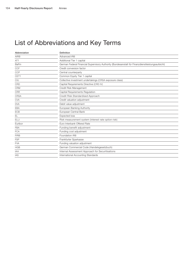## List of Abbreviations and Key Terms

| Abbreviation    | Definition                                                                                       |
|-----------------|--------------------------------------------------------------------------------------------------|
| <b>AIRB</b>     | Advanced IRB                                                                                     |
| AT <sub>1</sub> | Additional Tier 1 capital                                                                        |
| <b>BaFin</b>    | German Federal Financial Supervisory Authority (Bundesanstalt für Finanzdienstleistungsaufsicht) |
| <b>CCF</b>      | Credit conversion factor                                                                         |
| CCP             | Central counterparty                                                                             |
| CET1            | Common Equity Tier 1 capital                                                                     |
| CIU             | Collective investment undertakings (CRSA exposure class)                                         |
| CRD             | Capital Requirements Directive (CRD IV)                                                          |
| <b>CRM</b>      | Credit Risk Management                                                                           |
| <b>CRR</b>      | Capital Requirements Regulation                                                                  |
| <b>CRSA</b>     | Credit Risk Standardised Approach                                                                |
| <b>CVA</b>      | Credit valuation adjustment                                                                      |
| <b>DVA</b>      | Debit value adjustment                                                                           |
| <b>EBA</b>      | European Banking Authority                                                                       |
| <b>ECB</b>      | European Central Bank                                                                            |
| EL              | <b>Expected loss</b>                                                                             |
| <b>ELLI</b>     | Risk measurement system (interest rate option risk)                                              |
| Euribor         | Euro Interbank Offered Rate                                                                      |
| <b>FBA</b>      | Funding benefit adjustment                                                                       |
| <b>FCA</b>      | Funding cost adjustment                                                                          |
| <b>FIRB</b>     | Foundation IRB                                                                                   |
| <b>FSP</b>      | Frankfurter Sparkasse                                                                            |
| <b>FVA</b>      | Funding valuation adjustment                                                                     |
| <b>HGB</b>      | German Commercial Code (Handelsgesetzbuch)                                                       |
| <b>IAA</b>      | Internal Assessment Approach for Securitisations                                                 |
| IAS             | International Accounting Standards                                                               |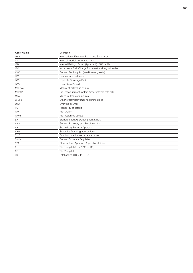| Abbreviation      | Definition                                             |
|-------------------|--------------------------------------------------------|
| <b>IFRS</b>       | International Financial Reporting Standards            |
| IM                | Internal models for market risk                        |
| <b>IRB</b>        | Internal Ratings-Based (Approach) (FIRB/AIRB)          |
| <b>IRC</b>        | Incremental Risk Charge for default and migration risk |
| <b>KWG</b>        | German Banking Act (Kreditwesengesetz)                 |
| <b>LBS</b>        | Landesbausparkasse                                     |
| <b>LCR</b>        | Liquidity Coverage Ratio                               |
| <b>LGD</b>        | Loss Given Default                                     |
| MaR/VaR           | Money-at-risk/value-at-risk                            |
| MaRC <sup>2</sup> | Risk measurement system (linear interest rate risk)    |
| <b>MTA</b>        | Minimum transfer amounts                               |
| O-SIIs            | Other systemically important institutions              |
| <b>OTC</b>        | Over-the-counter                                       |
| PD                | Probability of default                                 |
| <b>RW</b>         | Risk weight                                            |
| <b>RWAs</b>       | Risk-weighted assets                                   |
| SA                | Standardised Approach (market risk)                    |
| <b>SAG</b>        | German Recovery and Resolution Act                     |
| <b>SFA</b>        | Supervisory Formula Approach                           |
| <b>SFTs</b>       | Securities financing transactions                      |
| <b>SME</b>        | Small and medium-sized enterprises                     |
| SolvV             | German Solvency Regulation                             |
| <b>STA</b>        | Standardised Approach (operational risks)              |
| T1                | Tier 1 capital $(T1 = CET1 + AT1)$                     |
| T <sub>2</sub>    | Tier 2 capital                                         |
| <b>TC</b>         | Total capital (TC = $T1 + T2$ )                        |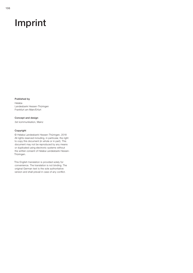# Imprint

#### Published by

Helaba Landesbank Hessen-Thüringen Frankfurt am Main/Erfurt

Concept and design 3st kommunikation, Mainz

#### Copyright

© Helaba Landesbank Hessen-Thüringen, 2018 All rights reserved including, in particular, the right to copy this document (in whole or in part). This document may not be reproduced by any means or duplicated using electronic systems without the written consent of Helaba Landesbank Hessen-Thüringen.

This English translation is provided solely for convenience. The translation is not binding. The original German text is the sole authoritative version and shall prevail in case of any conflict.